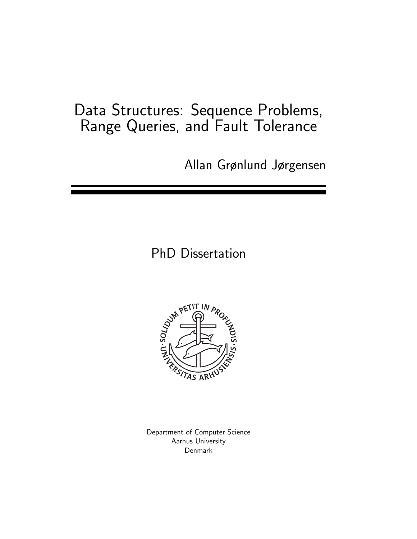# Data Structures: Sequence Problems, Range Queries, and Fault Tolerance

Allan Grønlund Jørgensen

PhD Dissertation



Department of Computer Science Aarhus University Denmark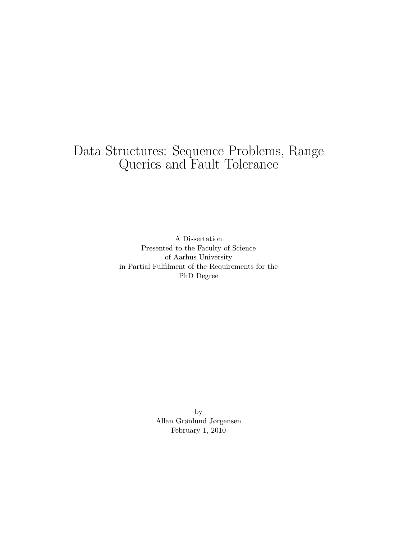## Data Structures: Sequence Problems, Range Queries and Fault Tolerance

A Dissertation Presented to the Faculty of Science of Aarhus University in Partial Fulfilment of the Requirements for the PhD Degree

> by Allan Grønlund Jørgensen February 1, 2010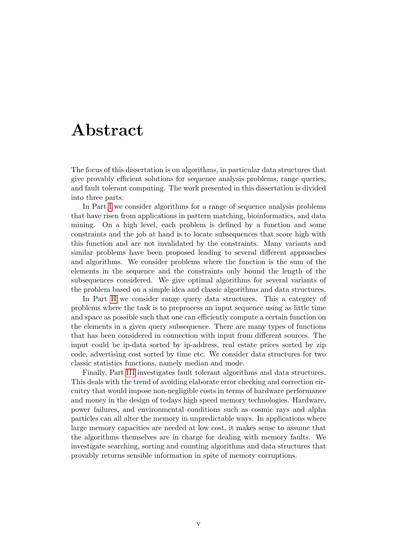## Abstract

<span id="page-4-0"></span>The focus of this dissertation is on algorithms, in particular data structures that give provably efficient solutions for sequence analysis problems, range queries, and fault tolerant computing. The work presented in this dissertation is divided into three parts.

In Part [I](#page-34-0) we consider algorithms for a range of sequence analysis problems that have risen from applications in pattern matching, bioinformatics, and data mining. On a high level, each problem is defined by a function and some constraints and the job at hand is to locate subsequences that score high with this function and are not invalidated by the constraints. Many variants and similar problems have been proposed leading to several different approaches and algorithms. We consider problems where the function is the sum of the elements in the sequence and the constraints only bound the length of the subsequences considered. We give optimal algorithms for several variants of the problem based on a simple idea and classic algorithms and data structures.

In Part [II](#page-60-0) we consider range query data structures. This a category of problems where the task is to preprocess an input sequence using as little time and space as possible such that one can efficiently compute a certain function on the elements in a given query subsequence. There are many types of functions that has been considered in connection with input from different sources. The input could be ip-data sorted by ip-address, real estate prices sorted by zip code, advertising cost sorted by time etc. We consider data structures for two classic statistics functions, namely median and mode.

Finally, Part [III](#page-88-0) investigates fault tolerant algorithms and data structures. This deals with the trend of avoiding elaborate error checking and correction circuitry that would impose non-negligible costs in terms of hardware performance and money in the design of todays high speed memory technologies. Hardware, power failures, and environmental conditions such as cosmic rays and alpha particles can all alter the memory in unpredictable ways. In applications where large memory capacities are needed at low cost, it makes sense to assume that the algorithms themselves are in charge for dealing with memory faults. We investigate searching, sorting and counting algorithms and data structures that provably returns sensible information in spite of memory corruptions.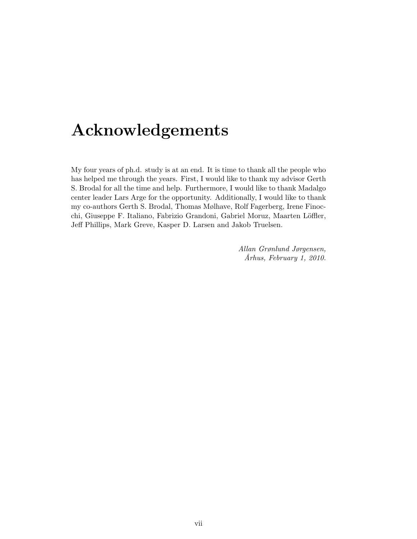# Acknowledgements

<span id="page-6-0"></span>My four years of ph.d. study is at an end. It is time to thank all the people who has helped me through the years. First, I would like to thank my advisor Gerth S. Brodal for all the time and help. Furthermore, I would like to thank Madalgo center leader Lars Arge for the opportunity. Additionally, I would like to thank my co-authors Gerth S. Brodal, Thomas Mølhave, Rolf Fagerberg, Irene Finocchi, Giuseppe F. Italiano, Fabrizio Grandoni, Gabriel Moruz, Maarten Löffler, Jeff Phillips, Mark Greve, Kasper D. Larsen and Jakob Truelsen.

> Allan Grønlund Jørgensen,  $Århus, February 1, 2010.$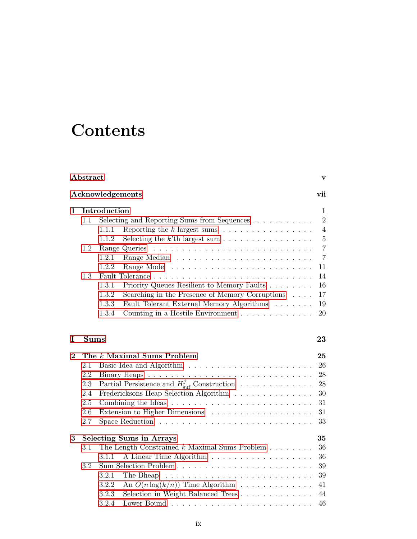# **Contents**

| Abstract<br>$\mathbf{v}$ |             |                                                                                                                                       |                |  |
|--------------------------|-------------|---------------------------------------------------------------------------------------------------------------------------------------|----------------|--|
|                          |             | Acknowledgements                                                                                                                      | vii            |  |
| 1                        |             | Introduction                                                                                                                          | 1              |  |
|                          | 1.1         | Selecting and Reporting Sums from Sequences                                                                                           | $\overline{2}$ |  |
|                          |             | 1.1.1<br>Reporting the $k$ largest sums $\ldots \ldots \ldots \ldots \ldots$                                                          | $\overline{4}$ |  |
|                          |             | 1.1.2                                                                                                                                 | $\overline{5}$ |  |
|                          | 1.2         | Range Queries                                                                                                                         | 7              |  |
|                          |             | 1.2.1                                                                                                                                 | 7              |  |
|                          |             | 1.2.2<br>Range Mode recovered a recovered a recovered a recovery and a recovery and the Range                                         | 11             |  |
|                          | 1.3         |                                                                                                                                       | 14             |  |
|                          |             | 1.3.1<br>Priority Queues Resilient to Memory Faults                                                                                   | 16             |  |
|                          |             | 1.3.2<br>Searching in the Presence of Memory Corruptions                                                                              | 17             |  |
|                          |             | 1.3.3<br>Fault Tolerant External Memory Algorithms                                                                                    | 19             |  |
|                          |             | 1.3.4<br>Counting in a Hostile Environment                                                                                            | 20             |  |
|                          |             |                                                                                                                                       |                |  |
| I                        | <b>Sums</b> |                                                                                                                                       | 23             |  |
|                          |             |                                                                                                                                       |                |  |
| $\bf{2}$                 |             | The k Maximal Sums Problem                                                                                                            | 25             |  |
|                          | 2.1         |                                                                                                                                       | 26             |  |
|                          | 2.2         |                                                                                                                                       | 28             |  |
|                          | 2.3         | Partial Persistence and $H_{\text{surf}}^j$ Construction                                                                              | 28             |  |
|                          | 2.4         | Fredericksons Heap Selection Algorithm                                                                                                | 30             |  |
|                          | 2.5         |                                                                                                                                       | 31             |  |
|                          | 2.6         |                                                                                                                                       | 31             |  |
|                          | 2.7         | Space Reduction $\dots \dots \dots \dots \dots \dots \dots \dots \dots \dots \dots$                                                   | 33             |  |
| 3                        |             | <b>Selecting Sums in Arrays</b>                                                                                                       | 35             |  |
|                          | 3.1         | The Length Constrained $k$ Maximal Sums Problem $\ldots \ldots \ldots$                                                                | 36             |  |
|                          |             | 3.1.1                                                                                                                                 | 36             |  |
|                          | 3.2         | Sum Selection Problem                                                                                                                 | 39             |  |
|                          |             | 3.2.1<br>The Bheap<br>and a series of the contract of the contract of the contract of the contract of the contract of the contract of | 39             |  |
|                          |             | 3.2.2<br>An $O(n \log(k/n))$ Time Algorithm                                                                                           | 41             |  |
|                          |             | 3.2.3<br>Selection in Weight Balanced Trees                                                                                           | 44             |  |
|                          |             | 3.2.4                                                                                                                                 | 46             |  |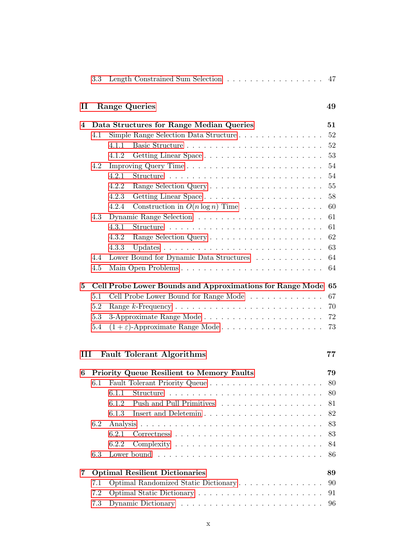|             | 3.3 | Length Constrained Sum Selection                          | 47     |
|-------------|-----|-----------------------------------------------------------|--------|
| $\mathbf H$ |     | <b>Range Queries</b>                                      | 49     |
| 4           |     | Data Structures for Range Median Queries                  | 51     |
|             | 4.1 | Simple Range Selection Data Structure                     | 52     |
|             |     | 4.1.1                                                     | 52     |
|             |     | 4.1.2                                                     | 53     |
|             | 4.2 |                                                           | 54     |
|             |     | 4.2.1                                                     | 54     |
|             |     | 4.2.2                                                     | $55\,$ |
|             |     | 4.2.3                                                     | 58     |
|             |     | 4.2.4<br>Construction in $O(n \log n)$ Time               | 60     |
|             | 4.3 |                                                           | 61     |
|             |     | 4.3.1                                                     | 61     |
|             |     | 4.3.2                                                     | 62     |
|             |     | 4.3.3                                                     | 63     |
|             | 4.4 | Lower Bound for Dynamic Data Structures                   | 64     |
|             | 4.5 | Main Open Problems                                        | 64     |
| 5           |     | Cell Probe Lower Bounds and Approximations for Range Mode | 65     |
|             | 5.1 | Cell Probe Lower Bound for Range Mode                     | 67     |
|             | 5.2 |                                                           | 70     |
|             | 5.3 |                                                           | 72     |
|             | 5.4 |                                                           | 73     |
|             |     |                                                           |        |
| ш           |     | <b>Fault Tolerant Algorithms</b>                          | 77     |
| 6           |     | <b>Priority Queue Resilient to Memory Faults</b>          | 79     |
|             | 6.1 |                                                           | 80     |
|             |     | 6.1.1<br>Structure                                        | 80     |
|             |     | 6.1.2                                                     | 81     |
|             |     | 6.1.3                                                     | 82     |
|             | 6.2 |                                                           | 83     |
|             |     | 6.2.1                                                     | 83     |
|             |     | 6.2.2                                                     | 84     |
|             | 6.3 |                                                           | 86     |
| 7           |     | <b>Optimal Resilient Dictionaries</b>                     | 89     |
|             | 7.1 | Optimal Randomized Static Dictionary                      | 90     |
|             | 7.2 |                                                           | 91     |
|             | 7.3 |                                                           | 96     |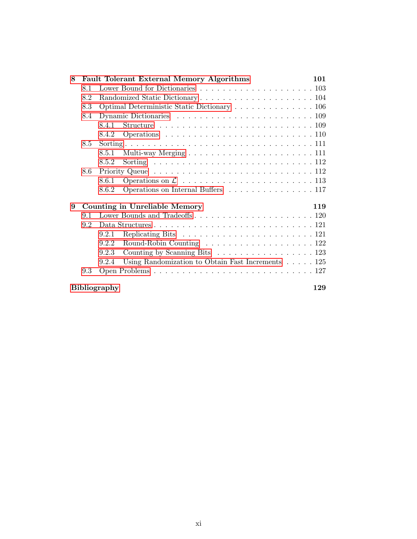| 8 | <b>Fault Tolerant External Memory Algorithms</b><br>101 |                                                                                         |     |  |  |  |
|---|---------------------------------------------------------|-----------------------------------------------------------------------------------------|-----|--|--|--|
|   | 8.1                                                     |                                                                                         |     |  |  |  |
|   | 8.2                                                     |                                                                                         |     |  |  |  |
|   | 8.3                                                     |                                                                                         |     |  |  |  |
|   | 8.4                                                     |                                                                                         |     |  |  |  |
|   |                                                         | 8.4.1                                                                                   |     |  |  |  |
|   |                                                         | 8.4.2                                                                                   |     |  |  |  |
|   | 8.5                                                     |                                                                                         |     |  |  |  |
|   |                                                         | 8.5.1                                                                                   |     |  |  |  |
|   |                                                         | 8.5.2                                                                                   |     |  |  |  |
|   | 8.6                                                     |                                                                                         |     |  |  |  |
|   |                                                         | 8.6.1                                                                                   |     |  |  |  |
|   |                                                         | Operations on Internal Buffers 117<br>8.6.2                                             |     |  |  |  |
| 9 |                                                         | Counting in Unreliable Memory                                                           | 119 |  |  |  |
|   | 9.1                                                     |                                                                                         |     |  |  |  |
|   | 9.2                                                     |                                                                                         |     |  |  |  |
|   |                                                         | Replicating Bits $\ldots \ldots \ldots \ldots \ldots \ldots \ldots \ldots 121$<br>9.2.1 |     |  |  |  |
|   |                                                         | 9.2.2<br>Round-Robin Counting $\ldots \ldots \ldots \ldots \ldots \ldots 122$           |     |  |  |  |
|   |                                                         | 9.2.3<br>Counting by Scanning Bits 123                                                  |     |  |  |  |
|   |                                                         | Using Randomization to Obtain Fast Increments $\ldots$ . 125<br>9.2.4                   |     |  |  |  |
|   | 9.3                                                     |                                                                                         |     |  |  |  |
|   | <b>Bibliography</b><br>129                              |                                                                                         |     |  |  |  |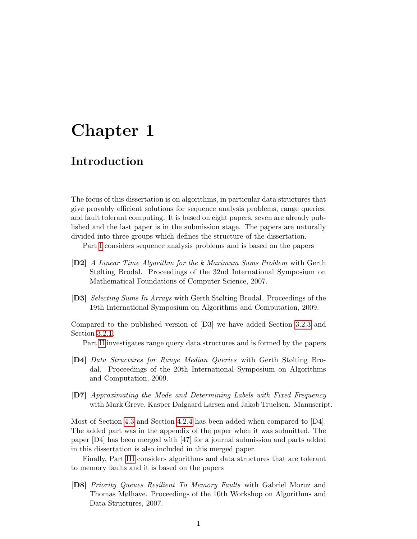## <span id="page-12-0"></span>Chapter 1

## Introduction

The focus of this dissertation is on algorithms, in particular data structures that give provably efficient solutions for sequence analysis problems, range queries, and fault tolerant computing. It is based on eight papers, seven are already published and the last paper is in the submission stage. The papers are naturally divided into three groups which defines the structure of the dissertation.

Part [I](#page-34-0) considers sequence analysis problems and is based on the papers

- [D2] A Linear Time Algorithm for the k Maximum Sums Problem with Gerth Stølting Brodal. Proceedings of the 32nd International Symposium on Mathematical Foundations of Computer Science, 2007.
- [D3] Selecting Sums In Arrays with Gerth Stølting Brodal. Proceedings of the 19th International Symposium on Algorithms and Computation, 2009.

Compared to the published version of [D3] we have added Section [3.2.3](#page-55-0) and Section [3.2.1.](#page-50-1)

Part [II](#page-60-0) investigates range query data structures and is formed by the papers

- [D4] Data Structures for Range Median Queries with Gerth Stølting Brodal. Proceedings of the 20th International Symposium on Algorithms and Computation, 2009.
- [D7] Approximating the Mode and Determining Labels with Fixed Frequency with Mark Greve, Kasper Dalgaard Larsen and Jakob Truelsen. Manuscript.

Most of Section [4.3](#page-72-0) and Section [4.2.4](#page-71-0) has been added when compared to [D4]. The added part was in the appendix of the paper when it was submitted. The paper [D4] has been merged with [47] for a journal submission and parts added in this dissertation is also included in this merged paper.

Finally, Part [III](#page-88-0) considers algorithms and data structures that are tolerant to memory faults and it is based on the papers

[D8] Priority Queues Resilient To Memory Faults with Gabriel Moruz and Thomas Mølhave. Proceedings of the 10th Workshop on Algorithms and Data Structures, 2007.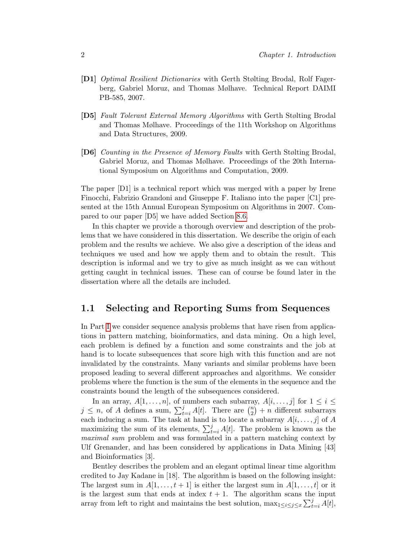- [D1] Optimal Resilient Dictionaries with Gerth Stølting Brodal, Rolf Fagerberg, Gabriel Moruz, and Thomas Mølhave. Technical Report DAIMI PB-585, 2007.
- [D5] Fault Tolerant External Memory Algorithms with Gerth Stølting Brodal and Thomas Mølhave. Proceedings of the 11th Workshop on Algorithms and Data Structures, 2009.
- [D6] Counting in the Presence of Memory Faults with Gerth Stølting Brodal, Gabriel Moruz, and Thomas Mølhave. Proceedings of the 20th International Symposium on Algorithms and Computation, 2009.

The paper [D1] is a technical report which was merged with a paper by Irene Finocchi, Fabrizio Grandoni and Giuseppe F. Italiano into the paper [C1] presented at the 15th Annual European Symposium on Algorithms in 2007. Compared to our paper [D5] we have added Section [8.6.](#page-123-1)

In this chapter we provide a thorough overview and description of the problems that we have considered in this dissertation. We describe the origin of each problem and the results we achieve. We also give a description of the ideas and techniques we used and how we apply them and to obtain the result. This description is informal and we try to give as much insight as we can without getting caught in technical issues. These can of course be found later in the dissertation where all the details are included.

## <span id="page-13-0"></span>1.1 Selecting and Reporting Sums from Sequences

In Part [I](#page-34-0) we consider sequence analysis problems that have risen from applications in pattern matching, bioinformatics, and data mining. On a high level, each problem is defined by a function and some constraints and the job at hand is to locate subsequences that score high with this function and are not invalidated by the constraints. Many variants and similar problems have been proposed leading to several different approaches and algorithms. We consider problems where the function is the sum of the elements in the sequence and the constraints bound the length of the subsequences considered.

In an array,  $A[1,\ldots,n]$ , of numbers each subarray,  $A[i,\ldots,j]$  for  $1 \leq i \leq j$  $j \leq n$ , of A defines a sum,  $\sum_{t=i}^{j} A[t]$ . There are  $\binom{n}{2}$  $n \choose 2 + n$  different subarrays each inducing a sum. The task at hand is to locate a subarray  $A[i, \ldots, j]$  of A maximizing the sum of its elements,  $\sum_{t=i}^{j} A[t]$ . The problem is known as the maximal sum problem and was formulated in a pattern matching context by Ulf Grenander, and has been considered by applications in Data Mining [43] and Bioinformatics [3].

Bentley describes the problem and an elegant optimal linear time algorithm credited to Jay Kadane in [18]. The algorithm is based on the following insight: The largest sum in  $A[1,\ldots,t+1]$  is either the largest sum in  $A[1,\ldots,t]$  or it is the largest sum that ends at index  $t + 1$ . The algorithm scans the input array from left to right and maintains the best solution,  $\max_{1 \leq i \leq j \leq x} \sum_{t=i}^{j} A[t]$ ,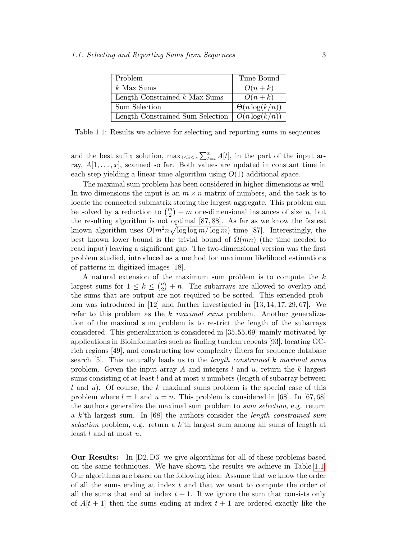| Problem                          | Time Bound            |
|----------------------------------|-----------------------|
| $k$ Max Sums                     | $O(n+k)$              |
| Length Constrained $k$ Max Sums  | $O(n+k)$              |
| Sum Selection                    | $\Theta(n \log(k/n))$ |
| Length Constrained Sum Selection | $O(n \log(k/n))$      |

Table 1.1: Results we achieve for selecting and reporting sums in sequences.

and the best suffix solution,  $\max_{1 \leq i \leq x} \sum_{t=i}^{x} A[t]$ , in the part of the input array,  $A[1, \ldots, x]$ , scanned so far. Both values are updated in constant time in each step yielding a linear time algorithm using  $O(1)$  additional space.

The maximal sum problem has been considered in higher dimensions as well. In two dimensions the input is an  $m \times n$  matrix of numbers, and the task is to locate the connected submatrix storing the largest aggregate. This problem can be solved by a reduction to  $\binom{m}{2} + m$  one-dimensional instances of size n, but the resulting algorithm is not optimal [87, 88]. As far as we know the fastest known algorithm uses  $O(m^2 n \sqrt{\log \log m / \log m})$  time [87]. Interestingly, the best known lower bound is the trivial bound of  $\Omega(mn)$  (the time needed to read input) leaving a significant gap. The two-dimensional version was the first problem studied, introduced as a method for maximum likelihood estimations of patterns in digitized images [18].

A natural extension of the maximum sum problem is to compute the  $k$ largest sums for  $1 \leq k \leq {n \choose 2}$  $\binom{n}{2} + n$ . The subarrays are allowed to overlap and the sums that are output are not required to be sorted. This extended problem was introduced in [12] and further investigated in [13, 14, 17, 29, 67]. We refer to this problem as the  $k$  maximal sums problem. Another generalization of the maximal sum problem is to restrict the length of the subarrays considered. This generalization is considered in [35,55,69] mainly motivated by applications in Bioinformatics such as finding tandem repeats [93], locating GCrich regions [49], and constructing low complexity filters for sequence database search [5]. This naturally leads us to the *length constrained k maximal sums* problem. Given the input array A and integers  $l$  and  $u$ , return the k largest sums consisting of at least  $l$  and at most  $u$  numbers (length of subarray between l and u). Of course, the k maximal sums problem is the special case of this problem where  $l = 1$  and  $u = n$ . This problem is considered in [68]. In [67,68] the authors generalize the maximal sum problem to sum selection, e.g. return a k'th largest sum. In [68] the authors consider the length constrained sum selection problem, e.g. return a k'th largest sum among all sums of length at least  $l$  and at most  $u$ .

Our Results: In [D2, D3] we give algorithms for all of these problems based on the same techniques. We have shown the results we achieve in Table [1.1.](#page-13-0) Our algorithms are based on the following idea: Assume that we know the order of all the sums ending at index  $t$  and that we want to compute the order of all the sums that end at index  $t + 1$ . If we ignore the sum that consists only of  $A[t+1]$  then the sums ending at index  $t+1$  are ordered exactly like the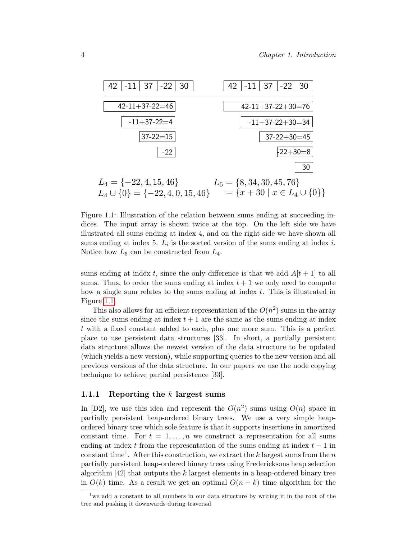| $-22$<br>42<br>37<br>30                  | $-22$<br>42<br>37<br>30                |
|------------------------------------------|----------------------------------------|
| $42 - 11 + 37 - 22 = 46$                 | $42 - 11 + 37 - 22 + 30 = 76$          |
| $-11+37-22=4$                            | $-11+37-22+30=34$                      |
| $37 - 22 = 15$                           | $37 - 22 + 30 = 45$                    |
| $-22$                                    | $+22+30=8$                             |
|                                          | 30                                     |
| $L_4 = \{-22, 4, 15, 46\}$               | $L_5 = \{8, 34, 30, 45, 76\}$          |
| $L_4 \cup \{0\} = \{-22, 4, 0, 15, 46\}$ | $=\{x+30 \mid x \in L_4 \cup \{0\}\}\$ |

<span id="page-15-1"></span>Figure 1.1: Illustration of the relation between sums ending at succeeding indices. The input array is shown twice at the top. On the left side we have illustrated all sums ending at index 4, and on the right side we have shown all sums ending at index 5.  $L_i$  is the sorted version of the sums ending at index i. Notice how  $L_5$  can be constructed from  $L_4$ .

sums ending at index t, since the only difference is that we add  $A[t + 1]$  to all sums. Thus, to order the sums ending at index  $t + 1$  we only need to compute how a single sum relates to the sums ending at index t. This is illustrated in Figure [1.1.](#page-15-1)

This also allows for an efficient representation of the  $O(n^2)$  sums in the array since the sums ending at index  $t + 1$  are the same as the sums ending at index t with a fixed constant added to each, plus one more sum. This is a perfect place to use persistent data structures [33]. In short, a partially persistent data structure allows the newest version of the data structure to be updated (which yields a new version), while supporting queries to the new version and all previous versions of the data structure. In our papers we use the node copying technique to achieve partial persistence [33].

## <span id="page-15-0"></span>1.1.1 Reporting the k largest sums

In [D2], we use this idea and represent the  $O(n^2)$  sums using  $O(n)$  space in partially persistent heap-ordered binary trees. We use a very simple heapordered binary tree which sole feature is that it supports insertions in amortized constant time. For  $t = 1, \ldots, n$  we construct a representation for all sums ending at index t from the representation of the sums ending at index  $t - 1$  in constant time<sup>1</sup>. After this construction, we extract the k largest sums from the n partially persistent heap-ordered binary trees using Fredericksons heap selection algorithm  $[42]$  that outputs the k largest elements in a heap-ordered binary tree in  $O(k)$  time. As a result we get an optimal  $O(n + k)$  time algorithm for the

<sup>&</sup>lt;sup>1</sup> we add a constant to all numbers in our data structure by writing it in the root of the tree and pushing it downwards during traversal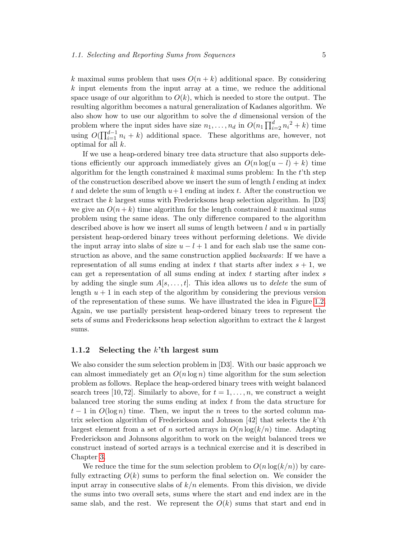k maximal sums problem that uses  $O(n + k)$  additional space. By considering  $k$  input elements from the input array at a time, we reduce the additional space usage of our algorithm to  $O(k)$ , which is needed to store the output. The resulting algorithm becomes a natural generalization of Kadanes algorithm. We also show how to use our algorithm to solve the d dimensional version of the problem where the input sides have size  $n_1, \ldots, n_d$  in  $O(n_1 \prod_{i=2}^d n_i^2 + k)$  time using  $O(\prod_{i=1}^{d-1} n_i + k)$  additional space. These algorithms are, however, not optimal for all k.

If we use a heap-ordered binary tree data structure that also supports deletions efficiently our approach immediately gives an  $O(n \log(u - l) + k)$  time algorithm for the length constrained k maximal sums problem: In the  $t$ 'th step of the construction described above we insert the sum of length l ending at index t and delete the sum of length  $u+1$  ending at index t. After the construction we extract the k largest sums with Fredericksons heap selection algorithm. In [D3] we give an  $O(n+k)$  time algorithm for the length constrained k maximal sums problem using the same ideas. The only difference compared to the algorithm described above is how we insert all sums of length between  $l$  and  $u$  in partially persistent heap-ordered binary trees without performing deletions. We divide the input array into slabs of size  $u - l + 1$  and for each slab use the same construction as above, and the same construction applied *backwards*: If we have a representation of all sums ending at index t that starts after index  $s + 1$ , we can get a representation of all sums ending at index  $t$  starting after index  $s$ by adding the single sum  $A[s, \ldots, t]$ . This idea allows us to *delete* the sum of length  $u + 1$  in each step of the algorithm by considering the previous version of the representation of these sums. We have illustrated the idea in Figure [1.2.](#page-17-0) Again, we use partially persistent heap-ordered binary trees to represent the sets of sums and Fredericksons heap selection algorithm to extract the k largest sums.

#### <span id="page-16-0"></span>1.1.2 Selecting the k'th largest sum

We also consider the sum selection problem in [D3]. With our basic approach we can almost immediately get an  $O(n \log n)$  time algorithm for the sum selection problem as follows. Replace the heap-ordered binary trees with weight balanced search trees [10,72]. Similarly to above, for  $t = 1, \ldots, n$ , we construct a weight balanced tree storing the sums ending at index t from the data structure for  $t-1$  in  $O(\log n)$  time. Then, we input the n trees to the sorted column matrix selection algorithm of Frederickson and Johnson [42] that selects the  $k$ 'th largest element from a set of n sorted arrays in  $O(n \log(k/n))$  time. Adapting Frederickson and Johnsons algorithm to work on the weight balanced trees we construct instead of sorted arrays is a technical exercise and it is described in Chapter [3.](#page-46-0)

We reduce the time for the sum selection problem to  $O(n \log(k/n))$  by carefully extracting  $O(k)$  sums to perform the final selection on. We consider the input array in consecutive slabs of  $k/n$  elements. From this division, we divide the sums into two overall sets, sums where the start and end index are in the same slab, and the rest. We represent the  $O(k)$  sums that start and end in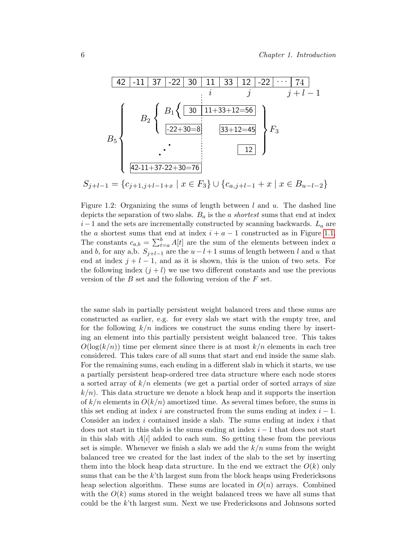

<span id="page-17-0"></span>Figure 1.2: Organizing the sums of length between  $l$  and  $u$ . The dashed line depicts the separation of two slabs.  $B_a$  is the a shortest sums that end at index  $i-1$  and the sets are incrementally constructed by scanning backwards.  $L_a$  are the a shortest sums that end at index  $i + a - 1$  constructed as in Figure [1.1.](#page-15-1) The constants  $c_{a,b} = \sum_{t=a}^{b} A[t]$  are the sum of the elements between index a and b, for any a,b.  $S_{j+l-1}$  are the  $u-l+1$  sums of length between l and u that end at index  $j + l - 1$ , and as it is shown, this is the union of two sets. For the following index  $(j + l)$  we use two different constants and use the previous version of the  $B$  set and the following version of the  $F$  set.

the same slab in partially persistent weight balanced trees and these sums are constructed as earlier, e.g. for every slab we start with the empty tree, and for the following  $k/n$  indices we construct the sums ending there by inserting an element into this partially persistent weight balanced tree. This takes  $O(\log(k/n))$  time per element since there is at most  $k/n$  elements in each tree considered. This takes care of all sums that start and end inside the same slab. For the remaining sums, each ending in a different slab in which it starts, we use a partially persistent heap-ordered tree data structure where each node stores a sorted array of  $k/n$  elements (we get a partial order of sorted arrays of size  $k/n$ . This data structure we denote a block heap and it supports the insertion of  $k/n$  elements in  $O(k/n)$  amortized time. As several times before, the sums in this set ending at index i are constructed from the sums ending at index  $i - 1$ . Consider an index  $i$  contained inside a slab. The sums ending at index  $i$  that does not start in this slab is the sums ending at index  $i - 1$  that does not start in this slab with  $A[i]$  added to each sum. So getting these from the previous set is simple. Whenever we finish a slab we add the  $k/n$  sums from the weight balanced tree we created for the last index of the slab to the set by inserting them into the block heap data structure. In the end we extract the  $O(k)$  only sums that can be the  $k<sup>i</sup>$ th largest sum from the block heaps using Fredericksons heap selection algorithm. These sums are located in  $O(n)$  arrays. Combined with the  $O(k)$  sums stored in the weight balanced trees we have all sums that could be the k'th largest sum. Next we use Fredericksons and Johnsons sorted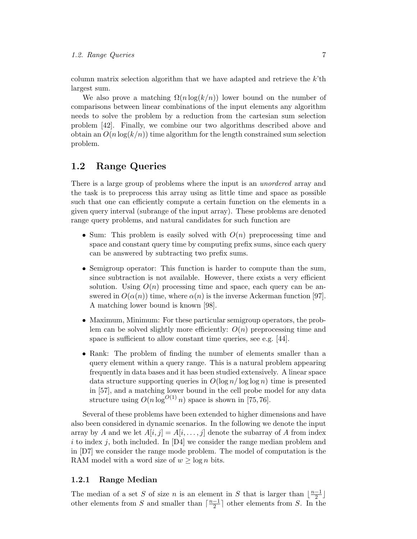column matrix selection algorithm that we have adapted and retrieve the  $k$ <sup>th</sup> largest sum.

We also prove a matching  $\Omega(n \log(k/n))$  lower bound on the number of comparisons between linear combinations of the input elements any algorithm needs to solve the problem by a reduction from the cartesian sum selection problem [42]. Finally, we combine our two algorithms described above and obtain an  $O(n \log(k/n))$  time algorithm for the length constrained sum selection problem.

## <span id="page-18-0"></span>1.2 Range Queries

There is a large group of problems where the input is an *unordered* array and the task is to preprocess this array using as little time and space as possible such that one can efficiently compute a certain function on the elements in a given query interval (subrange of the input array). These problems are denoted range query problems, and natural candidates for such function are

- Sum: This problem is easily solved with  $O(n)$  preprocessing time and space and constant query time by computing prefix sums, since each query can be answered by subtracting two prefix sums.
- Semigroup operator: This function is harder to compute than the sum, since subtraction is not available. However, there exists a very efficient solution. Using  $O(n)$  processing time and space, each query can be answered in  $O(\alpha(n))$  time, where  $\alpha(n)$  is the inverse Ackerman function [97]. A matching lower bound is known [98].
- Maximum, Minimum: For these particular semigroup operators, the problem can be solved slightly more efficiently:  $O(n)$  preprocessing time and space is sufficient to allow constant time queries, see e.g. [44].
- Rank: The problem of finding the number of elements smaller than a query element within a query range. This is a natural problem appearing frequently in data bases and it has been studied extensively. A linear space data structure supporting queries in  $O(\log n / \log \log n)$  time is presented in [57], and a matching lower bound in the cell probe model for any data structure using  $O(n \log^{O(1)} n)$  space is shown in [75,76].

Several of these problems have been extended to higher dimensions and have also been considered in dynamic scenarios. In the following we denote the input array by A and we let  $A[i, j] = A[i, \ldots, j]$  denote the subarray of A from index i to index j, both included. In  $[D4]$  we consider the range median problem and in [D7] we consider the range mode problem. The model of computation is the RAM model with a word size of  $w \geq \log n$  bits.

### <span id="page-18-1"></span>1.2.1 Range Median

The median of a set S of size n is an element in S that is larger than  $\lfloor \frac{n-1}{2} \rfloor$ other elements from S and smaller than  $\lceil \frac{n-1}{2} \rceil$  other elements from S. In the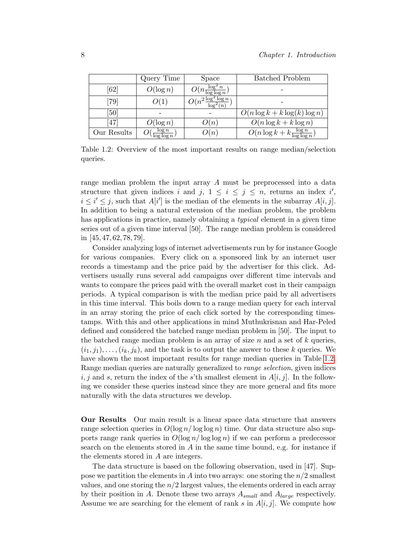|             | Query Time                | Space                               | <b>Batched Problem</b>                    |
|-------------|---------------------------|-------------------------------------|-------------------------------------------|
| [62]        | $O(\log n)$               | $O(n \frac{\log^2 n}{\log \log n})$ |                                           |
| [79]        | O(1)                      | $O(n^2\frac{\log^2\log n}{n})$      |                                           |
| [50]        |                           |                                     | $O(n \log k + k \log(k) \log n)$          |
| [47]        | $O(\log n)$               | O(n)                                | $O(n \log k + k \log n)$                  |
| Our Results | $\log n$<br>$\log \log n$ | O(n)                                | $O(n\log k + k\frac{\log n}{\log\log n})$ |

<span id="page-19-0"></span>Table 1.2: Overview of the most important results on range median/selection queries.

range median problem the input array A must be preprocessed into a data structure that given indices i and j,  $1 \leq i \leq j \leq n$ , returns an index i',  $i \leq i' \leq j$ , such that  $A[i']$  is the median of the elements in the subarray  $A[i, j]$ . In addition to being a natural extension of the median problem, the problem has applications in practice, namely obtaining a *typical* element in a given time series out of a given time interval [50]. The range median problem is considered in  $[45, 47, 62, 78, 79]$ .

Consider analyzing logs of internet advertisements run by for instance Google for various companies. Every click on a sponsored link by an internet user records a timestamp and the price paid by the advertiser for this click. Advertisers usually runs several add campaigns over different time intervals and wants to compare the prices paid with the overall market cost in their campaign periods. A typical comparison is with the median price paid by all advertisers in this time interval. This boils down to a range median query for each interval in an array storing the price of each click sorted by the corresponding timestamps. With this and other applications in mind Muthukrisnan and Har-Peled defined and considered the batched range median problem in [50]. The input to the batched range median problem is an array of size  $n$  and a set of  $k$  queries,  $(i_1, j_1), \ldots, (i_k, j_k)$ , and the task is to output the answer to these k queries. We have shown the most important results for range median queries in Table [1.2.](#page-19-0) Range median queries are naturally generalized to range selection, given indices  $i, j$  and s, return the index of the s'th smallest element in  $A[i, j]$ . In the following we consider these queries instead since they are more general and fits more naturally with the data structures we develop.

Our Results Our main result is a linear space data structure that answers range selection queries in  $O(\log n/\log \log n)$  time. Our data structure also supports range rank queries in  $O(\log n / \log \log n)$  if we can perform a predecessor search on the elements stored in  $A$  in the same time bound, e.g. for instance if the elements stored in A are integers.

The data structure is based on the following observation, used in [47]. Suppose we partition the elements in A into two arrays: one storing the  $n/2$  smallest values, and one storing the  $n/2$  largest values, the elements ordered in each array by their position in A. Denote these two arrays  $A_{small}$  and  $A_{large}$  respectively. Assume we are searching for the element of rank s in  $A[i, j]$ . We compute how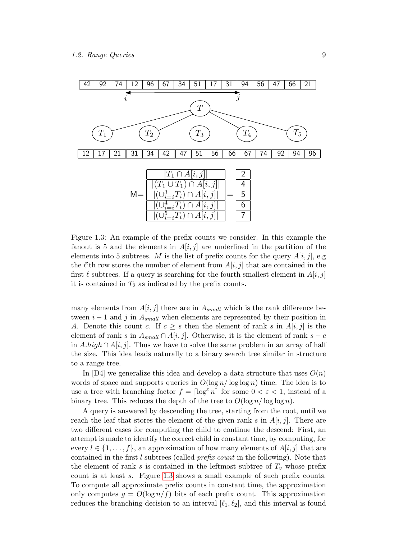

<span id="page-20-0"></span>Figure 1.3: An example of the prefix counts we consider. In this example the fanout is 5 and the elements in  $A[i, j]$  are underlined in the partition of the elements into 5 subtrees. M is the list of prefix counts for the query  $A[i, j]$ , e.g the  $\ell$ 'th row stores the number of element from  $A[i, j]$  that are contained in the first  $\ell$  subtrees. If a query is searching for the fourth smallest element in  $A[i, j]$ it is contained in  $T_2$  as indicated by the prefix counts.

many elements from  $A[i, j]$  there are in  $A_{small}$  which is the rank difference between  $i - 1$  and j in  $A_{small}$  when elements are represented by their position in A. Denote this count c. If  $c \geq s$  then the element of rank s in  $A[i, j]$  is the element of rank s in  $A_{small} \cap A[i, j]$ . Otherwise, it is the element of rank s – c in  $A.high ∩ A[i, j]$ . Thus we have to solve the same problem in an array of half the size. This idea leads naturally to a binary search tree similar in structure to a range tree.

In [D4] we generalize this idea and develop a data structure that uses  $O(n)$ words of space and supports queries in  $O(\log n/\log \log n)$  time. The idea is to use a tree with branching factor  $f = \lceil \log^{\varepsilon} n \rceil$  for some  $0 < \varepsilon < 1$ , instead of a binary tree. This reduces the depth of the tree to  $O(\log n / \log \log n)$ .

A query is answered by descending the tree, starting from the root, until we reach the leaf that stores the element of the given rank s in  $A[i, j]$ . There are two different cases for computing the child to continue the descend: First, an attempt is made to identify the correct child in constant time, by computing, for every  $l \in \{1, \ldots, f\}$ , an approximation of how many elements of  $A[i, j]$  that are contained in the first l subtrees (called *prefix count* in the following). Note that the element of rank s is contained in the leftmost subtree of  $T_v$  whose prefix count is at least s. Figure [1.3](#page-20-0) shows a small example of such prefix counts. To compute all approximate prefix counts in constant time, the approximation only computes  $g = O(\log n/f)$  bits of each prefix count. This approximation reduces the branching decision to an interval  $[\ell_1, \ell_2]$ , and this interval is found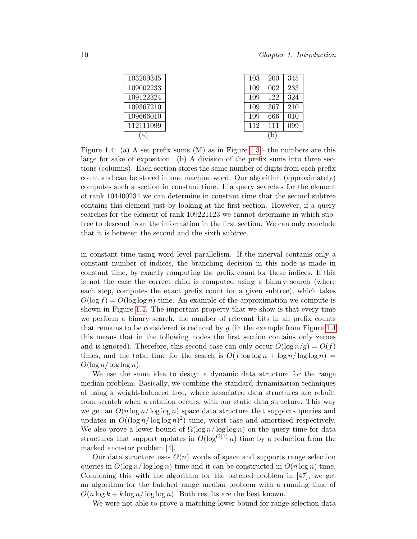| 103200345   | 103 | 200 | 345 |
|-------------|-----|-----|-----|
| 109002233   | 109 | 002 | 233 |
| 109122324   | 109 | 122 | 324 |
| 109367210   | 109 | 367 | 210 |
| 109666010   | 109 | 666 | 010 |
| 112111099   | 112 | 111 | 099 |
| $\mathbf a$ |     | b   |     |

<span id="page-21-0"></span>Figure 1.4: (a) A set prefix sums (M) as in Figure [1.3](#page-20-0) - the numbers are this large for sake of exposition. (b) A division of the prefix sums into three sections (columns). Each section stores the same number of digits from each prefix count and can be stored in one machine word. Our algorithm (approximately) computes such a section in constant time. If a query searches for the element of rank 104400234 we can determine in constant time that the second subtree contains this element just by looking at the first section. However, if a query searches for the element of rank 109221123 we cannot determine in which subtree to descend from the information in the first section. We can only conclude that it is between the second and the sixth subtree.

in constant time using word level parallelism. If the interval contains only a constant number of indices, the branching decision in this node is made in constant time, by exactly computing the prefix count for these indices. If this is not the case the correct child is computed using a binary search (where each step, computes the exact prefix count for a given subtree), which takes  $O(\log f) = O(\log \log n)$  time. An example of the approximation we compute is shown in Figure [1.4.](#page-21-0) The important property that we show is that every time we perform a binary search, the number of relevant bits in all prefix counts that remains to be considered is reduced by  $g$  (in the example from Figure [1.4](#page-21-0)) this means that in the following nodes the first section contains only zeroes and is ignored). Therefore, this second case can only occur  $O(\log n/q) = O(f)$ times, and the total time for the search is  $O(f \log \log n + \log n / \log \log n)$  $O(\log n/\log\log n)$ .

We use the same idea to design a dynamic data structure for the range median problem. Basically, we combine the standard dynamization techniques of using a weight-balanced tree, where associated data structures are rebuilt from scratch when a rotation occurs, with our static data structure. This way we get an  $O(n \log n / \log \log n)$  space data structure that supports queries and updates in  $O((\log n/\log \log n)^2)$  time, worst case and amortized respectively. We also prove a lower bound of  $\Omega(\log n / \log \log n)$  on the query time for data structures that support updates in  $O(\log^{O(1)} n)$  time by a reduction from the marked ancestor problem [4].

Our data structure uses  $O(n)$  words of space and supports range selection queries in  $O(\log n / \log \log n)$  time and it can be constructed in  $O(n \log n)$  time. Combining this with the algorithm for the batched problem in [47], we get an algorithm for the batched range median problem with a running time of  $O(n \log k + k \log n / \log \log n)$ . Both results are the best known.

We were not able to prove a matching lower bound for range selection data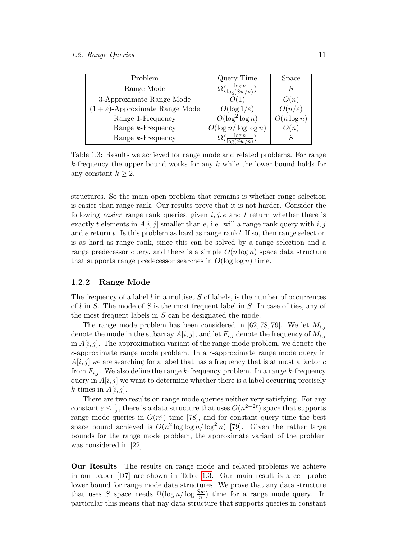| Problem                                   | Query Time                    | Space              |
|-------------------------------------------|-------------------------------|--------------------|
| Range Mode                                | $\log n$                      |                    |
| 3-Approximate Range Mode                  |                               | O(n)               |
| $(1+\varepsilon)$ -Approximate Range Mode | $O(\log 1/\varepsilon)$       | $O(n/\varepsilon)$ |
| Range 1-Frequency                         | $\overline{O(\log^2 \log n)}$ | $O(n \log n)$      |
| Range $k$ -Frequency                      | $O(\log n/\log\log n)$        | O(n)               |
| Range k-Frequency                         | $\log n$                      |                    |

<span id="page-22-1"></span>Table 1.3: Results we achieved for range mode and related problems. For range  $k$ -frequency the upper bound works for any  $k$  while the lower bound holds for any constant  $k \geq 2$ .

structures. So the main open problem that remains is whether range selection is easier than range rank. Our results prove that it is not harder. Consider the following *easier* range rank queries, given  $i, j, e$  and  $t$  return whether there is exactly t elements in  $A[i, j]$  smaller than e, i.e. will a range rank query with i, j and  $e$  return  $t$ . Is this problem as hard as range rank? If so, then range selection is as hard as range rank, since this can be solved by a range selection and a range predecessor query, and there is a simple  $O(n \log n)$  space data structure that supports range predecessor searches in  $O(\log \log n)$  time.

### <span id="page-22-0"></span>1.2.2 Range Mode

The frequency of a label  $l$  in a multiset  $S$  of labels, is the number of occurrences of  $l$  in  $S$ . The mode of  $S$  is the most frequent label in  $S$ . In case of ties, any of the most frequent labels in S can be designated the mode.

The range mode problem has been considered in [62, 78, 79]. We let  $M_{i,j}$ denote the mode in the subarray  $A[i, j]$ , and let  $F_{i,j}$  denote the frequency of  $M_{i,j}$ in  $A[i, j]$ . The approximation variant of the range mode problem, we denote the c-approximate range mode problem. In a c-approximate range mode query in  $A[i, j]$  we are searching for a label that has a frequency that is at most a factor c from  $F_{i,j}$ . We also define the range k-frequency problem. In a range k-frequency query in  $A[i, j]$  we want to determine whether there is a label occurring precisely k times in  $A[i, j]$ .

There are two results on range mode queries neither very satisfying. For any constant  $\varepsilon \leq \frac{1}{2}$  $\frac{1}{2}$ , there is a data structure that uses  $O(n^{2-2\varepsilon})$  space that supports range mode queries in  $O(n^{\epsilon})$  time [78], and for constant query time the best space bound achieved is  $O(n^2 \log \log n / \log^2 n)$  [79]. Given the rather large bounds for the range mode problem, the approximate variant of the problem was considered in [22].

Our Results The results on range mode and related problems we achieve in our paper [D7] are shown in Table [1.3.](#page-22-1) Our main result is a cell probe lower bound for range mode data structures. We prove that any data structure that uses S space needs  $\Omega(\log n / \log \frac{Sw}{n})$  time for a range mode query. In particular this means that nay data structure that supports queries in constant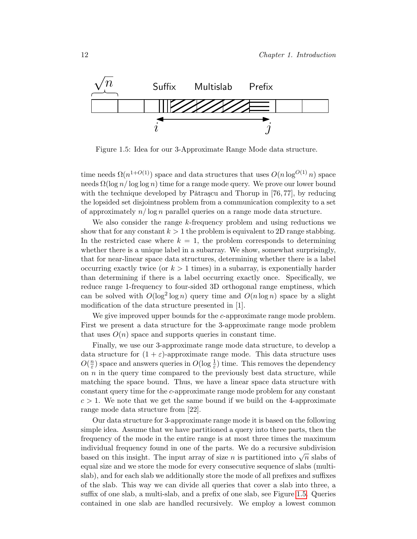

<span id="page-23-0"></span>Figure 1.5: Idea for our 3-Approximate Range Mode data structure.

time needs  $\Omega(n^{1+O(1)})$  space and data structures that uses  $O(n \log^{O(1)} n)$  space needs  $\Omega(\log n / \log \log n)$  time for a range mode query. We prove our lower bound with the technique developed by Pǎtraşcu and Thorup in  $[76, 77]$ , by reducing the lopsided set disjointness problem from a communication complexity to a set of approximately  $n/\log n$  parallel queries on a range mode data structure.

We also consider the range k-frequency problem and using reductions we show that for any constant  $k > 1$  the problem is equivalent to 2D range stabbing. In the restricted case where  $k = 1$ , the problem corresponds to determining whether there is a unique label in a subarray. We show, somewhat surprisingly, that for near-linear space data structures, determining whether there is a label occurring exactly twice (or  $k > 1$  times) in a subarray, is exponentially harder than determining if there is a label occurring exactly once. Specifically, we reduce range 1-frequency to four-sided 3D orthogonal range emptiness, which can be solved with  $O(\log^2 \log n)$  query time and  $O(n \log n)$  space by a slight modification of the data structure presented in [1].

We give improved upper bounds for the c-approximate range mode problem. First we present a data structure for the 3-approximate range mode problem that uses  $O(n)$  space and supports queries in constant time.

Finally, we use our 3-approximate range mode data structure, to develop a data structure for  $(1 + \varepsilon)$ -approximate range mode. This data structure uses  $O(\frac{n}{\epsilon})$  $\frac{n}{\varepsilon}$ ) space and answers queries in  $O(\log \frac{1}{\varepsilon})$  time. This removes the dependency on  $n$  in the query time compared to the previously best data structure, while matching the space bound. Thus, we have a linear space data structure with constant query time for the c-approximate range mode problem for any constant  $c > 1$ . We note that we get the same bound if we build on the 4-approximate range mode data structure from [22].

Our data structure for 3-approximate range mode it is based on the following simple idea. Assume that we have partitioned a query into three parts, then the frequency of the mode in the entire range is at most three times the maximum individual frequency found in one of the parts. We do a recursive subdivision based on this insight. The input array of size *n* is partitioned into  $\sqrt{n}$  slabs of equal size and we store the mode for every consecutive sequence of slabs (multislab), and for each slab we additionally store the mode of all prefixes and suffixes of the slab. This way we can divide all queries that cover a slab into three, a suffix of one slab, a multi-slab, and a prefix of one slab, see Figure [1.5.](#page-23-0) Queries contained in one slab are handled recursively. We employ a lowest common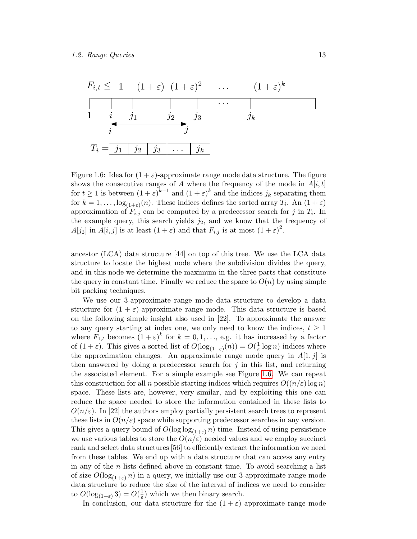

<span id="page-24-0"></span>Figure 1.6: Idea for  $(1 + \varepsilon)$ -approximate range mode data structure. The figure shows the consecutive ranges of A where the frequency of the mode in  $A[i, t]$ for  $t \geq 1$  is between  $(1+\varepsilon)^{k-1}$  and  $(1+\varepsilon)^k$  and the indices  $j_k$  separating them for  $k = 1, ..., \log_{(1+\varepsilon)}(n)$ . These indices defines the sorted array  $T_i$ . An  $(1+\varepsilon)$ approximation of  $F_{i,j}$  can be computed by a predecessor search for j in  $T_i$ . In the example query, this search yields  $j_2$ , and we know that the frequency of  $A[j_2]$  in  $A[i, j]$  is at least  $(1 + \varepsilon)$  and that  $F_{i,j}$  is at most  $(1 + \varepsilon)^2$ .

ancestor (LCA) data structure [44] on top of this tree. We use the LCA data structure to locate the highest node where the subdivision divides the query, and in this node we determine the maximum in the three parts that constitute the query in constant time. Finally we reduce the space to  $O(n)$  by using simple bit packing techniques.

We use our 3-approximate range mode data structure to develop a data structure for  $(1 + \varepsilon)$ -approximate range mode. This data structure is based on the following simple insight also used in [22]. To approximate the answer to any query starting at index one, we only need to know the indices,  $t \geq 1$ where  $F_{1,t}$  becomes  $(1+\varepsilon)^k$  for  $k=0,1,\ldots$ , e.g. it has increased by a factor of  $(1+\varepsilon)$ . This gives a sorted list of  $O(\log_{(1+\varepsilon)}(n)) = O(\frac{1}{\varepsilon})$  $\frac{1}{\varepsilon} \log n$ ) indices where the approximation changes. An approximate range mode query in  $A[1, j]$  is then answered by doing a predecessor search for  $j$  in this list, and returning the associated element. For a simple example see Figure [1.6.](#page-24-0) We can repeat this construction for all n possible starting indices which requires  $O((n/\varepsilon) \log n)$ space. These lists are, however, very similar, and by exploiting this one can reduce the space needed to store the information contained in these lists to  $O(n/\varepsilon)$ . In [22] the authors employ partially persistent search trees to represent these lists in  $O(n/\varepsilon)$  space while supporting predecessor searches in any version. This gives a query bound of  $O(\log \log_{(1+\epsilon)} n)$  time. Instead of using persistence we use various tables to store the  $O(n/\varepsilon)$  needed values and we employ succinct rank and select data structures [56] to efficiently extract the information we need from these tables. We end up with a data structure that can access any entry in any of the  $n$  lists defined above in constant time. To avoid searching a list of size  $O(\log_{(1+\varepsilon)} n)$  in a query, we initially use our 3-approximate range mode data structure to reduce the size of the interval of indices we need to consider to  $O(\log_{(1+\varepsilon)} 3) = O(\frac{1}{\varepsilon})$  $(\frac{1}{\varepsilon})$  which we then binary search.

In conclusion, our data structure for the  $(1 + \varepsilon)$  approximate range mode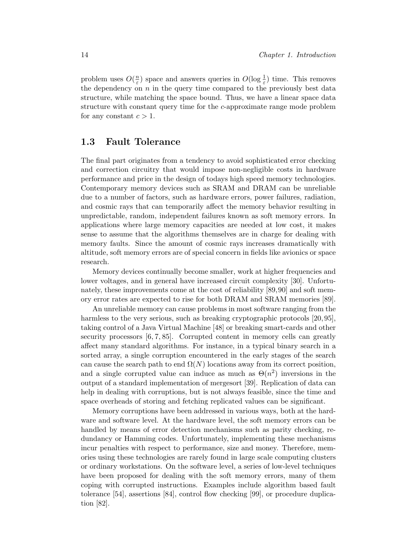problem uses  $O(\frac{n}{\epsilon})$  $(\frac{n}{\varepsilon})$  space and answers queries in  $O(\log \frac{1}{\varepsilon})$  time. This removes the dependency on  $n$  in the query time compared to the previously best data structure, while matching the space bound. Thus, we have a linear space data structure with constant query time for the c-approximate range mode problem for any constant  $c > 1$ .

## <span id="page-25-0"></span>1.3 Fault Tolerance

The final part originates from a tendency to avoid sophisticated error checking and correction circuitry that would impose non-negligible costs in hardware performance and price in the design of todays high speed memory technologies. Contemporary memory devices such as SRAM and DRAM can be unreliable due to a number of factors, such as hardware errors, power failures, radiation, and cosmic rays that can temporarily affect the memory behavior resulting in unpredictable, random, independent failures known as soft memory errors. In applications where large memory capacities are needed at low cost, it makes sense to assume that the algorithms themselves are in charge for dealing with memory faults. Since the amount of cosmic rays increases dramatically with altitude, soft memory errors are of special concern in fields like avionics or space research.

Memory devices continually become smaller, work at higher frequencies and lower voltages, and in general have increased circuit complexity [30]. Unfortunately, these improvements come at the cost of reliability [89,90] and soft memory error rates are expected to rise for both DRAM and SRAM memories [89].

An unreliable memory can cause problems in most software ranging from the harmless to the very serious, such as breaking cryptographic protocols [20,95], taking control of a Java Virtual Machine [48] or breaking smart-cards and other security processors [6, 7, 85]. Corrupted content in memory cells can greatly affect many standard algorithms. For instance, in a typical binary search in a sorted array, a single corruption encountered in the early stages of the search can cause the search path to end  $\Omega(N)$  locations away from its correct position, and a single corrupted value can induce as much as  $\Theta(n^2)$  inversions in the output of a standard implementation of mergesort [39]. Replication of data can help in dealing with corruptions, but is not always feasible, since the time and space overheads of storing and fetching replicated values can be significant.

Memory corruptions have been addressed in various ways, both at the hardware and software level. At the hardware level, the soft memory errors can be handled by means of error detection mechanisms such as parity checking, redundancy or Hamming codes. Unfortunately, implementing these mechanisms incur penalties with respect to performance, size and money. Therefore, memories using these technologies are rarely found in large scale computing clusters or ordinary workstations. On the software level, a series of low-level techniques have been proposed for dealing with the soft memory errors, many of them coping with corrupted instructions. Examples include algorithm based fault tolerance [54], assertions [84], control flow checking [99], or procedure duplication [82].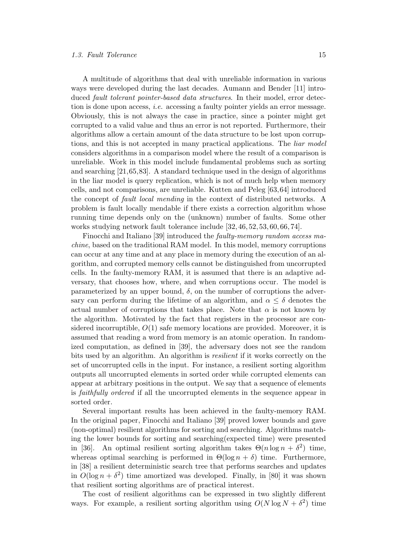#### 1.3. Fault Tolerance 15

A multitude of algorithms that deal with unreliable information in various ways were developed during the last decades. Aumann and Bender [11] introduced fault tolerant pointer-based data structures. In their model, error detection is done upon access, i.e. accessing a faulty pointer yields an error message. Obviously, this is not always the case in practice, since a pointer might get corrupted to a valid value and thus an error is not reported. Furthermore, their algorithms allow a certain amount of the data structure to be lost upon corruptions, and this is not accepted in many practical applications. The liar model considers algorithms in a comparison model where the result of a comparison is unreliable. Work in this model include fundamental problems such as sorting and searching [21,65,83]. A standard technique used in the design of algorithms in the liar model is query replication, which is not of much help when memory cells, and not comparisons, are unreliable. Kutten and Peleg [63,64] introduced the concept of fault local mending in the context of distributed networks. A problem is fault locally mendable if there exists a correction algorithm whose running time depends only on the (unknown) number of faults. Some other works studying network fault tolerance include [32, 46, 52, 53, 60, 66, 74].

Finocchi and Italiano [39] introduced the faulty-memory random access machine, based on the traditional RAM model. In this model, memory corruptions can occur at any time and at any place in memory during the execution of an algorithm, and corrupted memory cells cannot be distinguished from uncorrupted cells. In the faulty-memory RAM, it is assumed that there is an adaptive adversary, that chooses how, where, and when corruptions occur. The model is parameterized by an upper bound,  $\delta$ , on the number of corruptions the adversary can perform during the lifetime of an algorithm, and  $\alpha \leq \delta$  denotes the actual number of corruptions that takes place. Note that  $\alpha$  is not known by the algorithm. Motivated by the fact that registers in the processor are considered incorruptible,  $O(1)$  safe memory locations are provided. Moreover, it is assumed that reading a word from memory is an atomic operation. In randomized computation, as defined in [39], the adversary does not see the random bits used by an algorithm. An algorithm is resilient if it works correctly on the set of uncorrupted cells in the input. For instance, a resilient sorting algorithm outputs all uncorrupted elements in sorted order while corrupted elements can appear at arbitrary positions in the output. We say that a sequence of elements is faithfully ordered if all the uncorrupted elements in the sequence appear in sorted order.

Several important results has been achieved in the faulty-memory RAM. In the original paper, Finocchi and Italiano [39] proved lower bounds and gave (non-optimal) resilient algorithms for sorting and searching. Algorithms matching the lower bounds for sorting and searching(expected time) were presented in [36]. An optimal resilient sorting algorithm takes  $\Theta(n \log n + \delta^2)$  time, whereas optimal searching is performed in  $\Theta(\log n + \delta)$  time. Furthermore, in [38] a resilient deterministic search tree that performs searches and updates in  $O(\log n + \delta^2)$  time amortized was developed. Finally, in [80] it was shown that resilient sorting algorithms are of practical interest.

The cost of resilient algorithms can be expressed in two slightly different ways. For example, a resilient sorting algorithm using  $O(N \log N + \delta^2)$  time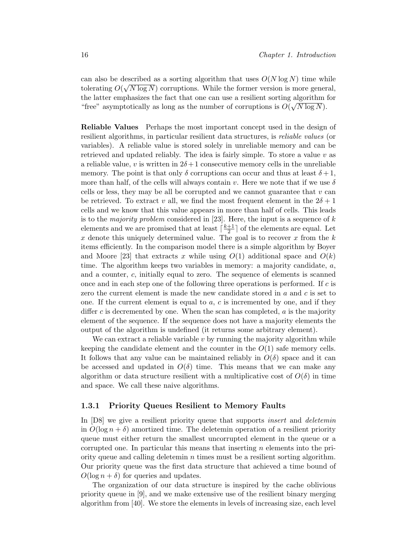can also be described as a sorting algorithm that uses  $O(N \log N)$  time while tolerating  $O(\sqrt{N \log N})$  corruptions. While the former version is more general, the latter emphasizes the fact that one can use a resilient sorting algorithm for "free" asymptotically as long as the number of corruptions is  $O(\sqrt{N \log N})$ .

Reliable Values Perhaps the most important concept used in the design of resilient algorithms, in particular resilient data structures, is reliable values (or variables). A reliable value is stored solely in unreliable memory and can be retrieved and updated reliably. The idea is fairly simple. To store a value  $v$  as a reliable value, v is written in  $2\delta + 1$  consecutive memory cells in the unreliable memory. The point is that only  $\delta$  corruptions can occur and thus at least  $\delta + 1$ , more than half, of the cells will always contain v. Here we note that if we use  $\delta$ cells or less, they may be all be corrupted and we cannot guarantee that  $v$  can be retrieved. To extract v all, we find the most frequent element in the  $2\delta + 1$ cells and we know that this value appears in more than half of cells. This leads is to the *majority problem* considered in [23]. Here, the input is a sequence of  $k$ elements and we are promised that at least  $\lceil \frac{k+1}{2} \rceil$  of the elements are equal. Let  $x$  denote this uniquely determined value. The goal is to recover  $x$  from the  $k$ items efficiently. In the comparison model there is a simple algorithm by Boyer and Moore [23] that extracts x while using  $O(1)$  additional space and  $O(k)$ time. The algorithm keeps two variables in memory: a majority candidate, a, and a counter, c, initially equal to zero. The sequence of elements is scanned once and in each step one of the following three operations is performed. If  $c$  is zero the current element is made the new candidate stored in a and c is set to one. If the current element is equal to  $a, c$  is incremented by one, and if they differ c is decremented by one. When the scan has completed,  $a$  is the majority element of the sequence. If the sequence does not have a majority elements the output of the algorithm is undefined (it returns some arbitrary element).

We can extract a reliable variable  $v$  by running the majority algorithm while keeping the candidate element and the counter in the  $O(1)$  safe memory cells. It follows that any value can be maintained reliably in  $O(\delta)$  space and it can be accessed and updated in  $O(\delta)$  time. This means that we can make any algorithm or data structure resilient with a multiplicative cost of  $O(\delta)$  in time and space. We call these naive algorithms.

### <span id="page-27-0"></span>1.3.1 Priority Queues Resilient to Memory Faults

In [D8] we give a resilient priority queue that supports *insert* and *deletemin* in  $O(\log n + \delta)$  amortized time. The deletemin operation of a resilient priority queue must either return the smallest uncorrupted element in the queue or a corrupted one. In particular this means that inserting n elements into the priority queue and calling deletemin  $n$  times must be a resilient sorting algorithm. Our priority queue was the first data structure that achieved a time bound of  $O(\log n + \delta)$  for queries and updates.

The organization of our data structure is inspired by the cache oblivious priority queue in [9], and we make extensive use of the resilient binary merging algorithm from [40]. We store the elements in levels of increasing size, each level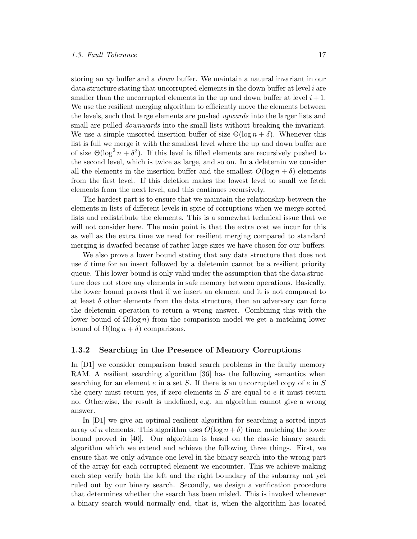storing an up buffer and a down buffer. We maintain a natural invariant in our data structure stating that uncorrupted elements in the down buffer at level  $i$  are smaller than the uncorrupted elements in the up and down buffer at level  $i+1$ . We use the resilient merging algorithm to efficiently move the elements between the levels, such that large elements are pushed *upwards* into the larger lists and small are pulled *downwards* into the small lists without breaking the invariant. We use a simple unsorted insertion buffer of size  $\Theta(\log n + \delta)$ . Whenever this list is full we merge it with the smallest level where the up and down buffer are of size  $\Theta(\log^2 n + \delta^2)$ . If this level is filled elements are recursively pushed to the second level, which is twice as large, and so on. In a deletemin we consider all the elements in the insertion buffer and the smallest  $O(\log n + \delta)$  elements from the first level. If this deletion makes the lowest level to small we fetch elements from the next level, and this continues recursively.

The hardest part is to ensure that we maintain the relationship between the elements in lists of different levels in spite of corruptions when we merge sorted lists and redistribute the elements. This is a somewhat technical issue that we will not consider here. The main point is that the extra cost we incur for this as well as the extra time we need for resilient merging compared to standard merging is dwarfed because of rather large sizes we have chosen for our buffers.

We also prove a lower bound stating that any data structure that does not use  $\delta$  time for an insert followed by a deletemin cannot be a resilient priority queue. This lower bound is only valid under the assumption that the data structure does not store any elements in safe memory between operations. Basically, the lower bound proves that if we insert an element and it is not compared to at least  $\delta$  other elements from the data structure, then an adversary can force the deletemin operation to return a wrong answer. Combining this with the lower bound of  $\Omega(\log n)$  from the comparison model we get a matching lower bound of  $Ω(log n + δ)$  comparisons.

## <span id="page-28-0"></span>1.3.2 Searching in the Presence of Memory Corruptions

In [D1] we consider comparison based search problems in the faulty memory RAM. A resilient searching algorithm [36] has the following semantics when searching for an element e in a set S. If there is an uncorrupted copy of  $e$  in S the query must return yes, if zero elements in  $S$  are equal to  $e$  it must return no. Otherwise, the result is undefined, e.g. an algorithm cannot give a wrong answer.

In [D1] we give an optimal resilient algorithm for searching a sorted input array of n elements. This algorithm uses  $O(\log n + \delta)$  time, matching the lower bound proved in [40]. Our algorithm is based on the classic binary search algorithm which we extend and achieve the following three things. First, we ensure that we only advance one level in the binary search into the wrong part of the array for each corrupted element we encounter. This we achieve making each step verify both the left and the right boundary of the subarray not yet ruled out by our binary search. Secondly, we design a verification procedure that determines whether the search has been misled. This is invoked whenever a binary search would normally end, that is, when the algorithm has located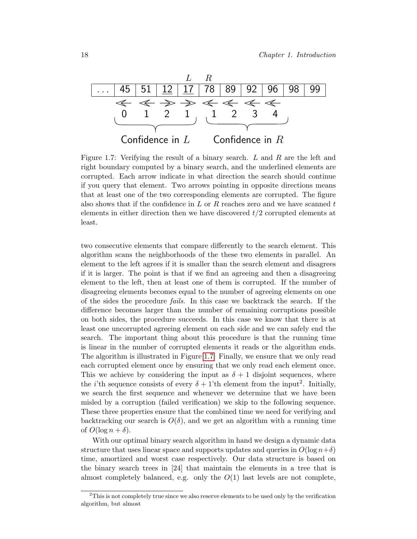

<span id="page-29-0"></span>Figure 1.7: Verifying the result of a binary search. L and R are the left and right boundary computed by a binary search, and the underlined elements are corrupted. Each arrow indicate in what direction the search should continue if you query that element. Two arrows pointing in opposite directions means that at least one of the two corresponding elements are corrupted. The figure also shows that if the confidence in  $L$  or  $R$  reaches zero and we have scanned  $t$ elements in either direction then we have discovered  $t/2$  corrupted elements at least.

two consecutive elements that compare differently to the search element. This algorithm scans the neighborhoods of the these two elements in parallel. An element to the left agrees if it is smaller than the search element and disagrees if it is larger. The point is that if we find an agreeing and then a disagreeing element to the left, then at least one of them is corrupted. If the number of disagreeing elements becomes equal to the number of agreeing elements on one of the sides the procedure fails. In this case we backtrack the search. If the difference becomes larger than the number of remaining corruptions possible on both sides, the procedure succeeds. In this case we know that there is at least one uncorrupted agreeing element on each side and we can safely end the search. The important thing about this procedure is that the running time is linear in the number of corrupted elements it reads or the algorithm ends. The algorithm is illustrated in Figure [1.7.](#page-29-0) Finally, we ensure that we only read each corrupted element once by ensuring that we only read each element once. This we achieve by considering the input as  $\delta + 1$  disjoint sequences, where the *i*'th sequence consists of every  $\delta + 1$ 'th element from the input<sup>2</sup>. Initially, we search the first sequence and whenever we determine that we have been misled by a corruption (failed verification) we skip to the following sequence. These three properties ensure that the combined time we need for verifying and backtracking our search is  $O(\delta)$ , and we get an algorithm with a running time of  $O(\log n + \delta)$ .

With our optimal binary search algorithm in hand we design a dynamic data structure that uses linear space and supports updates and queries in  $O(\log n+\delta)$ time, amortized and worst case respectively. Our data structure is based on the binary search trees in [24] that maintain the elements in a tree that is almost completely balanced, e.g. only the  $O(1)$  last levels are not complete,

<sup>&</sup>lt;sup>2</sup>This is not completely true since we also reserve elements to be used only by the verification algorithm, but almost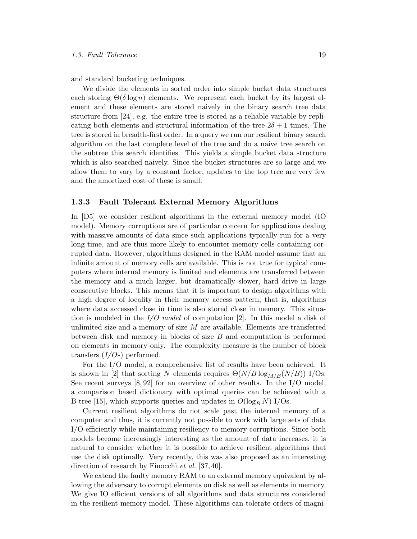and standard bucketing techniques.

We divide the elements in sorted order into simple bucket data structures each storing  $\Theta(\delta \log n)$  elements. We represent each bucket by its largest element and these elements are stored naively in the binary search tree data structure from [24], e.g. the entire tree is stored as a reliable variable by replicating both elements and structural information of the tree  $2\delta + 1$  times. The tree is stored in breadth-first order. In a query we run our resilient binary search algorithm on the last complete level of the tree and do a naive tree search on the subtree this search identifies. This yields a simple bucket data structure which is also searched naively. Since the bucket structures are so large and we allow them to vary by a constant factor, updates to the top tree are very few and the amortized cost of these is small.

### <span id="page-30-0"></span>1.3.3 Fault Tolerant External Memory Algorithms

In [D5] we consider resilient algorithms in the external memory model (IO model). Memory corruptions are of particular concern for applications dealing with massive amounts of data since such applications typically run for a very long time, and are thus more likely to encounter memory cells containing corrupted data. However, algorithms designed in the RAM model assume that an infinite amount of memory cells are available. This is not true for typical computers where internal memory is limited and elements are transferred between the memory and a much larger, but dramatically slower, hard drive in large consecutive blocks. This means that it is important to design algorithms with a high degree of locality in their memory access pattern, that is, algorithms where data accessed close in time is also stored close in memory. This situation is modeled in the  $I/O$  model of computation [2]. In this model a disk of unlimited size and a memory of size  $M$  are available. Elements are transferred between disk and memory in blocks of size  $B$  and computation is performed on elements in memory only. The complexity measure is the number of block transfers  $(I/Os)$  performed.

For the I/O model, a comprehensive list of results have been achieved. It is shown in [2] that sorting N elements requires  $\Theta(N/B \log_{M/B}(N/B))$  I/Os. See recent surveys  $[8, 92]$  for an overview of other results. In the I/O model, a comparison based dictionary with optimal queries can be achieved with a B-tree [15], which supports queries and updates in  $O(\log_B N)$  I/Os.

Current resilient algorithms do not scale past the internal memory of a computer and thus, it is currently not possible to work with large sets of data I/O-efficiently while maintaining resiliency to memory corruptions. Since both models become increasingly interesting as the amount of data increases, it is natural to consider whether it is possible to achieve resilient algorithms that use the disk optimally. Very recently, this was also proposed as an interesting direction of research by Finocchi *et al.* [37, 40].

We extend the faulty memory RAM to an external memory equivalent by allowing the adversary to corrupt elements on disk as well as elements in memory. We give IO efficient versions of all algorithms and data structures considered in the resilient memory model. These algorithms can tolerate orders of magni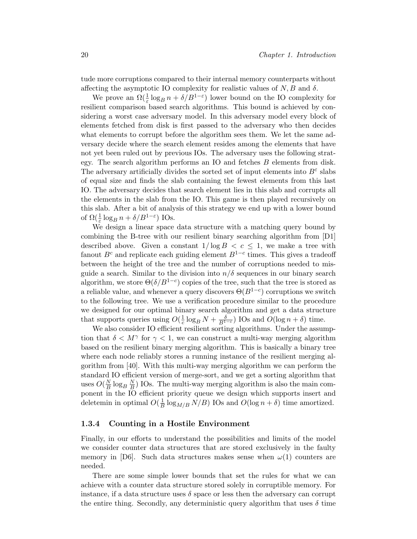tude more corruptions compared to their internal memory counterparts without affecting the asymptotic IO complexity for realistic values of  $N, B$  and  $\delta$ .

We prove an  $\Omega(\frac{1}{\varepsilon}\log_B n + \delta/B^{1-\varepsilon})$  lower bound on the IO complexity for resilient comparison based search algorithms. This bound is achieved by considering a worst case adversary model. In this adversary model every block of elements fetched from disk is first passed to the adversary who then decides what elements to corrupt before the algorithm sees them. We let the same adversary decide where the search element resides among the elements that have not yet been ruled out by previous IOs. The adversary uses the following strategy. The search algorithm performs an IO and fetches  $B$  elements from disk. The adversary artificially divides the sorted set of input elements into  $B^{\varepsilon}$  slabs of equal size and finds the slab containing the fewest elements from this last IO. The adversary decides that search element lies in this slab and corrupts all the elements in the slab from the IO. This game is then played recursively on this slab. After a bit of analysis of this strategy we end up with a lower bound of  $\Omega(\frac{1}{\varepsilon}\log_B n + \delta/B^{1-\varepsilon})$  IOs.

We design a linear space data structure with a matching query bound by combining the B-tree with our resilient binary searching algorithm from [D1] described above. Given a constant  $1/\log B < c \leq 1$ , we make a tree with fanout  $B<sup>c</sup>$  and replicate each guiding element  $B<sup>1-c</sup>$  times. This gives a tradeoff between the height of the tree and the number of corruptions needed to misguide a search. Similar to the division into  $n/\delta$  sequences in our binary search algorithm, we store  $\Theta(\delta/B^{1-c})$  copies of the tree, such that the tree is stored as a reliable value, and whenever a query discovers  $\Theta(B^{1-c})$  corruptions we switch to the following tree. We use a verification procedure similar to the procedure we designed for our optimal binary search algorithm and get a data structure that supports queries using  $O(\frac{1}{c})$  $\frac{1}{c} \log_B N + \frac{\delta}{B^{1-c}}$  IOs and  $O(\log n + \delta)$  time.

We also consider IO efficient resilient sorting algorithms. Under the assumption that  $\delta < M^{\gamma}$  for  $\gamma < 1$ , we can construct a multi-way merging algorithm based on the resilient binary merging algorithm. This is basically a binary tree where each node reliably stores a running instance of the resilient merging algorithm from [40]. With this multi-way merging algorithm we can perform the standard IO efficient version of merge-sort, and we get a sorting algorithm that uses  $O(\frac{N}{B})$  $\frac{N}{B} \log_B \frac{N}{B}$  $\frac{N}{B}$ ) IOs. The multi-way merging algorithm is also the main component in the IO efficient priority queue we design which supports insert and deletemin in optimal  $O(\frac{1}{R})$  $\frac{1}{B} \log_{M/B} N/B$  IOs and  $O(\log n + \delta)$  time amortized.

### <span id="page-31-0"></span>1.3.4 Counting in a Hostile Environment

Finally, in our efforts to understand the possibilities and limits of the model we consider counter data structures that are stored exclusively in the faulty memory in [D6]. Such data structures makes sense when  $\omega(1)$  counters are needed.

There are some simple lower bounds that set the rules for what we can achieve with a counter data structure stored solely in corruptible memory. For instance, if a data structure uses  $\delta$  space or less then the adversary can corrupt the entire thing. Secondly, any deterministic query algorithm that uses  $\delta$  time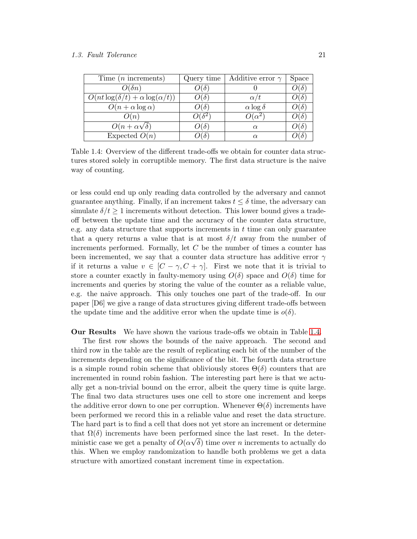| Time $(n$ increments)                          | Query time | Additive error $\gamma$ | Space |
|------------------------------------------------|------------|-------------------------|-------|
| $O(\delta n)$                                  |            |                         |       |
| $O(nt \log(\delta/t) + \alpha \log(\alpha/t))$ |            | $\alpha/t$              |       |
| $O(n + \alpha \log \alpha)$                    |            | $\alpha$ log $\delta$   |       |
| O(n)                                           |            | $O(\alpha^2)$           |       |
| $O(n + \alpha \sqrt{\delta})$                  |            | $\alpha$                |       |
| Expected $O(n)$                                |            | $\alpha$                |       |

<span id="page-32-0"></span>Table 1.4: Overview of the different trade-offs we obtain for counter data structures stored solely in corruptible memory. The first data structure is the naive way of counting.

or less could end up only reading data controlled by the adversary and cannot guarantee anything. Finally, if an increment takes  $t \leq \delta$  time, the adversary can simulate  $\delta/t > 1$  increments without detection. This lower bound gives a tradeoff between the update time and the accuracy of the counter data structure, e.g. any data structure that supports increments in  $t$  time can only guarantee that a query returns a value that is at most  $\delta/t$  away from the number of increments performed. Formally, let C be the number of times a counter has been incremented, we say that a counter data structure has additive error  $\gamma$ if it returns a value  $v \in [C - \gamma, C + \gamma]$ . First we note that it is trivial to store a counter exactly in faulty-memory using  $O(\delta)$  space and  $O(\delta)$  time for increments and queries by storing the value of the counter as a reliable value, e.g. the naive approach. This only touches one part of the trade-off. In our paper [D6] we give a range of data structures giving different trade-offs between the update time and the additive error when the update time is  $o(\delta)$ .

Our Results We have shown the various trade-offs we obtain in Table [1.4.](#page-32-0)

The first row shows the bounds of the naive approach. The second and third row in the table are the result of replicating each bit of the number of the increments depending on the significance of the bit. The fourth data structure is a simple round robin scheme that obliviously stores  $\Theta(\delta)$  counters that are incremented in round robin fashion. The interesting part here is that we actually get a non-trivial bound on the error, albeit the query time is quite large. The final two data structures uses one cell to store one increment and keeps the additive error down to one per corruption. Whenever  $\Theta(\delta)$  increments have been performed we record this in a reliable value and reset the data structure. The hard part is to find a cell that does not yet store an increment or determine that  $\Omega(\delta)$  increments have been performed since the last reset. In the deterministic case we get a penalty of  $O(\alpha\sqrt{\delta})$  time over n increments to actually do this. When we employ randomization to handle both problems we get a data structure with amortized constant increment time in expectation.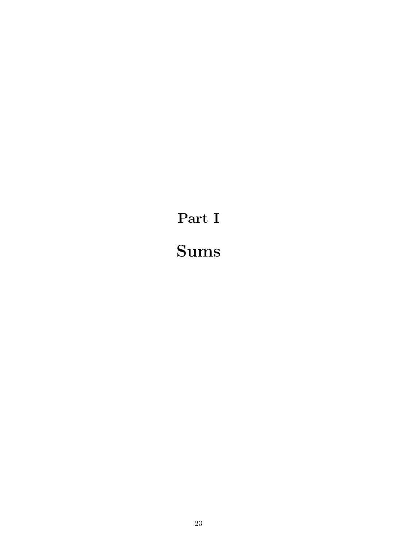<span id="page-34-0"></span>Part I Sums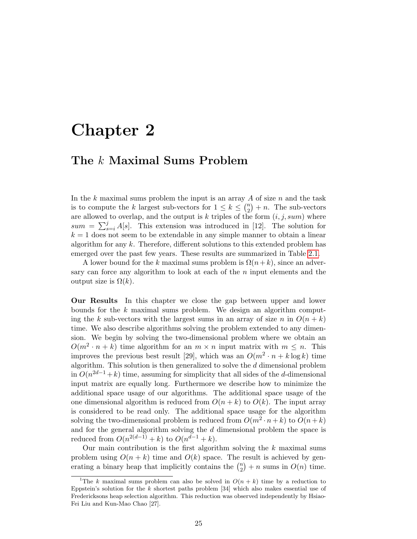# Chapter 2

# The k Maximal Sums Problem

In the  $k$  maximal sums problem the input is an array  $A$  of size  $n$  and the task is to compute the k largest sub-vectors for  $1 \leq k \leq {n \choose 2}$  $n_2(n) + n$ . The sub-vectors are allowed to overlap, and the output is k triples of the form  $(i, j, sum)$  where  $sum = \sum_{s=i}^{j} A[s]$ . This extension was introduced in [12]. The solution for  $k = 1$  does not seem to be extendable in any simple manner to obtain a linear algorithm for any k. Therefore, different solutions to this extended problem has emerged over the past few years. These results are summarized in Table [2.1.](#page-37-0)

A lower bound for the k maximal sums problem is  $\Omega(n+k)$ , since an adversary can force any algorithm to look at each of the  $n$  input elements and the output size is  $\Omega(k)$ .

Our Results In this chapter we close the gap between upper and lower bounds for the k maximal sums problem. We design an algorithm computing the k sub-vectors with the largest sums in an array of size n in  $O(n + k)$ time. We also describe algorithms solving the problem extended to any dimension. We begin by solving the two-dimensional problem where we obtain an  $O(m^2 \cdot n + k)$  time algorithm for an  $m \times n$  input matrix with  $m \leq n$ . This improves the previous best result [29], which was an  $O(m^2 \cdot n + k \log k)$  time algorithm. This solution is then generalized to solve the  $d$  dimensional problem in  $O(n^{2d-1}+k)$  time, assuming for simplicity that all sides of the d-dimensional input matrix are equally long. Furthermore we describe how to minimize the additional space usage of our algorithms. The additional space usage of the one dimensional algorithm is reduced from  $O(n + k)$  to  $O(k)$ . The input array is considered to be read only. The additional space usage for the algorithm solving the two-dimensional problem is reduced from  $O(m^2 \cdot n + k)$  to  $O(n+k)$ and for the general algorithm solving the  $d$  dimensional problem the space is reduced from  $O(n^{2(d-1)}+k)$  to  $O(n^{d-1}+k)$ .

Our main contribution is the first algorithm solving the  $k$  maximal sums problem using  $O(n + k)$  time and  $O(k)$  space. The result is achieved by generating a binary heap that implicitly contains the  $\binom{n}{2}$  $\binom{n}{2} + n$  sums in  $O(n)$  time.

<sup>&</sup>lt;sup>1</sup>The k maximal sums problem can also be solved in  $O(n + k)$  time by a reduction to Eppstein's solution for the  $k$  shortest paths problem [34] which also makes essential use of Fredericksons heap selection algorithm. This reduction was observed independently by Hsiao-Fei Liu and Kun-Mao Chao [27].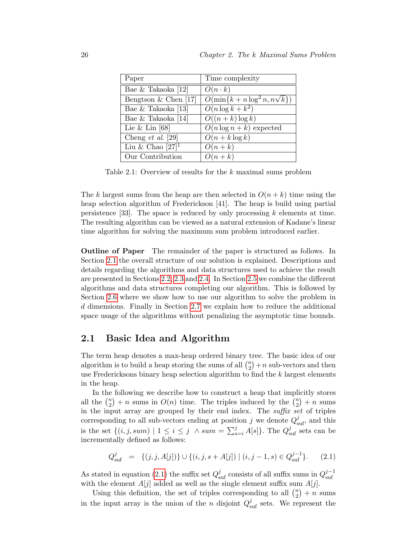| Paper                          | Time complexity                     |
|--------------------------------|-------------------------------------|
| Bae & Takaoka [12]             | $O(n \cdot k)$                      |
| Bengtson $& Chen [17]$         | $O(\min\{k+n\log^2 n, n\sqrt{k}\})$ |
| Bae & Takaoka [13]             | $O(n \log k + k^2)$                 |
| Bae & Takaoka [14]             | $O((n+k)\log k)$                    |
| Lie & Lin $[68]$               | $O(n \log n + k)$ expected          |
| Cheng <i>et al.</i> [29]       | $O(n+k\log k)$                      |
| Liu & Chao $[27]$ <sup>1</sup> | $O(n+k)$                            |
| Our Contribution               | $O(n+k)$                            |

<span id="page-37-0"></span>Table 2.1: Overview of results for the k maximal sums problem

The k largest sums from the heap are then selected in  $O(n + k)$  time using the heap selection algorithm of Frederickson [41]. The heap is build using partial persistence [33]. The space is reduced by only processing  $k$  elements at time. The resulting algorithm can be viewed as a natural extension of Kadane's linear time algorithm for solving the maximum sum problem introduced earlier.

Outline of Paper The remainder of the paper is structured as follows. In Section [2.1](#page-37-1) the overall structure of our solution is explained. Descriptions and details regarding the algorithms and data structures used to achieve the result are presented in Sections [2.2,](#page-39-0) [2.3](#page-39-1) and [2.4.](#page-41-0) In Section [2.5](#page-42-0) we combine the different algorithms and data structures completing our algorithm. This is followed by Section [2.6](#page-42-1) where we show how to use our algorithm to solve the problem in d dimensions. Finally in Section [2.7](#page-44-0) we explain how to reduce the additional space usage of the algorithms without penalizing the asymptotic time bounds.

# <span id="page-37-1"></span>2.1 Basic Idea and Algorithm

The term heap denotes a max-heap ordered binary tree. The basic idea of our algorithm is to build a heap storing the sums of all  $\binom{n}{2}$  $n_2(n) + n$  sub-vectors and then use Fredericksons binary heap selection algorithm to find the  $k$  largest elements in the heap.

In the following we describe how to construct a heap that implicitly stores all the  $\binom{n}{2}$  $\binom{n}{2} + n$  sums in  $O(n)$  time. The triples induced by the  $\binom{n}{2}$  $n \choose 2 + n$  sums in the input array are grouped by their end index. The suffix set of triples corresponding to all sub-vectors ending at position j we denote  $Q_{\text{surf}}^j$ , and this is the set  $\{(i, j, sum) \mid 1 \leq i \leq j \land sum = \sum_{s=i}^{j} A[s]\}.$  The  $Q_{\text{sur}}^{j}$  sets can be incrementally defined as follows:

<span id="page-37-2"></span>
$$
Q_{\text{surf}}^j = \{(j, j, A[j])\} \cup \{(i, j, s + A[j]) \mid (i, j - 1, s) \in Q_{\text{surf}}^{j-1}\}. \tag{2.1}
$$

As stated in equation [\(2.1\)](#page-37-2) the suffix set  $Q_{\text{surf}}^j$  consists of all suffix sums in  $Q_{\text{surf}}^{j-1}$ As stated in equation (2.1) the sum set  $Q_{\text{surf}}$  consists of an sum sums in  $Q_{\text{surf}}$  with the element  $A[j]$  added as well as the single element suffix sum  $A[j]$ .

Using this definition, the set of triples corresponding to all  $\binom{n}{2}$  $n \choose 2 + n$  sums in the input array is the union of the n disjoint  $Q_{\text{surf}}^j$  sets. We represent the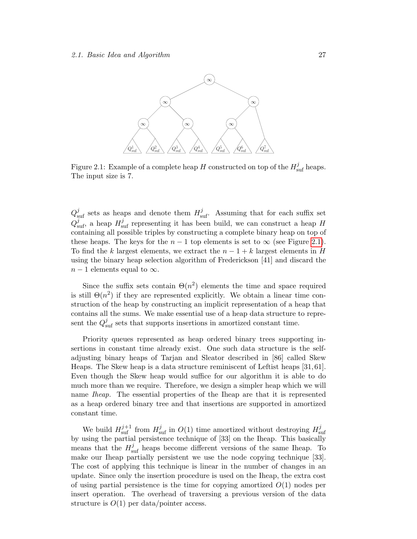

<span id="page-38-0"></span>Figure 2.1: Example of a complete heap H constructed on top of the  $H_{\text{surf}}^j$  heaps. The input size is 7.

 $Q_{\text{Suf}}^j$  sets as heaps and denote them  $H_{\text{Suf}}^j$ . Assuming that for each suffix set  $Q_{\text{surf}}^j$ , a heap  $H_{\text{surf}}^j$  representing it has been build, we can construct a heap H containing all possible triples by constructing a complete binary heap on top of these heaps. The keys for the  $n-1$  top elements is set to  $\infty$  (see Figure [2.1\)](#page-38-0). To find the k largest elements, we extract the  $n-1+k$  largest elements in H using the binary heap selection algorithm of Frederickson [41] and discard the  $n-1$  elements equal to  $\infty$ .

Since the suffix sets contain  $\Theta(n^2)$  elements the time and space required is still  $\Theta(n^2)$  if they are represented explicitly. We obtain a linear time construction of the heap by constructing an implicit representation of a heap that contains all the sums. We make essential use of a heap data structure to represent the  $Q_{\text{suf}}^j$  sets that supports insertions in amortized constant time.

Priority queues represented as heap ordered binary trees supporting insertions in constant time already exist. One such data structure is the selfadjusting binary heaps of Tarjan and Sleator described in [86] called Skew Heaps. The Skew heap is a data structure reminiscent of Leftist heaps [31, 61]. Even though the Skew heap would suffice for our algorithm it is able to do much more than we require. Therefore, we design a simpler heap which we will name *Iheap*. The essential properties of the Iheap are that it is represented as a heap ordered binary tree and that insertions are supported in amortized constant time.

We build  $H_{\text{surf}}^{j+1}$  from  $H_{\text{surf}}^j$  in  $O(1)$  time amortized without destroying  $H_{\text{S}}^j$ suf by using the partial persistence technique of [33] on the Iheap. This basically means that the  $H_{\text{surf}}^j$  heaps become different versions of the same Iheap. To make our Iheap partially persistent we use the node copying technique [33]. The cost of applying this technique is linear in the number of changes in an update. Since only the insertion procedure is used on the Iheap, the extra cost of using partial persistence is the time for copying amortized  $O(1)$  nodes per insert operation. The overhead of traversing a previous version of the data structure is  $O(1)$  per data/pointer access.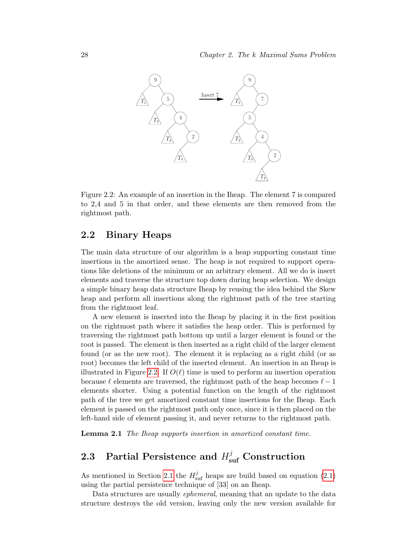

<span id="page-39-2"></span>Figure 2.2: An example of an insertion in the Iheap. The element 7 is compared to 2,4 and 5 in that order, and these elements are then removed from the rightmost path.

# <span id="page-39-0"></span>2.2 Binary Heaps

The main data structure of our algorithm is a heap supporting constant time insertions in the amortized sense. The heap is not required to support operations like deletions of the minimum or an arbitrary element. All we do is insert elements and traverse the structure top down during heap selection. We design a simple binary heap data structure Iheap by reusing the idea behind the Skew heap and perform all insertions along the rightmost path of the tree starting from the rightmost leaf.

A new element is inserted into the Iheap by placing it in the first position on the rightmost path where it satisfies the heap order. This is performed by traversing the rightmost path bottom up until a larger element is found or the root is passed. The element is then inserted as a right child of the larger element found (or as the new root). The element it is replacing as a right child (or as root) becomes the left child of the inserted element. An insertion in an Iheap is illustrated in Figure [2.2.](#page-39-2) If  $O(\ell)$  time is used to perform an insertion operation because  $\ell$  elements are traversed, the rightmost path of the heap becomes  $\ell - 1$ elements shorter. Using a potential function on the length of the rightmost path of the tree we get amortized constant time insertions for the Iheap. Each element is passed on the rightmost path only once, since it is then placed on the left-hand side of element passing it, and never returns to the rightmost path.

<span id="page-39-3"></span>**Lemma 2.1** The Iheap supports insertion in amortized constant time.

# <span id="page-39-1"></span>2.3 Partial Persistence and  $H_{\text{surf}}^j$  Construction

As mentioned in Section [2.1](#page-37-1) the  $H_{\text{surf}}^j$  heaps are build based on equation [\(2.1\)](#page-37-2) using the partial persistence technique of [33] on an Iheap.

Data structures are usually ephemeral, meaning that an update to the data structure destroys the old version, leaving only the new version available for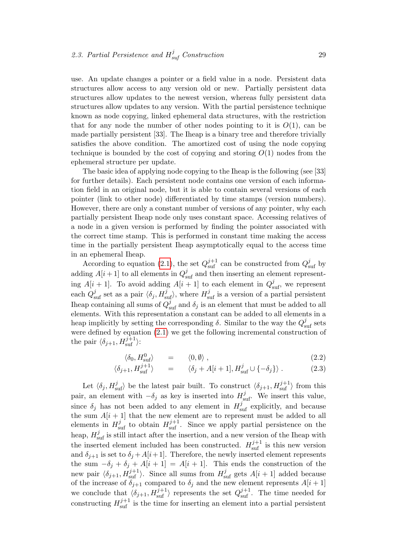use. An update changes a pointer or a field value in a node. Persistent data structures allow access to any version old or new. Partially persistent data structures allow updates to the newest version, whereas fully persistent data structures allow updates to any version. With the partial persistence technique known as node copying, linked ephemeral data structures, with the restriction that for any node the number of other nodes pointing to it is  $O(1)$ , can be made partially persistent [33]. The Iheap is a binary tree and therefore trivially satisfies the above condition. The amortized cost of using the node copying technique is bounded by the cost of copying and storing  $O(1)$  nodes from the ephemeral structure per update.

The basic idea of applying node copying to the Iheap is the following (see [33] for further details). Each persistent node contains one version of each information field in an original node, but it is able to contain several versions of each pointer (link to other node) differentiated by time stamps (version numbers). However, there are only a constant number of versions of any pointer, why each partially persistent Iheap node only uses constant space. Accessing relatives of a node in a given version is performed by finding the pointer associated with the correct time stamp. This is performed in constant time making the access time in the partially persistent Iheap asymptotically equal to the access time in an ephemeral Iheap.

According to equation [\(2.1\)](#page-37-2), the set  $Q_{\text{surf}}^{j+1}$  can be constructed from  $Q_{\text{surf}}^j$  by adding  $A[i+1]$  to all elements in  $Q_{\text{surf}}^j$  and then inserting an element representing  $A[i+1]$ . To avoid adding  $A[i+1]$  to each element in  $Q_{\text{surf}}^j$ , we represent each  $Q_{\text{suf}}^j$  set as a pair  $\langle \delta_j, H_{\text{suf}}^j \rangle$ , where  $H_{\text{suf}}^j$  is a version of a partial persistent Iheap containing all sums of  $Q_{\text{surf}}^j$  and  $\delta_j$  is an element that must be added to all elements. With this representation a constant can be added to all elements in a heap implicitly by setting the corresponding  $\delta$ . Similar to the way the  $Q^j_{\text{surf}}$  sets were defined by equation [\(2.1\)](#page-37-2) we get the following incremental construction of the pair  $\langle \delta_{j+1}, H_{\text{surf}}^{j+1} \rangle$ :

<span id="page-40-0"></span>
$$
\langle \delta_0, H_{\text{surf}}^0 \rangle = \langle 0, \emptyset \rangle , \qquad (2.2)
$$

$$
\langle \delta_{j+1}, H_{\text{surf}}^{j+1} \rangle = \langle \delta_j + A[i+1], H_{\text{surf}}^j \cup \{-\delta_j\} \rangle. \tag{2.3}
$$

Let  $\langle \delta_j, H_{\text{surf}}^j \rangle$  be the latest pair built. To construct  $\langle \delta_{j+1}, H_{\text{surf}}^{j+1} \rangle$  from this pair, an element with  $-\delta_j$  as key is inserted into  $H^j_{\text{surf}}$ . We insert this value, since  $\delta_j$  has not been added to any element in  $H_{\text{surf}}^j$  explicitly, and because the sum  $A[i + 1]$  that the new element are to represent must be added to all elements in  $H_{\text{surf}}^j$  to obtain  $H_{\text{surf}}^{j+1}$ . Since we apply partial persistence on the heap,  $H_{\text{surf}}^j$  is still intact after the insertion, and a new version of the Iheap with the inserted element included has been constructed.  $H_{\text{surf}}^{j+1}$  is this new version and  $\delta_{i+1}$  is set to  $\delta_i + A[i+1]$ . Therefore, the newly inserted element represents the sum  $-\delta_j + \delta_j + A[i+1] = A[i+1]$ . This ends the construction of the new pair  $\langle \delta_{j+1}, H_{\text{surf}}^{j+1} \rangle$ . Since all sums from  $H_{\text{surf}}^j$  gets  $A[i+1]$  added because of the increase of  $\delta_{j+1}$  compared to  $\delta_j$  and the new element represents  $A[i+1]$ we conclude that  $\langle \delta_{j+1}, H_{\text{surf}}^{j+1} \rangle$  represents the set  $Q_{\text{surf}}^{j+1}$ . The time needed for constructing  $H_{\text{surf}}^{j+1}$  is the time for inserting an element into a partial persistent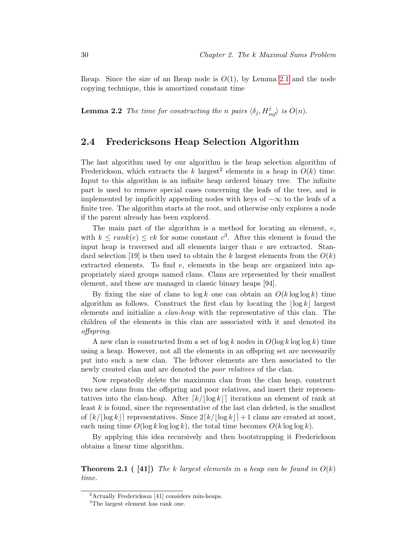<span id="page-41-1"></span>Iheap. Since the size of an Iheap node is  $O(1)$ , by Lemma [2.1](#page-39-3) and the node copying technique, this is amortized constant time

**Lemma 2.2** The time for constructing the n pairs  $\langle \delta_j, H_{suf}^j \rangle$  is  $O(n)$ .

# <span id="page-41-0"></span>2.4 Fredericksons Heap Selection Algorithm

The last algorithm used by our algorithm is the heap selection algorithm of Frederickson, which extracts the k largest<sup>2</sup> elements in a heap in  $O(k)$  time. Input to this algorithm is an infinite heap ordered binary tree. The infinite part is used to remove special cases concerning the leafs of the tree, and is implemented by implicitly appending nodes with keys of  $-\infty$  to the leafs of a finite tree. The algorithm starts at the root, and otherwise only explores a node if the parent already has been explored.

The main part of the algorithm is a method for locating an element, e, with  $k \leq rank(e) \leq ck$  for some constant  $c^3$ . After this element is found the input heap is traversed and all elements larger than  $e$  are extracted. Standard selection [19] is then used to obtain the k largest elements from the  $O(k)$ extracted elements. To find  $e$ , elements in the heap are organized into appropriately sized groups named clans. Clans are represented by their smallest element, and these are managed in classic binary heaps [94].

By fixing the size of clans to  $\log k$  one can obtain an  $O(k \log \log k)$  time algorithm as follows. Construct the first clan by locating the  $\log k$  largest elements and initialize a clan-heap with the representative of this clan. The children of the elements in this clan are associated with it and denoted its offspring.

A new clan is constructed from a set of  $\log k$  nodes in  $O(\log k \log \log k)$  time using a heap. However, not all the elements in an offspring set are necessarily put into such a new clan. The leftover elements are then associated to the newly created clan and are denoted the *poor relatives* of the clan.

Now repeatedly delete the maximum clan from the clan heap, construct two new clans from the offspring and poor relatives, and insert their representatives into the clan-heap. After  $\lfloor k/\lfloor \log k \rfloor \rfloor$  iterations an element of rank at least  $k$  is found, since the representative of the last clan deleted, is the smallest of  $\lfloor k/\lfloor \log k \rfloor \rfloor$  representatives. Since  $2\lfloor k/\lfloor \log k \rfloor \rfloor + 1$  clans are created at most, each using time  $O(\log k \log \log k)$ , the total time becomes  $O(k \log \log k)$ .

<span id="page-41-2"></span>By applying this idea recursively and then bootstrapping it Frederickson obtains a linear time algorithm.

**Theorem 2.1** ( [41]) The k largest elements in a heap can be found in  $O(k)$ time.

 $^{2}$ Actually Frederickson [41] considers min-heaps.

<sup>&</sup>lt;sup>3</sup>The largest element has rank one.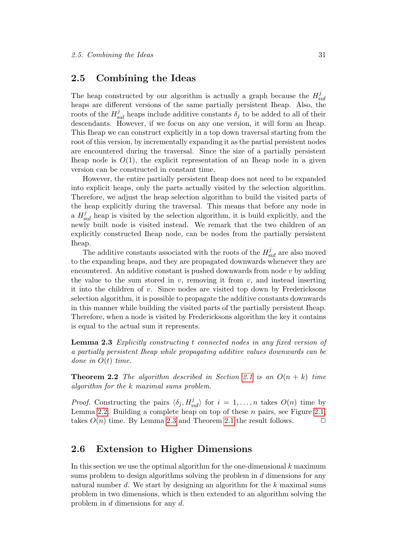### <span id="page-42-0"></span>2.5 Combining the Ideas

The heap constructed by our algorithm is actually a graph because the  $H_s^j$ suf heaps are different versions of the same partially persistent Iheap. Also, the roots of the  $H_{\text{surf}}^j$  heaps include additive constants  $\delta_j$  to be added to all of their descendants. However, if we focus on any one version, it will form an Iheap. This Iheap we can construct explicitly in a top down traversal starting from the root of this version, by incrementally expanding it as the partial persistent nodes are encountered during the traversal. Since the size of a partially persistent Iheap node is  $O(1)$ , the explicit representation of an Iheap node in a given version can be constructed in constant time.

However, the entire partially persistent Iheap does not need to be expanded into explicit heaps, only the parts actually visited by the selection algorithm. Therefore, we adjust the heap selection algorithm to build the visited parts of the heap explicitly during the traversal. This means that before any node in a  $H_{\text{surf}}^j$  heap is visited by the selection algorithm, it is build explicitly, and the newly built node is visited instead. We remark that the two children of an explicitly constructed Iheap node, can be nodes from the partially persistent Iheap.

The additive constants associated with the roots of the  $H_{\text{surf}}^j$  are also moved to the expanding heaps, and they are propagated downwards whenever they are encountered. An additive constant is pushed downwards from node  $v$  by adding the value to the sum stored in  $v$ , removing it from  $v$ , and instead inserting it into the children of  $v$ . Since nodes are visited top down by Fredericksons selection algorithm, it is possible to propagate the additive constants downwards in this manner while building the visited parts of the partially persistent Iheap. Therefore, when a node is visited by Fredericksons algorithm the key it contains is equal to the actual sum it represents.

<span id="page-42-2"></span>Lemma 2.3 Explicitly constructing t connected nodes in any fixed version of a partially persistent Iheap while propagating additive values downwards can be done in  $O(t)$  time.

**Theorem 2.2** The algorithm described in Section [2.1](#page-37-1) is an  $O(n + k)$  time algorithm for the k maximal sums problem.

*Proof.* Constructing the pairs  $\langle \delta_j, H_{\text{surf}}^j \rangle$  for  $i = 1, ..., n$  takes  $O(n)$  time by Lemma [2.2.](#page-41-1) Building a complete heap on top of these  $n$  pairs, see Figure [2.1,](#page-38-0) takes  $O(n)$  time. By Lemma [2.3](#page-42-2) and Theorem [2.1](#page-41-2) the result follows.  $\Box$ 

## <span id="page-42-1"></span>2.6 Extension to Higher Dimensions

In this section we use the optimal algorithm for the one-dimensional  $k$  maximum sums problem to design algorithms solving the problem in  $d$  dimensions for any natural number d. We start by designing an algorithm for the  $k$  maximal sums problem in two dimensions, which is then extended to an algorithm solving the problem in d dimensions for any d.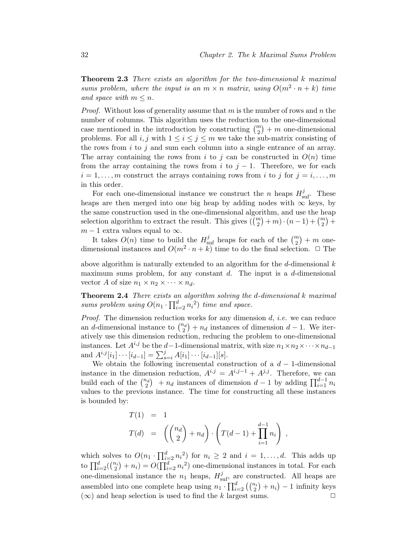Theorem 2.3 There exists an algorithm for the two-dimensional k maximal sums problem, where the input is an  $m \times n$  matrix, using  $O(m^2 \cdot n + k)$  time and space with  $m \leq n$ .

*Proof.* Without loss of generality assume that m is the number of rows and n the number of columns. This algorithm uses the reduction to the one-dimensional case mentioned in the introduction by constructing  $\binom{m}{2} + m$  one-dimensional problems. For all i, j with  $1 \leq i \leq j \leq m$  we take the sub-matrix consisting of the rows from  $i$  to  $j$  and sum each column into a single entrance of an array. The array containing the rows from i to j can be constructed in  $O(n)$  time from the array containing the rows from i to  $j-1$ . Therefore, we for each  $i = 1, \ldots, m$  construct the arrays containing rows from i to j for  $j = i, \ldots, m$ in this order.

For each one-dimensional instance we construct the n heaps  $H_{\text{surf}}^j$ . These heaps are then merged into one big heap by adding nodes with  $\infty$  keys, by the same construction used in the one-dimensional algorithm, and use the heap selection algorithm to extract the result. This gives  $\binom{m}{2} + m \cdot (n-1) + \binom{m}{2} +$  $m-1$  extra values equal to  $\infty$ .

It takes  $O(n)$  time to build the  $H_{\text{surf}}^j$  heaps for each of the  $\binom{m}{2} + m$  onedimensional instances and  $O(m^2 \cdot n + k)$  time to do the final selection.  $\Box$  The

<span id="page-43-0"></span>above algorithm is naturally extended to an algorithm for the  $d$ -dimensional k maximum sums problem, for any constant  $d$ . The input is a  $d$ -dimensional vector A of size  $n_1 \times n_2 \times \cdots \times n_d$ .

Theorem 2.4 There exists an algorithm solving the d-dimensional k maximal sums problem using  $O(n_1 \cdot \prod_{i=2}^d n_i^2)$  time and space.

*Proof.* The dimension reduction works for any dimension  $d$ , *i.e.* we can reduce an d-dimensional instance to  $\binom{n_d}{2} + n_d$  instances of dimension  $d-1$ . We iteratively use this dimension reduction, reducing the problem to one-dimensional instances. Let  $A^{i,j}$  be the d–1-dimensional matrix, with size  $n_1 \times n_2 \times \cdots \times n_{d-1}$ and  $A^{i,j}[i_1]\cdots[i_{d-1}]=\sum_{s=i}^j A[i_1]\cdots[i_{d-1}][s].$ 

We obtain the following incremental construction of a  $d-1$ -dimensional instance in the dimension reduction,  $A^{i,j} = A^{i,j-1} + A^{j,j}$ . Therefore, we can build each of the  $\binom{n_d}{2}$  +  $n_d$  instances of dimension  $d-1$  by adding  $\prod_{i=1}^{d-1} n_i$ values to the previous instance. The time for constructing all these instances is bounded by:

$$
T(1) = 1
$$
  
\n
$$
T(d) = \left( \binom{n_d}{2} + n_d \right) \cdot \left( T(d-1) + \prod_{i=1}^{d-1} n_i \right),
$$

which solves to  $O(n_1 \cdot \prod_{i=2}^d n_i^2)$  for  $n_i \geq 2$  and  $i = 1, \ldots, d$ . This adds up to  $\prod_{i=2}^{d} \binom{n_i}{2} + n_i = O(\prod_{i=2}^{d} n_i^2)$  one-dimensional instances in total. For each one-dimensional instance the  $n_1$  heaps,  $H_{\text{surf}}^j$ , are constructed. All heaps are assembled into one complete heap using  $n_1 \cdot \prod_{i=2}^d \left( \binom{n_i}{2} + n_i \right) - 1$  infinity keys  $(\infty)$  and heap selection is used to find the k largest sums.  $\Box$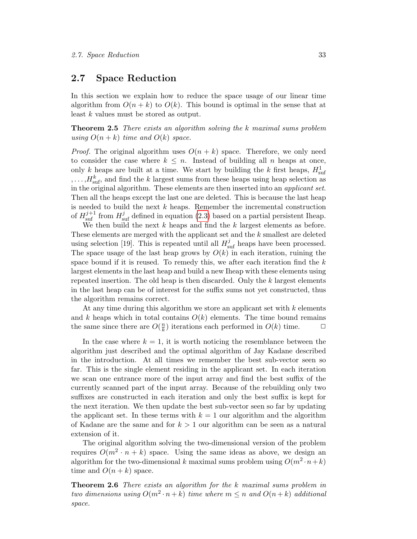### <span id="page-44-0"></span>2.7 Space Reduction

In this section we explain how to reduce the space usage of our linear time algorithm from  $O(n + k)$  to  $O(k)$ . This bound is optimal in the sense that at least k values must be stored as output.

**Theorem 2.5** There exists an algorithm solving the k maximal sums problem using  $O(n+k)$  time and  $O(k)$  space.

*Proof.* The original algorithm uses  $O(n + k)$  space. Therefore, we only need to consider the case where  $k \leq n$ . Instead of building all n heaps at once, only k heaps are built at a time. We start by building the k first heaps,  $H<sup>1</sup><sub>suf</sub>$  $,...,H_{\text{surf}}^k$ , and find the k largest sums from these heaps using heap selection as in the original algorithm. These elements are then inserted into an applicant set. Then all the heaps except the last one are deleted. This is because the last heap is needed to build the next  $k$  heaps. Remember the incremental construction of  $H_{\text{surf}}^{j+1}$  from  $H_{\text{surf}}^{j}$  defined in equation [\(2.3\)](#page-40-0) based on a partial persistent Iheap.

We then build the next  $k$  heaps and find the  $k$  largest elements as before. These elements are merged with the applicant set and the k smallest are deleted using selection [19]. This is repeated until all  $H_{\text{surf}}^j$  heaps have been processed. The space usage of the last heap grows by  $O(k)$  in each iteration, ruining the space bound if it is reused. To remedy this, we after each iteration find the  $k$ largest elements in the last heap and build a new Iheap with these elements using repeated insertion. The old heap is then discarded. Only the  $k$  largest elements in the last heap can be of interest for the suffix sums not yet constructed, thus the algorithm remains correct.

At any time during this algorithm we store an applicant set with  $k$  elements and k heaps which in total contains  $O(k)$  elements. The time bound remains the same since there are  $O(\frac{n}{k})$  $\frac{n}{k}$ ) iterations each performed in  $O(k)$  time.  $\Box$ 

In the case where  $k = 1$ , it is worth noticing the resemblance between the algorithm just described and the optimal algorithm of Jay Kadane described in the introduction. At all times we remember the best sub-vector seen so far. This is the single element residing in the applicant set. In each iteration we scan one entrance more of the input array and find the best suffix of the currently scanned part of the input array. Because of the rebuilding only two suffixes are constructed in each iteration and only the best suffix is kept for the next iteration. We then update the best sub-vector seen so far by updating the applicant set. In these terms with  $k = 1$  our algorithm and the algorithm of Kadane are the same and for  $k > 1$  our algorithm can be seen as a natural extension of it.

The original algorithm solving the two-dimensional version of the problem requires  $O(m^2 \cdot n + k)$  space. Using the same ideas as above, we design an algorithm for the two-dimensional k maximal sums problem using  $O(m^2 \cdot n + k)$ time and  $O(n+k)$  space.

**Theorem 2.6** There exists an algorithm for the k maximal sums problem in two dimensions using  $O(m^2 \cdot n + k)$  time where  $m \leq n$  and  $O(n + k)$  additional space.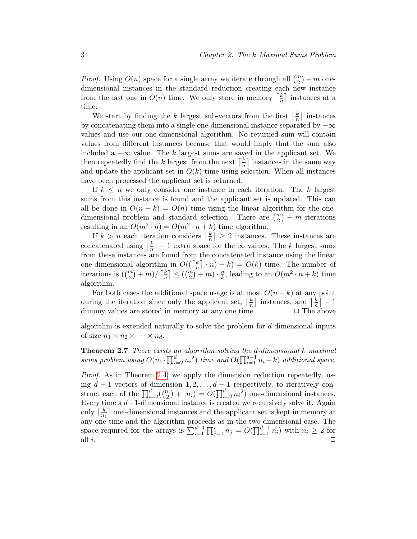*Proof.* Using  $O(n)$  space for a single array we iterate through all  $\binom{m}{2} + m$  onedimensional instances in the standard reduction creating each new instance from the last one in  $O(n)$  time. We only store in memory  $\lceil \frac{k}{n} \rceil$  $\frac{k}{n}$  instances at a time.

We start by finding the k largest sub-vectors from the first  $\left[\frac{k}{n}\right]$  $\frac{k}{n}$  instances by concatenating them into a single one-dimensional instance separated by  $-\infty$ values and use our one-dimensional algorithm. No returned sum will contain values from different instances because that would imply that the sum also included a  $-\infty$  value. The k largest sums are saved in the applicant set. We then repeatedly find the k largest from the next  $\left[\frac{k}{n}\right]$  $\frac{k}{n}$  instances in the same way and update the applicant set in  $O(k)$  time using selection. When all instances have been processed the applicant set is returned.

If  $k \leq n$  we only consider one instance in each iteration. The k largest sums from this instance is found and the applicant set is updated. This can all be done in  $O(n + k) = O(n)$  time using the linear algorithm for the onedimensional problem and standard selection. There are  $\binom{m}{2} + m$  iterations resulting in an  $O(m^2 \cdot n) = O(m^2 \cdot n + k)$  time algorithm.

If  $k > n$  each iteration considers  $\left\lceil \frac{k}{n} \right\rceil$  $\left| \frac{k}{n} \right| \geq 2$  instances. These instances are concatenated using  $\left[\frac{k}{n}\right]$  $\left\lfloor \frac{k}{n} \right\rfloor - 1$  extra space for the  $\infty$  values. The k largest sums from these instances are found from the concatenated instance using the linear one-dimensional algorithm in  $O((\frac{k}{n})$  $\left\lfloor \frac{k}{n} \right\rfloor \cdot n$  + k) =  $O(k)$  time. The number of iterations is  $\left(\binom{m}{2}+m\right)/\left\lceil \frac{k}{n}\right\rceil$  $\left\lfloor \frac{k}{n} \right\rfloor \leq (\binom{m}{2}+m)\cdot \frac{n}{k}$  $\frac{n}{k}$ , leading to an  $O(m^2 \cdot n + k)$  time algorithm.

For both cases the additional space usage is at most  $O(n + k)$  at any point during the iteration since only the applicant set,  $\left[\frac{k}{n}\right]$  $\frac{k}{n}$  instances, and  $\left\lceil \frac{k}{n} \right\rceil$  $\frac{k}{n}$  |  $-1$ dummy values are stored in memory at any one time.

algorithm is extended naturally to solve the problem for  $d$  dimensional inputs of size  $n_1 \times n_2 \times \cdots \times n_d$ .

Theorem 2.7 There exists an algorithm solving the d-dimensional k maximal sums problem using  $O(n_1 \cdot \prod_{i=2}^d n_i^2)$  time and  $O(\prod_{i=1}^{d-1} n_i + k)$  additional space.

Proof. As in Theorem [2.4,](#page-43-0) we apply the dimension reduction repeatedly, using  $d-1$  vectors of dimension  $1, 2, \ldots, d-1$  respectively, to iteratively construct each of the  $\prod_{i=2}^{d} \binom{n_i}{2} + n_i = O(\prod_{i=2}^{d} n_i^2)$  one-dimensional instances. Every time a  $d-1$ -dimensional instance is created we recursively solve it. Again only  $\lceil \frac{k}{n} \rceil$  $\frac{k}{n_1}$  one-dimensional instances and the applicant set is kept in memory at any one time and the algorithm proceeds as in the two-dimensional case. The space required for the arrays is  $\sum_{i=1}^{d-1} \prod_{j=1}^{i} n_j = O(\prod_{i=1}^{d-1} n_i)$  with  $n_i \geq 2$  for all i.  $\Box$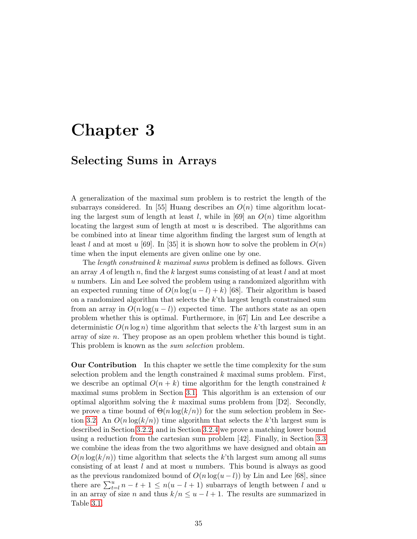# Chapter 3

# Selecting Sums in Arrays

A generalization of the maximal sum problem is to restrict the length of the subarrays considered. In [55] Huang describes an  $O(n)$  time algorithm locating the largest sum of length at least l, while in [69] an  $O(n)$  time algorithm locating the largest sum of length at most  $u$  is described. The algorithms can be combined into at linear time algorithm finding the largest sum of length at least l and at most u [69]. In [35] it is shown how to solve the problem in  $O(n)$ time when the input elements are given online one by one.

The *length constrained k maximal sums* problem is defined as follows. Given an array A of length n, find the k largest sums consisting of at least l and at most u numbers. Lin and Lee solved the problem using a randomized algorithm with an expected running time of  $O(n \log(u - l) + k)$  [68]. Their algorithm is based on a randomized algorithm that selects the k'th largest length constrained sum from an array in  $O(n \log(u - l))$  expected time. The authors state as an open problem whether this is optimal. Furthermore, in [67] Lin and Lee describe a deterministic  $O(n \log n)$  time algorithm that selects the k'th largest sum in an array of size n. They propose as an open problem whether this bound is tight. This problem is known as the *sum selection* problem.

Our Contribution In this chapter we settle the time complexity for the sum selection problem and the length constrained  $k$  maximal sums problem. First, we describe an optimal  $O(n + k)$  time algorithm for the length constrained k maximal sums problem in Section [3.1.](#page-47-0) This algorithm is an extension of our optimal algorithm solving the k maximal sums problem from  $[D2]$ . Secondly, we prove a time bound of  $\Theta(n \log(k/n))$  for the sum selection problem in Sec-tion [3.2.](#page-50-0) An  $O(n \log(k/n))$  time algorithm that selects the k'th largest sum is described in Section [3.2.2,](#page-52-0) and in Section [3.2.4](#page-57-0) we prove a matching lower bound using a reduction from the cartesian sum problem [42]. Finally, in Section [3.3](#page-58-0) we combine the ideas from the two algorithms we have designed and obtain an  $O(n \log(k/n))$  time algorithm that selects the k'th largest sum among all sums consisting of at least  $l$  and at most  $u$  numbers. This bound is always as good as the previous randomized bound of  $O(n \log(u - l))$  by Lin and Lee [68], since there are  $\sum_{t=l}^{u} n - t + 1 \le n(u - l + 1)$  subarrays of length between l and u in an array of size n and thus  $k/n \le u - l + 1$ . The results are summarized in Table [3.1.](#page-47-1)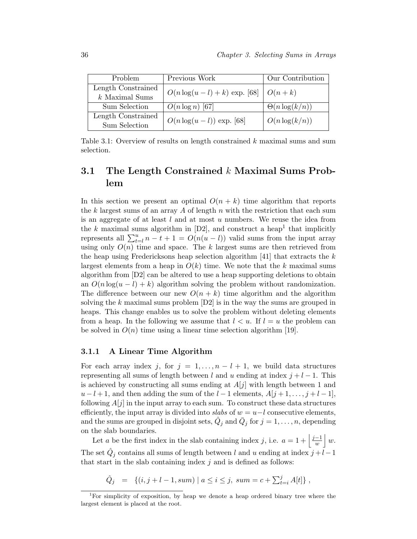| Problem                                | Previous Work                             | Our Contribution      |  |
|----------------------------------------|-------------------------------------------|-----------------------|--|
| Length Constrained<br>$k$ Maximal Sums | $O(n \log(u-l) + k)$ exp. [68] $ O(n+k) $ |                       |  |
| Sum Selection                          | $O(n \log n)$ [67]                        | $\Theta(n \log(k/n))$ |  |
| Length Constrained<br>Sum Selection    | $O(n \log(u-l))$ exp. [68]                | $O(n \log(k/n))$      |  |

<span id="page-47-1"></span>Table 3.1: Overview of results on length constrained k maximal sums and sum selection.

# <span id="page-47-0"></span>3.1 The Length Constrained k Maximal Sums Problem

In this section we present an optimal  $O(n + k)$  time algorithm that reports the k largest sums of an array A of length  $n$  with the restriction that each sum is an aggregate of at least  $l$  and at most  $u$  numbers. We reuse the idea from the k maximal sums algorithm in  $[D2]$ , and construct a heap<sup>1</sup> that implicitly represents all  $\sum_{t=l}^{u} n - t + 1 = O(n(u - l))$  valid sums from the input array using only  $O(n)$  time and space. The k largest sums are then retrieved from the heap using Fredericksons heap selection algorithm [41] that extracts the  $k$ largest elements from a heap in  $O(k)$  time. We note that the k maximal sums algorithm from [D2] can be altered to use a heap supporting deletions to obtain an  $O(n \log(u - l) + k)$  algorithm solving the problem without randomization. The difference between our new  $O(n + k)$  time algorithm and the algorithm solving the  $k$  maximal sums problem  $[D2]$  is in the way the sums are grouped in heaps. This change enables us to solve the problem without deleting elements from a heap. In the following we assume that  $l < u$ . If  $l = u$  the problem can be solved in  $O(n)$  time using a linear time selection algorithm [19].

#### 3.1.1 A Linear Time Algorithm

For each array index j, for  $j = 1, ..., n - l + 1$ , we build data structures representing all sums of length between l and u ending at index  $j + l - 1$ . This is achieved by constructing all sums ending at  $A[j]$  with length between 1 and  $u-l+1$ , and then adding the sum of the  $l-1$  elements,  $A[j+1,\ldots,j+l-1]$ , following  $A[j]$  in the input array to each sum. To construct these data structures efficiently, the input array is divided into slabs of  $w = u - l$  consecutive elements, and the sums are grouped in disjoint sets,  $\hat{Q}_j$  and  $\bar{Q}_j$  for  $j = 1, \ldots, n$ , depending on the slab boundaries.

Let a be the first index in the slab containing index j, i.e.  $a = 1 + \left| \frac{j-1}{m} \right|$  $\frac{-1}{w}\,|w.$ The set  $\hat{Q}_j$  contains all sums of length between l and u ending at index  $j+l-1$ that start in the slab containing index  $j$  and is defined as follows:

 $\hat{Q}_j = \{(i, j + l - 1, sum) | a \le i \le j, sum = c + \sum_{t=i}^{j} A[t] \},\$ 

<sup>&</sup>lt;sup>1</sup>For simplicity of exposition, by heap we denote a heap ordered binary tree where the largest element is placed at the root.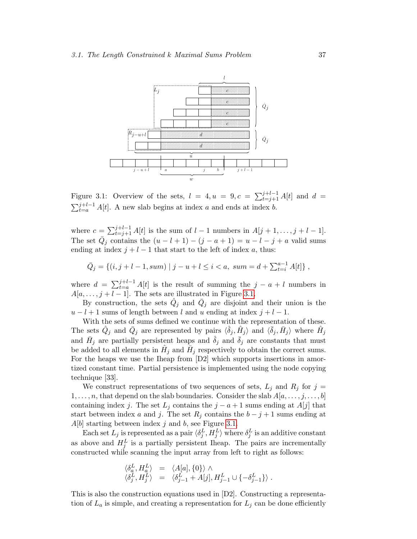

<span id="page-48-0"></span>Figure 3.1: Overview of the sets,  $l = 4, u = 9, c = \sum_{t=j+1}^{j+l-1} A[t]$  and  $d =$  $\sum_{t=a}^{j+l-1} A[t]$ . A new slab begins at index a and ends at index b.

where  $c = \sum_{t=j+1}^{j+l-1} A[t]$  is the sum of  $l-1$  numbers in  $A[j+1,\ldots,j+l-1]$ . The set  $\overline{Q}_j$  contains the  $(u - l + 1) - (j - a + 1) = u - l - j + a$  valid sums ending at index  $j + l - 1$  that start to the left of index a, thus:

$$
\bar{Q}_j = \{(i, j + l - 1, sum) | j - u + l \le i < a, sum = d + \sum_{t=i}^{a-1} A[t] \},
$$

where  $d = \sum_{t=a}^{j+l-1} A[t]$  is the result of summing the  $j - a + l$  numbers in  $A[a, \ldots, j+\overline{l-1}]$ . The sets are illustrated in Figure [3.1.](#page-48-0)

By construction, the sets  $\hat{Q}_j$  and  $\bar{Q}_j$  are disjoint and their union is the  $u - l + 1$  sums of length between l and u ending at index  $j + l - 1$ .

With the sets of sums defined we continue with the representation of these. The sets  $\hat{Q}_j$  and  $\bar{Q}_j$  are represented by pairs  $\langle \hat{\delta}_j, \hat{H}_j \rangle$  and  $\langle \bar{\delta}_j, \bar{H}_j \rangle$  where  $\hat{H}_j$ and  $\bar{H}_j$  are partially persistent heaps and  $\hat{\delta}_j$  and  $\bar{\delta}_j$  are constants that must be added to all elements in  $\hat{H}_j$  and  $\bar{H}_j$  respectively to obtain the correct sums. For the heaps we use the Iheap from [D2] which supports insertions in amortized constant time. Partial persistence is implemented using the node copying technique [33].

We construct representations of two sequences of sets,  $L_i$  and  $R_i$  for  $j =$  $1, \ldots, n$ , that depend on the slab boundaries. Consider the slab  $A[a, \ldots, j, \ldots, b]$ containing index j. The set  $L_j$  contains the  $j - a + 1$  sums ending at A[j] that start between index a and j. The set  $R_j$  contains the  $b - j + 1$  sums ending at  $A[b]$  starting between index  $j$  and  $b,$  see Figure [3.1.](#page-48-0)

Each set  $L_j$  is represented as a pair  $\langle \delta_j^L, H_j^L \rangle$  where  $\delta_j^L$  is an additive constant as above and  $H_j^L$  is a partially persistent Iheap. The pairs are incrementally constructed while scanning the input array from left to right as follows:

$$
\begin{array}{rcl}\n\langle \delta_a^L, H_a^L \rangle & = & \langle A[a], \{0\} \rangle \wedge \\
\langle \delta_j^L, H_j^L \rangle & = & \langle \delta_{j-1}^L + A[j], H_{j-1}^L \cup \{-\delta_{j-1}^L\} \rangle \,.\n\end{array}
$$

This is also the construction equations used in [D2]. Constructing a representation of  $L_a$  is simple, and creating a representation for  $L_j$  can be done efficiently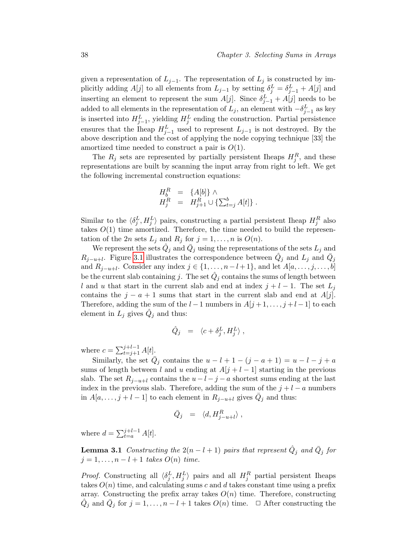given a representation of  $L_{j-1}$ . The representation of  $L_j$  is constructed by implicitly adding  $A[j]$  to all elements from  $L_{j-1}$  by setting  $\delta_j^L = \delta_{j-1}^L + A[j]$  and inserting an element to represent the sum  $A[j]$ . Since  $\delta_{j-1}^L + A[j]$  needs to be added to all elements in the representation of  $L_j$ , an element with  $-\delta_{j-1}^L$  as key is inserted into  $H_{j-1}^L$ , yielding  $H_j^L$  ending the construction. Partial persistence ensures that the Iheap  $H_{j-1}^L$  used to represent  $L_{j-1}$  is not destroyed. By the above description and the cost of applying the node copying technique [33] the amortized time needed to construct a pair is  $O(1)$ .

The  $R_j$  sets are represented by partially persistent Iheaps  $H_j^R$ , and these representations are built by scanning the input array from right to left. We get the following incremental construction equations:

$$
H_b^R = \{A[b]\} \wedge H_f^R = H_{j+1}^R \cup \{\sum_{t=j}^b A[t]\}.
$$

Similar to the  $\langle \delta_j^L, H_j^L \rangle$  pairs, constructing a partial persistent Iheap  $H_j^R$  also takes  $O(1)$  time amortized. Therefore, the time needed to build the representation of the 2n sets  $L_j$  and  $R_j$  for  $j = 1, ..., n$  is  $O(n)$ .

We represent the sets  $\hat{Q}_j$  and  $\bar{Q}_j$  using the representations of the sets  $L_j$  and  $R_{j-u+l}$ . Figure [3.1](#page-48-0) illustrates the correspondence between  $\hat{Q}_j$  and  $L_j$  and  $\bar{Q}_j$ and  $R_{j-u+l}$ . Consider any index  $j \in \{1, \ldots, n-l+1\}$ , and let  $A[a, \ldots, j, \ldots, b]$ be the current slab containing  $j$ . The set  $\hat{Q}_j$  contains the sums of length between l and u that start in the current slab and end at index  $j + l - 1$ . The set  $L_j$ contains the  $j - a + 1$  sums that start in the current slab and end at  $A[j]$ . Therefore, adding the sum of the  $l-1$  numbers in  $A[j+1,\ldots,j+l-1]$  to each element in  $L_j$  gives  $\hat{Q}_j$  and thus:

$$
\hat{Q}_j = \langle c + \delta_j^L, H_j^L \rangle \;,
$$

where  $c = \sum_{t=j+1}^{j+l-1} A[t]$ .

Similarly, the set  $\overline{Q}_j$  contains the  $u - l + 1 - (j - a + 1) = u - l - j + a$ sums of length between l and u ending at  $A[j + l - 1]$  starting in the previous slab. The set  $R_{j-u+l}$  contains the  $u-l-j-a$  shortest sums ending at the last index in the previous slab. Therefore, adding the sum of the  $j + l - a$  numbers in  $A[a, \ldots, j+l-1]$  to each element in  $R_{j-u+l}$  gives  $\overline{Q}_j$  and thus:

$$
\bar{Q}_j = \langle d, H_{j-u+l}^R \rangle \;,
$$

where  $d = \sum_{t=a}^{j+l-1} A[t]$ .

**Lemma 3.1** Constructing the  $2(n-l+1)$  pairs that represent  $\hat{Q}_j$  and  $\bar{Q}_j$  for  $j = 1, \ldots, n - l + 1$  takes  $O(n)$  time.

*Proof.* Constructing all  $\langle \delta_j^L, H_j^L \rangle$  pairs and all  $H_j^R$  partial persistent Iheaps takes  $O(n)$  time, and calculating sums c and d takes constant time using a prefix array. Constructing the prefix array takes  $O(n)$  time. Therefore, constructing  $\hat{Q}_j$  and  $\bar{Q}_j$  for  $j = 1, \ldots, n - l + 1$  takes  $O(n)$  time.  $\Box$  After constructing the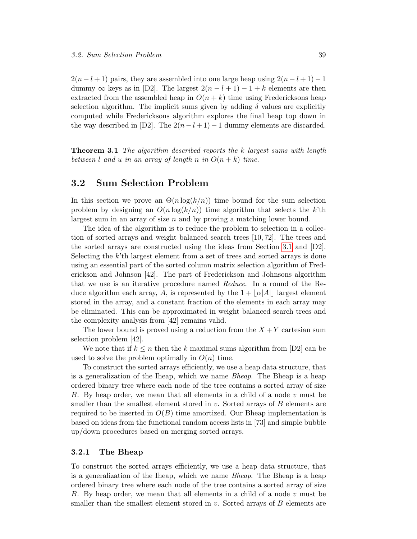$2(n-l+1)$  pairs, they are assembled into one large heap using  $2(n-l+1)-1$ dummy  $\infty$  keys as in [D2]. The largest  $2(n-l+1)-1+k$  elements are then extracted from the assembled heap in  $O(n + k)$  time using Fredericksons heap selection algorithm. The implicit sums given by adding  $\delta$  values are explicitly computed while Fredericksons algorithm explores the final heap top down in the way described in [D2]. The  $2(n-l+1)-1$  dummy elements are discarded.

**Theorem 3.1** The algorithm described reports the k largest sums with length between l and u in an array of length n in  $O(n+k)$  time.

## <span id="page-50-0"></span>3.2 Sum Selection Problem

In this section we prove an  $\Theta(n \log(k/n))$  time bound for the sum selection problem by designing an  $O(n \log(k/n))$  time algorithm that selects the k'th largest sum in an array of size  $n$  and by proving a matching lower bound.

The idea of the algorithm is to reduce the problem to selection in a collection of sorted arrays and weight balanced search trees [10, 72]. The trees and the sorted arrays are constructed using the ideas from Section [3.1](#page-47-0) and [D2]. Selecting the  $k<sup>i</sup>$ th largest element from a set of trees and sorted arrays is done using an essential part of the sorted column matrix selection algorithm of Frederickson and Johnson [42]. The part of Frederickson and Johnsons algorithm that we use is an iterative procedure named Reduce. In a round of the Reduce algorithm each array, A, is represented by the  $1 + |\alpha|A|$  largest element stored in the array, and a constant fraction of the elements in each array may be eliminated. This can be approximated in weight balanced search trees and the complexity analysis from [42] remains valid.

The lower bound is proved using a reduction from the  $X + Y$  cartesian sum selection problem [42].

We note that if  $k \leq n$  then the k maximal sums algorithm from [D2] can be used to solve the problem optimally in  $O(n)$  time.

To construct the sorted arrays efficiently, we use a heap data structure, that is a generalization of the Iheap, which we name Bheap. The Bheap is a heap ordered binary tree where each node of the tree contains a sorted array of size B. By heap order, we mean that all elements in a child of a node  $v$  must be smaller than the smallest element stored in  $v$ . Sorted arrays of  $B$  elements are required to be inserted in  $O(B)$  time amortized. Our Bheap implementation is based on ideas from the functional random access lists in [73] and simple bubble up/down procedures based on merging sorted arrays.

#### 3.2.1 The Bheap

To construct the sorted arrays efficiently, we use a heap data structure, that is a generalization of the Iheap, which we name Bheap. The Bheap is a heap ordered binary tree where each node of the tree contains a sorted array of size B. By heap order, we mean that all elements in a child of a node  $v$  must be smaller than the smallest element stored in  $v$ . Sorted arrays of  $B$  elements are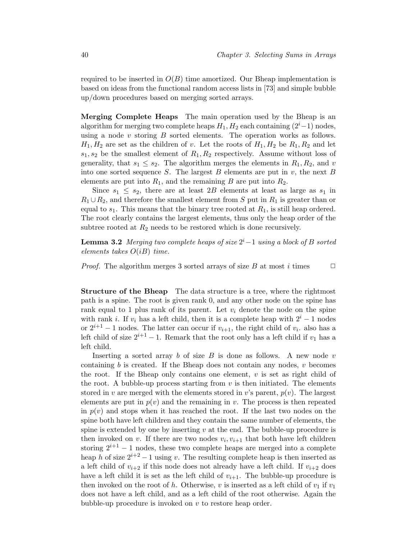required to be inserted in  $O(B)$  time amortized. Our Bheap implementation is based on ideas from the functional random access lists in [73] and simple bubble up/down procedures based on merging sorted arrays.

Merging Complete Heaps The main operation used by the Bheap is an algorithm for merging two complete heaps  $H_1, H_2$  each containing  $(2^i-1)$  nodes, using a node  $v$  storing  $B$  sorted elements. The operation works as follows.  $H_1, H_2$  are set as the children of v. Let the roots of  $H_1, H_2$  be  $R_1, R_2$  and let  $s_1, s_2$  be the smallest element of  $R_1, R_2$  respectively. Assume without loss of generality, that  $s_1 \leq s_2$ . The algorithm merges the elements in  $R_1, R_2$ , and v into one sorted sequence S. The largest B elements are put in  $v$ , the next B elements are put into  $R_1$ , and the remaining B are put into  $R_2$ .

Since  $s_1 \leq s_2$ , there are at least 2B elements at least as large as  $s_1$  in  $R_1 \cup R_2$ , and therefore the smallest element from S put in  $R_1$  is greater than or equal to  $s_1$ . This means that the binary tree rooted at  $R_1$ , is still heap ordered. The root clearly contains the largest elements, thus only the heap order of the subtree rooted at  $R_2$  needs to be restored which is done recursively.

**Lemma 3.2** Merging two complete heaps of size  $2^{i}-1$  using a block of B sorted elements takes  $O(iB)$  time.

*Proof.* The algorithm merges 3 sorted arrays of size B at most i times  $\Box$ 

Structure of the Bheap The data structure is a tree, where the rightmost path is a spine. The root is given rank 0, and any other node on the spine has rank equal to 1 plus rank of its parent. Let  $v_i$  denote the node on the spine with rank i. If  $v_i$  has a left child, then it is a complete heap with  $2^i - 1$  nodes or  $2^{i+1} - 1$  nodes. The latter can occur if  $v_{i+1}$ , the right child of  $v_i$ . also has a left child of size  $2^{i+1} - 1$ . Remark that the root only has a left child if  $v_1$  has a left child.

Inserting a sorted array  $b$  of size  $B$  is done as follows. A new node  $v$ containing b is created. If the Bheap does not contain any nodes,  $v$  becomes the root. If the Bheap only contains one element,  $v$  is set as right child of the root. A bubble-up process starting from  $v$  is then initiated. The elements stored in v are merged with the elements stored in v's parent,  $p(v)$ . The largest elements are put in  $p(v)$  and the remaining in v. The process is then repeated in  $p(v)$  and stops when it has reached the root. If the last two nodes on the spine both have left children and they contain the same number of elements, the spine is extended by one by inserting  $v$  at the end. The bubble-up procedure is then invoked on v. If there are two nodes  $v_i, v_{i+1}$  that both have left children storing  $2^{i+1} - 1$  nodes, these two complete heaps are merged into a complete heap h of size  $2^{i+2} - 1$  using v. The resulting complete heap is then inserted as a left child of  $v_{i+2}$  if this node does not already have a left child. If  $v_{i+2}$  does have a left child it is set as the left child of  $v_{i+1}$ . The bubble-up procedure is then invoked on the root of h. Otherwise, v is inserted as a left child of  $v_1$  if  $v_1$ does not have a left child, and as a left child of the root otherwise. Again the bubble-up procedure is invoked on  $v$  to restore heap order.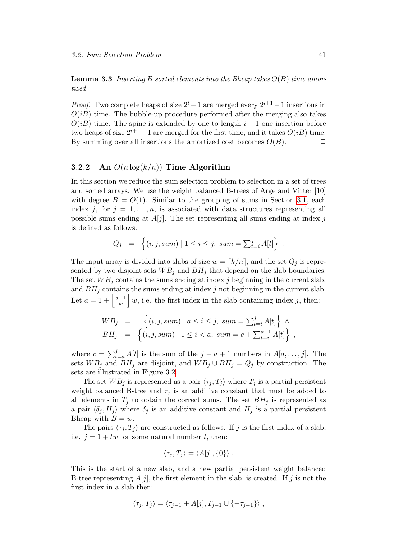**Lemma 3.3** Inserting B sorted elements into the Bheap takes  $O(B)$  time amortized

*Proof.* Two complete heaps of size  $2^{i} - 1$  are merged every  $2^{i+1} - 1$  insertions in  $O(iB)$  time. The bubble-up procedure performed after the merging also takes  $O(iB)$  time. The spine is extended by one to length  $i+1$  one insertion before two heaps of size  $2^{i+1}-1$  are merged for the first time, and it takes  $O(iB)$  time. By summing over all insertions the amortized cost becomes  $O(B)$ .  $\Box$ 

#### <span id="page-52-0"></span>3.2.2 An  $O(n \log(k/n))$  Time Algorithm

In this section we reduce the sum selection problem to selection in a set of trees and sorted arrays. We use the weight balanced B-trees of Arge and Vitter [10] with degree  $B = O(1)$ . Similar to the grouping of sums in Section [3.1,](#page-47-0) each index j, for  $j = 1, \ldots, n$ , is associated with data structures representing all possible sums ending at  $A[j]$ . The set representing all sums ending at index j is defined as follows:

$$
Q_j = \left\{ (i, j, sum) \mid 1 \le i \le j, sum = \sum_{t=i}^j A[t] \right\} .
$$

The input array is divided into slabs of size  $w = \lfloor k/n \rfloor$ , and the set  $Q_i$  is represented by two disjoint sets  $WB<sub>j</sub>$  and  $BH<sub>j</sub>$  that depend on the slab boundaries. The set  $WB<sub>j</sub>$  contains the sums ending at index j beginning in the current slab, and  $BH<sub>j</sub>$  contains the sums ending at index j not beginning in the current slab. Let  $a = 1 + \left| \frac{j-1}{w} \right|$  $\frac{-1}{w}$  w, i.e. the first index in the slab containing index j, then:

$$
WB_j = \left\{ (i, j, sum) \mid a \le i \le j, sum = \sum_{t=i}^{j} A[t] \right\} \wedge
$$
  
\n
$$
BH_j = \left\{ (i, j, sum) \mid 1 \le i < a, sum = c + \sum_{t=i}^{a-1} A[t] \right\},\
$$

where  $c = \sum_{t=a}^{j} A[t]$  is the sum of the  $j - a + 1$  numbers in  $A[a, \ldots, j]$ . The sets  $WB_j$  and  $BH_j$  are disjoint, and  $WB_j \cup BH_j = Q_j$  by construction. The sets are illustrated in Figure [3.2.](#page-53-0)

The set  $WB_i$  is represented as a pair  $\langle \tau_i, T_i \rangle$  where  $T_i$  is a partial persistent weight balanced B-tree and  $\tau_j$  is an additive constant that must be added to all elements in  $T_j$  to obtain the correct sums. The set  $BH_j$  is represented as a pair  $\langle \delta_j, H_j \rangle$  where  $\delta_j$  is an additive constant and  $H_j$  is a partial persistent Bheap with  $B = w$ .

The pairs  $\langle \tau_j, T_j \rangle$  are constructed as follows. If j is the first index of a slab, i.e.  $j = 1 + tw$  for some natural number t, then:

$$
\langle \tau_j, T_j \rangle = \langle A[j], \{0\} \rangle.
$$

This is the start of a new slab, and a new partial persistent weight balanced B-tree representing  $A[j]$ , the first element in the slab, is created. If j is not the first index in a slab then:

$$
\langle \tau_j, T_j \rangle = \langle \tau_{j-1} + A[j], T_{j-1} \cup \{-\tau_{j-1}\} \rangle ,
$$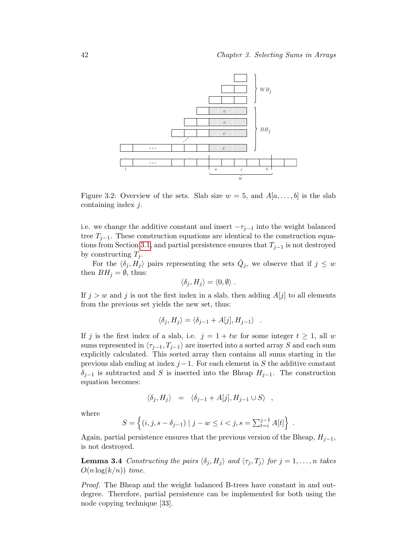

<span id="page-53-0"></span>Figure 3.2: Overview of the sets. Slab size  $w = 5$ , and  $A[a, \ldots, b]$  is the slab containing index  $j$ .

i.e. we change the additive constant and insert  $-\tau_{j-1}$  into the weight balanced tree  $T_{i-1}$ . These construction equations are identical to the construction equa-tions from Section [3.1,](#page-47-0) and partial persistence ensures that  $T_{j-1}$  is not destroyed by constructing  $T_i$ .

For the  $\langle \delta_j, H_j \rangle$  pairs representing the sets  $\hat{Q}_j$ , we observe that if  $j \leq w$ then  $BH_i = \emptyset$ , thus:

$$
\langle \delta_j, H_j \rangle = \langle 0, \emptyset \rangle \ .
$$

If  $j > w$  and j is not the first index in a slab, then adding  $A[j]$  to all elements from the previous set yields the new set, thus:

$$
\langle \delta_j, H_j \rangle = \langle \delta_{j-1} + A[j], H_{j-1} \rangle .
$$

If j is the first index of a slab, i.e.  $j = 1 + tw$  for some integer  $t \ge 1$ , all w sums represented in  $\langle \tau_{j-1}, T_{j-1} \rangle$  are inserted into a sorted array S and each sum explicitly calculated. This sorted array then contains all sums starting in the previous slab ending at index  $j-1$ . For each element in S the additive constant  $\delta_{j-1}$  is subtracted and S is inserted into the Bheap  $H_{j-1}$ . The construction equation becomes:

$$
\langle \delta_j, H_j \rangle = \langle \delta_{j-1} + A[j], H_{j-1} \cup S \rangle ,
$$

where

$$
S = \left\{ (i, j, s - \delta_{j-1}) \mid j - w \le i < j, s = \sum_{t=i}^{j-1} A[t] \right\} .
$$

Again, partial persistence ensures that the previous version of the Bheap,  $H_{j-1}$ , is not destroyed.

**Lemma 3.4** Constructing the pairs  $\langle \delta_i, H_i \rangle$  and  $\langle \tau_i, T_i \rangle$  for  $j = 1, ..., n$  takes  $O(n \log(k/n))$  time.

Proof. The Bheap and the weight balanced B-trees have constant in and outdegree. Therefore, partial persistence can be implemented for both using the node copying technique [33].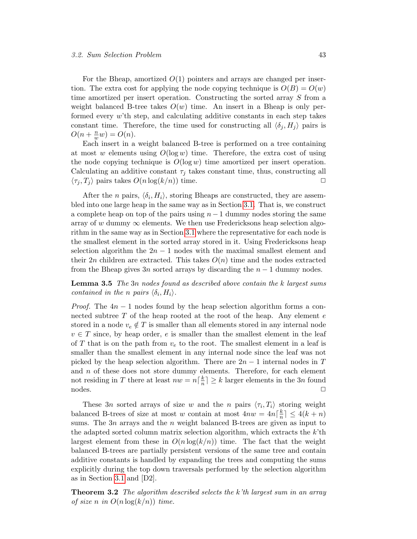For the Bheap, amortized  $O(1)$  pointers and arrays are changed per insertion. The extra cost for applying the node copying technique is  $O(B) = O(w)$ time amortized per insert operation. Constructing the sorted array S from a weight balanced B-tree takes  $O(w)$  time. An insert in a Bheap is only performed every w'th step, and calculating additive constants in each step takes constant time. Therefore, the time used for constructing all  $\langle \delta_i, H_i \rangle$  pairs is  $O(n+\frac{n}{w}w)=O(n).$ 

Each insert in a weight balanced B-tree is performed on a tree containing at most w elements using  $O(\log w)$  time. Therefore, the extra cost of using the node copying technique is  $O(\log w)$  time amortized per insert operation. Calculating an additive constant  $\tau_j$  takes constant time, thus, constructing all  $\langle \tau_i, T_i \rangle$  pairs takes  $O(n \log(k/n))$  time.

After the *n* pairs,  $\langle \delta_i, H_i \rangle$ , storing Bheaps are constructed, they are assembled into one large heap in the same way as in Section [3.1.](#page-47-0) That is, we construct a complete heap on top of the pairs using  $n - 1$  dummy nodes storing the same array of w dummy  $\infty$  elements. We then use Fredericksons heap selection algorithm in the same way as in Section [3.1](#page-47-0) where the representative for each node is the smallest element in the sorted array stored in it. Using Fredericksons heap selection algorithm the  $2n-1$  nodes with the maximal smallest element and their 2n children are extracted. This takes  $O(n)$  time and the nodes extracted from the Bheap gives 3n sorted arrays by discarding the  $n-1$  dummy nodes.

**Lemma 3.5** The 3n nodes found as described above contain the k largest sums contained in the n pairs  $\langle \delta_i, H_i \rangle$ .

*Proof.* The  $4n - 1$  nodes found by the heap selection algorithm forms a connected subtree  $T$  of the heap rooted at the root of the heap. Any element  $e$ stored in a node  $v_e \notin T$  is smaller than all elements stored in any internal node  $v \in T$  since, by heap order, e is smaller than the smallest element in the leaf of T that is on the path from  $v_e$  to the root. The smallest element in a leaf is smaller than the smallest element in any internal node since the leaf was not picked by the heap selection algorithm. There are  $2n-1$  internal nodes in T and  $n$  of these does not store dummy elements. Therefore, for each element not residing in T there at least  $nw = n\left[\frac{k}{n}\right]$  $\left\lfloor \frac{k}{n} \right\rfloor \geq k$  larger elements in the 3*n* found  $\Box$  nodes.  $\Box$ 

These 3n sorted arrays of size w and the n pairs  $\langle \tau_i, T_i \rangle$  storing weight balanced B-trees of size at most w contain at most  $4nw = 4n\left[\frac{k}{n}\right]$  $\frac{k}{n}$ ]  $\leq 4(k+n)$ sums. The  $3n$  arrays and the n weight balanced B-trees are given as input to the adapted sorted column matrix selection algorithm, which extracts the  $k$ <sup>th</sup> largest element from these in  $O(n \log(k/n))$  time. The fact that the weight balanced B-trees are partially persistent versions of the same tree and contain additive constants is handled by expanding the trees and computing the sums explicitly during the top down traversals performed by the selection algorithm as in Section [3.1](#page-47-0) and [D2].

**Theorem 3.2** The algorithm described selects the k'th largest sum in an array of size n in  $O(n \log(k/n))$  time.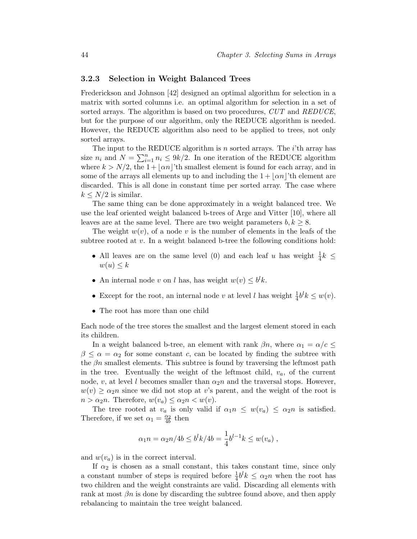#### 3.2.3 Selection in Weight Balanced Trees

Frederickson and Johnson [42] designed an optimal algorithm for selection in a matrix with sorted columns i.e. an optimal algorithm for selection in a set of sorted arrays. The algorithm is based on two procedures, CUT and REDUCE, but for the purpose of our algorithm, only the REDUCE algorithm is needed. However, the REDUCE algorithm also need to be applied to trees, not only sorted arrays.

The input to the REDUCE algorithm is n sorted arrays. The i'th array has size  $n_i$  and  $N = \sum_{i=1}^n n_i \leq 9k/2$ . In one iteration of the REDUCE algorithm where  $k > N/2$ , the  $1 + \lfloor \alpha n \rfloor$ 'th smallest element is found for each array, and in some of the arrays all elements up to and including the  $1 + |\alpha n|$ 'th element are discarded. This is all done in constant time per sorted array. The case where  $k \leq N/2$  is similar.

The same thing can be done approximately in a weight balanced tree. We use the leaf oriented weight balanced b-trees of Arge and Vitter [10], where all leaves are at the same level. There are two weight parameters  $b, k \geq 8$ .

The weight  $w(v)$ , of a node v is the number of elements in the leafs of the subtree rooted at  $v$ . In a weight balanced b-tree the following conditions hold:

- All leaves are on the same level (0) and each leaf u has weight  $\frac{1}{4}k \leq$  $w(u) \leq k$
- An internal node v on l has, has weight  $w(v) \leq b^l k$ .
- Except for the root, an internal node v at level l has weight  $\frac{1}{4}b^lk \leq w(v)$ .
- The root has more than one child

Each node of the tree stores the smallest and the largest element stored in each its children.

In a weight balanced b-tree, an element with rank  $\beta n$ , where  $\alpha_1 = \alpha/c \leq$  $\beta \leq \alpha = \alpha_2$  for some constant c, can be located by finding the subtree with the  $\beta n$  smallest elements. This subtree is found by traversing the leftmost path in the tree. Eventually the weight of the leftmost child,  $v_a$ , of the current node, v, at level l becomes smaller than  $\alpha_2 n$  and the traversal stops. However,  $w(v) \geq \alpha_2 n$  since we did not stop at v's parent, and the weight of the root is  $n > \alpha_2 n$ . Therefore,  $w(v_a) \leq \alpha_2 n < w(v)$ .

The tree rooted at  $v_a$  is only valid if  $\alpha_1 n \leq w(v_a) \leq \alpha_2 n$  is satisfied. Therefore, if we set  $\alpha_1 = \frac{\alpha_2}{4b}$  then

$$
\alpha_1 n = \alpha_2 n/4b \le b^l k/4b = \frac{1}{4}b^{l-1}k \le w(v_a)
$$
,

and  $w(v_a)$  is in the correct interval.

If  $\alpha_2$  is chosen as a small constant, this takes constant time, since only a constant number of steps is required before  $\frac{1}{4}b^lk \leq \alpha_2n$  when the root has two children and the weight constraints are valid. Discarding all elements with rank at most  $\beta n$  is done by discarding the subtree found above, and then apply rebalancing to maintain the tree weight balanced.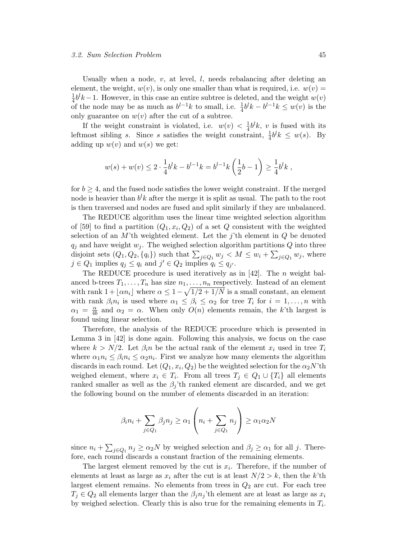Usually when a node,  $v$ , at level,  $l$ , needs rebalancing after deleting an element, the weight,  $w(v)$ , is only one smaller than what is required, i.e.  $w(v) =$ 1  $\frac{1}{4}b^l k-1$ . However, in this case an entire subtree is deleted, and the weight  $w(v)$ of the node may be as much as  $b^{l-1}k$  to small, i.e.  $\frac{1}{4}b^{l}k - b^{l-1}k \leq w(v)$  is the only guarantee on  $w(v)$  after the cut of a subtree.

If the weight constraint is violated, i.e.  $w(v) < \frac{1}{4}$  $\frac{1}{4}$ b<sup>l</sup>k, v is fused with its leftmost sibling s. Since s satisfies the weight constraint,  $\frac{1}{4}b^l k \leq w(s)$ . By adding up  $w(v)$  and  $w(s)$  we get:

$$
w(s) + w(v) \le 2 \cdot \frac{1}{4} b^l k - b^{l-1} k = b^{l-1} k \left( \frac{1}{2} b - 1 \right) \ge \frac{1}{4} b^l k
$$
,

for  $b \geq 4$ , and the fused node satisfies the lower weight constraint. If the merged node is heavier than  $b^l k$  after the merge it is split as usual. The path to the root is then traversed and nodes are fused and split similarly if they are unbalanced.

The REDUCE algorithm uses the linear time weighted selection algorithm of [59] to find a partition  $(Q_1, x_i, Q_2)$  of a set  $Q$  consistent with the weighted selection of an M'th weighted element. Let the j'th element in  $Q$  be denoted  $q_j$  and have weight  $w_j$ . The weighed selection algorithm partitions Q into three disjoint sets  $(Q_1, Q_2, \{q_i\})$  such that  $\sum_{j \in Q_1} w_j < M \leq w_i + \sum_{j \in Q_1} w_j$ , where  $j \in Q_1$  implies  $q_j \leq q_i$  and  $j' \in Q_2$  implies  $q_i \leq q_{j'}$ .

The REDUCE procedure is used iteratively as in  $[42]$ . The *n* weight balanced b-trees  $T_1, \ldots, T_n$  has size  $n_1, \ldots, n_n$  respectively. Instead of an element with rank  $1 + \lfloor \alpha n_i \rfloor$  where  $\alpha \leq 1 - \sqrt{1/2 + 1/N}$  is a small constant, an element with rank  $\beta_i n_i$  is used where  $\alpha_1 \leq \beta_i \leq \alpha_2$  for tree  $T_i$  for  $i = 1, \ldots, n$  with  $\alpha_1 = \frac{\alpha}{4b}$  and  $\alpha_2 = \alpha$ . When only  $O(n)$  elements remain, the k'th largest is found using linear selection.

Therefore, the analysis of the REDUCE procedure which is presented in Lemma 3 in [42] is done again. Following this analysis, we focus on the case where  $k > N/2$ . Let  $\beta_i n$  be the actual rank of the element  $x_i$  used in tree  $T_i$ where  $\alpha_1 n_i \leq \beta_i n_i \leq \alpha_2 n_i$ . First we analyze how many elements the algorithm discards in each round. Let  $(Q_1, x_i, Q_2)$  be the weighted selection for the  $\alpha_2 N$ 'th weighed element, where  $x_i \in T_i$ . From all trees  $T_j \in Q_1 \cup \{T_i\}$  all elements ranked smaller as well as the  $\beta_i$ 'th ranked element are discarded, and we get the following bound on the number of elements discarded in an iteration:

$$
\beta_i n_i + \sum_{j \in Q_1} \beta_j n_j \ge \alpha_1 \left( n_i + \sum_{j \in Q_1} n_j \right) \ge \alpha_1 \alpha_2 N
$$

since  $n_i + \sum_{j \in Q_1} n_j \ge \alpha_2 N$  by weighed selection and  $\beta_j \ge \alpha_1$  for all j. Therefore, each round discards a constant fraction of the remaining elements.

The largest element removed by the cut is  $x_i$ . Therefore, if the number of elements at least as large as  $x_i$  after the cut is at least  $N/2 > k$ , then the k'th largest element remains. No elements from trees in  $Q_2$  are cut. For each tree  $T_j \in Q_2$  all elements larger than the  $\beta_j n_j$ 'th element are at least as large as  $x_i$ by weighed selection. Clearly this is also true for the remaining elements in  $T_i$ .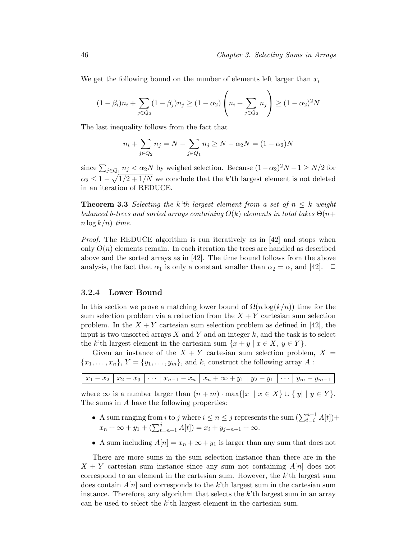We get the following bound on the number of elements left larger than  $x_i$ 

$$
(1 - \beta_i)n_i + \sum_{j \in Q_2} (1 - \beta_j)n_j \ge (1 - \alpha_2) \left( n_i + \sum_{j \in Q_2} n_j \right) \ge (1 - \alpha_2)^2 N
$$

The last inequality follows from the fact that

$$
n_i + \sum_{j \in Q_2} n_j = N - \sum_{j \in Q_1} n_j \ge N - \alpha_2 N = (1 - \alpha_2)N
$$

since  $\sum_{j \in Q_1} n_j < \alpha_2 N$  by weighed selection. Because  $(1 - \alpha_2)^2 N - 1 \ge N/2$  for  $\alpha_2 \leq 1 - \sqrt{1/2 + 1/N}$  we conclude that the k'th largest element is not deleted in an iteration of REDUCE.

**Theorem 3.3** Selecting the k'th largest element from a set of  $n \leq k$  weight balanced b-trees and sorted arrays containing  $O(k)$  elements in total takes  $\Theta(n+1)$  $n \log k/n$  time.

Proof. The REDUCE algorithm is run iteratively as in [42] and stops when only  $O(n)$  elements remain. In each iteration the trees are handled as described above and the sorted arrays as in [42]. The time bound follows from the above analysis, the fact that  $\alpha_1$  is only a constant smaller than  $\alpha_2 = \alpha$ , and [42].  $\Box$ 

#### <span id="page-57-0"></span>3.2.4 Lower Bound

In this section we prove a matching lower bound of  $\Omega(n \log(k/n))$  time for the sum selection problem via a reduction from the  $X + Y$  cartesian sum selection problem. In the  $X + Y$  cartesian sum selection problem as defined in [42], the input is two unsorted arrays  $X$  and  $Y$  and an integer  $k$ , and the task is to select the k'th largest element in the cartesian sum  $\{x + y \mid x \in X, y \in Y\}.$ 

Given an instance of the  $X + Y$  cartesian sum selection problem,  $X =$  ${x_1, \ldots, x_n}$ ,  $Y = {y_1, \ldots, y_m}$ , and k, construct the following array A:

|  |  | $ x_1-x_2   x_2-x_3  \cdots  x_{n-1}-x_n  x_n+\infty+y_1  y_2-y_1  \cdots  y_m-y_{m-1} $ |  |  |
|--|--|------------------------------------------------------------------------------------------|--|--|
|  |  |                                                                                          |  |  |

where  $\infty$  is a number larger than  $(n+m) \cdot \max\{|x| \mid x \in X\} \cup \{|y| \mid y \in Y\}.$ The sums in A have the following properties:

- A sum ranging from *i* to *j* where  $i \leq n \leq j$  represents the sum  $\left(\sum_{t=i}^{n-1} A[t]\right)$ +  $x_n + \infty + y_1 + (\sum_{t=n+1}^j A[t]) = x_i + y_{j-n+1} + \infty.$
- A sum including  $A[n] = x_n + \infty + y_1$  is larger than any sum that does not

There are more sums in the sum selection instance than there are in the  $X + Y$  cartesian sum instance since any sum not containing  $A[n]$  does not correspond to an element in the cartesian sum. However, the k'th largest sum does contain  $A[n]$  and corresponds to the k'th largest sum in the cartesian sum instance. Therefore, any algorithm that selects the k'th largest sum in an array can be used to select the k'th largest element in the cartesian sum.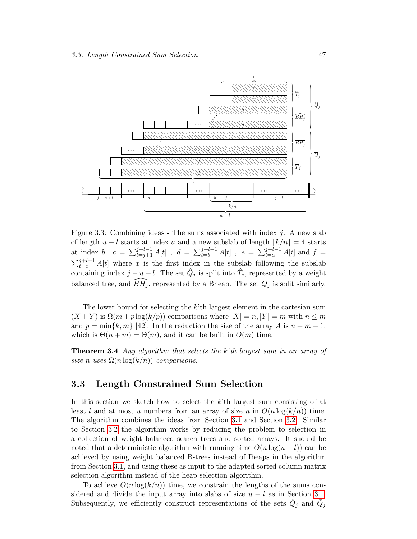

<span id="page-58-1"></span>Figure 3.3: Combining ideas - The sums associated with index  $i$ . A new slab of length  $u - l$  starts at index a and a new subslab of length  $\lceil k/n \rceil = 4$  starts at index b.  $c = \sum_{t=j+1}^{j+l-1} A[t]$ ,  $d = \sum_{t=b}^{j+l-1} A[t]$ ,  $e = \sum_{t=a}^{j+l-1} A[t]$  and  $f =$  $\sum_{t=x}^{j+l-1} A[t]$  where x is the first index in the subslabular following the subslab containing index  $j - u + l$ . The set  $\hat{Q}_j$  is split into  $\hat{T}_j$ , represented by a weight balanced tree, and  $\widehat{BH_j}$ , represented by a Bheap. The set  $\bar{Q}_j$  is split similarly.

The lower bound for selecting the k'th largest element in the cartesian sum  $(X + Y)$  is  $\Omega(m + p \log(k/p))$  comparisons where  $|X| = n, |Y| = m$  with  $n \leq m$ and  $p = \min\{k, m\}$  [42]. In the reduction the size of the array A is  $n + m - 1$ , which is  $\Theta(n+m) = \Theta(m)$ , and it can be built in  $O(m)$  time.

**Theorem 3.4** Any algorithm that selects the k'th largest sum in an array of size n uses  $\Omega(n \log(k/n))$  comparisons.

## <span id="page-58-0"></span>3.3 Length Constrained Sum Selection

In this section we sketch how to select the  $k<sup>th</sup>$  largest sum consisting of at least l and at most u numbers from an array of size n in  $O(n \log(k/n))$  time. The algorithm combines the ideas from Section [3.1](#page-47-0) and Section [3.2.](#page-50-0) Similar to Section [3.2](#page-50-0) the algorithm works by reducing the problem to selection in a collection of weight balanced search trees and sorted arrays. It should be noted that a deterministic algorithm with running time  $O(n \log(u - l))$  can be achieved by using weight balanced B-trees instead of Iheaps in the algorithm from Section [3.1,](#page-47-0) and using these as input to the adapted sorted column matrix selection algorithm instead of the heap selection algorithm.

To achieve  $O(n \log(k/n))$  time, we constrain the lengths of the sums considered and divide the input array into slabs of size  $u - l$  as in Section [3.1.](#page-47-0) Subsequently, we efficiently construct representations of the sets  $\hat{Q}_j$  and  $\bar{Q}_j$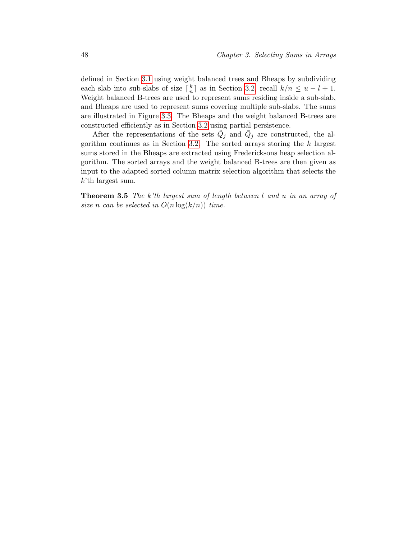defined in Section [3.1](#page-47-0) using weight balanced trees and Bheaps by subdividing each slab into sub-slabs of size  $\lceil \frac{k}{n} \rceil$  $\frac{k}{n}$  as in Section [3.2,](#page-50-0) recall  $k/n \le u - l + 1$ . Weight balanced B-trees are used to represent sums residing inside a sub-slab, and Bheaps are used to represent sums covering multiple sub-slabs. The sums are illustrated in Figure [3.3.](#page-58-1) The Bheaps and the weight balanced B-trees are constructed efficiently as in Section [3.2](#page-50-0) using partial persistence.

After the representations of the sets  $\hat{Q}_j$  and  $\bar{Q}_j$  are constructed, the al-gorithm continues as in Section [3.2.](#page-50-0) The sorted arrays storing the  $k$  largest sums stored in the Bheaps are extracted using Fredericksons heap selection algorithm. The sorted arrays and the weight balanced B-trees are then given as input to the adapted sorted column matrix selection algorithm that selects the  $k$ <sup>th</sup> largest sum.

**Theorem 3.5** The k'th largest sum of length between l and u in an array of size n can be selected in  $O(n \log(k/n))$  time.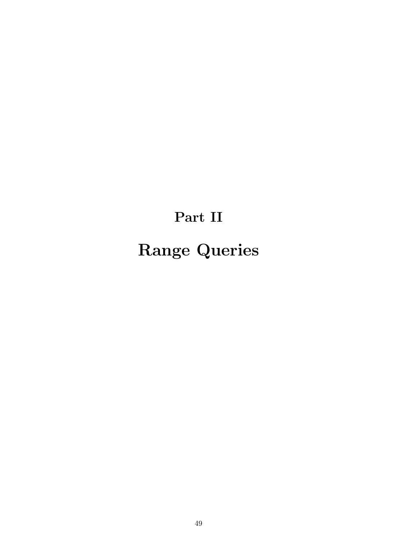Part II Range Queries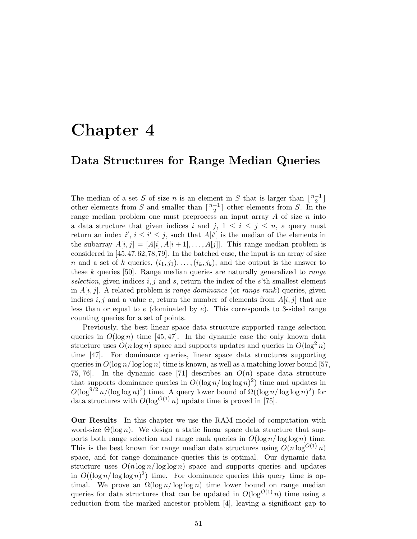# Chapter 4

# Data Structures for Range Median Queries

The median of a set S of size n is an element in S that is larger than  $\lfloor \frac{n-1}{2} \rfloor$ other elements from S and smaller than  $\lceil \frac{n-1}{2} \rceil$  other elements from S. In the range median problem one must preprocess an input array  $A$  of size  $n$  into a data structure that given indices i and j,  $1 \leq i \leq j \leq n$ , a query must return an index  $i', i \leq i' \leq j$ , such that  $A[i']$  is the median of the elements in the subarray  $A[i, j] = [A[i], A[i+1], \ldots, A[j]]$ . This range median problem is considered in [45,47,62,78,79]. In the batched case, the input is an array of size n and a set of k queries,  $(i_1, j_1), \ldots, (i_k, j_k)$ , and the output is the answer to these k queries [50]. Range median queries are naturally generalized to range selection, given indices i, j and s, return the index of the s'th smallest element in  $A[i, j]$ . A related problem is *range dominance* (or *range rank*) queries, given indices i, j and a value e, return the number of elements from  $A[i, j]$  that are less than or equal to  $e$  (dominated by  $e$ ). This corresponds to 3-sided range counting queries for a set of points.

Previously, the best linear space data structure supported range selection queries in  $O(\log n)$  time [45, 47]. In the dynamic case the only known data structure uses  $O(n \log n)$  space and supports updates and queries in  $O(\log^2 n)$ time [47]. For dominance queries, linear space data structures supporting queries in  $O(\log n / \log \log n)$  time is known, as well as a matching lower bound [57, 75, 76]. In the dynamic case [71] describes an  $O(n)$  space data structure that supports dominance queries in  $O((\log n/\log \log n)^2)$  time and updates in  $O(\log^{9/2} n/(\log \log n)^2)$  time. A query lower bound of  $\Omega((\log n/\log \log n)^2)$  for data structures with  $O(\log^{O(1)} n)$  update time is proved in [75].

Our Results In this chapter we use the RAM model of computation with word-size  $\Theta(\log n)$ . We design a static linear space data structure that supports both range selection and range rank queries in  $O(\log n / \log \log n)$  time. This is the best known for range median data structures using  $O(n \log^{O(1)} n)$ space, and for range dominance queries this is optimal. Our dynamic data structure uses  $O(n \log n / \log \log n)$  space and supports queries and updates in  $O((\log n/\log \log n)^2)$  time. For dominance queries this query time is optimal. We prove an  $\Omega(\log n / \log \log n)$  time lower bound on range median queries for data structures that can be updated in  $O(\log^{O(1)} n)$  time using a reduction from the marked ancestor problem [4], leaving a significant gap to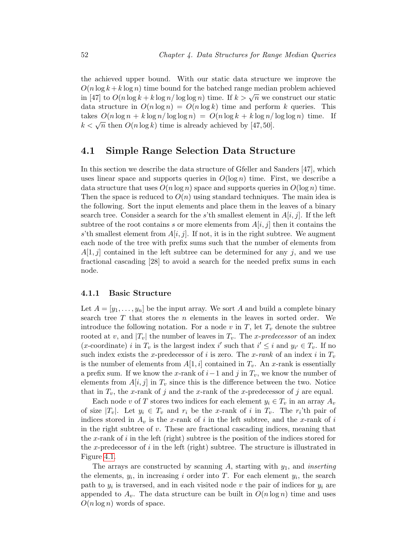the achieved upper bound. With our static data structure we improve the  $O(n \log k + k \log n)$  time bound for the batched range median problem achieved  $O(n \log k + k \log n)$  time bound for the battled range median problem atmeved<br>in [47] to  $O(n \log k + k \log n / \log \log n)$  time. If  $k > \sqrt{n}$  we construct our static data structure in  $O(n \log n) = O(n \log k)$  time and perform k queries. This takes  $O(n \log n + k \log n / \log \log n) = O(n \log k + k \log n / \log \log n)$  time. If takes  $O(h \log h + k \log h / \log \log h) = O(h \log k + k \log h)$ <br> $k < \sqrt{n}$  then  $O(n \log k)$  time is already achieved by [47,50].

## <span id="page-63-0"></span>4.1 Simple Range Selection Data Structure

In this section we describe the data structure of Gfeller and Sanders [47], which uses linear space and supports queries in  $O(\log n)$  time. First, we describe a data structure that uses  $O(n \log n)$  space and supports queries in  $O(\log n)$  time. Then the space is reduced to  $O(n)$  using standard techniques. The main idea is the following. Sort the input elements and place them in the leaves of a binary search tree. Consider a search for the s'th smallest element in  $A[i, j]$ . If the left subtree of the root contains s or more elements from  $A[i, j]$  then it contains the s'th smallest element from  $A[i, j]$ . If not, it is in the right subtree. We augment each node of the tree with prefix sums such that the number of elements from  $A[1, j]$  contained in the left subtree can be determined for any j, and we use fractional cascading [28] to avoid a search for the needed prefix sums in each node.

#### 4.1.1 Basic Structure

Let  $A = [y_1, \ldots, y_n]$  be the input array. We sort A and build a complete binary search tree  $T$  that stores the  $n$  elements in the leaves in sorted order. We introduce the following notation. For a node v in  $T$ , let  $T_v$  denote the subtree rooted at v, and  $|T_v|$  the number of leaves in  $T_v$ . The x-predecessor of an index (*x*-coordinate) *i* in  $T_v$  is the largest index *i'* such that  $i' \leq i$  and  $y_{i'} \in T_v$ . If no such index exists the x-predecessor of i is zero. The x-rank of an index i in  $T_v$ is the number of elements from  $A[1, i]$  contained in  $T_v$ . An x-rank is essentially a prefix sum. If we know the x-rank of  $i-1$  and j in  $T_v$ , we know the number of elements from  $A[i, j]$  in  $T_v$  since this is the difference between the two. Notice that in  $T_v$ , the x-rank of j and the x-rank of the x-predecessor of j are equal.

Each node v of T stores two indices for each element  $y_i \in T_v$  in an array  $A_v$ of size  $|T_v|$ . Let  $y_i \in T_v$  and  $r_i$  be the x-rank of i in  $T_v$ . The  $r_i$ 'th pair of indices stored in  $A_v$  is the x-rank of i in the left subtree, and the x-rank of i in the right subtree of v. These are fractional cascading indices, meaning that the x-rank of  $i$  in the left (right) subtree is the position of the indices stored for the x-predecessor of i in the left (right) subtree. The structure is illustrated in Figure [4.1.](#page-64-0)

The arrays are constructed by scanning  $A$ , starting with  $y_1$ , and *inserting* the elements,  $y_i$ , in increasing i order into T. For each element  $y_i$ , the search path to  $y_i$  is traversed, and in each visited node v the pair of indices for  $y_i$  are appended to  $A_v$ . The data structure can be built in  $O(n \log n)$  time and uses  $O(n \log n)$  words of space.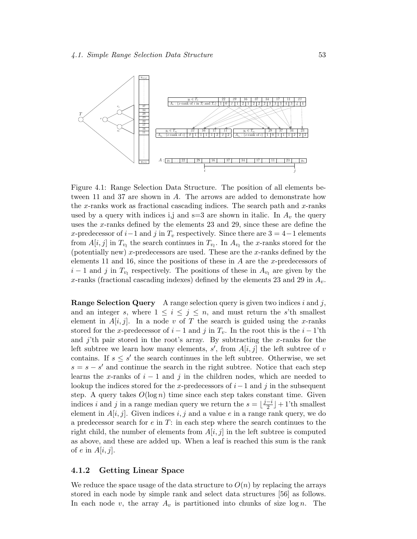

<span id="page-64-0"></span>Figure 4.1: Range Selection Data Structure. The position of all elements between 11 and 37 are shown in A. The arrows are added to demonstrate how the x-ranks work as fractional cascading indices. The search path and  $x$ -ranks used by a query with indices i,j and  $s=3$  are shown in italic. In  $A_v$  the query uses the x-ranks defined by the elements 23 and 29, since these are define the x-predecessor of  $i-1$  and j in  $T_v$  respectively. Since there are  $3 = 4-1$  elements from  $A[i, j]$  in  $T_{v_l}$  the search continues in  $T_{v_l}$ . In  $A_{v_l}$  the x-ranks stored for the (potentially new) x-predecessors are used. These are the x-ranks defined by the elements 11 and 16, since the positions of these in  $A$  are the x-predecessors of  $i-1$  and j in  $T_{v_l}$  respectively. The positions of these in  $A_{v_l}$  are given by the x-ranks (fractional cascading indexes) defined by the elements 23 and 29 in  $A_v$ .

**Range Selection Query** A range selection query is given two indices i and j, and an integer s, where  $1 \leq i \leq j \leq n$ , and must return the s'th smallest element in  $A[i, j]$ . In a node v of T the search is guided using the x-ranks stored for the x-predecessor of  $i-1$  and j in  $T_v$ . In the root this is the  $i-1$ 'th and j'th pair stored in the root's array. By subtracting the x-ranks for the left subtree we learn how many elements,  $s'$ , from  $A[i, j]$  the left subtree of v contains. If  $s \leq s'$  the search continues in the left subtree. Otherwise, we set  $s = s - s'$  and continue the search in the right subtree. Notice that each step learns the x-ranks of  $i-1$  and j in the children nodes, which are needed to lookup the indices stored for the x-predecessors of  $i-1$  and j in the subsequent step. A query takes  $O(\log n)$  time since each step takes constant time. Given indices i and j in a range median query we return the  $s = \lfloor \frac{j-i}{2} \rfloor$  $\frac{-i}{2}$  + 1'th smallest element in  $A[i, j]$ . Given indices  $i, j$  and a value e in a range rank query, we do a predecessor search for  $e$  in  $T$ : in each step where the search continues to the right child, the number of elements from  $A[i, j]$  in the left subtree is computed as above, and these are added up. When a leaf is reached this sum is the rank of e in  $A[i, j]$ .

#### <span id="page-64-1"></span>4.1.2 Getting Linear Space

We reduce the space usage of the data structure to  $O(n)$  by replacing the arrays stored in each node by simple rank and select data structures [56] as follows. In each node v, the array  $A_v$  is partitioned into chunks of size  $\log n$ . The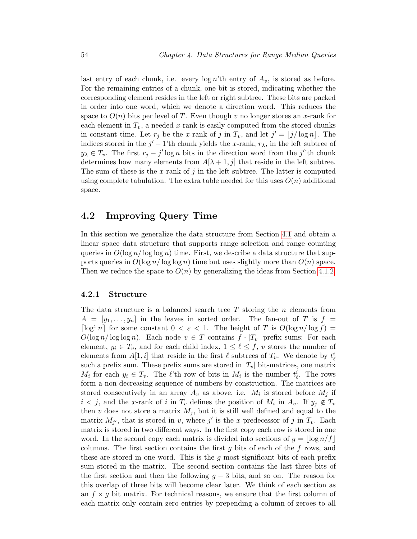last entry of each chunk, i.e. every  $\log n$ 'th entry of  $A_v$ , is stored as before. For the remaining entries of a chunk, one bit is stored, indicating whether the corresponding element resides in the left or right subtree. These bits are packed in order into one word, which we denote a direction word. This reduces the space to  $O(n)$  bits per level of T. Even though v no longer stores an x-rank for each element in  $T_v$ , a needed x-rank is easily computed from the stored chunks in constant time. Let  $r_j$  be the x-rank of j in  $T_v$ , and let  $j' = \lfloor j / \log n \rfloor$ . The indices stored in the  $j'-1$ 'th chunk yields the x-rank,  $r_{\lambda}$ , in the left subtree of  $y_{\lambda} \in T_v$ . The first  $r_j - j' \log n$  bits in the direction word from the j''th chunk determines how many elements from  $A[\lambda + 1, j]$  that reside in the left subtree. The sum of these is the x-rank of  $j$  in the left subtree. The latter is computed using complete tabulation. The extra table needed for this uses  $O(n)$  additional space.

## 4.2 Improving Query Time

In this section we generalize the data structure from Section [4.1](#page-63-0) and obtain a linear space data structure that supports range selection and range counting queries in  $O(\log n/\log \log n)$  time. First, we describe a data structure that supports queries in  $O(\log n/\log \log n)$  time but uses slightly more than  $O(n)$  space. Then we reduce the space to  $O(n)$  by generalizing the ideas from Section [4.1.2.](#page-64-1)

#### 4.2.1 Structure

The data structure is a balanced search tree  $T$  storing the  $n$  elements from  $A = [y_1, \ldots, y_n]$  in the leaves in sorted order. The fan-out of T is  $f =$  $\lceil \log^{\epsilon} n \rceil$  for some constant  $0 < \epsilon < 1$ . The height of T is  $O(\log n / \log f) =$  $O(\log n/\log \log n)$ . Each node  $v \in T$  contains  $f \cdot |T_v|$  prefix sums: For each element,  $y_i \in T_v$ , and for each child index,  $1 \leq \ell \leq f$ , v stores the number of elements from  $A[1, i]$  that reside in the first  $\ell$  subtrees of  $T_v$ . We denote by  $t^i_{\ell}$ such a prefix sum. These prefix sums are stored in  $|T_v|$  bit-matrices, one matrix  $M_i$  for each  $y_i \in T_v$ . The  $\ell$ 'th row of bits in  $M_i$  is the number  $t_{\ell}^i$ . The rows form a non-decreasing sequence of numbers by construction. The matrices are stored consecutively in an array  $A_v$  as above, i.e.  $M_i$  is stored before  $M_j$  if  $i < j$ , and the x-rank of i in  $T_v$  defines the position of  $M_i$  in  $A_v$ . If  $y_j \notin T_v$ then v does not store a matrix  $M_j$ , but it is still well defined and equal to the matrix  $M_{j'}$ , that is stored in v, where j' is the x-predecessor of j in  $T_v$ . Each matrix is stored in two different ways. In the first copy each row is stored in one word. In the second copy each matrix is divided into sections of  $q = \lfloor \log n/f \rfloor$ columns. The first section contains the first  $g$  bits of each of the  $f$  rows, and these are stored in one word. This is the  $q$  most significant bits of each prefix sum stored in the matrix. The second section contains the last three bits of the first section and then the following  $q - 3$  bits, and so on. The reason for this overlap of three bits will become clear later. We think of each section as an  $f \times g$  bit matrix. For technical reasons, we ensure that the first column of each matrix only contain zero entries by prepending a column of zeroes to all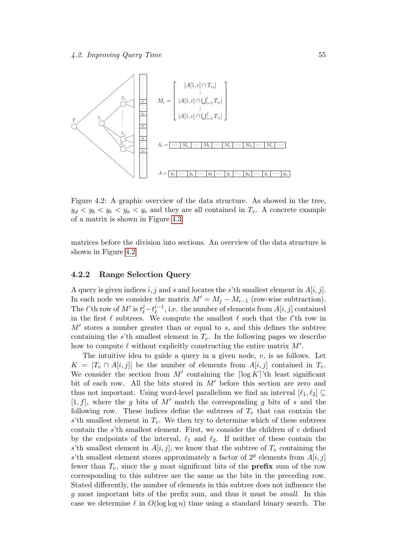

<span id="page-66-0"></span>Figure 4.2: A graphic overview of the data structure. As showed in the tree,  $y_d < y_b < y_e < y_a < y_c$  and they are all contained in  $T_v$ . A concrete example of a matrix is shown in Figure [4.3.](#page-68-0)

matrices before the division into sections. An overview of the data structure is shown in Figure [4.2.](#page-66-0)

#### 4.2.2 Range Selection Query

A query is given indices i, j and s and locates the s'th smallest element in  $A[i, j]$ . In each node we consider the matrix  $M' = M_j - M_{i-1}$  (row-wise subtraction). The  $\ell$ 'th row of  $M'$  is  $t_{\ell}^{j} - t_{\ell}^{i-1}$  $\ell^{i-1}$ , i.e. the number of elements from  $A[i, j]$  contained in the first  $\ell$  subtrees. We compute the smallest  $\ell$  such that the  $\ell$ 'th row in  $M'$  stores a number greater than or equal to s, and this defines the subtree containing the s'th smallest element in  $T_v$ . In the following pages we describe how to compute  $\ell$  without explicitly constructing the entire matrix  $M'$ .

The intuitive idea to guide a query in a given node,  $v$ , is as follows. Let  $K = |T_v \cap A[i, j]|$  be the number of elements from  $A[i, j]$  contained in  $T_v$ . We consider the section from  $M'$  containing the  $\lceil \log K \rceil$ 'th least significant bit of each row. All the bits stored in  $M'$  before this section are zero and thus not important. Using word-level parallelism we find an interval  $[\ell_1, \ell_2] \subseteq$  $[1, f]$ , where the g bits of M' match the corresponding g bits of s and the following row. These indices define the subtrees of  $T_v$  that can contain the s'th smallest element in  $T_v$ . We then try to determine which of these subtrees contain the  $s$ 'th smallest element. First, we consider the children of  $v$  defined by the endpoints of the interval,  $\ell_1$  and  $\ell_2$ . If neither of these contain the s'th smallest element in  $A[i, j]$ , we know that the subtree of  $T_v$  containing the s'th smallest element stores approximately a factor of  $2<sup>g</sup>$  elements from  $A[i, j]$ fewer than  $T_v$ , since the g most significant bits of the **prefix** sum of the row corresponding to this subtree are the same as the bits in the preceding row. Stated differently, the number of elements in this subtree does not influence the g most important bits of the prefix sum, and thus it must be small. In this case we determine  $\ell$  in  $O(\log \log n)$  time using a standard binary search. The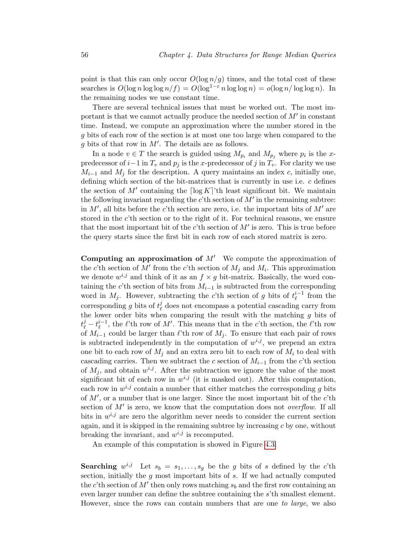point is that this can only occur  $O(\log n/g)$  times, and the total cost of these searches is  $O(\log n \log \log n/f) = O(\log^{1-\epsilon} n \log \log n) = o(\log n/\log \log n)$ . In the remaining nodes we use constant time.

There are several technical issues that must be worked out. The most important is that we cannot actually produce the needed section of  $M'$  in constant time. Instead, we compute an approximation where the number stored in the g bits of each row of the section is at most one too large when compared to the  $g$  bits of that row in  $M'$ . The details are as follows.

In a node  $v \in T$  the search is guided using  $M_{p_i}$  and  $M_{p_j}$  where  $p_i$  is the xpredecessor of  $i-1$  in  $T_v$  and  $p_j$  is the x-predecessor of j in  $T_v$ . For clarity we use  $M_{i-1}$  and  $M_i$  for the description. A query maintains an index c, initially one, defining which section of the bit-matrices that is currently in use i.e.  $c$  defines the section of  $M'$  containing the  $\lceil \log K \rceil$ 'th least significant bit. We maintain the following invariant regarding the  $c$ 'th section of  $M'$  in the remaining subtree: in  $M'$ , all bits before the c'th section are zero, i.e. the important bits of  $M'$  are stored in the  $c<sup>i</sup>$ th section or to the right of it. For technical reasons, we ensure that the most important bit of the  $c'$ th section of  $M'$  is zero. This is true before the query starts since the first bit in each row of each stored matrix is zero.

**Computing an approximation of**  $M'$  We compute the approximation of the c'th section of M' from the c'th section of  $M_j$  and  $M_i$ . This approximation we denote  $w^{i,j}$  and think of it as an  $f \times g$  bit-matrix. Basically, the word containing the c'th section of bits from  $M_{i-1}$  is subtracted from the corresponding word in  $M_j$ . However, subtracting the c'th section of g bits of  $t_{\ell}^{i-1}$  $\int_{\ell}^{i-1}$  from the corresponding g bits of  $t_{\ell}^{j}$  $\ell$  does not encompass a potential cascading carry from the lower order bits when comparing the result with the matching  $q$  bits of  $t^j_\ell-t^{i-1}_\ell$  $\ell^{i-1}_{\ell}$ , the  $\ell$ 'th row of M'. This means that in the c'th section, the  $\ell$ 'th row of  $M_{i-1}$  could be larger than  $\ell$ 'th row of  $M_i$ . To ensure that each pair of rows is subtracted independently in the computation of  $w^{i,j}$ , we prepend an extra one bit to each row of  $M_i$  and an extra zero bit to each row of  $M_i$  to deal with cascading carries. Then we subtract the c section of  $M_{i-1}$  from the c'th section of  $M_j$ , and obtain  $w^{i,j}$ . After the subtraction we ignore the value of the most significant bit of each row in  $w^{i,j}$  (it is masked out). After this computation, each row in  $w^{i,j}$  contain a number that either matches the corresponding g bits of  $M'$ , or a number that is one larger. Since the most important bit of the  $c$ 'th section of  $M'$  is zero, we know that the computation does not *overflow*. If all bits in  $w^{i,j}$  are zero the algorithm never needs to consider the current section again, and it is skipped in the remaining subtree by increasing c by one, without breaking the invariant, and  $w^{i,j}$  is recomputed.

An example of this computation is showed in Figure [4.3.](#page-68-0)

**Searching**  $w^{i,j}$  Let  $s_b = s_1, \ldots, s_g$  be the g bits of s defined by the c'th section, initially the  $g$  most important bits of  $s$ . If we had actually computed the c'th section of  $M'$  then only rows matching  $s_b$  and the first row containing an even larger number can define the subtree containing the s'th smallest element. However, since the rows can contain numbers that are one to large, we also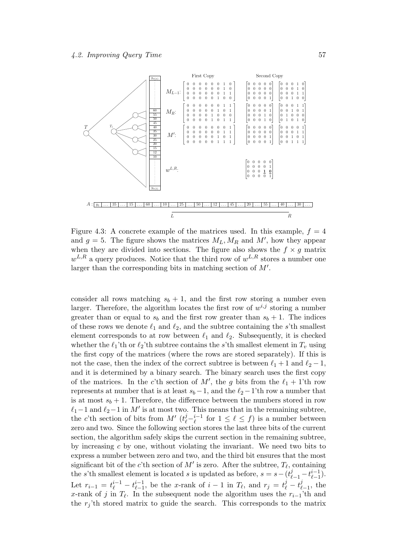

<span id="page-68-0"></span>Figure 4.3: A concrete example of the matrices used. In this example,  $f = 4$ and  $g = 5$ . The figure shows the matrices  $M_L, M_R$  and  $M'$ , how they appear when they are divided into sections. The figure also shows the  $f \times g$  matrix  $w^{L,R}$  a query produces. Notice that the third row of  $w^{L,R}$  stores a number one larger than the corresponding bits in matching section of  $M'$ .

consider all rows matching  $s_b + 1$ , and the first row storing a number even larger. Therefore, the algorithm locates the first row of  $w^{i,j}$  storing a number greater than or equal to  $s_b$  and the first row greater than  $s_b + 1$ . The indices of these rows we denote  $\ell_1$  and  $\ell_2$ , and the subtree containing the s'th smallest element corresponds to at row between  $\ell_1$  and  $\ell_2$ . Subsequently, it is checked whether the  $\ell_1$ 'th or  $\ell_2$ 'th subtree contains the s'th smallest element in  $T_v$  using the first copy of the matrices (where the rows are stored separately). If this is not the case, then the index of the correct subtree is between  $\ell_1 + 1$  and  $\ell_2 - 1$ , and it is determined by a binary search. The binary search uses the first copy of the matrices. In the c'th section of M', the g bits from the  $\ell_1 + 1$ 'th row represents at number that is at least  $s_b - 1$ , and the  $\ell_2 - 1'$ th row a number that is at most  $s_b + 1$ . Therefore, the difference between the numbers stored in row  $\ell_1-1$  and  $\ell_2-1$  in M' is at most two. This means that in the remaining subtree, the c'th section of bits from  $M'$   $(t^j_{\ell} - \frac{i-1}{\ell})$  $\ell^{i-1}$  for  $1 \leq \ell \leq f$ ) is a number between zero and two. Since the following section stores the last three bits of the current section, the algorithm safely skips the current section in the remaining subtree, by increasing  $c$  by one, without violating the invariant. We need two bits to express a number between zero and two, and the third bit ensures that the most significant bit of the c'th section of  $M'$  is zero. After the subtree,  $T_{\ell}$ , containing the s'th smallest element is located s is updated as before,  $s = s - (t_{\ell-1}^j - t_{\ell-1}^{i-1})$  $_{\ell-1}^{i-1}).$ Let  $r_{i-1} = t_{\ell}^{i-1} - t_{\ell-1}^{i-1}$  $\ell_{\ell-1}^{i-1}$ , be the x-rank of  $i-1$  in  $T_{\ell}$ , and  $r_j = t_{\ell}^j - t_{\ell}^j$  $^j_{\ell-1}$ , the x-rank of j in  $T_{\ell}$ . In the subsequent node the algorithm uses the  $r_{i-1}$ 'th and the  $r_j$ 'th stored matrix to guide the search. This corresponds to the matrix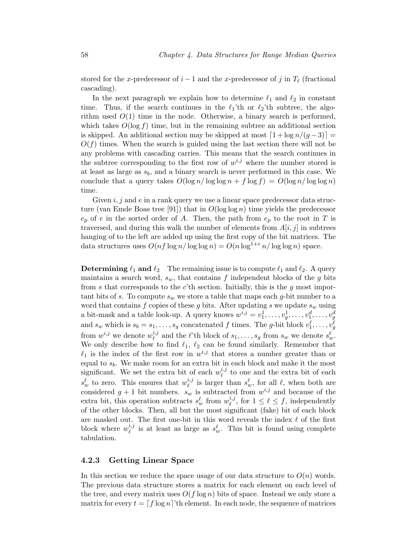stored for the x-predecessor of  $i - 1$  and the x-predecessor of j in  $T_\ell$  (fractional cascading).

In the next paragraph we explain how to determine  $\ell_1$  and  $\ell_2$  in constant time. Thus, if the search continues in the  $\ell_1$ 'th or  $\ell_2$ 'th subtree, the algorithm used  $O(1)$  time in the node. Otherwise, a binary search is performed, which takes  $O(\log f)$  time, but in the remaining subtree an additional section is skipped. An additional section may be skipped at most  $\lceil 1 + \log n/(g - 3) \rceil$  =  $O(f)$  times. When the search is guided using the last section there will not be any problems with cascading carries. This means that the search continues in the subtree corresponding to the first row of  $w^{i,j}$  where the number stored is at least as large as  $s_b$ , and a binary search is never performed in this case. We conclude that a query takes  $O(\log n / \log \log n + f \log f) = O(\log n / \log \log n)$ time.

Given  $i, j$  and e in a rank query we use a linear space predecessor data structure (van Emde Boas tree [91]) that in  $O(\log \log n)$  time yields the predecessor  $e_p$  of e in the sorted order of A. Then, the path from  $e_p$  to the root in T is traversed, and during this walk the number of elements from  $A[i, j]$  in subtrees hanging of to the left are added up using the first copy of the bit matrices. The data structures uses  $O(n f \log n / \log \log n) = O(n \log^{1+\epsilon} n / \log \log n)$  space.

**Determining**  $\ell_1$  and  $\ell_2$  The remaining issue is to compute  $\ell_1$  and  $\ell_2$ . A query maintains a search word,  $s_w$ , that contains f independent blocks of the g bits from s that corresponds to the c'th section. Initially, this is the g most important bits of s. To compute  $s_w$  we store a table that maps each g-bit number to a word that contains f copies of these g bits. After updating s we update  $s_w$  using a bit-mask and a table look-up. A query knows  $w^{i,j} = v_1^1, \ldots, v_g^1, \ldots, v_1^d, \ldots, v_g^d$ and  $s_w$  which is  $s_b = s_1, \ldots, s_g$  concatenated f times. The g-bit block  $v_1^{\ell}, \ldots, v_g^{\ell}$ from  $w^{i,j}$  we denote  $w^{i,j}_{\ell}$  $e^{i,j}$  and the  $\ell$ 'th block of  $s_1, \ldots, s_g$  from  $s_w$  we denote  $s_w^{\ell}$ . We only describe how to find  $\ell_1$ ,  $\ell_2$  can be found similarly. Remember that  $\ell_1$  is the index of the first row in  $w^{i,j}$  that stores a number greater than or equal to  $s_b$ . We make room for an extra bit in each block and make it the most significant. We set the extra bit of each  $w_{\ell}^{i,j}$  $\ell$ <sup>t,j</sup> to one and the extra bit of each  $s_w^{\ell}$  to zero. This ensures that  $w_{\ell}^{i,j}$  $\ell$ <sup>i,j</sup> is larger than  $s_w^{\ell}$ , for all  $\ell$ , when both are considered  $g + 1$  bit numbers.  $s_w$  is subtracted from  $w^{i,j}$  and because of the extra bit, this operation subtracts  $s_w^{\ell}$  from  $w_{\ell}^{i,j}$  $\ell^{i,j}_{\ell}$ , for  $1 \leq \ell \leq f$ , independently of the other blocks. Then, all but the most significant (fake) bit of each block are masked out. The first one-bit in this word reveals the index  $\ell$  of the first block where  $w_{\ell}^{i,j}$  $\ell^{i,j}$  is at least as large as  $s_w^{\ell}$ . This bit is found using complete tabulation.

#### 4.2.3 Getting Linear Space

In this section we reduce the space usage of our data structure to  $O(n)$  words. The previous data structure stores a matrix for each element on each level of the tree, and every matrix uses  $O(f \log n)$  bits of space. Instead we only store a matrix for every  $t = \int f \log n$ 'th element. In each node, the sequence of matrices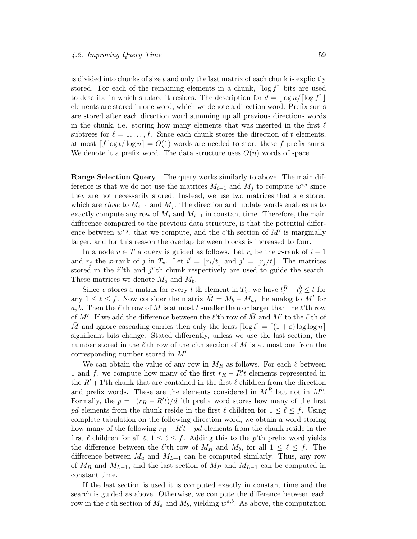is divided into chunks of size  $t$  and only the last matrix of each chunk is explicitly stored. For each of the remaining elements in a chunk,  $\lceil \log f \rceil$  bits are used to describe in which subtree it resides. The description for  $d = \lfloor \log n / \lceil \log f \rceil \rfloor$ elements are stored in one word, which we denote a direction word. Prefix sums are stored after each direction word summing up all previous directions words in the chunk, i.e. storing how many elements that was inserted in the first  $\ell$ subtrees for  $\ell = 1, \ldots, f$ . Since each chunk stores the direction of t elements, at most  $\lceil f \log t / \log n \rceil = O(1)$  words are needed to store these f prefix sums. We denote it a prefix word. The data structure uses  $O(n)$  words of space.

Range Selection Query The query works similarly to above. The main difference is that we do not use the matrices  $M_{i-1}$  and  $M_j$  to compute  $w^{i,j}$  since they are not necessarily stored. Instead, we use two matrices that are stored which are *close* to  $M_{i-1}$  and  $M_i$ . The direction and update words enables us to exactly compute any row of  $M_i$  and  $M_{i-1}$  in constant time. Therefore, the main difference compared to the previous data structure, is that the potential difference between  $w^{i,j}$ , that we compute, and the c'th section of M' is marginally larger, and for this reason the overlap between blocks is increased to four.

In a node  $v \in T$  a query is guided as follows. Let  $r_i$  be the x-rank of  $i-1$ and  $r_j$  the x-rank of j in  $T_v$ . Let  $i' = \lfloor r_i/t \rfloor$  and  $j' = \lfloor r_j/t \rfloor$ . The matrices stored in the  $i'$ <sup>th</sup> and  $j'$ <sup>th</sup> chunk respectively are used to guide the search. These matrices we denote  $M_a$  and  $M_b$ .

Since v stores a matrix for every t'th element in  $T_v$ , we have  $t_{\ell}^R - t_{\ell}^b \leq t$  for any  $1 \leq \ell \leq f$ . Now consider the matrix  $\overline{M} = M_b - M_a$ , the analog to M' for a, b. Then the  $\ell$ 'th row of  $\overline{M}$  is at most t smaller than or larger than the  $\ell$ 'th row of  $M'$ . If we add the difference between the  $\ell$ 'th row of  $\overline{M}$  and  $M'$  to the  $\ell$ 'th of M and ignore cascading carries then only the least  $\lceil \log t \rceil = \lceil (1 + \varepsilon) \log \log n \rceil$ significant bits change. Stated differently, unless we use the last section, the number stored in the  $\ell$ 'th row of the c'th section of M is at most one from the corresponding number stored in  $M'$ .

We can obtain the value of any row in  $M_R$  as follows. For each  $\ell$  between 1 and f, we compute how many of the first  $r_R - R't$  elements represented in the  $R' + 1$ 'th chunk that are contained in the first  $\ell$  children from the direction and prefix words. These are the elements considered in  $M<sup>R</sup>$  but not in  $M<sup>b</sup>$ . Formally, the  $p = \lfloor (r_R - R't)/d \rfloor$ 'th prefix word stores how many of the first pd elements from the chunk reside in the first  $\ell$  children for  $1 \leq \ell \leq f$ . Using complete tabulation on the following direction word, we obtain a word storing how many of the following  $r_R - R't - pd$  elements from the chunk reside in the first  $\ell$  children for all  $\ell, 1 \leq \ell \leq f$ . Adding this to the p'th prefix word yields the difference between the  $\ell$ 'th row of  $M_R$  and  $M_b$ , for all  $1 \leq \ell \leq f$ . The difference between  $M_a$  and  $M_{L-1}$  can be computed similarly. Thus, any row of  $M_R$  and  $M_{L-1}$ , and the last section of  $M_R$  and  $M_{L-1}$  can be computed in constant time.

If the last section is used it is computed exactly in constant time and the search is guided as above. Otherwise, we compute the difference between each row in the c'th section of  $M_a$  and  $M_b$ , yielding  $w^{a,b}$ . As above, the computation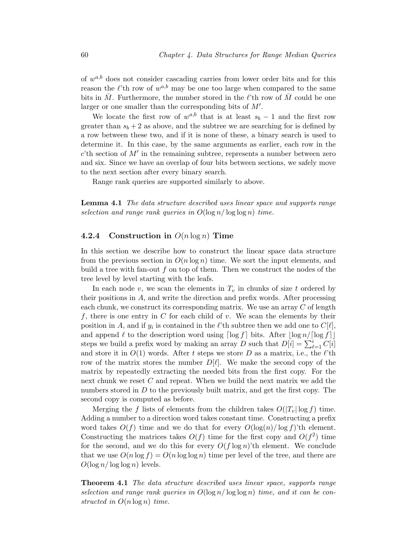of  $w^{a,b}$  does not consider cascading carries from lower order bits and for this reason the  $\ell$ 'th row of  $w^{a,b}$  may be one too large when compared to the same bits in  $\overline{M}$ . Furthermore, the number stored in the  $\ell$ 'th row of  $\overline{M}$  could be one larger or one smaller than the corresponding bits of  $M'$ .

We locate the first row of  $w^{a,b}$  that is at least  $s_b - 1$  and the first row greater than  $s_b + 2$  as above, and the subtree we are searching for is defined by a row between these two, and if it is none of these, a binary search is used to determine it. In this case, by the same arguments as earlier, each row in the  $c$ <sup>th</sup> section of  $M'$  in the remaining subtree, represents a number between zero and six. Since we have an overlap of four bits between sections, we safely move to the next section after every binary search.

Range rank queries are supported similarly to above.

Lemma 4.1 The data structure described uses linear space and supports range selection and range rank queries in  $O(\log n / \log \log n)$  time.

#### 4.2.4 Construction in  $O(n \log n)$  Time

In this section we describe how to construct the linear space data structure from the previous section in  $O(n \log n)$  time. We sort the input elements, and build a tree with fan-out  $f$  on top of them. Then we construct the nodes of the tree level by level starting with the leafs.

In each node v, we scan the elements in  $T_v$  in chunks of size t ordered by their positions in A, and write the direction and prefix words. After processing each chunk, we construct its corresponding matrix. We use an array C of length f, there is one entry in  $C$  for each child of  $v$ . We scan the elements by their position in A, and if  $y_i$  is contained in the  $\ell$ 'th subtree then we add one to  $C[\ell],$ and append  $\ell$  to the description word using  $\lceil \log f \rceil$  bits. After  $\lceil \log n / \lceil \log f \rceil \rceil$ steps we build a prefix word by making an array D such that  $D[i] = \sum_{\ell=1}^{i} C[i]$ and store it in  $O(1)$  words. After t steps we store D as a matrix, i.e., the  $\ell$ 'th row of the matrix stores the number  $D[\ell]$ . We make the second copy of the matrix by repeatedly extracting the needed bits from the first copy. For the next chunk we reset  $C$  and repeat. When we build the next matrix we add the numbers stored in  $D$  to the previously built matrix, and get the first copy. The second copy is computed as before.

Merging the f lists of elements from the children takes  $O(|T_v| \log f)$  time. Adding a number to a direction word takes constant time. Constructing a prefix word takes  $O(f)$  time and we do that for every  $O(\log(n)/\log f)$ 'th element. Constructing the matrices takes  $O(f)$  time for the first copy and  $O(f^2)$  time for the second, and we do this for every  $O(f \log n)$ 'th element. We conclude that we use  $O(n \log f) = O(n \log \log n)$  time per level of the tree, and there are  $O(\log n/\log\log n)$  levels.

**Theorem 4.1** The data structure described uses linear space, supports range selection and range rank queries in  $O(\log n / \log \log n)$  time, and it can be constructed in  $O(n \log n)$  time.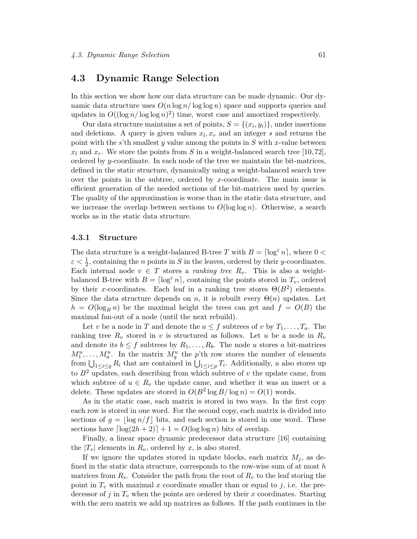### 4.3 Dynamic Range Selection

In this section we show how our data structure can be made dynamic. Our dynamic data structure uses  $O(n \log n / \log \log n)$  space and supports queries and updates in  $O((\log n/\log \log n)^2)$  time, worst case and amortized respectively.

Our data structure maintains a set of points,  $S = \{(x_i, y_i)\}\$ , under insertions and deletions. A query is given values  $x_l, x_r$  and an integer s and returns the point with the s'th smallest y value among the points in  $S$  with x-value between  $x_l$  and  $x_r$ . We store the points from S in a weight-balanced search tree [10,72], ordered by y-coordinate. In each node of the tree we maintain the bit-matrices, defined in the static structure, dynamically using a weight-balanced search tree over the points in the subtree, ordered by  $x$ -coordinate. The main issue is efficient generation of the needed sections of the bit-matrices used by queries. The quality of the approximation is worse than in the static data structure, and we increase the overlap between sections to  $O(\log \log n)$ . Otherwise, a search works as in the static data structure.

### 4.3.1 Structure

The data structure is a weight-balanced B-tree T with  $B = \lceil \log^{\epsilon} n \rceil$ , where  $0 <$  $\varepsilon < \frac{1}{2}$ , containing the *n* points in *S* in the leaves, ordered by their *y*-coordinates. Each internal node  $v \in T$  stores a *ranking tree*  $R_v$ . This is also a weightbalanced B-tree with  $B = \lceil \log^{\varepsilon} n \rceil$ , containing the points stored in  $T_v$ , ordered by their x-coordinates. Each leaf in a ranking tree stores  $\Theta(B^2)$  elements. Since the data structure depends on n, it is rebuilt every  $\Theta(n)$  updates. Let  $h = O(\log_B n)$  be the maximal height the trees can get and  $f = O(B)$  the maximal fan-out of a node (until the next rebuild).

Let v be a node in T and denote the  $a \leq f$  subtrees of v by  $T_1, \ldots, T_a$ . The ranking tree  $R_v$  stored in v is structured as follows. Let u be a node in  $R_v$ and denote its  $b \leq f$  subtrees by  $R_1, \ldots, R_b$ . The node u stores a bit-matrices  $M_1^u, \ldots, M_a^u$ . In the matrix  $M_q^u$  the p'th row stores the number of elements from  $\bigcup_{1 \leq i \leq q} R_i$  that are contained in  $\bigcup_{1 \leq i \leq p} T_i$ . Additionally, u also stores up to  $B<sup>2</sup>$  updates, each describing from which subtree of v the update came, from which subtree of  $u \in R_v$  the update came, and whether it was an insert or a delete. These updates are stored in  $O(B^2 \log B / \log n) = O(1)$  words.

As in the static case, each matrix is stored in two ways. In the first copy each row is stored in one word. For the second copy, each matrix is divided into sections of  $g = \log n/f$  bits, and each section is stored in one word. These sections have  $\log(2h + 2) + 1 = O(\log \log n)$  bits of overlap.

Finally, a linear space dynamic predecessor data structure [16] containing the  $|T_v|$  elements in  $R_v$ , ordered by x, is also stored.

If we ignore the updates stored in update blocks, each matrix  $M_i$ , as defined in the static data structure, corresponds to the row-wise sum of at most  $h$ matrices from  $R_v$ . Consider the path from the root of  $R_v$  to the leaf storing the point in  $T_v$  with maximal x coordinate smaller than or equal to j, i.e. the predecessor of j in  $T_v$  when the points are ordered by their x coordinates. Starting with the zero matrix we add up matrices as follows. If the path continues in the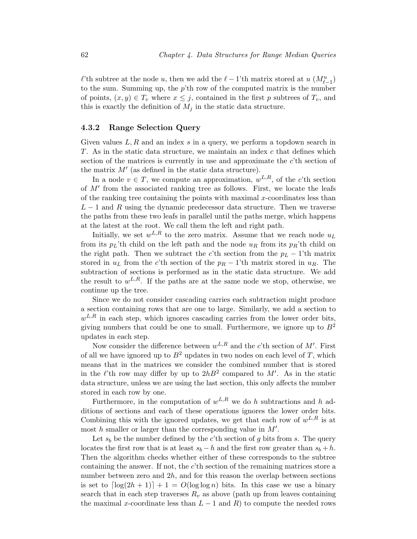$\ell$ 'th subtree at the node u, then we add the  $\ell - 1$ 'th matrix stored at u  $(M_{\ell-1}^u)$ to the sum. Summing up, the  $p'$ th row of the computed matrix is the number of points,  $(x, y) \in T_v$  where  $x \leq j$ , contained in the first p subtrees of  $T_v$ , and this is exactly the definition of  $M_j$  in the static data structure.

### 4.3.2 Range Selection Query

Given values  $L, R$  and an index s in a query, we perform a topdown search in T. As in the static data structure, we maintain an index c that defines which section of the matrices is currently in use and approximate the  $c<sup>i</sup>$ th section of the matrix  $M'$  (as defined in the static data structure).

In a node  $v \in T$ , we compute an approximation,  $w^{L,R}$ , of the c'th section of  $M'$  from the associated ranking tree as follows. First, we locate the leafs of the ranking tree containing the points with maximal  $x$ -coordinates less than  $L-1$  and R using the dynamic predecessor data structure. Then we traverse the paths from these two leafs in parallel until the paths merge, which happens at the latest at the root. We call them the left and right path.

Initially, we set  $w^{L,R}$  to the zero matrix. Assume that we reach node  $u<sub>L</sub>$ from its  $p_L$ 'th child on the left path and the node  $u_R$  from its  $p_R$ 'th child on the right path. Then we subtract the c'th section from the  $p_L - 1$ 'th matrix stored in  $u<sub>L</sub>$  from the c'th section of the  $p<sub>R</sub> - 1$ 'th matrix stored in  $u<sub>R</sub>$ . The subtraction of sections is performed as in the static data structure. We add the result to  $w^{L,R}$ . If the paths are at the same node we stop, otherwise, we continue up the tree.

Since we do not consider cascading carries each subtraction might produce a section containing rows that are one to large. Similarly, we add a section to  $w^{L,R}$  in each step, which ignores cascading carries from the lower order bits, giving numbers that could be one to small. Furthermore, we ignore up to  $B<sup>2</sup>$ updates in each step.

Now consider the difference between  $w^{L,R}$  and the c'th section of M'. First of all we have ignored up to  $B^2$  updates in two nodes on each level of T, which means that in the matrices we consider the combined number that is stored in the  $\ell$ 'th row may differ by up to  $2hB^2$  compared to M'. As in the static data structure, unless we are using the last section, this only affects the number stored in each row by one.

Furthermore, in the computation of  $w^{L,R}$  we do h subtractions and h additions of sections and each of these operations ignores the lower order bits. Combining this with the ignored updates, we get that each row of  $w^{L,R}$  is at most  $h$  smaller or larger than the corresponding value in  $M'$ .

Let  $s_b$  be the number defined by the c'th section of g bits from s. The query locates the first row that is at least  $s_b - h$  and the first row greater than  $s_b + h$ . Then the algorithm checks whether either of these corresponds to the subtree containing the answer. If not, the c'th section of the remaining matrices store a number between zero and  $2h$ , and for this reason the overlap between sections is set to  $\lfloor \log(2h + 1) \rfloor + 1 = O(\log \log n)$  bits. In this case we use a binary search that in each step traverses  $R_v$  as above (path up from leaves containing the maximal x-coordinate less than  $L - 1$  and R) to compute the needed rows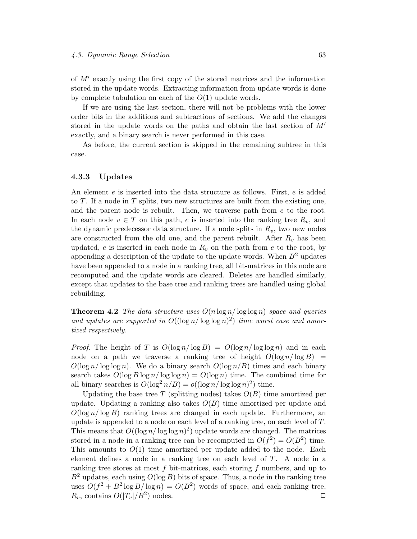of  $M'$  exactly using the first copy of the stored matrices and the information stored in the update words. Extracting information from update words is done by complete tabulation on each of the  $O(1)$  update words.

If we are using the last section, there will not be problems with the lower order bits in the additions and subtractions of sections. We add the changes stored in the update words on the paths and obtain the last section of  $M'$ exactly, and a binary search is never performed in this case.

As before, the current section is skipped in the remaining subtree in this case.

### 4.3.3 Updates

An element e is inserted into the data structure as follows. First, e is added to  $T$ . If a node in  $T$  splits, two new structures are built from the existing one, and the parent node is rebuilt. Then, we traverse path from  $e$  to the root. In each node  $v \in T$  on this path, e is inserted into the ranking tree  $R_v$ , and the dynamic predecessor data structure. If a node splits in  $R_v$ , two new nodes are constructed from the old one, and the parent rebuilt. After  $R_v$  has been updated,  $e$  is inserted in each node in  $R_v$  on the path from  $e$  to the root, by appending a description of the update to the update words. When  $B<sup>2</sup>$  updates have been appended to a node in a ranking tree, all bit-matrices in this node are recomputed and the update words are cleared. Deletes are handled similarly, except that updates to the base tree and ranking trees are handled using global rebuilding.

**Theorem 4.2** The data structure uses  $O(n \log n / \log \log n)$  space and queries and updates are supported in  $O((\log n/\log \log n)^2)$  time worst case and amortized respectively.

*Proof.* The height of T is  $O(\log n/\log B) = O(\log n/\log \log n)$  and in each node on a path we traverse a ranking tree of height  $O(\log n/\log B)$  =  $O(\log n/\log \log n)$ . We do a binary search  $O(\log n/B)$  times and each binary search takes  $O(\log B \log n / \log \log n) = O(\log n)$  time. The combined time for all binary searches is  $O(\log^2 n/B) = o((\log n/\log \log n)^2)$  time.

Updating the base tree T (splitting nodes) takes  $O(B)$  time amortized per update. Updating a ranking also takes  $O(B)$  time amortized per update and  $O(\log n/\log B)$  ranking trees are changed in each update. Furthermore, an update is appended to a node on each level of a ranking tree, on each level of  $T$ . This means that  $O((\log n/\log \log n)^2)$  update words are changed. The matrices stored in a node in a ranking tree can be recomputed in  $O(f^2) = O(B^2)$  time. This amounts to  $O(1)$  time amortized per update added to the node. Each element defines a node in a ranking tree on each level of T. A node in a ranking tree stores at most  $f$  bit-matrices, each storing  $f$  numbers, and up to  $B<sup>2</sup>$  updates, each using  $O(\log B)$  bits of space. Thus, a node in the ranking tree uses  $O(f^2 + B^2 \log B / \log n) = O(B^2)$  words of space, and each ranking tree,  $R_v$ , contains  $O(|T_v|/B^2)$  nodes.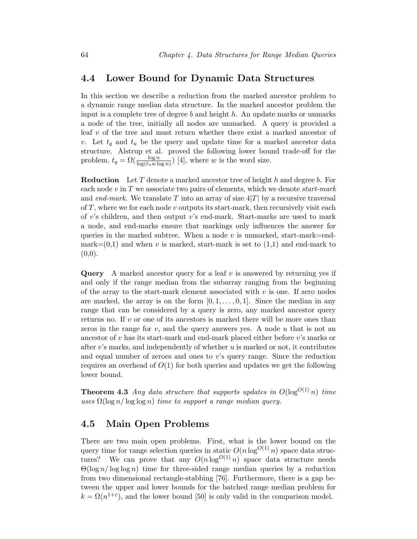### 4.4 Lower Bound for Dynamic Data Structures

In this section we describe a reduction from the marked ancestor problem to a dynamic range median data structure. In the marked ancestor problem the input is a complete tree of degree  $b$  and height  $h$ . An update marks or unmarks a node of the tree, initially all nodes are unmarked. A query is provided a leaf v of the tree and must return whether there exist a marked ancestor of v. Let  $t_q$  and  $t_u$  be the query and update time for a marked ancestor data structure. Alstrup et al. proved the following lower bound trade-off for the problem,  $t_q = \Omega(\frac{\log n}{\log(t_u w \log n)})$  [4], where w is the word size.

**Reduction** Let  $T$  denote a marked ancestor tree of height  $h$  and degree  $b$ . For each node  $v$  in  $T$  we associate two pairs of elements, which we denote  $start$ -mark and end-mark. We translate T into an array of size  $4|T|$  by a recursive traversal of  $T$ , where we for each node  $v$  outputs its start-mark, then recursively visit each of  $v$ 's children, and then output  $v$ 's end-mark. Start-marks are used to mark a node, and end-marks ensure that markings only influences the answer for queries in the marked subtree. When a node  $v$  is unmarked, start-mark=endmark= $(0,1)$  and when v is marked, start-mark is set to  $(1,1)$  and end-mark to  $(0,0).$ 

**Query** A marked ancestor query for a leaf  $v$  is answered by returning yes if and only if the range median from the subarray ranging from the beginning of the array to the start-mark element associated with  $v$  is one. If zero nodes are marked, the array is on the form  $[0, 1, \ldots, 0, 1]$ . Since the median in any range that can be considered by a query is zero, any marked ancestor query returns no. If v or one of its ancestors is marked there will be more ones than zeros in the range for  $v$ , and the query answers yes. A node  $u$  that is not an ancestor of v has its start-mark and end-mark placed either before v's marks or after  $v$ 's marks, and independently of whether  $u$  is marked or not, it contributes and equal number of zeroes and ones to  $v$ 's query range. Since the reduction requires an overhead of  $O(1)$  for both queries and updates we get the following lower bound.

**Theorem 4.3** Any data structure that supports updates in  $O(\log^{O(1)} n)$  time uses  $\Omega(\log n / \log \log n)$  time to support a range median query.

### 4.5 Main Open Problems

There are two main open problems. First, what is the lower bound on the query time for range selection queries in static  $O(n \log^{O(1)} n)$  space data structures? We can prove that any  $O(n \log^{O(1)} n)$  space data structure needs  $\Theta(\log n / \log \log n)$  time for three-sided range median queries by a reduction from two dimensional rectangle-stabbing [76]. Furthermore, there is a gap between the upper and lower bounds for the batched range median problem for  $k = \Omega(n^{1+\epsilon})$ , and the lower bound [50] is only valid in the comparison model.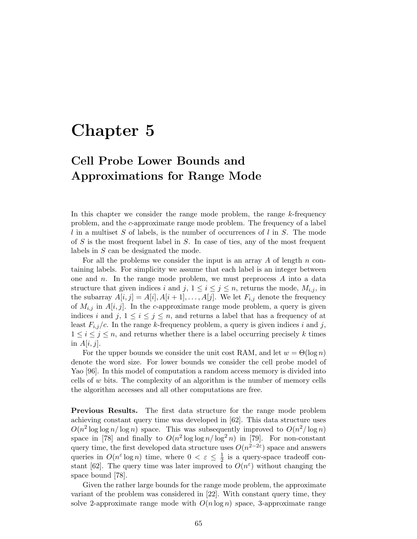# Chapter 5

## Cell Probe Lower Bounds and Approximations for Range Mode

In this chapter we consider the range mode problem, the range  $k$ -frequency problem, and the c-approximate range mode problem. The frequency of a label  $l$  in a multiset S of labels, is the number of occurrences of  $l$  in  $S$ . The mode of S is the most frequent label in S. In case of ties, any of the most frequent labels in S can be designated the mode.

For all the problems we consider the input is an array  $A$  of length  $n$  containing labels. For simplicity we assume that each label is an integer between one and n. In the range mode problem, we must preprocess  $A$  into a data structure that given indices i and j,  $1 \leq i \leq j \leq n$ , returns the mode,  $M_{i,j}$ , in the subarray  $A[i, j] = A[i], A[i + 1], \ldots, A[j]$ . We let  $F_{i,j}$  denote the frequency of  $M_{i,j}$  in  $A[i, j]$ . In the c-approximate range mode problem, a query is given indices i and j,  $1 \le i \le j \le n$ , and returns a label that has a frequency of at least  $F_{i,j}/c$ . In the range k-frequency problem, a query is given indices i and j,  $1 \leq i \leq j \leq n$ , and returns whether there is a label occurring precisely k times in  $A[i, j]$ .

For the upper bounds we consider the unit cost RAM, and let  $w = \Theta(\log n)$ denote the word size. For lower bounds we consider the cell probe model of Yao [96]. In this model of computation a random access memory is divided into cells of  $w$  bits. The complexity of an algorithm is the number of memory cells the algorithm accesses and all other computations are free.

Previous Results. The first data structure for the range mode problem achieving constant query time was developed in [62]. This data structure uses  $O(n^2 \log \log n / \log n)$  space. This was subsequently improved to  $O(n^2 / \log n)$ space in [78] and finally to  $O(n^2 \log \log n / \log^2 n)$  in [79]. For non-constant query time, the first developed data structure uses  $O(n^{2-2\varepsilon})$  space and answers queries in  $O(n^{\varepsilon} \log n)$  time, where  $0 < \varepsilon \leq \frac{1}{2}$  $\frac{1}{2}$  is a query-space tradeoff constant [62]. The query time was later improved to  $O(n^{\epsilon})$  without changing the space bound [78].

Given the rather large bounds for the range mode problem, the approximate variant of the problem was considered in [22]. With constant query time, they solve 2-approximate range mode with  $O(n \log n)$  space, 3-approximate range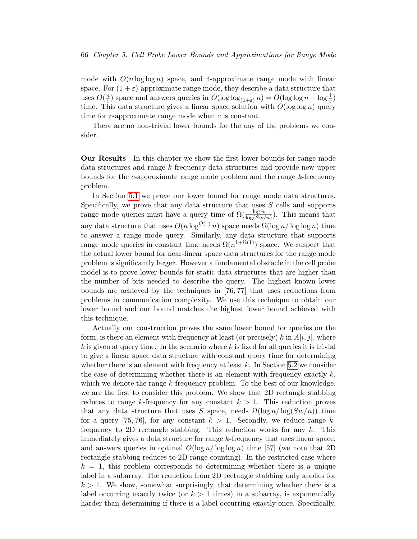mode with  $O(n \log \log n)$  space, and 4-approximate range mode with linear space. For  $(1 + \varepsilon)$ -approximate range mode, they describe a data structure that uses  $O(\frac{n}{\varepsilon})$  $(\frac{n}{\varepsilon})$  space and answers queries in  $O(\log \log_{(1+\varepsilon)} n) = O(\log \log n + \log \frac{1}{\varepsilon})$ time. This data structure gives a linear space solution with  $O(\log \log n)$  query time for c-approximate range mode when c is constant.

There are no non-trivial lower bounds for the any of the problems we consider.

Our Results In this chapter we show the first lower bounds for range mode data structures and range k-frequency data structures and provide new upper bounds for the c-approximate range mode problem and the range k-frequency problem.

In Section [5.1](#page-78-0) we prove our lower bound for range mode data structures. Specifically, we prove that any data structure that uses  $S$  cells and supports range mode queries must have a query time of  $\Omega(\frac{\log n}{\log(Sw/n)})$ . This means that any data structure that uses  $O(n \log^{O(1)} n)$  space needs  $\Omega(\log n / \log \log n)$  time to answer a range mode query. Similarly, any data structure that supports range mode queries in constant time needs  $\Omega(n^{1+\Omega(1)})$  space. We suspect that the actual lower bound for near-linear space data structures for the range mode problem is significantly larger. However a fundamental obstacle in the cell probe model is to prove lower bounds for static data structures that are higher than the number of bits needed to describe the query. The highest known lower bounds are achieved by the techniques in [76, 77] that uses reductions from problems in communication complexity. We use this technique to obtain our lower bound and our bound matches the highest lower bound achieved with this technique.

Actually our construction proves the same lower bound for queries on the form, is there an element with frequency at least (or precisely) k in  $A[i, j]$ , where  $k$  is given at query time. In the scenario where  $k$  is fixed for all queries it is trivial to give a linear space data structure with constant query time for determining whether there is an element with frequency at least  $k$ . In Section [5.2](#page-81-0) we consider the case of determining whether there is an element with frequency exactly  $k$ , which we denote the range  $k$ -frequency problem. To the best of our knowledge, we are the first to consider this problem. We show that 2D rectangle stabbing reduces to range k-frequency for any constant  $k > 1$ . This reduction proves that any data structure that uses S space, needs  $\Omega(\log n / \log(Sw/n))$  time for a query [75, 76], for any constant  $k > 1$ . Secondly, we reduce range kfrequency to 2D rectangle stabbing. This reduction works for any  $k$ . This immediately gives a data structure for range k-frequency that uses linear space, and answers queries in optimal  $O(\log n / \log \log n)$  time [57] (we note that 2D rectangle stabbing reduces to 2D range counting). In the restricted case where  $k = 1$ , this problem corresponds to determining whether there is a unique label in a subarray. The reduction from 2D rectangle stabbing only applies for  $k > 1$ . We show, somewhat surprisingly, that determining whether there is a label occurring exactly twice (or  $k > 1$  times) in a subarray, is exponentially harder than determining if there is a label occurring exactly once. Specifically,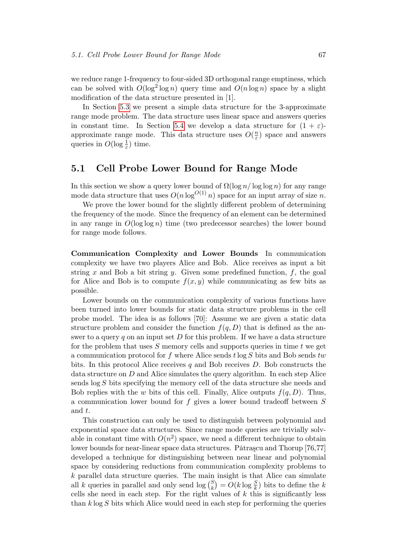we reduce range 1-frequency to four-sided 3D orthogonal range emptiness, which can be solved with  $O(\log^2 \log n)$  query time and  $O(n \log n)$  space by a slight modification of the data structure presented in [1].

In Section [5.3](#page-83-0) we present a simple data structure for the 3-approximate range mode problem. The data structure uses linear space and answers queries in constant time. In Section [5.4](#page-84-0) we develop a data structure for  $(1 + \varepsilon)$ approximate range mode. This data structure uses  $O(\frac{n}{\epsilon})$  $\frac{n}{\varepsilon}$ ) space and answers queries in  $O(\log \frac{1}{\varepsilon})$  time.

### <span id="page-78-0"></span>5.1 Cell Probe Lower Bound for Range Mode

In this section we show a query lower bound of  $\Omega(\log n / \log \log n)$  for any range mode data structure that uses  $O(n \log^{O(1)} n)$  space for an input array of size n.

We prove the lower bound for the slightly different problem of determining the frequency of the mode. Since the frequency of an element can be determined in any range in  $O(\log \log n)$  time (two predecessor searches) the lower bound for range mode follows.

Communication Complexity and Lower Bounds In communication complexity we have two players Alice and Bob. Alice receives as input a bit string x and Bob a bit string y. Given some predefined function,  $f$ , the goal for Alice and Bob is to compute  $f(x, y)$  while communicating as few bits as possible.

Lower bounds on the communication complexity of various functions have been turned into lower bounds for static data structure problems in the cell probe model. The idea is as follows [70]: Assume we are given a static data structure problem and consider the function  $f(q, D)$  that is defined as the answer to a query q on an input set  $D$  for this problem. If we have a data structure for the problem that uses  $S$  memory cells and supports queries in time  $t$  we get a communication protocol for f where Alice sends  $t \log S$  bits and Bob sends two bits. In this protocol Alice receives  $q$  and Bob receives  $D$ . Bob constructs the data structure on D and Alice simulates the query algorithm. In each step Alice sends log S bits specifying the memory cell of the data structure she needs and Bob replies with the w bits of this cell. Finally, Alice outputs  $f(q, D)$ . Thus, a communication lower bound for  $f$  gives a lower bound tradeoff between  $S$ and t.

This construction can only be used to distinguish between polynomial and exponential space data structures. Since range mode queries are trivially solvable in constant time with  $O(n^2)$  space, we need a different technique to obtain lower bounds for near-linear space data structures. Pătrașcu and Thorup [76,77] developed a technique for distinguishing between near linear and polynomial space by considering reductions from communication complexity problems to  $k$  parallel data structure queries. The main insight is that Alice can simulate all k queries in parallel and only send log  $\binom{S}{k}$  $\binom{S}{k} = O(k \log \frac{S}{k})$  bits to define the k cells she need in each step. For the right values of  $k$  this is significantly less than  $k \log S$  bits which Alice would need in each step for performing the queries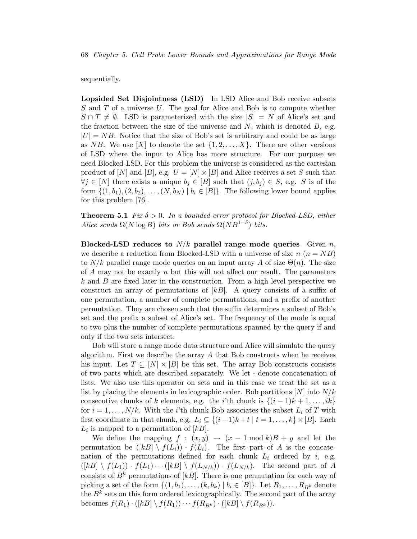#### sequentially.

Lopsided Set Disjointness (LSD) In LSD Alice and Bob receive subsets  $S$  and  $T$  of a universe  $U$ . The goal for Alice and Bob is to compute whether  $S \cap T \neq \emptyset$ . LSD is parameterized with the size  $|S| = N$  of Alice's set and the fraction between the size of the universe and  $N$ , which is denoted  $B$ , e.g.  $|U| = NB$ . Notice that the size of Bob's set is arbitrary and could be as large as NB. We use [X] to denote the set  $\{1, 2, ..., X\}$ . There are other versions of LSD where the input to Alice has more structure. For our purpose we need Blocked-LSD. For this problem the universe is considered as the cartesian product of [N] and [B], e.g.  $U = [N] \times [B]$  and Alice receives a set S such that  $\forall j \in [N]$  there exists a unique  $b_j \in [B]$  such that  $(j, b_j) \in S$ , e.g. S is of the form  $\{(1, b_1), (2, b_2), \ldots, (N, b_N) \mid b_i \in [B]\}\$ . The following lower bound applies for this problem [76].

<span id="page-79-0"></span>**Theorem 5.1** Fix  $\delta > 0$ . In a bounded-error protocol for Blocked-LSD, either Alice sends  $\Omega(N \log B)$  bits or Bob sends  $\Omega(NB^{1-\delta})$  bits.

Blocked-LSD reduces to  $N/k$  parallel range mode queries Given n, we describe a reduction from Blocked-LSD with a universe of size  $n (n = NB)$ to  $N/k$  parallel range mode queries on an input array A of size  $\Theta(n)$ . The size of  $A$  may not be exactly  $n$  but this will not affect our result. The parameters k and B are fixed later in the construction. From a high level perspective we construct an array of permutations of  $|kB|$ . A query consists of a suffix of one permutation, a number of complete permutations, and a prefix of another permutation. They are chosen such that the suffix determines a subset of Bob's set and the prefix a subset of Alice's set. The frequency of the mode is equal to two plus the number of complete permutations spanned by the query if and only if the two sets intersect.

Bob will store a range mode data structure and Alice will simulate the query algorithm. First we describe the array  $A$  that Bob constructs when he receives his input. Let  $T \subseteq [N] \times [B]$  be this set. The array Bob constructs consists of two parts which are described separately. We let  $\cdot$  denote concatenation of lists. We also use this operator on sets and in this case we treat the set as a list by placing the elements in lexicographic order. Bob partitions  $[N]$  into  $N/k$ consecutive chunks of k elements, e.g. the i'th chunk is  $\{(i-1)k+1,\ldots, ik\}$ for  $i = 1, \ldots, N/k$ . With the *i*'th chunk Bob associates the subset  $L_i$  of T with first coordinate in that chunk, e.g.  $L_i \subseteq \{(i-1)k+t \mid t=1,\ldots,k\} \times [B]$ . Each  $L_i$  is mapped to a permutation of  $[kB]$ .

We define the mapping  $f : (x, y) \rightarrow (x - 1 \mod k)B + y$  and let the permutation be  $(|kB| \setminus f(L_i)) \cdot f(L_i)$ . The first part of A is the concatenation of the permutations defined for each chunk  $L_i$  ordered by i, e.g.  $([kB] \setminus f(L_1)) \cdot f(L_1) \cdots ([kB] \setminus f(L_{N/k})) \cdot f(L_{N/k}).$  The second part of A consists of  $B^k$  permutations of  $[kB]$ . There is one permutation for each way of picking a set of the form  $\{(1, b_1), \ldots, (k, b_k) \mid b_i \in [B]\}$ . Let  $R_1, \ldots, R_{B^k}$  denote the  $B<sup>k</sup>$  sets on this form ordered lexicographically. The second part of the array becomes  $f(R_1) \cdot (kB \mid \{f(R_1)) \cdots f(R_{B^k}) \cdot (kB \mid \{f(R_{B^k})\}).$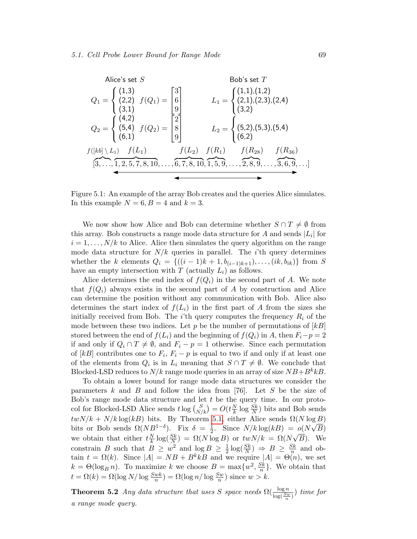| Alice's set $S$                                                                                                                                       | Bob's set $T$ |  |                                                                                       |  |
|-------------------------------------------------------------------------------------------------------------------------------------------------------|---------------|--|---------------------------------------------------------------------------------------|--|
| $Q_1 = \begin{cases} (1,3) \\ (2,2) \\ (3,1) \\ (4,2) \\ (5,4) \\ (6,1) \end{cases}$ $f(Q_2) = \begin{bmatrix} 3 \\ 6 \\ 9 \\ 8 \\ (9) \end{bmatrix}$ |               |  | $L_1 = \begin{cases} (1,1), (1,2) \ (2,1), (2,3), (2,4) \ (3,2) \end{cases}$          |  |
|                                                                                                                                                       |               |  | $L_2 = \left\{ \begin{aligned} & (5,2), (5,3), (5,4) \ & (6,2) \end{aligned} \right.$ |  |
| $f(L_1)$<br>$f([kb] \setminus L_1)$<br>$\overline{[3,\ldots,1,2,5,7,8,10,\ldots,6,7,8,10,1,5,9,\ldots,2,8,9,\ldots,3,6,9,\ldots]}$                    |               |  | $f(L_2)$ $f(R_1)$ $f(R_{28})$ $f(R_{36})$                                             |  |
|                                                                                                                                                       |               |  |                                                                                       |  |

Figure 5.1: An example of the array Bob creates and the queries Alice simulates. In this example  $N = 6, B = 4$  and  $k = 3$ .

We now show how Alice and Bob can determine whether  $S \cap T \neq \emptyset$  from this array. Bob constructs a range mode data structure for  $A$  and sends  $|L_i|$  for  $i = 1, \ldots, N/k$  to Alice. Alice then simulates the query algorithm on the range mode data structure for  $N/k$  queries in parallel. The *i*'th query determines whether the k elements  $Q_i = \{((i-1)k+1, b_{(i-1)k+1}), \ldots, (ik, b_{ik})\}$  from S have an empty intersection with T (actually  $L_i$ ) as follows.

Alice determines the end index of  $f(Q_i)$  in the second part of A. We note that  $f(Q_i)$  always exists in the second part of A by construction and Alice can determine the position without any communication with Bob. Alice also determines the start index of  $f(L_i)$  in the first part of A from the sizes she initially received from Bob. The *i*'th query computes the frequency  $R_i$  of the mode between these two indices. Let p be the number of permutations of  $[k]$ stored between the end of  $f(L_i)$  and the beginning of  $f(Q_i)$  in A, then  $F_i-p=2$ if and only if  $Q_i \cap T \neq \emptyset$ , and  $F_i - p = 1$  otherwise. Since each permutation of  $[kB]$  contributes one to  $F_i$ ,  $F_i - p$  is equal to two if and only if at least one of the elements from  $Q_i$  is in  $L_i$  meaning that  $S \cap T \neq \emptyset$ . We conclude that Blocked-LSD reduces to  $N/k$  range mode queries in an array of size  $NB + B^k kB$ .

To obtain a lower bound for range mode data structures we consider the parameters k and B and follow the idea from [76]. Let S be the size of Bob's range mode data structure and let  $t$  be the query time. In our protocol for Blocked-LSD Alice sends  $t \log {S \choose N/k} = O(t \frac{N}{k})$  $\frac{N}{k} \log \frac{Sk}{N}$  bits and Bob sends  $twN/k + N/k \log(kB)$  bits. By Theorem [5.1,](#page-79-0) either Alice sends  $\Omega(N \log B)$ bits or Bob sends  $\Omega(NB^{1-\delta})$ . Fix  $\delta = \frac{1}{2}$  $\frac{1}{2}$ . Since  $N/k \log(kB) = o(N)$ ישµ  $\frac{o(N\sqrt{B})}{\sqrt{D}}$ we obtain that either  $t\frac{N}{k}$  $\frac{N}{k} \log(\frac{Sk}{N}) = \Omega(N \log B)$  or  $twN/k = \Omega(N\sqrt{B})$ . We constrain B such that  $B \geq w^2$  and  $\log B \geq \frac{1}{2}$  $\frac{1}{2}\log(\frac{Sk}{N}) \Rightarrow B \geq \frac{Sk}{n}$  $\frac{dk}{n}$  and obtain  $t = \Omega(k)$ . Since  $|A| = NB + B^k kB$  and we require  $|A| = \Theta(n)$ , we set  $k = \Theta(\log_B n)$ . To maximize k we choose  $B = \max\{w^2, \frac{Sk}{n}\}$  $\frac{5k}{n}$ . We obtain that  $t = \Omega(k) = \Omega(\log N/\log \frac{Swk}{n}) = \Omega(\log n/\log \frac{Sw}{n})$  since  $w > k$ .

**Theorem 5.2** Any data structure that uses S space needs  $\Omega(\frac{\log n}{\log(\frac{Sw}{n})})$  time for a range mode query.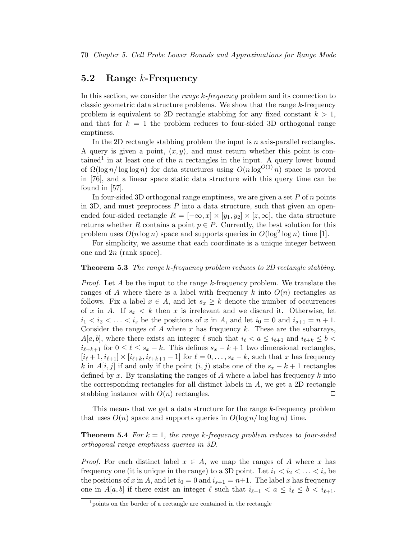### <span id="page-81-0"></span>5.2 Range k-Frequency

In this section, we consider the *range k-frequency* problem and its connection to classic geometric data structure problems. We show that the range  $k$ -frequency problem is equivalent to 2D rectangle stabbing for any fixed constant  $k > 1$ , and that for  $k = 1$  the problem reduces to four-sided 3D orthogonal range emptiness.

In the 2D rectangle stabbing problem the input is  $n$  axis-parallel rectangles. A query is given a point,  $(x, y)$ , and must return whether this point is contained<sup>1</sup> in at least one of the *n* rectangles in the input. A query lower bound of  $\Omega(\log n / \log \log n)$  for data structures using  $O(n \log^{O(1)} n)$  space is proved in [76], and a linear space static data structure with this query time can be found in [57].

In four-sided 3D orthogonal range emptiness, we are given a set  $P$  of n points in 3D, and must preprocess  $P$  into a data structure, such that given an openended four-sided rectangle  $R = [-\infty, x] \times [y_1, y_2] \times [z, \infty]$ , the data structure returns whether R contains a point  $p \in P$ . Currently, the best solution for this problem uses  $O(n \log n)$  space and supports queries in  $O(\log^2 \log n)$  time [1].

For simplicity, we assume that each coordinate is a unique integer between one and  $2n$  (rank space).

### Theorem 5.3 The range k-frequency problem reduces to 2D rectangle stabbing.

*Proof.* Let A be the input to the range k-frequency problem. We translate the ranges of A where there is a label with frequency k into  $O(n)$  rectangles as follows. Fix a label  $x \in A$ , and let  $s_x \geq k$  denote the number of occurrences of x in A. If  $s_x < k$  then x is irrelevant and we discard it. Otherwise, let  $i_1 < i_2 < \ldots < i_s$  be the positions of x in A, and let  $i_0 = 0$  and  $i_{s+1} = n+1$ . Consider the ranges of  $A$  where  $x$  has frequency  $k$ . These are the subarrays,  $A[a, b]$ , where there exists an integer  $\ell$  such that  $i_{\ell} < a \leq i_{\ell+1}$  and  $i_{\ell+k} \leq b <$  $i_{\ell+k+1}$  for  $0 \leq \ell \leq s_x - k$ . This defines  $s_x - k + 1$  two dimensional rectangles,  $[i_{\ell} + 1, i_{\ell+1}] \times [i_{\ell+k}, i_{\ell+k+1} - 1]$  for  $\ell = 0, \ldots, s_x - k$ , such that x has frequency k in A[i, j] if and only if the point  $(i, j)$  stabs one of the  $s_x - k + 1$  rectangles defined by x. By translating the ranges of  $A$  where a label has frequency k into the corresponding rectangles for all distinct labels in  $A$ , we get a 2D rectangle stabbing instance with  $O(n)$  rectangles.  $\Box$ 

This means that we get a data structure for the range k-frequency problem that uses  $O(n)$  space and supports queries in  $O(\log n / \log \log n)$  time.

**Theorem 5.4** For  $k = 1$ , the range k-frequency problem reduces to four-sided orthogonal range emptiness queries in 3D.

*Proof.* For each distinct label  $x \in A$ , we map the ranges of A where x has frequency one (it is unique in the range) to a 3D point. Let  $i_1 < i_2 < \ldots < i_s$  be the positions of x in A, and let  $i_0 = 0$  and  $i_{s+1} = n+1$ . The label x has frequency one in  $A[a, b]$  if there exist an integer  $\ell$  such that  $i_{\ell-1} < a \leq i_{\ell} \leq b < i_{\ell+1}$ .

<sup>1</sup>points on the border of a rectangle are contained in the rectangle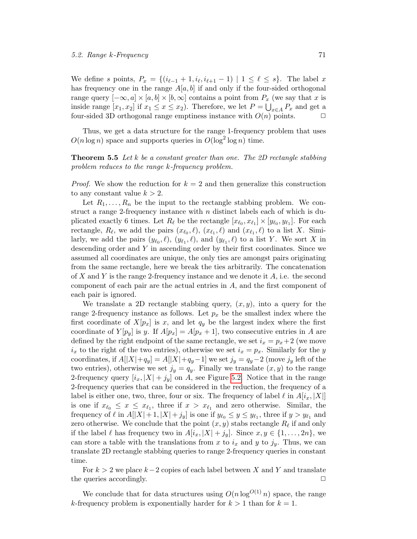We define s points,  $P_x = \{(i_{\ell-1} + 1, i_{\ell}, i_{\ell+1} - 1) | 1 \leq \ell \leq s\}$ . The label x has frequency one in the range  $A[a, b]$  if and only if the four-sided orthogonal range query  $[-\infty, a] \times [a, b] \times [b, \infty]$  contains a point from  $P_x$  (we say that x is inside range  $[x_1, x_2]$  if  $x_1 \le x \le x_2$ ). Therefore, we let  $P = \bigcup_{x \in A} P_x$  and get a four-sided 3D orthogonal range emptiness instance with  $O(n)$  points.  $\Box$ 

Thus, we get a data structure for the range 1-frequency problem that uses  $O(n \log n)$  space and supports queries in  $O(\log^2 \log n)$  time.

### **Theorem 5.5** Let k be a constant greater than one. The 2D rectangle stabbing problem reduces to the range k-frequency problem.

*Proof.* We show the reduction for  $k = 2$  and then generalize this construction to any constant value  $k > 2$ .

Let  $R_1, \ldots, R_n$  be the input to the rectangle stabbing problem. We construct a range 2-frequency instance with  $n$  distinct labels each of which is duplicated exactly 6 times. Let  $R_\ell$  be the rectangle  $[x_{\ell_0}, x_{\ell_1}] \times [y_{\ell_0}, y_{\ell_1}]$ . For each rectangle,  $R_\ell$ , we add the pairs  $(x_{\ell_0}, \ell), (x_{\ell_1}, \ell)$  and  $(x_{\ell_1}, \ell)$  to a list X. Similarly, we add the pairs  $(y_{\ell_0}, \ell), (y_{\ell_1}, \ell),$  and  $(y_{\ell_1}, \ell)$  to a list Y. We sort X in descending order and Y in ascending order by their first coordinates. Since we assumed all coordinates are unique, the only ties are amongst pairs originating from the same rectangle, here we break the ties arbitrarily. The concatenation of X and Y is the range 2-frequency instance and we denote it  $A$ , i.e. the second component of each pair are the actual entries in A, and the first component of each pair is ignored.

We translate a 2D rectangle stabbing query,  $(x, y)$ , into a query for the range 2-frequency instance as follows. Let  $p_x$  be the smallest index where the first coordinate of  $X[p_x]$  is x, and let  $q_y$  be the largest index where the first coordinate of  $Y[p_y]$  is y. If  $A[p_x] = A[p_x + 1]$ , two consecutive entries in A are defined by the right endpoint of the same rectangle, we set  $i_x = p_x + 2$  (we move  $i_x$  to the right of the two entries), otherwise we set  $i_x = p_x$ . Similarly for the y coordinates, if  $A[|X|+q_y] = A[|X|+q_y-1]$  we set  $j_y = q_y-2$  (move  $j_y$  left of the two entries), otherwise we set  $j_y = q_y$ . Finally we translate  $(x, y)$  to the range 2-frequency query  $[i_x, |X| + j_y]$  on A, see Figure [5.2.](#page-83-1) Notice that in the range 2-frequency queries that can be considered in the reduction, the frequency of a label is either one, two, three, four or six. The frequency of label  $\ell$  in  $A[i_x, |X|]$ is one if  $x_{\ell_0} \leq x \leq x_{\ell_1}$ , three if  $x > x_{\ell_1}$  and zero otherwise. Similar, the frequency of  $\ell$  in  $A[|X| + 1, |X| + j_y]$  is one if  $y_{\ell_0} \le y \le y_{\ell_1}$ , three if  $y > y_{\ell_1}$  and zero otherwise. We conclude that the point  $(x, y)$  stabs rectangle  $R_\ell$  if and only if the label  $\ell$  has frequency two in  $A[i_x, |X| + j_y]$ . Since  $x, y \in \{1, ..., 2n\}$ , we can store a table with the translations from x to  $i_x$  and y to  $j_y$ . Thus, we can translate 2D rectangle stabbing queries to range 2-frequency queries in constant time.

For  $k > 2$  we place  $k-2$  copies of each label between X and Y and translate the queries accordingly.  $\Box$ 

We conclude that for data structures using  $O(n \log^{O(1)} n)$  space, the range k-frequency problem is exponentially harder for  $k > 1$  than for  $k = 1$ .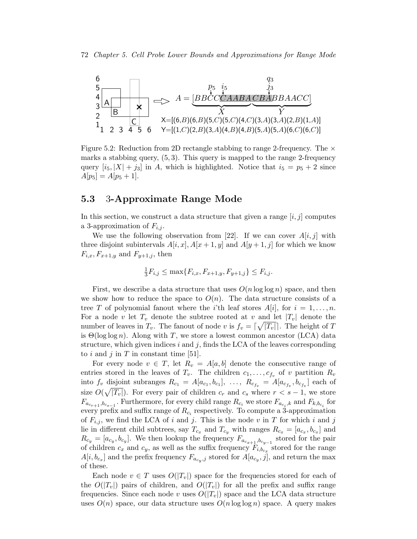

<span id="page-83-1"></span>Figure 5.2: Reduction from 2D rectangle stabbing to range 2-frequency. The  $\times$ marks a stabbing query,  $(5, 3)$ . This query is mapped to the range 2-frequency query  $[i_5, |X| + j_3]$  in A, which is highlighted. Notice that  $i_5 = p_5 + 2$  since  $A[p_5] = A[p_5 + 1].$ 

## <span id="page-83-0"></span>5.3 3-Approximate Range Mode

In this section, we construct a data structure that given a range  $[i, j]$  computes a 3-approximation of  $F_{i,j}$ .

We use the following observation from [22]. If we can cover  $A[i, j]$  with three disjoint subintervals  $A[i, x], A[x + 1, y]$  and  $A[y + 1, j]$  for which we know  $F_{i,x}, F_{x+1,y}$  and  $F_{y+1,j}$ , then

$$
\frac{1}{3}F_{i,j} \le \max\{F_{i,x}, F_{x+1,y}, F_{y+1,j}\} \le F_{i,j}.
$$

First, we describe a data structure that uses  $O(n \log \log n)$  space, and then we show how to reduce the space to  $O(n)$ . The data structure consists of a tree T of polynomial fanout where the *i*'th leaf stores  $A[i]$ , for  $i = 1, \ldots, n$ . For a node v let  $T_v$  denote the subtree rooted at v and let  $|T_v|$  denote the number of leaves in  $T_v$ . The fanout of node v is  $f_v = \lceil \sqrt{|T_v|} \rceil$ . The height of T is  $\Theta(\log \log n)$ . Along with T, we store a lowest common ancestor (LCA) data structure, which given indices  $i$  and  $j$ , finds the LCA of the leaves corresponding to i and j in T in constant time  $|51|$ .

For every node  $v \in T$ , let  $R_v = A[a, b]$  denote the consecutive range of entries stored in the leaves of  $T_v$ . The children  $c_1, \ldots, c_{f_v}$  of v partition  $R_v$ into  $f_v$  disjoint subranges  $R_{c_1} = A[a_{c_1}, b_{c_1}], \ldots, R_{c_{f_v}} = A[a_{c_{f_v}}, b_{c_{f_v}}]$  each of size  $O(\sqrt{|T_v|})$ . For every pair of children  $c_r$  and  $c_s$  where  $r < s - 1$ , we store  $F_{a_{c_r+1},b_{c_{s-1}}}$ . Furthermore, for every child range  $R_{c_i}$  we store  $F_{a_{c_i},k}$  and  $F_{k,b_{c_i}}$  for every prefix and suffix range of  $R_{c_i}$  respectively. To compute a 3-approximation of  $F_{i,j}$ , we find the LCA of i and j. This is the node v in T for which i and j lie in different child subtrees, say  $T_{c_x}$  and  $T_{c_y}$  with ranges  $R_{c_x} = [a_{c_x}, b_{c_x}]$  and  $R_{c_y} = [a_{c_y}, b_{c_y}]$ . We then lookup the frequency  $F_{a_{c_{x+1}}, b_{c_{y-1}}}$  stored for the pair of children  $c_x$  and  $c_y$ , as well as the suffix frequency  $F_{i,bc_x}$  stored for the range  $A[i, b_{c_x}]$  and the prefix frequency  $F_{a_{c_y}, j}$  stored for  $A[a_{c_y}, j]$ , and return the max of these.

Each node  $v \in T$  uses  $O(|T_v|)$  space for the frequencies stored for each of the  $O(|T_v|)$  pairs of children, and  $O(|T_v|)$  for all the prefix and suffix range frequencies. Since each node v uses  $O(|T_v|)$  space and the LCA data structure uses  $O(n)$  space, our data structure uses  $O(n \log \log n)$  space. A query makes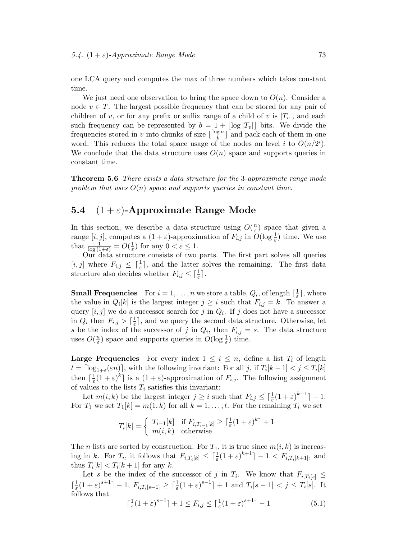one LCA query and computes the max of three numbers which takes constant time.

We just need one observation to bring the space down to  $O(n)$ . Consider a node  $v \in T$ . The largest possible frequency that can be stored for any pair of children of v, or for any prefix or suffix range of a child of v is  $|T_v|$ , and each such frequency can be represented by  $b = 1 + |\log |T_v||$  bits. We divide the frequencies stored in v into chunks of size  $\lfloor \frac{\log n}{b} \rfloor$  $\frac{g n}{b}$  and pack each of them in one word. This reduces the total space usage of the nodes on level i to  $O(n/2<sup>i</sup>)$ . We conclude that the data structure uses  $O(n)$  space and supports queries in constant time.

**Theorem 5.6** There exists a data structure for the 3-approximate range mode problem that uses  $O(n)$  space and supports queries in constant time.

## <span id="page-84-0"></span>5.4  $(1 + \varepsilon)$ -Approximate Range Mode

In this section, we describe a data structure using  $O(\frac{n}{\epsilon})$  $(\frac{n}{\varepsilon})$  space that given a range  $[i, j]$ , computes a  $(1 + \varepsilon)$ -approximation of  $F_{i,j}$  in  $O(\log \frac{1}{\varepsilon})$  time. We use that  $\frac{1}{\log(1+\varepsilon)} = O(\frac{1}{\varepsilon})$  $(\frac{1}{\varepsilon})$  for any  $0 < \varepsilon \leq 1$ .

Our data structure consists of two parts. The first part solves all queries  $[i, j]$  where  $F_{i,j} \leq \lceil \frac{1}{\varepsilon} \rceil$ , and the latter solves the remaining. The first data structure also decides whether  $F_{i,j} \leq \lceil \frac{1}{\varepsilon} \rceil$ .

**Small Frequencies** For  $i = 1, ..., n$  we store a table,  $Q_i$ , of length  $\lceil \frac{1}{\varepsilon} \rceil$  $\frac{1}{\varepsilon}$ , where the value in  $Q_i[k]$  is the largest integer  $j \geq i$  such that  $F_{i,j} = k$ . To answer a query  $[i, j]$  we do a successor search for j in  $Q_i$ . If j does not have a successor in  $Q_i$  then  $F_{i,j} > \lceil \frac{1}{\varepsilon} \rceil$  $\frac{1}{\varepsilon}$ , and we query the second data structure. Otherwise, let s be the index of the successor of j in  $Q_i$ , then  $F_{i,j} = s$ . The data structure uses  $O(\frac{n}{\varepsilon})$  $(\frac{n}{\varepsilon})$  space and supports queries in  $O(\log \frac{1}{\varepsilon})$  time.

**Large Frequencies** For every index  $1 \leq i \leq n$ , define a list  $T_i$  of length  $t = \lceil \log_{1+\varepsilon}(\varepsilon n) \rceil$ , with the following invariant: For all j, if  $T_i[k-1] < j \leq T_i[k]$ then  $\lceil \frac{1}{\varepsilon} \rceil$  $\frac{1}{\varepsilon}(1+\varepsilon)^k$  is a  $(1+\varepsilon)$ -approximation of  $F_{i,j}$ . The following assignment of values to the lists  $T_i$  satisfies this invariant:

Let  $m(i,k)$  be the largest integer  $j \geq i$  such that  $F_{i,j} \leq \lceil \frac{1}{\varepsilon} (1+\varepsilon)^{k+1} \rceil - 1$ . For  $T_1$  we set  $T_1[k] = m(1, k)$  for all  $k = 1, \ldots, t$ . For the remaining  $T_i$  we set

$$
T_i[k] = \begin{cases} T_{i-1}[k] & \text{if } F_{i,T_{i-1}[k]} \ge \lceil \frac{1}{\varepsilon} (1+\varepsilon)^k \rceil + 1\\ m(i,k) & \text{otherwise} \end{cases}
$$

The *n* lists are sorted by construction. For  $T_1$ , it is true since  $m(i, k)$  is increasing in k. For  $T_i$ , it follows that  $F_{i,T_i[k]} \leq \lceil \frac{1}{\varepsilon} (1+\varepsilon)^{k+1} \rceil - 1 \leq F_{i,T_i[k+1]}$ , and thus  $T_i[k] < T_i[k+1]$  for any k.

Let s be the index of the successor of j in  $T_i$ . We know that  $F_{i,T_i[s]} \leq$  $\lceil \frac{1}{\varepsilon} \rceil$  $\frac{1}{\varepsilon}(1+\varepsilon)^{s+1}$  | - 1,  $F_{i,T_i[s-1]} \geq \lceil \frac{1}{\varepsilon}(1+\varepsilon)^{s-1} \rceil + 1$  and  $T_i[s-1] < j \leq T_i[s]$ . It follows that

<span id="page-84-1"></span>
$$
\lceil \frac{1}{\varepsilon} (1 + \varepsilon)^{s-1} \rceil + 1 \le F_{i,j} \le \lceil \frac{1}{\varepsilon} (1 + \varepsilon)^{s+1} \rceil - 1 \tag{5.1}
$$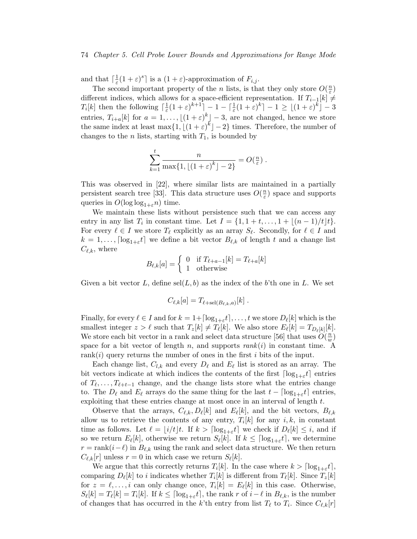### 74 Chapter 5. Cell Probe Lower Bounds and Approximations for Range Mode

and that  $\lceil \frac{1}{\varepsilon} \rceil$  $\frac{1}{\varepsilon}(1+\varepsilon)^s$  is a  $(1+\varepsilon)$ -approximation of  $F_{i,j}$ .

The second important property of the *n* lists, is that they only store  $O(\frac{n}{\epsilon})$  $\frac{n}{\varepsilon})$ different indices, which allows for a space-efficient representation. If  $T_{i-1}[k] \neq$  $T_i[k]$  then the following  $\lceil \frac{1}{\varepsilon} \rceil$  $\frac{1}{\varepsilon}(1+\varepsilon)^{k+1}]-1-\lceil\frac{1}{\varepsilon}(1+\varepsilon)^{k}\rceil-1\geq\lfloor(1+\varepsilon)^{k}\rfloor-3$ entries,  $T_{i+a}[k]$  for  $a=1,\ldots, \lfloor (1+\varepsilon)^k \rfloor -3$ , are not changed, hence we store the same index at least  $\max\{1, \lfloor (1 + \varepsilon)^k \rfloor - 2\}$  times. Therefore, the number of changes to the *n* lists, starting with  $T_1$ , is bounded by

$$
\sum_{k=1}^{t} \frac{n}{\max\{1, \lfloor (1+\varepsilon)^k \rfloor - 2\}} = O(\tfrac{n}{\varepsilon}).
$$

This was observed in [22], where similar lists are maintained in a partially persistent search tree [33]. This data structure uses  $O(\frac{n}{\epsilon})$  $\frac{n}{\varepsilon}$ ) space and supports queries in  $O(\log \log_{1+\varepsilon} n)$  time.

We maintain these lists without persistence such that we can access any entry in any list  $T_i$  in constant time. Let  $I = \{1, 1 + t, \ldots, 1 + \lfloor (n-1)/t \rfloor t\}.$ For every  $\ell \in I$  we store  $T_{\ell}$  explicitly as an array  $S_{\ell}$ . Secondly, for  $\ell \in I$  and  $k = 1, \ldots, \lceil \log_{1+\varepsilon} t \rceil$  we define a bit vector  $B_{\ell,k}$  of length t and a change list  $C_{\ell,k}$ , where

$$
B_{\ell,k}[a] = \begin{cases} 0 & \text{if } T_{\ell+a-1}[k] = T_{\ell+a}[k] \\ 1 & \text{otherwise} \end{cases}
$$

Given a bit vector L, define  $\text{sel}(L, b)$  as the index of the b'th one in L. We set

$$
C_{\ell,k}[a] = T_{\ell+\text{sel}(B_{\ell,k},a)}[k].
$$

Finally, for every  $\ell \in I$  and for  $k = 1 + \lceil \log_{1+\varepsilon} t \rceil, \ldots, t$  we store  $D_{\ell}[k]$  which is the smallest integer  $z > \ell$  such that  $T_z[k] \neq T_\ell[k]$ . We also store  $E_\ell[k] = T_{D_\ell[k]}[k]$ . We store each bit vector in a rank and select data structure [56] that uses  $O(\frac{n}{m})$  $\frac{n}{w}$ space for a bit vector of length n, and supports  $rank(i)$  in constant time. A rank(i) query returns the number of ones in the first i bits of the input.

Each change list,  $C_{l,k}$  and every  $D_{\ell}$  and  $E_{\ell}$  list is stored as an array. The bit vectors indicate at which indices the contents of the first  $\lceil \log_{1+\varepsilon} t \rceil$  entries of  $T_{\ell}, \ldots, T_{\ell+t-1}$  change, and the change lists store what the entries change to. The  $D_\ell$  and  $E_\ell$  arrays do the same thing for the last  $t - \lceil \log_{1+\varepsilon} t \rceil$  entries, exploiting that these entries change at most once in an interval of length  $t$ .

Observe that the arrays,  $C_{\ell,k}, D_{\ell}[k]$  and  $E_{\ell}[k]$ , and the bit vectors,  $B_{\ell,k}$ allow us to retrieve the contents of any entry,  $T_i[k]$  for any  $i, k$ , in constant time as follows. Let  $\ell = \lfloor i/t \rfloor t$ . If  $k > \lceil \log_{1+\varepsilon} t \rceil$  we check if  $D_{\ell}[k] \leq i$ , and if so we return  $E_{\ell}[k]$ , otherwise we return  $S_{\ell}[k]$ . If  $k \leq \lceil \log_{1+\varepsilon} t \rceil$ , we determine  $r = \text{rank}(i-\ell)$  in  $B_{\ell,k}$  using the rank and select data structure. We then return  $C_{\ell,k}[r]$  unless  $r = 0$  in which case we return  $S_{\ell}[k]$ .

We argue that this correctly returns  $T_i[k]$ . In the case where  $k > \lceil \log_{1+\varepsilon} t \rceil$ , comparing  $D_\ell[k]$  to i indicates whether  $T_i[k]$  is different from  $T_\ell[k]$ . Since  $T_z[k]$ for  $z = \ell, \ldots, i$  can only change once,  $T_i[k] = E_{\ell}[k]$  in this case. Otherwise,  $S_{\ell}[k] = T_{\ell}[k] = T_{i}[k]$ . If  $k \leq \lceil \log_{1+\varepsilon} t \rceil$ , the rank r of  $i-\ell$  in  $B_{\ell,k}$ , is the number of changes that has occurred in the k'th entry from list  $T_{\ell}$  to  $T_i$ . Since  $C_{\ell,k}[r]$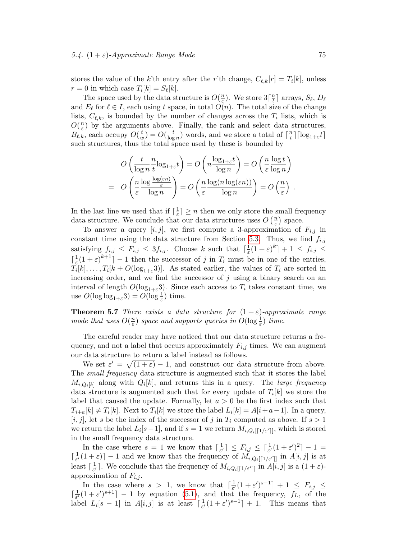stores the value of the k'th entry after the r'th change,  $C_{\ell,k}[r] = T_i[k]$ , unless  $r = 0$  in which case  $T_i[k] = S_{\ell}[k]$ .

The space used by the data structure is  $O(\frac{n}{\epsilon})$  $\frac{n}{\varepsilon}$ ). We store  $3\lceil \frac{n}{t} \rceil$  $\frac{n}{t}$  arrays,  $S_{\ell}, D_{\ell}$ and  $E_\ell$  for  $\ell \in I$ , each using t space, in total  $O(n)$ . The total size of the change lists,  $C_{\ell,k}$ , is bounded by the number of changes across the  $T_i$  lists, which is  $O(\frac{n}{\varepsilon})$  $\frac{n}{\varepsilon}$ ) by the arguments above. Finally, the rank and select data structures,  $B_{\ell,k}$ , each occupy  $O(\frac{t}{u})$  $\frac{t}{w}$ ) =  $O(\frac{t}{\log n})$  words, and we store a total of  $\lceil \frac{n}{t} \rceil$  $\frac{n}{t}$ ]  $\lceil \log_{1+\varepsilon} t \rceil$ such structures, thus the total space used by these is bounded by

$$
O\left(\frac{t}{\log n} \frac{n}{t} \log_{1+\varepsilon} t\right) = O\left(n \frac{\log_{1+\varepsilon} t}{\log n}\right) = O\left(\frac{n}{\varepsilon} \frac{\log t}{\log n}\right)
$$

$$
= O\left(\frac{n}{\varepsilon} \frac{\log \frac{\log(\varepsilon n)}{\varepsilon}}{\log n}\right) = O\left(\frac{n}{\varepsilon} \frac{\log(n \log(\varepsilon n))}{\log n}\right) = O\left(\frac{n}{\varepsilon}\right).
$$

In the last line we used that if  $\lceil \frac{1}{\varepsilon} \rceil$  $\frac{1}{\varepsilon}$   $\geq$  *n* then we only store the small frequency data structure. We conclude that our data structures uses  $O\left(\frac{n}{\varepsilon}\right)$  $\frac{n}{\varepsilon}$ ) space.

To answer a query  $[i, j]$ , we first compute a 3-approximation of  $F_{i,j}$  in constant time using the data structure from Section [5.3.](#page-83-0) Thus, we find  $f_{i,j}$ satisfying  $f_{i,j} \leq F_{i,j} \leq 3f_{i,j}$ . Choose k such that  $\lceil \frac{1}{\varepsilon} \rceil$  $\frac{1}{\varepsilon}(1+\varepsilon)^k$ ] + 1  $\leq f_{i,j}$   $\leq$  $\lceil \frac{1}{\varepsilon} \rceil$  $\frac{1}{\varepsilon}(1+\varepsilon)^{k+1}$  – 1 then the successor of j in  $T_i$  must be in one of the entries,  $T_i[k], \ldots, T_i[k+O(\log_{1+\varepsilon}3)]$ . As stated earlier, the values of  $T_i$  are sorted in increasing order, and we find the successor of  $j$  using a binary search on an interval of length  $O(\log_{1+\epsilon}3)$ . Since each access to  $T_i$  takes constant time, we use  $O(\log \log_{1+\varepsilon} 3) = O(\log \frac{1}{\varepsilon})$  time.

**Theorem 5.7** There exists a data structure for  $(1 + \varepsilon)$ -approximate range mode that uses  $O(\frac{n}{\varepsilon})$  $\frac{n}{\varepsilon}$ ) space and supports queries in  $O(\log \frac{1}{\varepsilon})$  time.

The careful reader may have noticed that our data structure returns a frequency, and not a label that occurs approximately  $F_{i,j}$  times. We can augment our data structure to return a label instead as follows.

We set  $\varepsilon' = \sqrt{(1+\varepsilon)} - 1$ , and construct our data structure from above. The small frequency data structure is augmented such that it stores the label  $M_{i,Q_i[k]}$  along with  $Q_i[k]$ , and returns this in a query. The *large frequency* data structure is augmented such that for every update of  $T_i[k]$  we store the label that caused the update. Formally, let  $a > 0$  be the first index such that  $T_{i+a}[k] \neq T_i[k]$ . Next to  $T_i[k]$  we store the label  $L_i[k] = A[i+a-1]$ . In a query,  $[i, j]$ , let s be the index of the successor of j in  $T_i$  computed as above. If  $s > 1$ we return the label  $L_i[s-1]$ , and if  $s=1$  we return  $M_{i,Q_i[[1/\varepsilon']]}$ , which is stored in the small frequency data structure.

In the case where  $s = 1$  we know that  $\left[\frac{1}{s}\right]$  $\frac{1}{\varepsilon'}$ ]  $\leq F_{i,j} \leq \lceil \frac{1}{\varepsilon'} (1 + \varepsilon')^2 \rceil - 1 =$  $\lceil \frac{1}{\varepsilon'} \rceil$  $\frac{1}{\varepsilon'}(1+\varepsilon)$  – 1 and we know that the frequency of  $M_{i,Q_i[[1/\varepsilon']]}$  in  $A[i,j]$  is at least  $\lceil \frac{1}{\varepsilon'} \rceil$  $\frac{1}{\epsilon'}$ . We conclude that the frequency of  $M_{i,Q_i[[1/\epsilon']]}$  in  $A[i,j]$  is a  $(1+\epsilon)$ approximation of  $F_{i,j}$ .

In the case where  $s > 1$ , we know that  $\left[\frac{1}{s}\right]$  $\frac{1}{\varepsilon'}(1+\varepsilon')^{s-1}$  + 1  $\leq F_{i,j}$   $\leq$  $\lceil \frac{1}{\varepsilon'} \rceil$  $\frac{1}{\varepsilon'}(1+\varepsilon')^{s+1}$  - 1 by equation [\(5.1\)](#page-84-1), and that the frequency,  $f_L$ , of the label  $L_i[s-1]$  in  $A[i,j]$  is at least  $\lceil \frac{1}{s'} \rceil$  $\frac{1}{\varepsilon'}(1+\varepsilon')^{s-1}$  + 1. This means that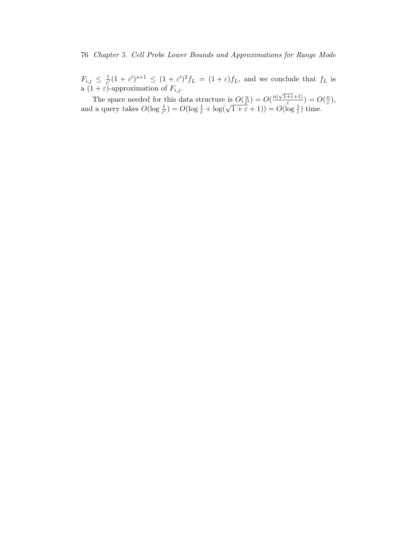### 76 Chapter 5. Cell Probe Lower Bounds and Approximations for Range Mode

 $F_{i,j} \leq \frac{1}{\varepsilon'}$  $\frac{1}{\varepsilon'}(1+\varepsilon')^{s+1} \leq (1+\varepsilon')^2 f_L = (1+\varepsilon)f_L$ , and we conclude that  $f_L$  is a  $(1+\varepsilon)$ -approximation of  $F_{i,j}$ .

The space needed for this data structure is  $O(\frac{n}{\epsilon})$  $\frac{n}{\varepsilon'}) = O(\frac{n(\sqrt{1+\varepsilon}+1)}{\varepsilon})$  $\frac{+\varepsilon+1)}{\varepsilon}$ ) =  $O(\frac{n}{\varepsilon})$  $\frac{n}{\varepsilon}$ ), The space needed for this data structure is  $O(\frac{1}{\varepsilon}) = O(\frac{\varepsilon}{\varepsilon}) = O$ <br>and a query takes  $O(\log \frac{1}{\varepsilon'}) = O(\log \frac{1}{\varepsilon} + \log(\sqrt{1+\varepsilon} + 1)) = O(\log \frac{1}{\varepsilon})$  time.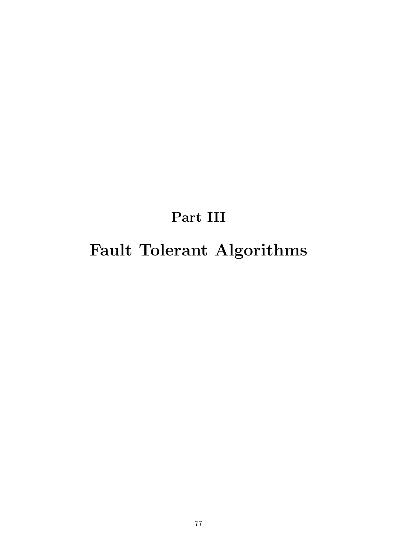# Part III

# Fault Tolerant Algorithms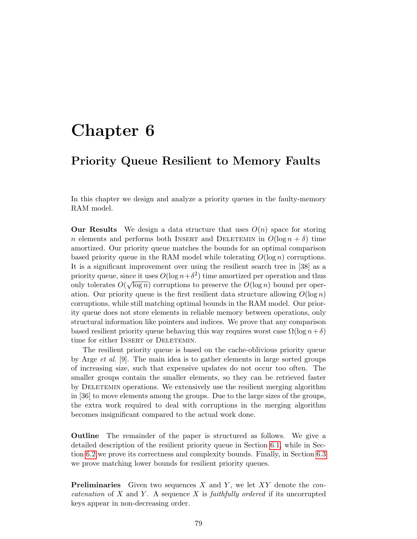# Chapter 6

## Priority Queue Resilient to Memory Faults

In this chapter we design and analyze a priority queues in the faulty-memory RAM model.

**Our Results** We design a data structure that uses  $O(n)$  space for storing n elements and performs both INSERT and DELETEMIN in  $O(\log n + \delta)$  time amortized. Our priority queue matches the bounds for an optimal comparison based priority queue in the RAM model while tolerating  $O(\log n)$  corruptions. It is a significant improvement over using the resilient search tree in [38] as a priority queue, since it uses  $O(\log n + \delta^2)$  time amortized per operation and thus only tolerates  $O(\sqrt{\log n})$  corruptions to preserve the  $O(\log n)$  bound per operation. Our priority queue is the first resilient data structure allowing  $O(\log n)$ corruptions, while still matching optimal bounds in the RAM model. Our priority queue does not store elements in reliable memory between operations, only structural information like pointers and indices. We prove that any comparison based resilient priority queue behaving this way requires worst case  $\Omega(\log n+\delta)$ time for either INSERT or DELETEMIN.

The resilient priority queue is based on the cache-oblivious priority queue by Arge et al. [9]. The main idea is to gather elements in large sorted groups of increasing size, such that expensive updates do not occur too often. The smaller groups contain the smaller elements, so they can be retrieved faster by Deletemin operations. We extensively use the resilient merging algorithm in [36] to move elements among the groups. Due to the large sizes of the groups, the extra work required to deal with corruptions in the merging algorithm becomes insignificant compared to the actual work done.

Outline The remainder of the paper is structured as follows. We give a detailed description of the resilient priority queue in Section [6.1,](#page-91-0) while in Section [6.2](#page-94-0) we prove its correctness and complexity bounds. Finally, in Section [6.3](#page-97-0) we prove matching lower bounds for resilient priority queues.

**Preliminaries** Given two sequences X and Y, we let XY denote the *concatenation* of  $X$  and  $Y$ . A sequence  $X$  is *faithfully ordered* if its uncorrupted keys appear in non-decreasing order.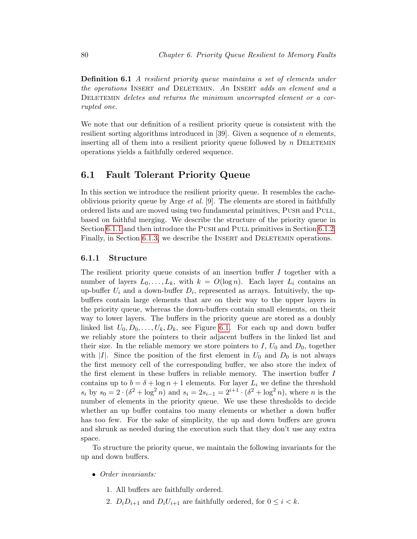Definition 6.1 A resilient priority queue maintains a set of elements under the operations INSERT and DELETEMIN. An INSERT adds an element and a DELETEMIN deletes and returns the minimum uncorrupted element or a corrupted one.

We note that our definition of a resilient priority queue is consistent with the resilient sorting algorithms introduced in [39]. Given a sequence of  $n$  elements, inserting all of them into a resilient priority queue followed by  $n$  DELETEMIN operations yields a faithfully ordered sequence.

### <span id="page-91-0"></span>6.1 Fault Tolerant Priority Queue

In this section we introduce the resilient priority queue. It resembles the cacheoblivious priority queue by Arge  $et$  al. [9]. The elements are stored in faithfully ordered lists and are moved using two fundamental primitives, Push and Pull, based on faithful merging. We describe the structure of the priority queue in Section [6.1.1](#page-91-1) and then introduce the Push and Pull primitives in Section [6.1.2.](#page-92-0) Finally, in Section [6.1.3,](#page-93-0) we describe the INSERT and DELETEMIN operations.

### <span id="page-91-1"></span>6.1.1 Structure

The resilient priority queue consists of an insertion buffer I together with a number of layers  $L_0, \ldots, L_k$ , with  $k = O(\log n)$ . Each layer  $L_i$  contains an up-buffer  $U_i$  and a down-buffer  $D_i$ , represented as arrays. Intuitively, the upbuffers contain large elements that are on their way to the upper layers in the priority queue, whereas the down-buffers contain small elements, on their way to lower layers. The buffers in the priority queue are stored as a doubly linked list  $U_0, D_0, \ldots, U_k, D_k$ , see Figure [6.1.](#page-92-1) For each up and down buffer we reliably store the pointers to their adjacent buffers in the linked list and their size. In the reliable memory we store pointers to I,  $U_0$  and  $D_0$ , together with |I|. Since the position of the first element in  $U_0$  and  $D_0$  is not always the first memory cell of the corresponding buffer, we also store the index of the first element in these buffers in reliable memory. The insertion buffer I contains up to  $b = \delta + \log n + 1$  elements. For layer  $L_i$  we define the threshold  $s_i$  by  $s_0 = 2 \cdot (\delta^2 + \log^2 n)$  and  $s_i = 2s_{i-1} = 2^{i+1} \cdot (\delta^2 + \log^2 n)$ , where *n* is the number of elements in the priority queue. We use these thresholds to decide whether an up buffer contains too many elements or whether a down buffer has too few. For the sake of simplicity, the up and down buffers are grown and shrunk as needed during the execution such that they don't use any extra space.

To structure the priority queue, we maintain the following invariants for the up and down buffers.

- Order invariants:
	- 1. All buffers are faithfully ordered.
	- 2.  $D_i D_{i+1}$  and  $D_i U_{i+1}$  are faithfully ordered, for  $0 \leq i \leq k$ .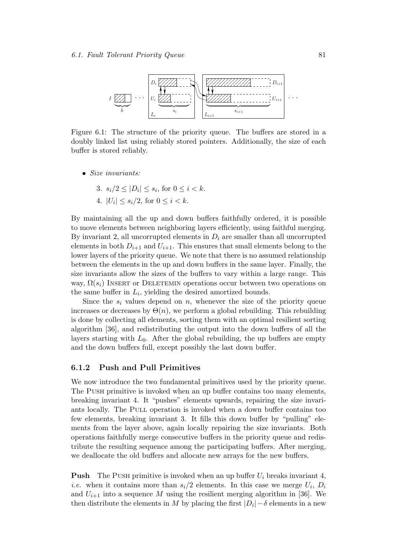

<span id="page-92-1"></span>Figure 6.1: The structure of the priority queue. The buffers are stored in a doubly linked list using reliably stored pointers. Additionally, the size of each buffer is stored reliably.

• Size invariants:

3. 
$$
s_i/2 \leq |D_i| \leq s_i
$$
, for  $0 \leq i < k$ .

4.  $|U_i| \leq s_i/2$ , for  $0 \leq i < k$ .

By maintaining all the up and down buffers faithfully ordered, it is possible to move elements between neighboring layers efficiently, using faithful merging. By invariant 2, all uncorrupted elements in  $D_i$  are smaller than all uncorrupted elements in both  $D_{i+1}$  and  $U_{i+1}$ . This ensures that small elements belong to the lower layers of the priority queue. We note that there is no assumed relationship between the elements in the up and down buffers in the same layer. Finally, the size invariants allow the sizes of the buffers to vary within a large range. This way,  $\Omega(s_i)$  INSERT or DELETEMIN operations occur between two operations on the same buffer in  $L_i$ , yielding the desired amortized bounds.

Since the  $s_i$  values depend on n, whenever the size of the priority queue increases or decreases by  $\Theta(n)$ , we perform a global rebuilding. This rebuilding is done by collecting all elements, sorting them with an optimal resilient sorting algorithm [36], and redistributing the output into the down buffers of all the layers starting with  $L_0$ . After the global rebuilding, the up buffers are empty and the down buffers full, except possibly the last down buffer.

### <span id="page-92-0"></span>6.1.2 Push and Pull Primitives

We now introduce the two fundamental primitives used by the priority queue. The Push primitive is invoked when an up buffer contains too many elements, breaking invariant 4. It "pushes" elements upwards, repairing the size invariants locally. The Pull operation is invoked when a down buffer contains too few elements, breaking invariant 3. It fills this down buffer by "pulling" elements from the layer above, again locally repairing the size invariants. Both operations faithfully merge consecutive buffers in the priority queue and redistribute the resulting sequence among the participating buffers. After merging, we deallocate the old buffers and allocate new arrays for the new buffers.

**Push** The PUSH primitive is invoked when an up buffer  $U_i$  breaks invariant 4, *i.e.* when it contains more than  $s_i/2$  elements. In this case we merge  $U_i$ ,  $D_i$ and  $U_{i+1}$  into a sequence M using the resilient merging algorithm in [36]. We then distribute the elements in M by placing the first  $|D_i|$  –  $\delta$  elements in a new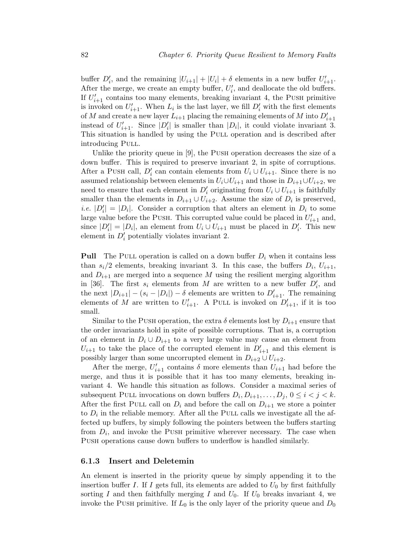buffer  $D'_i$ , and the remaining  $|U_{i+1}| + |U_i| + \delta$  elements in a new buffer  $U'_{i+1}$ . After the merge, we create an empty buffer,  $U_i'$ , and deallocate the old buffers. If  $U'_{i+1}$  contains too many elements, breaking invariant 4, the Push primitive is invoked on  $U'_{i+1}$ . When  $L_i$  is the last layer, we fill  $D'_i$  with the first elements of M and create a new layer  $L_{i+1}$  placing the remaining elements of M into  $D'_{i+1}$ instead of  $U'_{i+1}$ . Since  $|D'_i|$  is smaller than  $|D_i|$ , it could violate invariant 3. This situation is handled by using the PULL operation and is described after introducing PULL.

Unlike the priority queue in [9], the PUSH operation decreases the size of a down buffer. This is required to preserve invariant 2, in spite of corruptions. After a PUSH call,  $D'_i$  can contain elements from  $U_i \cup U_{i+1}$ . Since there is no assumed relationship between elements in  $U_i \cup U_{i+1}$  and those in  $D_{i+1} \cup U_{i+2}$ , we need to ensure that each element in  $D_i'$  originating from  $U_i \cup U_{i+1}$  is faithfully smaller than the elements in  $D_{i+1} \cup U_{i+2}$ . Assume the size of  $D_i$  is preserved, *i.e.*  $|D'_i| = |D_i|$ . Consider a corruption that alters an element in  $D_i$  to some large value before the PUSH. This corrupted value could be placed in  $U'_{i+1}$  and, since  $|D'_i| = |D_i|$ , an element from  $U_i \cup U_{i+1}$  must be placed in  $D'_i$ . This new element in  $D_i'$  potentially violates invariant 2.

**Pull** The PULL operation is called on a down buffer  $D_i$  when it contains less than  $s_i/2$  elements, breaking invariant 3. In this case, the buffers  $D_i$ ,  $U_{i+1}$ , and  $D_{i+1}$  are merged into a sequence M using the resilient merging algorithm in [36]. The first  $s_i$  elements from M are written to a new buffer  $D'_i$ , and the next  $|D_{i+1}| - (s_i - |D_i|) - \delta$  elements are written to  $D'_{i+1}$ . The remaining elements of M are written to  $U'_{i+1}$ . A PULL is invoked on  $D'_{i+1}$ , if it is too small.

Similar to the PUSH operation, the extra  $\delta$  elements lost by  $D_{i+1}$  ensure that the order invariants hold in spite of possible corruptions. That is, a corruption of an element in  $D_i \cup D_{i+1}$  to a very large value may cause an element from  $U_{i+1}$  to take the place of the corrupted element in  $D'_{i+1}$  and this element is possibly larger than some uncorrupted element in  $D_{i+2} \cup U_{i+2}$ .

After the merge,  $U'_{i+1}$  contains  $\delta$  more elements than  $U_{i+1}$  had before the merge, and thus it is possible that it has too many elements, breaking invariant 4. We handle this situation as follows. Consider a maximal series of subsequent PULL invocations on down buffers  $D_i, D_{i+1}, \ldots, D_j, 0 \leq i < j < k$ . After the first PULL call on  $D_i$  and before the call on  $D_{i+1}$  we store a pointer to  $D_i$  in the reliable memory. After all the PULL calls we investigate all the affected up buffers, by simply following the pointers between the buffers starting from  $D_i$ , and invoke the PUSH primitive wherever necessary. The case when Push operations cause down buffers to underflow is handled similarly.

### <span id="page-93-0"></span>6.1.3 Insert and Deletemin

An element is inserted in the priority queue by simply appending it to the insertion buffer I. If I gets full, its elements are added to  $U_0$  by first faithfully sorting I and then faithfully merging I and  $U_0$ . If  $U_0$  breaks invariant 4, we invoke the Push primitive. If  $L_0$  is the only layer of the priority queue and  $D_0$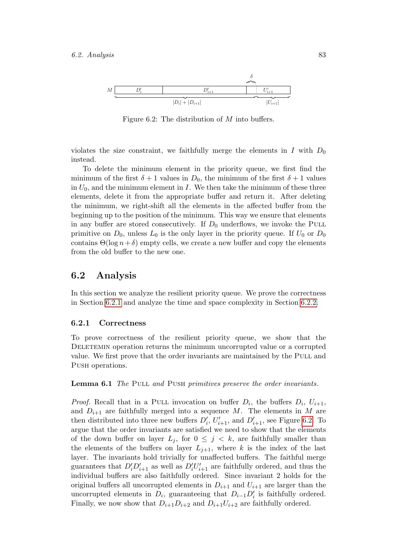

<span id="page-94-2"></span>Figure 6.2: The distribution of M into buffers.

violates the size constraint, we faithfully merge the elements in I with  $D_0$ instead.

To delete the minimum element in the priority queue, we first find the minimum of the first  $\delta + 1$  values in  $D_0$ , the minimum of the first  $\delta + 1$  values in  $U_0$ , and the minimum element in I. We then take the minimum of these three elements, delete it from the appropriate buffer and return it. After deleting the minimum, we right-shift all the elements in the affected buffer from the beginning up to the position of the minimum. This way we ensure that elements in any buffer are stored consecutively. If  $D_0$  underflows, we invoke the PULL primitive on  $D_0$ , unless  $L_0$  is the only layer in the priority queue. If  $U_0$  or  $D_0$ contains  $\Theta(\log n+\delta)$  empty cells, we create a new buffer and copy the elements from the old buffer to the new one.

### <span id="page-94-0"></span>6.2 Analysis

In this section we analyze the resilient priority queue. We prove the correctness in Section [6.2.1](#page-94-1) and analyze the time and space complexity in Section [6.2.2.](#page-95-0)

### <span id="page-94-1"></span>6.2.1 Correctness

To prove correctness of the resilient priority queue, we show that the DELETEMIN operation returns the minimum uncorrupted value or a corrupted value. We first prove that the order invariants are maintained by the Pull and PUSH operations.

**Lemma 6.1** The PULL and PUSH primitives preserve the order invariants.

*Proof.* Recall that in a PULL invocation on buffer  $D_i$ , the buffers  $D_i$ ,  $U_{i+1}$ , and  $D_{i+1}$  are faithfully merged into a sequence M. The elements in M are then distributed into three new buffers  $D'_i$ ,  $U'_{i+1}$ , and  $D'_{i+1}$ , see Figure [6.2.](#page-94-2) To argue that the order invariants are satisfied we need to show that the elements of the down buffer on layer  $L_i$ , for  $0 \leq j \leq k$ , are faithfully smaller than the elements of the buffers on layer  $L_{j+1}$ , where k is the index of the last layer. The invariants hold trivially for unaffected buffers. The faithful merge guarantees that  $D_i'D_{i+1}'$  as well as  $D_i'U_{i+1}'$  are faithfully ordered, and thus the individual buffers are also faithfully ordered. Since invariant 2 holds for the original buffers all uncorrupted elements in  $D_{i+1}$  and  $U_{i+1}$  are larger than the uncorrupted elements in  $D_i$ , guaranteeing that  $D_{i-1}D_i'$  is faithfully ordered. Finally, we now show that  $D_{i+1}D_{i+2}$  and  $D_{i+1}U_{i+2}$  are faithfully ordered.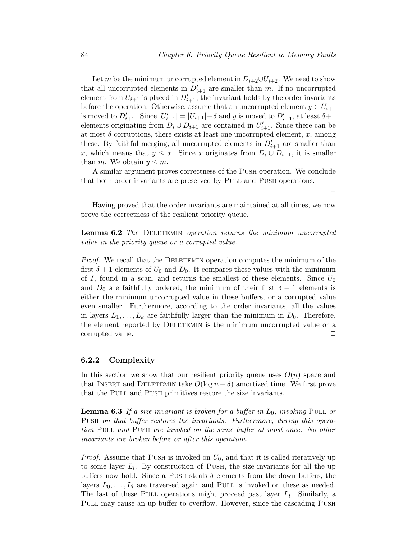Let m be the minimum uncorrupted element in  $D_{i+2} \cup U_{i+2}$ . We need to show that all uncorrupted elements in  $D'_{i+1}$  are smaller than m. If no uncorrupted element from  $U_{i+1}$  is placed in  $D'_{i+1}$ , the invariant holds by the order invariants before the operation. Otherwise, assume that an uncorrupted element  $y \in U_{i+1}$ is moved to  $D'_{i+1}$ . Since  $|U'_{i+1}| = |U_{i+1}| + \delta$  and y is moved to  $D'_{i+1}$ , at least  $\delta + 1$ elements originating from  $D_i \cup D_{i+1}$  are contained in  $U'_{i+1}$ . Since there can be at most  $\delta$  corruptions, there exists at least one uncorrupted element, x, among these. By faithful merging, all uncorrupted elements in  $D'_{i+1}$  are smaller than x, which means that  $y \leq x$ . Since x originates from  $D_i \cup D_{i+1}$ , it is smaller than m. We obtain  $y \leq m$ .

A similar argument proves correctness of the Push operation. We conclude that both order invariants are preserved by Pull and Push operations.

 $\Box$ 

Having proved that the order invariants are maintained at all times, we now prove the correctness of the resilient priority queue.

**Lemma 6.2** The DELETEMIN operation returns the minimum uncorrupted value in the priority queue or a corrupted value.

Proof. We recall that the DELETEMIN operation computes the minimum of the first  $\delta + 1$  elements of  $U_0$  and  $D_0$ . It compares these values with the minimum of I, found in a scan, and returns the smallest of these elements. Since  $U_0$ and  $D_0$  are faithfully ordered, the minimum of their first  $\delta + 1$  elements is either the minimum uncorrupted value in these buffers, or a corrupted value even smaller. Furthermore, according to the order invariants, all the values in layers  $L_1, \ldots, L_k$  are faithfully larger than the minimum in  $D_0$ . Therefore, the element reported by DELETEMIN is the minimum uncorrupted value or a corrupted value.

### <span id="page-95-0"></span>6.2.2 Complexity

In this section we show that our resilient priority queue uses  $O(n)$  space and that INSERT and DELETEMIN take  $O(\log n + \delta)$  amortized time. We first prove that the Pull and Push primitives restore the size invariants.

**Lemma 6.3** If a size invariant is broken for a buffer in  $L_0$ , invoking PULL or Push on that buffer restores the invariants. Furthermore, during this operation Pull and Push are invoked on the same buffer at most once. No other invariants are broken before or after this operation.

*Proof.* Assume that PUSH is invoked on  $U_0$ , and that it is called iteratively up to some layer  $L_l$ . By construction of PUSH, the size invariants for all the up buffers now hold. Since a PUSH steals  $\delta$  elements from the down buffers, the layers  $L_0, \ldots, L_l$  are traversed again and PULL is invoked on these as needed. The last of these PULL operations might proceed past layer  $L_l$ . Similarly, a Pull may cause an up buffer to overflow. However, since the cascading Push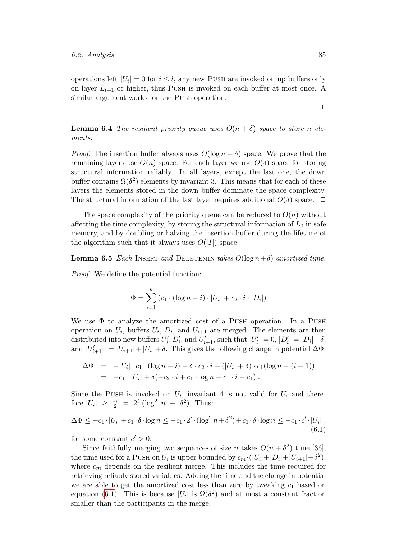operations left  $|U_i| = 0$  for  $i \leq l$ , any new PUSH are invoked on up buffers only on layer  $L_{l+1}$  or higher, thus PUSH is invoked on each buffer at most once. A similar argument works for the PULL operation.

**Lemma 6.4** The resilient priority queue uses  $O(n + \delta)$  space to store n elements.

*Proof.* The insertion buffer always uses  $O(\log n + \delta)$  space. We prove that the remaining layers use  $O(n)$  space. For each layer we use  $O(\delta)$  space for storing structural information reliably. In all layers, except the last one, the down buffer contains  $\Omega(\delta^2)$  elements by invariant 3. This means that for each of these layers the elements stored in the down buffer dominate the space complexity. The structural information of the last layer requires additional  $O(\delta)$  space.  $\Box$ 

The space complexity of the priority queue can be reduced to  $O(n)$  without affecting the time complexity, by storing the structural information of  $L_0$  in safe memory, and by doubling or halving the insertion buffer during the lifetime of the algorithm such that it always uses  $O(|I|)$  space.

**Lemma 6.5** Each INSERT and DELETEMIN takes  $O(\log n + \delta)$  amortized time.

Proof. We define the potential function:

$$
\Phi = \sum_{i=1}^{k} (c_1 \cdot (\log n - i) \cdot |U_i| + c_2 \cdot i \cdot |D_i|)
$$

We use  $\Phi$  to analyze the amortized cost of a Push operation. In a Push operation on  $U_i$ , buffers  $U_i$ ,  $D_i$ , and  $U_{i+1}$  are merged. The elements are then distributed into new buffers  $U'_i, D'_i$ , and  $U'_{i+1}$ , such that  $|U'_i| = 0, |D'_i| = |D_i| - \delta$ , and  $|U'_{i+1}| = |U_{i+1}| + |U_i| + \delta$ . This gives the following change in potential  $\Delta \Phi$ :

$$
\Delta \Phi = -|U_i| \cdot c_1 \cdot (\log n - i) - \delta \cdot c_2 \cdot i + (|U_i| + \delta) \cdot c_1 (\log n - (i + 1))
$$
  
= -c\_1 \cdot |U\_i| + \delta(-c\_2 \cdot i + c\_1 \cdot \log n - c\_1 \cdot i - c\_1).

Since the PUSH is invoked on  $U_i$ , invariant 4 is not valid for  $U_i$  and therefore  $|U_i| \geq \frac{s_i}{2} = 2^i (\log^2 n + \delta^2)$ . Thus:

<span id="page-96-0"></span>
$$
\Delta \Phi \le -c_1 \cdot |U_i| + c_1 \cdot \delta \cdot \log n \le -c_1 \cdot 2^i \cdot (\log^2 n + \delta^2) + c_1 \cdot \delta \cdot \log n \le -c_1 \cdot c' \cdot |U_i| \;,
$$
\n(6.1)

for some constant  $c' > 0$ .

Since faithfully merging two sequences of size *n* takes  $O(n + \delta^2)$  time [36], the time used for a Push on  $U_i$  is upper bounded by  $c_m \cdot (|U_i| + |D_i| + |U_{i+1}| + \delta^2)$ , where  $c_m$  depends on the resilient merge. This includes the time required for retrieving reliably stored variables. Adding the time and the change in potential we are able to get the amortized cost less than zero by tweaking  $c_1$  based on equation [\(6.1\)](#page-96-0). This is because  $|U_i|$  is  $\Omega(\delta^2)$  and at most a constant fraction smaller than the participants in the merge.

 $\Box$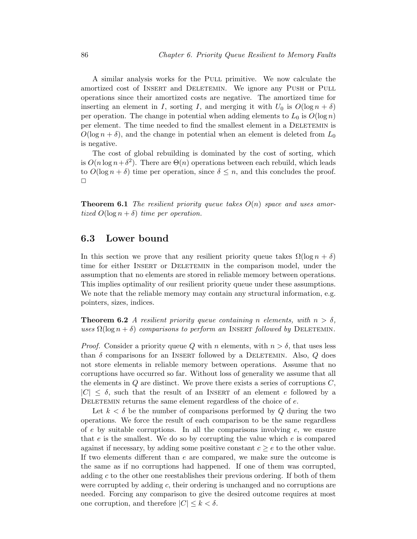A similar analysis works for the Pull primitive. We now calculate the amortized cost of Insert and Deletemin. We ignore any Push or Pull operations since their amortized costs are negative. The amortized time for inserting an element in I, sorting I, and merging it with  $U_0$  is  $O(\log n + \delta)$ per operation. The change in potential when adding elements to  $L_0$  is  $O(\log n)$ per element. The time needed to find the smallest element in a DELETEMIN is  $O(\log n + \delta)$ , and the change in potential when an element is deleted from  $L_0$ is negative.

The cost of global rebuilding is dominated by the cost of sorting, which is  $O(n \log n + \delta^2)$ . There are  $\Theta(n)$  operations between each rebuild, which leads to  $O(\log n + \delta)$  time per operation, since  $\delta \leq n$ , and this concludes the proof.  $\Box$ 

**Theorem 6.1** The resilient priority queue takes  $O(n)$  space and uses amortized  $O(\log n + \delta)$  time per operation.

### <span id="page-97-0"></span>6.3 Lower bound

In this section we prove that any resilient priority queue takes  $\Omega(\log n + \delta)$ time for either Insert or Deletemin in the comparison model, under the assumption that no elements are stored in reliable memory between operations. This implies optimality of our resilient priority queue under these assumptions. We note that the reliable memory may contain any structural information, e.g. pointers, sizes, indices.

**Theorem 6.2** A resilient priority queue containing n elements, with  $n > \delta$ , uses  $\Omega(\log n + \delta)$  comparisons to perform an INSERT followed by DELETEMIN.

*Proof.* Consider a priority queue Q with n elements, with  $n > \delta$ , that uses less than  $\delta$  comparisons for an INSERT followed by a DELETEMIN. Also,  $Q$  does not store elements in reliable memory between operations. Assume that no corruptions have occurred so far. Without loss of generality we assume that all the elements in  $Q$  are distinct. We prove there exists a series of corruptions  $C$ ,  $|C| \leq \delta$ , such that the result of an INSERT of an element e followed by a DELETEMIN returns the same element regardless of the choice of  $e$ .

Let  $k < \delta$  be the number of comparisons performed by Q during the two operations. We force the result of each comparison to be the same regardless of e by suitable corruptions. In all the comparisons involving  $e$ , we ensure that  $e$  is the smallest. We do so by corrupting the value which  $e$  is compared against if necessary, by adding some positive constant  $c \geq e$  to the other value. If two elements different than  $e$  are compared, we make sure the outcome is the same as if no corruptions had happened. If one of them was corrupted, adding c to the other one reestablishes their previous ordering. If both of them were corrupted by adding c, their ordering is unchanged and no corruptions are needed. Forcing any comparison to give the desired outcome requires at most one corruption, and therefore  $|C| \leq k < \delta$ .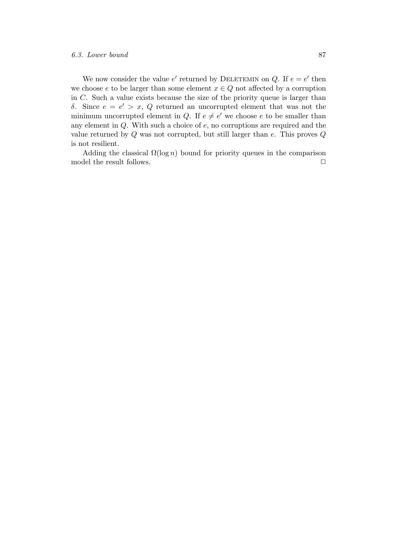We now consider the value  $e'$  returned by DELETEMIN on Q. If  $e = e'$  then we choose e to be larger than some element  $x \in Q$  not affected by a corruption in C. Such a value exists because the size of the priority queue is larger than δ. Since  $e = e' > x$ , Q returned an uncorrupted element that was not the minimum uncorrupted element in Q. If  $e \neq e'$  we choose e to be smaller than any element in  $Q$ . With such a choice of  $e$ , no corruptions are required and the value returned by  $Q$  was not corrupted, but still larger than  $e$ . This proves  $Q$ is not resilient.

Adding the classical  $\Omega(\log n)$  bound for priority queues in the comparison model the result follows.  $\hfill \Box$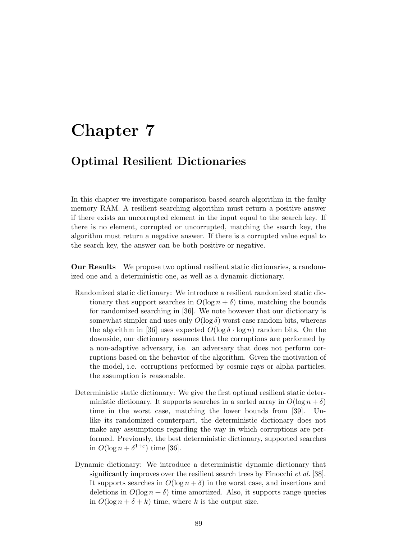# Chapter 7

## Optimal Resilient Dictionaries

In this chapter we investigate comparison based search algorithm in the faulty memory RAM. A resilient searching algorithm must return a positive answer if there exists an uncorrupted element in the input equal to the search key. If there is no element, corrupted or uncorrupted, matching the search key, the algorithm must return a negative answer. If there is a corrupted value equal to the search key, the answer can be both positive or negative.

Our Results We propose two optimal resilient static dictionaries, a randomized one and a deterministic one, as well as a dynamic dictionary.

- Randomized static dictionary: We introduce a resilient randomized static dictionary that support searches in  $O(\log n + \delta)$  time, matching the bounds for randomized searching in [36]. We note however that our dictionary is somewhat simpler and uses only  $O(\log \delta)$  worst case random bits, whereas the algorithm in [36] uses expected  $O(\log \delta \cdot \log n)$  random bits. On the downside, our dictionary assumes that the corruptions are performed by a non-adaptive adversary, i.e. an adversary that does not perform corruptions based on the behavior of the algorithm. Given the motivation of the model, i.e. corruptions performed by cosmic rays or alpha particles, the assumption is reasonable.
- Deterministic static dictionary: We give the first optimal resilient static deterministic dictionary. It supports searches in a sorted array in  $O(\log n + \delta)$ time in the worst case, matching the lower bounds from [39]. Unlike its randomized counterpart, the deterministic dictionary does not make any assumptions regarding the way in which corruptions are performed. Previously, the best deterministic dictionary, supported searches in  $O(\log n + \delta^{1+\epsilon})$  time [36].
- Dynamic dictionary: We introduce a deterministic dynamic dictionary that significantly improves over the resilient search trees by Finocchi et al. [38]. It supports searches in  $O(\log n + \delta)$  in the worst case, and insertions and deletions in  $O(\log n + \delta)$  time amortized. Also, it supports range queries in  $O(\log n + \delta + k)$  time, where k is the output size.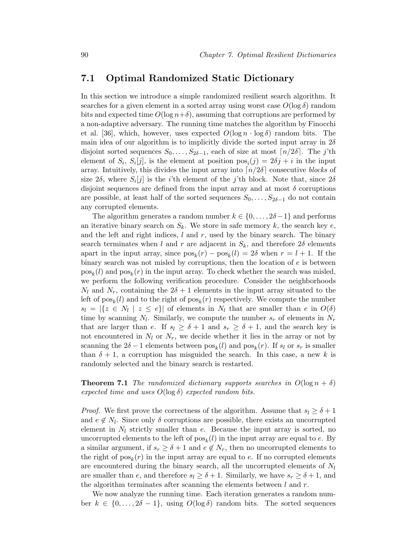### 7.1 Optimal Randomized Static Dictionary

In this section we introduce a simple randomized resilient search algorithm. It searches for a given element in a sorted array using worst case  $O(\log \delta)$  random bits and expected time  $O(\log n+\delta)$ , assuming that corruptions are performed by a non-adaptive adversary. The running time matches the algorithm by Finocchi et al. [36], which, however, uses expected  $O(\log n \cdot \log \delta)$  random bits. The main idea of our algorithm is to implicitly divide the sorted input array in  $2\delta$ disjoint sorted sequences  $S_0, \ldots, S_{2\delta-1}$ , each of size at most  $\lceil n/2\delta \rceil$ . The j'th element of  $S_i$ ,  $S_i[j]$ , is the element at position  $pos_i(j) = 2\delta j + i$  in the input array. Intuitively, this divides the input array into  $\lceil n/2\delta \rceil$  consecutive blocks of size  $2\delta$ , where  $S_i[j]$  is the *i*'th element of the *j*'th block. Note that, since  $2\delta$ disjoint sequences are defined from the input array and at most  $\delta$  corruptions are possible, at least half of the sorted sequences  $S_0, \ldots, S_{2\delta-1}$  do not contain any corrupted elements.

The algorithm generates a random number  $k \in \{0, \ldots, 2\delta-1\}$  and performs an iterative binary search on  $S_k$ . We store in safe memory k, the search key e, and the left and right indices,  $l$  and  $r$ , used by the binary search. The binary search terminates when l and r are adjacent in  $S_k$ , and therefore  $2\delta$  elements apart in the input array, since  $pos_k(r) - pos_k(l) = 2\delta$  when  $r = l + 1$ . If the binary search was not misled by corruptions, then the location of  $e$  is between  $pos_k(l)$  and  $pos_k(r)$  in the input array. To check whether the search was misled, we perform the following verification procedure. Consider the neighborhoods  $N_l$  and  $N_r$ , containing the  $2\delta + 1$  elements in the input array situated to the left of  $pos_k(l)$  and to the right of  $pos_k(r)$  respectively. We compute the number  $s_l = |\{z \in N_l \mid z \leq e\}|$  of elements in  $N_l$  that are smaller than e in  $O(\delta)$ time by scanning  $N_l$ . Similarly, we compute the number  $s_r$  of elements in  $N_r$ that are larger than e. If  $s_l \geq \delta + 1$  and  $s_r \geq \delta + 1$ , and the search key is not encountered in  $N_l$  or  $N_r$ , we decide whether it lies in the array or not by scanning the  $2\delta - 1$  elements between  $pos_k(l)$  and  $pos_k(r)$ . If  $s_l$  or  $s_r$  is smaller than  $\delta + 1$ , a corruption has misguided the search. In this case, a new k is randomly selected and the binary search is restarted.

**Theorem 7.1** The randomized dictionary supports searches in  $O(\log n + \delta)$ expected time and uses  $O(\log \delta)$  expected random bits.

*Proof.* We first prove the correctness of the algorithm. Assume that  $s_l \geq \delta + 1$ and  $e \notin N_l$ . Since only  $\delta$  corruptions are possible, there exists an uncorrupted element in  $N_l$  strictly smaller than  $e$ . Because the input array is sorted, no uncorrupted elements to the left of  $pos_k(l)$  in the input array are equal to e. By a similar argument, if  $s_r \geq \delta + 1$  and  $e \notin N_r$ , then no uncorrupted elements to the right of  $pos_k(r)$  in the input array are equal to e. If no corrupted elements are encountered during the binary search, all the uncorrupted elements of  $N_l$ are smaller than e, and therefore  $s_l \geq \delta + 1$ . Similarly, we have  $s_r \geq \delta + 1$ , and the algorithm terminates after scanning the elements between  $l$  and  $r$ .

We now analyze the running time. Each iteration generates a random number  $k \in \{0, \ldots, 2\delta - 1\}$ , using  $O(\log \delta)$  random bits. The sorted sequences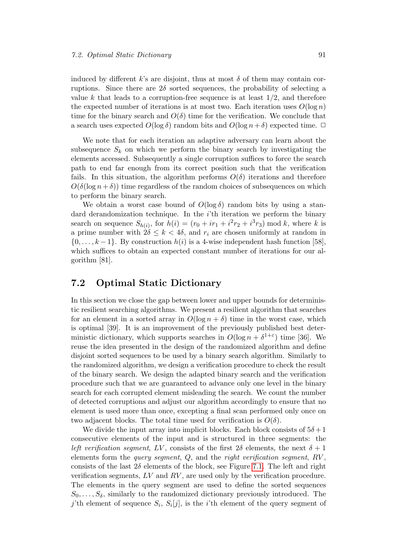induced by different k's are disjoint, thus at most  $\delta$  of them may contain corruptions. Since there are  $2\delta$  sorted sequences, the probability of selecting a value k that leads to a corruption-free sequence is at least  $1/2$ , and therefore the expected number of iterations is at most two. Each iteration uses  $O(\log n)$ time for the binary search and  $O(\delta)$  time for the verification. We conclude that a search uses expected  $O(\log \delta)$  random bits and  $O(\log n + \delta)$  expected time.  $\Box$ 

We note that for each iteration an adaptive adversary can learn about the subsequence  $S_k$  on which we perform the binary search by investigating the elements accessed. Subsequently a single corruption suffices to force the search path to end far enough from its correct position such that the verification fails. In this situation, the algorithm performs  $O(\delta)$  iterations and therefore  $O(\delta(\log n+\delta))$  time regardless of the random choices of subsequences on which to perform the binary search.

We obtain a worst case bound of  $O(\log \delta)$  random bits by using a standard derandomization technique. In the *i*'th iteration we perform the binary search on sequence  $S_{h(i)}$ , for  $h(i) = (r_0 + ir_1 + i^2r_2 + i^3r_3) \mod k$ , where k is a prime number with  $2\delta \leq k < 4\delta$ , and  $r_i$  are chosen uniformly at random in  $\{0, \ldots, k-1\}$ . By construction  $h(i)$  is a 4-wise independent hash function [58], which suffices to obtain an expected constant number of iterations for our algorithm [81].

### <span id="page-102-0"></span>7.2 Optimal Static Dictionary

In this section we close the gap between lower and upper bounds for deterministic resilient searching algorithms. We present a resilient algorithm that searches for an element in a sorted array in  $O(\log n + \delta)$  time in the worst case, which is optimal [39]. It is an improvement of the previously published best deterministic dictionary, which supports searches in  $O(\log n + \delta^{1+\epsilon})$  time [36]. We reuse the idea presented in the design of the randomized algorithm and define disjoint sorted sequences to be used by a binary search algorithm. Similarly to the randomized algorithm, we design a verification procedure to check the result of the binary search. We design the adapted binary search and the verification procedure such that we are guaranteed to advance only one level in the binary search for each corrupted element misleading the search. We count the number of detected corruptions and adjust our algorithm accordingly to ensure that no element is used more than once, excepting a final scan performed only once on two adjacent blocks. The total time used for verification is  $O(\delta)$ .

We divide the input array into implicit blocks. Each block consists of  $5\delta + 1$ consecutive elements of the input and is structured in three segments: the left verification segment, LV, consists of the first  $2\delta$  elements, the next  $\delta + 1$ elements form the *query segment*,  $Q$ , and the *right verification segment*,  $RV$ , consists of the last  $2\delta$  elements of the block, see Figure [7.1.](#page-103-0) The left and right verification segments,  $LV$  and  $RV$ , are used only by the verification procedure. The elements in the query segment are used to define the sorted sequences  $S_0, \ldots, S_\delta$ , similarly to the randomized dictionary previously introduced. The j'th element of sequence  $S_i$ ,  $S_i[j]$ , is the *i*'th element of the query segment of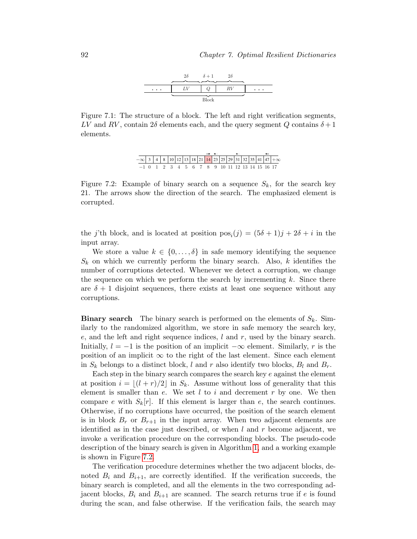

<span id="page-103-0"></span>Figure 7.1: The structure of a block. The left and right verification segments, LV and RV, contain  $2\delta$  elements each, and the query segment Q contains  $\delta + 1$ elements.

<span id="page-103-2"></span>

Figure 7.2: Example of binary search on a sequence  $S_k$ , for the search key 21. The arrows show the direction of the search. The emphasized element is corrupted.

the j'th block, and is located at position  $pos_i(j) = (5\delta + 1)j + 2\delta + i$  in the input array.

We store a value  $k \in \{0, \ldots, \delta\}$  in safe memory identifying the sequence  $S_k$  on which we currently perform the binary search. Also, k identifies the number of corruptions detected. Whenever we detect a corruption, we change the sequence on which we perform the search by incrementing  $k$ . Since there are  $\delta + 1$  disjoint sequences, there exists at least one sequence without any corruptions.

**Binary search** The binary search is performed on the elements of  $S_k$ . Similarly to the randomized algorithm, we store in safe memory the search key, e, and the left and right sequence indices,  $l$  and  $r$ , used by the binary search. Initially,  $l = -1$  is the position of an implicit  $-\infty$  element. Similarly, r is the position of an implicit  $\infty$  to the right of the last element. Since each element in  $S_k$  belongs to a distinct block, l and r also identify two blocks,  $B_l$  and  $B_r$ .

Each step in the binary search compares the search key e against the element at position  $i = |(l + r)/2|$  in  $S_k$ . Assume without loss of generality that this element is smaller than  $e$ . We set  $l$  to  $i$  and decrement  $r$  by one. We then compare e with  $S_k[r]$ . If this element is larger than e, the search continues. Otherwise, if no corruptions have occurred, the position of the search element is in block  $B_r$  or  $B_{r+1}$  in the input array. When two adjacent elements are identified as in the case just described, or when  $l$  and  $r$  become adjacent, we invoke a verification procedure on the corresponding blocks. The pseudo-code description of the binary search is given in Algorithm [1,](#page-103-1) and a working example is shown in Figure [7.2.](#page-103-2)

<span id="page-103-1"></span>The verification procedure determines whether the two adjacent blocks, denoted  $B_i$  and  $B_{i+1}$ , are correctly identified. If the verification succeeds, the binary search is completed, and all the elements in the two corresponding adjacent blocks,  $B_i$  and  $B_{i+1}$  are scanned. The search returns true if e is found during the scan, and false otherwise. If the verification fails, the search may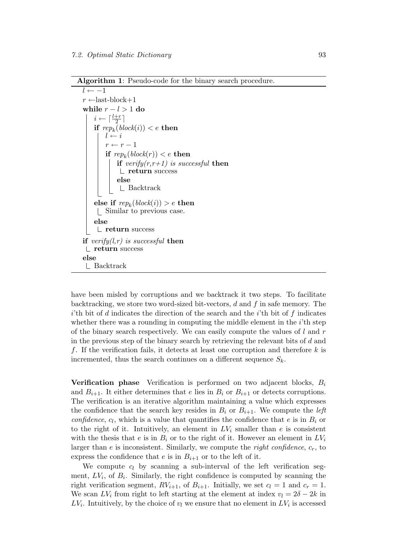Algorithm 1: Pseudo-code for the binary search procedure.

```
l \leftarrow -1r \leftarrowlast-block+1
while r - l > 1 do
     i \leftarrow \lceil \frac{l+r}{2} \rceilif rep_k(\mathit{block}(i)) < e then
         l \leftarrow ir \leftarrow r - 1if rep_k(\mathit{block}(r)) < e then
              if verify(r,r+1) is successful then
                \mathsf{\mathsf{L}} return success
              else
               \Box Backtrack
     else if rep_k(\mathit{block}(i)) > e then
     Similar to previous case.
    else
     \mathcal{L} return success
if verify(l,r) is successful then
 \mathsf{\perp} return success
else
 Backtrack
```
have been misled by corruptions and we backtrack it two steps. To facilitate backtracking, we store two word-sized bit-vectors,  $d$  and  $f$  in safe memory. The i'th bit of d indicates the direction of the search and the i'th bit of f indicates whether there was a rounding in computing the middle element in the  $i$ <sup>th</sup> step of the binary search respectively. We can easily compute the values of  $l$  and  $r$ in the previous step of the binary search by retrieving the relevant bits of d and f. If the verification fails, it detects at least one corruption and therefore  $k$  is incremented, thus the search continues on a different sequence  $S_k$ .

**Verification phase** Verification is performed on two adjacent blocks,  $B_i$ and  $B_{i+1}$ . It either determines that e lies in  $B_i$  or  $B_{i+1}$  or detects corruptions. The verification is an iterative algorithm maintaining a value which expresses the confidence that the search key resides in  $B_i$  or  $B_{i+1}$ . We compute the *left* confidence,  $c_l$ , which is a value that quantifies the confidence that e is in  $B_i$  or to the right of it. Intuitively, an element in  $LV_i$  smaller than e is consistent with the thesis that e is in  $B_i$  or to the right of it. However an element in  $LV_i$ larger than  $e$  is inconsistent. Similarly, we compute the *right confidence*,  $c_r$ , to express the confidence that e is in  $B_{i+1}$  or to the left of it.

We compute  $c_l$  by scanning a sub-interval of the left verification segment,  $LV_i$ , of  $B_i$ . Similarly, the right confidence is computed by scanning the right verification segment,  $RV_{i+1}$ , of  $B_{i+1}$ . Initially, we set  $c_l = 1$  and  $c_r = 1$ . We scan  $LV_i$  from right to left starting at the element at index  $v_l = 2\delta - 2k$  in  $LV_i$ . Intuitively, by the choice of  $v_l$  we ensure that no element in  $LV_i$  is accessed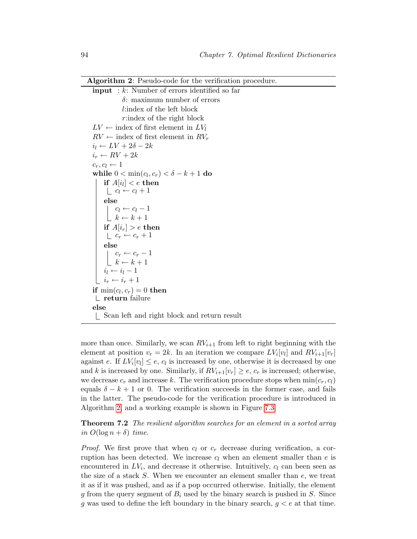Algorithm 2: Pseudo-code for the verification procedure.

input : k: Number of errors identified so far δ: maximum number of errors l:index of the left block r:index of the right block  $LV \leftarrow$  index of first element in  $LV_l$  $RV \leftarrow$  index of first element in  $RV_r$  $i_l \leftarrow LV + 2\delta - 2k$  $i_r \leftarrow RV + 2k$  $c_r, c_l \leftarrow 1$ while  $0 < \min(c_l, c_r) < \delta - k + 1$  do  $\mathbf{if}\,\, A[i_l] < e\,\, \mathbf{then}$  $c_l \leftarrow c_l + 1$ else  $\begin{array}{c} c_l \leftarrow c_l - 1 \end{array}$  $k \leftarrow k + 1$ if  $A[i_r] > e$  then  $c_r \leftarrow c_r + 1$ else  $c_r \leftarrow c_r - 1$  $k \leftarrow k + 1$  $i_l \leftarrow i_l - 1$  $i_r \leftarrow i_r + 1$ if  $\min(c_l, c_r) = 0$  then  $\mathsf{\perp}$  return failure else Scan left and right block and return result

more than once. Similarly, we scan  $RV_{i+1}$  from left to right beginning with the element at position  $v_r = 2k$ . In an iteration we compare  $LV_i[v_l]$  and  $RV_{i+1}[v_r]$ against e. If  $LV_i[v_l] \leq e$ ,  $c_l$  is increased by one, otherwise it is decreased by one and k is increased by one. Similarly, if  $RV_{i+1}[v_r] \geq e$ ,  $c_r$  is increased; otherwise, we decrease  $c_r$  and increase k. The verification procedure stops when  $min(c_r, c_l)$ equals  $\delta - k + 1$  or 0. The verification succeeds in the former case, and fails in the latter. The pseudo-code for the verification procedure is introduced in Algorithm [2,](#page-105-0) and a working example is shown in Figure [7.3.](#page-106-0)

<span id="page-105-0"></span>**Theorem 7.2** The resilient algorithm searches for an element in a sorted array in  $O(\log n + \delta)$  time.

*Proof.* We first prove that when  $c_l$  or  $c_r$  decrease during verification, a corruption has been detected. We increase  $c_l$  when an element smaller than e is encountered in  $LV_i$ , and decrease it otherwise. Intuitively,  $c_l$  can been seen as the size of a stack S. When we encounter an element smaller than  $e$ , we treat it as if it was pushed, and as if a pop occurred otherwise. Initially, the element g from the query segment of  $B_i$  used by the binary search is pushed in S. Since g was used to define the left boundary in the binary search,  $g < e$  at that time.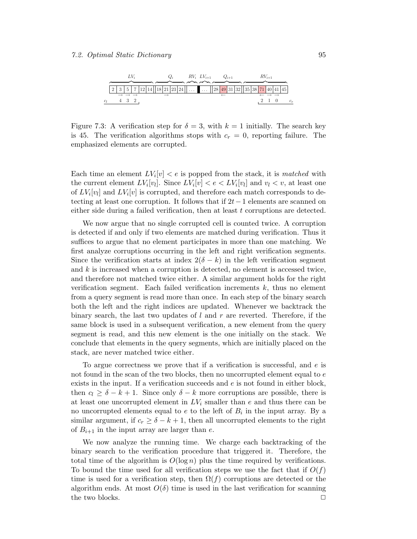

<span id="page-106-0"></span>Figure 7.3: A verification step for  $\delta = 3$ , with  $k = 1$  initially. The search key is 45. The verification algorithms stops with  $c_r = 0$ , reporting failure. The emphasized elements are corrupted.

Each time an element  $LV_i[v] < e$  is popped from the stack, it is *matched* with the current element  $LV_i[v_l]$ . Since  $LV_i[v] < e < LV_i[v_l]$  and  $v_l < v$ , at least one of  $LV_i[v_l]$  and  $LV_i[v]$  is corrupted, and therefore each match corresponds to detecting at least one corruption. It follows that if  $2t-1$  elements are scanned on either side during a failed verification, then at least  $t$  corruptions are detected.

We now argue that no single corrupted cell is counted twice. A corruption is detected if and only if two elements are matched during verification. Thus it suffices to argue that no element participates in more than one matching. We first analyze corruptions occurring in the left and right verification segments. Since the verification starts at index  $2(\delta - k)$  in the left verification segment and  $k$  is increased when a corruption is detected, no element is accessed twice, and therefore not matched twice either. A similar argument holds for the right verification segment. Each failed verification increments  $k$ , thus no element from a query segment is read more than once. In each step of the binary search both the left and the right indices are updated. Whenever we backtrack the binary search, the last two updates of  $l$  and  $r$  are reverted. Therefore, if the same block is used in a subsequent verification, a new element from the query segment is read, and this new element is the one initially on the stack. We conclude that elements in the query segments, which are initially placed on the stack, are never matched twice either.

To argue correctness we prove that if a verification is successful, and e is not found in the scan of the two blocks, then no uncorrupted element equal to  $e$ exists in the input. If a verification succeeds and e is not found in either block, then  $c_l \geq \delta - k + 1$ . Since only  $\delta - k$  more corruptions are possible, there is at least one uncorrupted element in  $LV_i$  smaller than e and thus there can be no uncorrupted elements equal to  $e$  to the left of  $B_i$  in the input array. By a similar argument, if  $c_r \geq \delta - k + 1$ , then all uncorrupted elements to the right of  $B_{i+1}$  in the input array are larger than e.

We now analyze the running time. We charge each backtracking of the binary search to the verification procedure that triggered it. Therefore, the total time of the algorithm is  $O(\log n)$  plus the time required by verifications. To bound the time used for all verification steps we use the fact that if  $O(f)$ time is used for a verification step, then  $\Omega(f)$  corruptions are detected or the algorithm ends. At most  $O(\delta)$  time is used in the last verification for scanning the two blocks.  $\Box$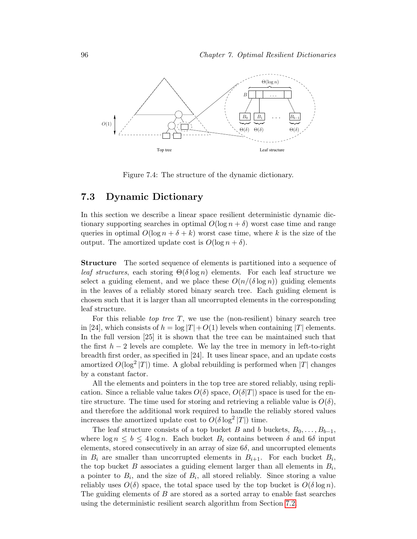

Figure 7.4: The structure of the dynamic dictionary.

### 7.3 Dynamic Dictionary

In this section we describe a linear space resilient deterministic dynamic dictionary supporting searches in optimal  $O(\log n + \delta)$  worst case time and range queries in optimal  $O(\log n + \delta + k)$  worst case time, where k is the size of the output. The amortized update cost is  $O(\log n + \delta)$ .

Structure The sorted sequence of elements is partitioned into a sequence of leaf structures, each storing  $\Theta(\delta \log n)$  elements. For each leaf structure we select a guiding element, and we place these  $O(n/(\delta \log n))$  guiding elements in the leaves of a reliably stored binary search tree. Each guiding element is chosen such that it is larger than all uncorrupted elements in the corresponding leaf structure.

For this reliable top tree  $T$ , we use the (non-resilient) binary search tree in [24], which consists of  $h = \log |T| + O(1)$  levels when containing [T] elements. In the full version [25] it is shown that the tree can be maintained such that the first  $h-2$  levels are complete. We lay the tree in memory in left-to-right breadth first order, as specified in [24]. It uses linear space, and an update costs amortized  $O(\log^2 |T|)$  time. A global rebuilding is performed when |T| changes by a constant factor.

All the elements and pointers in the top tree are stored reliably, using replication. Since a reliable value takes  $O(\delta)$  space,  $O(\delta|T|)$  space is used for the entire structure. The time used for storing and retrieving a reliable value is  $O(\delta)$ , and therefore the additional work required to handle the reliably stored values increases the amortized update cost to  $O(\delta \log^2 |T|)$  time.

The leaf structure consists of a top bucket B and b buckets,  $B_0, \ldots, B_{b-1}$ , where  $\log n \leq b \leq 4 \log n$ . Each bucket  $B_i$  contains between  $\delta$  and  $6\delta$  input elements, stored consecutively in an array of size  $6\delta$ , and uncorrupted elements in  $B_i$  are smaller than uncorrupted elements in  $B_{i+1}$ . For each bucket  $B_i$ , the top bucket  $B$  associates a guiding element larger than all elements in  $B_i$ , a pointer to  $B_i$ , and the size of  $B_i$ , all stored reliably. Since storing a value reliably uses  $O(\delta)$  space, the total space used by the top bucket is  $O(\delta \log n)$ . The guiding elements of  $B$  are stored as a sorted array to enable fast searches using the deterministic resilient search algorithm from Section [7.2.](#page-102-0)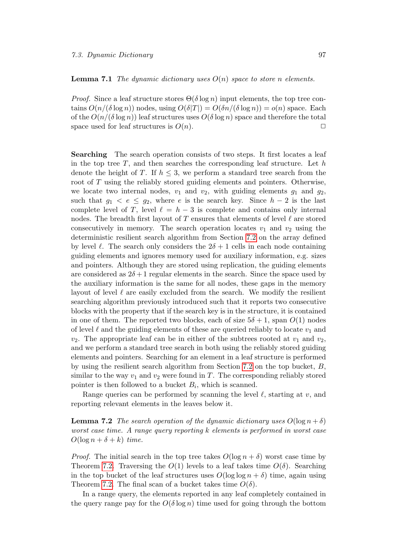#### **Lemma 7.1** The dynamic dictionary uses  $O(n)$  space to store n elements.

*Proof.* Since a leaf structure stores  $\Theta(\delta \log n)$  input elements, the top tree contains  $O(n/(\delta \log n))$  nodes, using  $O(\delta |T|) = O(\delta n/(\delta \log n)) = o(n)$  space. Each of the  $O(n/(\delta \log n))$  leaf structures uses  $O(\delta \log n)$  space and therefore the total space used for leaf structures is  $O(n)$ .

Searching The search operation consists of two steps. It first locates a leaf in the top tree  $T$ , and then searches the corresponding leaf structure. Let  $h$ denote the height of T. If  $h \leq 3$ , we perform a standard tree search from the root of T using the reliably stored guiding elements and pointers. Otherwise, we locate two internal nodes,  $v_1$  and  $v_2$ , with guiding elements  $q_1$  and  $q_2$ , such that  $g_1 < e \le g_2$ , where e is the search key. Since  $h-2$  is the last complete level of T, level  $\ell = h - 3$  is complete and contains only internal nodes. The breadth first layout of T ensures that elements of level  $\ell$  are stored consecutively in memory. The search operation locates  $v_1$  and  $v_2$  using the deterministic resilient search algorithm from Section [7.2](#page-102-0) on the array defined by level  $\ell$ . The search only considers the  $2\delta + 1$  cells in each node containing guiding elements and ignores memory used for auxiliary information, e.g. sizes and pointers. Although they are stored using replication, the guiding elements are considered as  $2\delta + 1$  regular elements in the search. Since the space used by the auxiliary information is the same for all nodes, these gaps in the memory layout of level  $\ell$  are easily excluded from the search. We modify the resilient searching algorithm previously introduced such that it reports two consecutive blocks with the property that if the search key is in the structure, it is contained in one of them. The reported two blocks, each of size  $5\delta + 1$ , span  $O(1)$  nodes of level  $\ell$  and the guiding elements of these are queried reliably to locate  $v_1$  and  $v_2$ . The appropriate leaf can be in either of the subtrees rooted at  $v_1$  and  $v_2$ , and we perform a standard tree search in both using the reliably stored guiding elements and pointers. Searching for an element in a leaf structure is performed by using the resilient search algorithm from Section [7.2](#page-102-0) on the top bucket, B, similar to the way  $v_1$  and  $v_2$  were found in T. The corresponding reliably stored pointer is then followed to a bucket  $B_i$ , which is scanned.

Range queries can be performed by scanning the level  $\ell$ , starting at v, and reporting relevant elements in the leaves below it.

**Lemma 7.2** The search operation of the dynamic dictionary uses  $O(\log n + \delta)$ worst case time. A range query reporting k elements is performed in worst case  $O(\log n + \delta + k)$  time.

*Proof.* The initial search in the top tree takes  $O(\log n + \delta)$  worst case time by Theorem [7.2.](#page-105-0) Traversing the  $O(1)$  levels to a leaf takes time  $O(\delta)$ . Searching in the top bucket of the leaf structures uses  $O(\log \log n + \delta)$  time, again using Theorem [7.2.](#page-105-0) The final scan of a bucket takes time  $O(\delta)$ .

In a range query, the elements reported in any leaf completely contained in the query range pay for the  $O(\delta \log n)$  time used for going through the bottom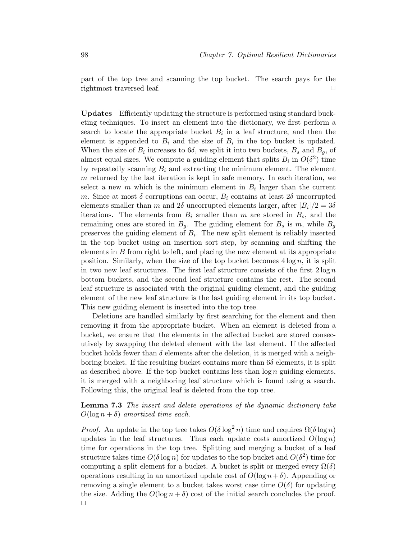part of the top tree and scanning the top bucket. The search pays for the rightmost traversed leaf.  $\Box$ 

Updates Efficiently updating the structure is performed using standard bucketing techniques. To insert an element into the dictionary, we first perform a search to locate the appropriate bucket  $B_i$  in a leaf structure, and then the element is appended to  $B_i$  and the size of  $B_i$  in the top bucket is updated. When the size of  $B_i$  increases to 6 $\delta$ , we split it into two buckets,  $B_s$  and  $B_g$ , of almost equal sizes. We compute a guiding element that splits  $B_i$  in  $O(\delta^2)$  time by repeatedly scanning  $B_i$  and extracting the minimum element. The element m returned by the last iteration is kept in safe memory. In each iteration, we select a new  $m$  which is the minimum element in  $B_i$  larger than the current m. Since at most  $\delta$  corruptions can occur,  $B_i$  contains at least  $2\delta$  uncorrupted elements smaller than m and  $2\delta$  uncorrupted elements larger, after  $|B_i|/2 = 3\delta$ iterations. The elements from  $B_i$  smaller than m are stored in  $B_s$ , and the remaining ones are stored in  $B_q$ . The guiding element for  $B_s$  is m, while  $B_q$ preserves the guiding element of  $B_i$ . The new split element is reliably inserted in the top bucket using an insertion sort step, by scanning and shifting the elements in  $B$  from right to left, and placing the new element at its appropriate position. Similarly, when the size of the top bucket becomes  $4 \log n$ , it is split in two new leaf structures. The first leaf structure consists of the first  $2 \log n$ bottom buckets, and the second leaf structure contains the rest. The second leaf structure is associated with the original guiding element, and the guiding element of the new leaf structure is the last guiding element in its top bucket. This new guiding element is inserted into the top tree.

Deletions are handled similarly by first searching for the element and then removing it from the appropriate bucket. When an element is deleted from a bucket, we ensure that the elements in the affected bucket are stored consecutively by swapping the deleted element with the last element. If the affected bucket holds fewer than  $\delta$  elements after the deletion, it is merged with a neighboring bucket. If the resulting bucket contains more than  $6\delta$  elements, it is split as described above. If the top bucket contains less than  $\log n$  guiding elements, it is merged with a neighboring leaf structure which is found using a search. Following this, the original leaf is deleted from the top tree.

Lemma 7.3 The insert and delete operations of the dynamic dictionary take  $O(\log n + \delta)$  amortized time each.

*Proof.* An update in the top tree takes  $O(\delta \log^2 n)$  time and requires  $\Omega(\delta \log n)$ updates in the leaf structures. Thus each update costs amortized  $O(\log n)$ time for operations in the top tree. Splitting and merging a bucket of a leaf structure takes time  $O(\delta \log n)$  for updates to the top bucket and  $O(\delta^2)$  time for computing a split element for a bucket. A bucket is split or merged every  $\Omega(\delta)$ operations resulting in an amortized update cost of  $O(\log n + \delta)$ . Appending or removing a single element to a bucket takes worst case time  $O(\delta)$  for updating the size. Adding the  $O(\log n + \delta)$  cost of the initial search concludes the proof.  $\Box$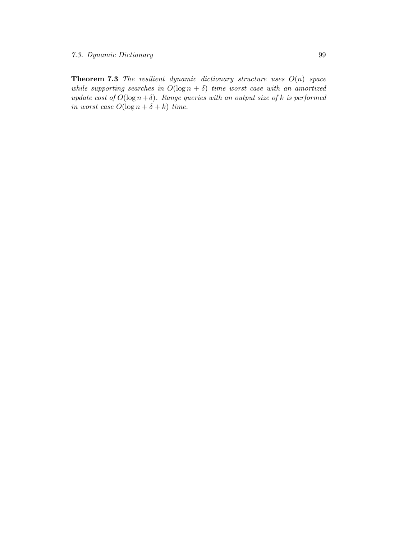**Theorem 7.3** The resilient dynamic dictionary structure uses  $O(n)$  space while supporting searches in  $O(\log n + \delta)$  time worst case with an amortized update cost of  $O(\log n+\delta)$ . Range queries with an output size of k is performed in worst case  $O(\log n + \delta + k)$  time.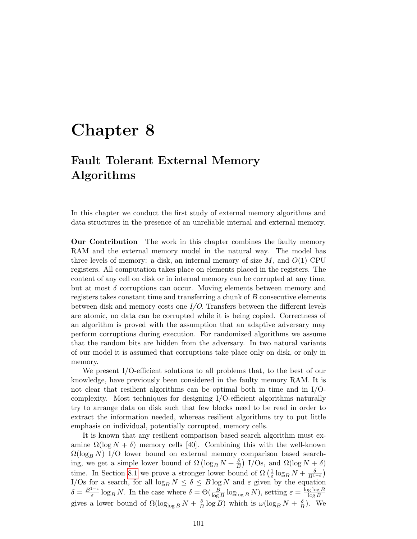# Chapter 8

# Fault Tolerant External Memory Algorithms

In this chapter we conduct the first study of external memory algorithms and data structures in the presence of an unreliable internal and external memory.

Our Contribution The work in this chapter combines the faulty memory RAM and the external memory model in the natural way. The model has three levels of memory: a disk, an internal memory of size  $M$ , and  $O(1)$  CPU registers. All computation takes place on elements placed in the registers. The content of any cell on disk or in internal memory can be corrupted at any time, but at most  $\delta$  corruptions can occur. Moving elements between memory and registers takes constant time and transferring a chunk of B consecutive elements between disk and memory costs one  $I/O$ . Transfers between the different levels are atomic, no data can be corrupted while it is being copied. Correctness of an algorithm is proved with the assumption that an adaptive adversary may perform corruptions during execution. For randomized algorithms we assume that the random bits are hidden from the adversary. In two natural variants of our model it is assumed that corruptions take place only on disk, or only in memory.

We present I/O-efficient solutions to all problems that, to the best of our knowledge, have previously been considered in the faulty memory RAM. It is not clear that resilient algorithms can be optimal both in time and in I/Ocomplexity. Most techniques for designing I/O-efficient algorithms naturally try to arrange data on disk such that few blocks need to be read in order to extract the information needed, whereas resilient algorithms try to put little emphasis on individual, potentially corrupted, memory cells.

It is known that any resilient comparison based search algorithm must examine  $\Omega(\log N + \delta)$  memory cells [40]. Combining this with the well-known  $\Omega(\log_B N)$  I/O lower bound on external memory comparison based searching, we get a simple lower bound of  $\Omega (\log_B N + \frac{\delta}{E})$  $\frac{\delta}{B}$ ) I/Os, and  $\Omega(\log N + \delta)$ time. In Section [8.1](#page-114-0) we prove a stronger lower bound of  $\Omega\left(\frac{1}{\varepsilon}\right)$  $\frac{1}{\varepsilon} \log_B N + \frac{\delta}{B^{1-\varepsilon}}$ I/Os for a search, for all  $\log_B N \leq \delta \leq B \log N$  and  $\varepsilon$  given by the equation  $\delta = \frac{B^{1-\varepsilon}}{\varepsilon}$  $\frac{1-\varepsilon}{\varepsilon} \log_B N$ . In the case where  $\delta = \Theta(\frac{B}{\log B} \log_{\log B} N)$ , setting  $\varepsilon = \frac{\log \log B}{\log B}$  $\log B$ gives a lower bound of  $\Omega(\log_{\log B} N + \frac{\delta}{E})$  $\frac{\delta}{B} \log B$ ) which is  $\omega(\log_B N + \frac{\delta}{E})$  $\frac{\delta}{B}$ ). We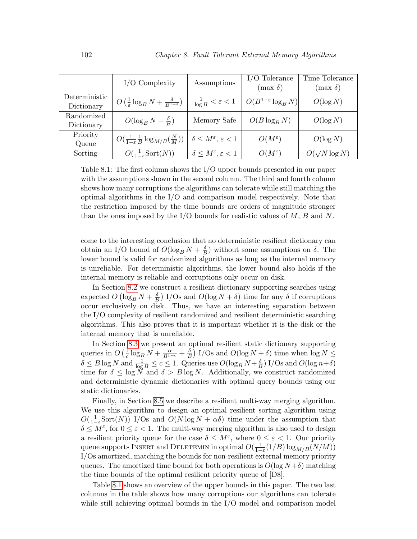|                             | $I/O$ Complexity                                                                 | Assumptions                                       | $I/O$ Tolerance<br>$(\text{max } \delta)$ | Time Tolerance<br>$(\text{max } \delta)$ |
|-----------------------------|----------------------------------------------------------------------------------|---------------------------------------------------|-------------------------------------------|------------------------------------------|
| Deterministic<br>Dictionary | $O\left(\frac{1}{\varepsilon}\log_B N + \frac{\delta}{B^{1-\varepsilon}}\right)$ | $\frac{1}{\log B} < \varepsilon < 1$              | $O(B^{1-\varepsilon} \log_B N)$           | $O(\log N)$                              |
| Randomized<br>Dictionary    | $O(\log_B N + \frac{\delta}{R})$                                                 | Memory Safe                                       | $O(B \log_B N)$                           | $O(\log N)$                              |
| Priority<br>Queue           | $O(\frac{1}{1-\varepsilon}\frac{1}{B}\log_{M/B}(\frac{N}{M}))$                   | $\delta \leq M^{\varepsilon}, \, \varepsilon < 1$ | $O(M^{\varepsilon})$                      | $O(\log N)$                              |
| Sorting                     | $O(\frac{1}{1-\epsilon}Sort(N))$                                                 | $\delta \leq M^{\varepsilon}, \varepsilon < 1$    | $O(M^{\varepsilon})$                      | $O(\sqrt{N}\log N)$                      |

<span id="page-113-0"></span>Table 8.1: The first column shows the I/O upper bounds presented in our paper with the assumptions shown in the second column. The third and fourth column shows how many corruptions the algorithms can tolerate while still matching the optimal algorithms in the I/O and comparison model respectively. Note that the restriction imposed by the time bounds are orders of magnitude stronger than the ones imposed by the I/O bounds for realistic values of  $M$ ,  $B$  and  $N$ .

come to the interesting conclusion that no deterministic resilient dictionary can obtain an I/O bound of  $O(\log_B N + \frac{\delta}{B})$  $\frac{\delta}{B}$ ) without some assumptions on  $\delta$ . The lower bound is valid for randomized algorithms as long as the internal memory is unreliable. For deterministic algorithms, the lower bound also holds if the internal memory is reliable and corruptions only occur on disk.

In Section [8.2](#page-115-0) we construct a resilient dictionary supporting searches using expected  $O\left(\log_B N + \frac{\delta}{E}\right)$  $\frac{\delta}{B}$ ) I/Os and  $O(\log N + \delta)$  time for any  $\delta$  if corruptions occur exclusively on disk. Thus, we have an interesting separation between the I/O complexity of resilient randomized and resilient deterministic searching algorithms. This also proves that it is important whether it is the disk or the internal memory that is unreliable.

In Section [8.3](#page-117-0) we present an optimal resilient static dictionary supporting queries in  $O\left(\frac{1}{c}\right)$  $\frac{1}{c}\log_B N + \frac{\alpha}{B^{1-c}} + \frac{\delta}{B}$  $\frac{\delta}{B}$ ) I/Os and  $O(\log N + \delta)$  time when  $\log N \le$  $\delta \leq B \log N$  and  $\frac{1}{\log B} \leq c \leq 1$ . Queries use  $O(\log_B N + \frac{\delta}{E})$  $\frac{\delta}{B}$ ) I/Os and  $O(\log n+\delta)$ time for  $\delta \leq \log N$  and  $\delta > B \log N$ . Additionally, we construct randomized and deterministic dynamic dictionaries with optimal query bounds using our static dictionaries.

Finally, in Section [8.5](#page-122-0) we describe a resilient multi-way merging algorithm. We use this algorithm to design an optimal resilient sorting algorithm using  $O(\frac{1}{1-\varepsilon}\text{Sort}(N))$  I/Os and  $O(N \log N + \alpha \delta)$  time under the assumption that  $\delta \leq M^{\varepsilon}$ , for  $0 \leq \varepsilon < 1$ . The multi-way merging algorithm is also used to design a resilient priority queue for the case  $\delta \leq M^{\varepsilon}$ , where  $0 \leq \varepsilon < 1$ . Our priority queue supports INSERT and DELETEMIN in optimal  $O(\frac{1}{1-\varepsilon}(1/B)\log_{M/B}(N/M))$ I/Os amortized, matching the bounds for non-resilient external memory priority queues. The amortized time bound for both operations is  $O(\log N + \delta)$  matching the time bounds of the optimal resilient priority queue of [D8].

Table [8.1](#page-113-0) shows an overview of the upper bounds in this paper. The two last columns in the table shows how many corruptions our algorithms can tolerate while still achieving optimal bounds in the I/O model and comparison model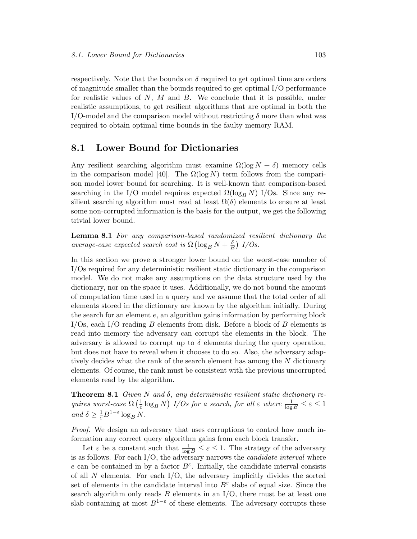respectively. Note that the bounds on  $\delta$  required to get optimal time are orders of magnitude smaller than the bounds required to get optimal I/O performance for realistic values of  $N$ ,  $M$  and  $B$ . We conclude that it is possible, under realistic assumptions, to get resilient algorithms that are optimal in both the I/O-model and the comparison model without restricting  $\delta$  more than what was required to obtain optimal time bounds in the faulty memory RAM.

## <span id="page-114-0"></span>8.1 Lower Bound for Dictionaries

Any resilient searching algorithm must examine  $\Omega(\log N + \delta)$  memory cells in the comparison model [40]. The  $\Omega(\log N)$  term follows from the comparison model lower bound for searching. It is well-known that comparison-based searching in the I/O model requires expected  $\Omega(\log_B N)$  I/Os. Since any resilient searching algorithm must read at least  $\Omega(\delta)$  elements to ensure at least some non-corrupted information is the basis for the output, we get the following trivial lower bound.

Lemma 8.1 For any comparison-based randomized resilient dictionary the average-case expected search cost is  $\Omega\left(\log_B N + \frac{\delta}{E}\right)$  $\frac{\delta}{B}$ ) I/Os.

In this section we prove a stronger lower bound on the worst-case number of I/Os required for any deterministic resilient static dictionary in the comparison model. We do not make any assumptions on the data structure used by the dictionary, nor on the space it uses. Additionally, we do not bound the amount of computation time used in a query and we assume that the total order of all elements stored in the dictionary are known by the algorithm initially. During the search for an element  $e$ , an algorithm gains information by performing block  $I/Os$ , each  $I/O$  reading B elements from disk. Before a block of B elements is read into memory the adversary can corrupt the elements in the block. The adversary is allowed to corrupt up to  $\delta$  elements during the query operation, but does not have to reveal when it chooses to do so. Also, the adversary adaptively decides what the rank of the search element has among the N dictionary elements. Of course, the rank must be consistent with the previous uncorrupted elements read by the algorithm.

<span id="page-114-1"></span>**Theorem 8.1** Given N and  $\delta$ , any deterministic resilient static dictionary requires worst-case  $\Omega\left(\frac{1}{\varepsilon}\right)$  $\frac{1}{\varepsilon} \log_B N$ ) I/Os for a search, for all  $\varepsilon$  where  $\frac{1}{\log B} \leq \varepsilon \leq 1$ and  $\delta \geq \frac{1}{\varepsilon} B^{1-\varepsilon} \log_B N$ .

Proof. We design an adversary that uses corruptions to control how much information any correct query algorithm gains from each block transfer.

Let  $\varepsilon$  be a constant such that  $\frac{1}{\log B} \leq \varepsilon \leq 1$ . The strategy of the adversary is as follows. For each  $I/O$ , the adversary narrows the *candidate interval* where e can be contained in by a factor  $B^{\varepsilon}$ . Initially, the candidate interval consists of all  $N$  elements. For each  $I/O$ , the adversary implicitly divides the sorted set of elements in the candidate interval into  $B^{\varepsilon}$  slabs of equal size. Since the search algorithm only reads  $B$  elements in an  $I/O$ , there must be at least one slab containing at most  $B^{1-\varepsilon}$  of these elements. The adversary corrupts these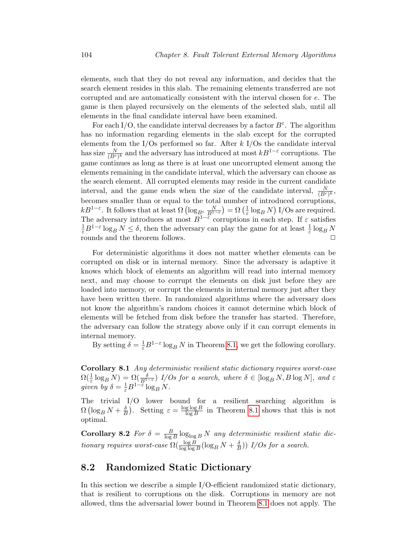elements, such that they do not reveal any information, and decides that the search element resides in this slab. The remaining elements transferred are not corrupted and are automatically consistent with the interval chosen for e. The game is then played recursively on the elements of the selected slab, until all elements in the final candidate interval have been examined.

For each I/O, the candidate interval decreases by a factor  $B^{\varepsilon}$ . The algorithm has no information regarding elements in the slab except for the corrupted elements from the I/Os performed so far. After  $k$  I/Os the candidate interval has size  $\frac{N}{(B^{\varepsilon})^k}$  and the adversary has introduced at most  $kB^{1-\varepsilon}$  corruptions. The game continues as long as there is at least one uncorrupted element among the elements remaining in the candidate interval, which the adversary can choose as the search element. All corrupted elements may reside in the current candidate interval, and the game ends when the size of the candidate interval,  $\frac{N}{(B^{\varepsilon})^k}$ , becomes smaller than or equal to the total number of introduced corruptions,  $kB^{1-\varepsilon}$ . It follows that at least  $\Omega\left(\log_{B_{\varepsilon}} \frac{N}{B^{1-\varepsilon}}\right) = \Omega\left(\frac{1}{\varepsilon}\right)$  $\frac{1}{\varepsilon}$  log<sub>B</sub> N) I/Os are required. The adversary introduces at most  $B^{1-\tilde{\varepsilon}}$  corruptions in each step. If  $\varepsilon$  satisfies  $\frac{1}{\varepsilon}B^{1-\varepsilon}\log_B N \le \delta$ , then the adversary can play the game for at least  $\frac{1}{\varepsilon}\log_B N$ rounds and the theorem follows.  $\Box$ 

For deterministic algorithms it does not matter whether elements can be corrupted on disk or in internal memory. Since the adversary is adaptive it knows which block of elements an algorithm will read into internal memory next, and may choose to corrupt the elements on disk just before they are loaded into memory, or corrupt the elements in internal memory just after they have been written there. In randomized algorithms where the adversary does not know the algorithm's random choices it cannot determine which block of elements will be fetched from disk before the transfer has started. Therefore, the adversary can follow the strategy above only if it can corrupt elements in internal memory.

By setting  $\delta = \frac{1}{\varepsilon} B^{1-\varepsilon} \log_B N$  in Theorem [8.1,](#page-114-1) we get the following corollary.

Corollary 8.1 Any deterministic resilient static dictionary requires worst-case  $\Omega(\frac{1}{\varepsilon}\log_B N) = \Omega(\frac{\delta}{B^{1-\varepsilon}})$  I/Os for a search, where  $\delta \in [\log_B N, B \log N]$ , and  $\varepsilon$ given by  $\delta = \frac{1}{\varepsilon} B^{1-\varepsilon} \log_B N$ .

The trivial I/O lower bound for a resilient searching algorithm is  $\Omega\left( \log_B N + \frac{\delta}{E} \right)$  $\frac{\delta}{B}$ ). Setting  $\varepsilon = \frac{\log \log B}{\log B}$  $\frac{\text{g} \log B}{\log B}$  in Theorem [8.1](#page-114-1) shows that this is not optimal.

Corollary 8.2 For  $\delta = \frac{B}{\log B} \log_{\log B} N$  any deterministic resilient static dictionary requires worst-case  $\Omega(\frac{\log B}{\log \log B}(\log_B N + \frac{\delta}{B}))$  $\frac{\delta}{B}$ )) I/Os for a search.

## <span id="page-115-0"></span>8.2 Randomized Static Dictionary

In this section we describe a simple I/O-efficient randomized static dictionary, that is resilient to corruptions on the disk. Corruptions in memory are not allowed, thus the adversarial lower bound in Theorem [8.1](#page-114-1) does not apply. The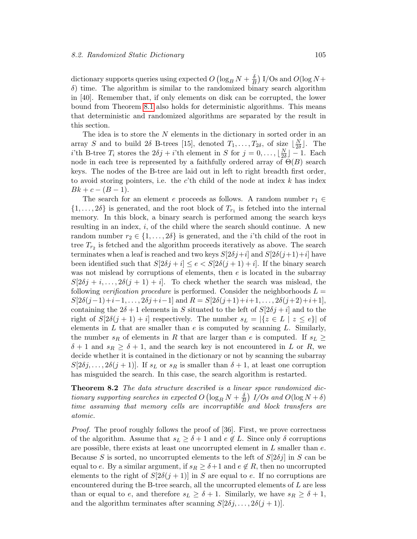dictionary supports queries using expected  $O\left(\log_B N + \frac{\delta}{E}\right)$  $\frac{\delta}{B}$ ) I/Os and  $O(\log N +$  $\delta$ ) time. The algorithm is similar to the randomized binary search algorithm in [40]. Remember that, if only elements on disk can be corrupted, the lower bound from Theorem [8.1](#page-114-1) also holds for deterministic algorithms. This means that deterministic and randomized algorithms are separated by the result in this section.

The idea is to store the  $N$  elements in the dictionary in sorted order in an array S and to build  $2\delta$  B-trees [15], denoted  $T_1, \ldots, T_{2\delta}$ , of size  $\lfloor \frac{N}{2\delta} \rfloor$ . The *i*'th B-tree  $T_i$  stores the  $2\delta j + i$ 'th element in S for  $j = 0, \ldots, \lfloor \frac{N}{2\delta} \rfloor - 1$ . Each node in each tree is represented by a faithfully ordered array of  $\Theta(B)$  search keys. The nodes of the B-tree are laid out in left to right breadth first order, to avoid storing pointers, i.e. the c'th child of the node at index  $k$  has index  $Bk + c - (B - 1).$ 

The search for an element e proceeds as follows. A random number  $r_1 \in$  $\{1,\ldots,2\delta\}$  is generated, and the root block of  $T_{r_1}$  is fetched into the internal memory. In this block, a binary search is performed among the search keys resulting in an index, i, of the child where the search should continue. A new random number  $r_2 \in \{1, \ldots, 2\delta\}$  is generated, and the *i*'th child of the root in tree  $T_{r_2}$  is fetched and the algorithm proceeds iteratively as above. The search terminates when a leaf is reached and two keys  $S[2\delta j+i]$  and  $S[2\delta (j+1)+i]$  have been identified such that  $S[2\delta j + i] \leq e < S[2\delta (j + 1) + i]$ . If the binary search was not mislead by corruptions of elements, then  $e$  is located in the subarray  $S[2\delta j + i, \ldots, 2\delta (j + 1) + i]$ . To check whether the search was mislead, the following verification procedure is performed. Consider the neighborhoods  $L =$  $S[2\delta(j-1)+i-1,\ldots,2\delta j+i-1]$  and  $R = S[2\delta(j+1)+i+1,\ldots,2\delta(j+2)+i+1],$ containing the  $2\delta+1$  elements in S situated to the left of  $S[2\delta j+i]$  and to the right of  $S[2\delta(j+1)+i]$  respectively. The number  $s_L = |\{z \in L \mid z \leq e\}|$  of elements in  $L$  that are smaller than  $e$  is computed by scanning  $L$ . Similarly, the number  $s_R$  of elements in R that are larger than e is computed. If  $s_L \geq$  $\delta + 1$  and  $s_R \geq \delta + 1$ , and the search key is not encountered in L or R, we decide whether it is contained in the dictionary or not by scanning the subarray  $S[2\delta j,\ldots,2\delta (j + 1)]$ . If  $s<sub>L</sub>$  or  $s<sub>R</sub>$  is smaller than  $\delta + 1$ , at least one corruption has misguided the search. In this case, the search algorithm is restarted.

Theorem 8.2 The data structure described is a linear space randomized dictionary supporting searches in expected  $O(\log_B N + \frac{\delta}{E})$  $\frac{\delta}{B}$ ) I/Os and  $O(\log N + \delta)$ time assuming that memory cells are incorruptible and block transfers are atomic.

Proof. The proof roughly follows the proof of [36]. First, we prove correctness of the algorithm. Assume that  $s_L \geq \delta + 1$  and  $e \notin L$ . Since only  $\delta$  corruptions are possible, there exists at least one uncorrupted element in  $L$  smaller than  $e$ . Because S is sorted, no uncorrupted elements to the left of  $S[2\delta j]$  in S can be equal to e. By a similar argument, if  $s_R \geq \delta + 1$  and  $e \notin R$ , then no uncorrupted elements to the right of  $S[2\delta(j+1)]$  in S are equal to e. If no corruptions are encountered during the B-tree search, all the uncorrupted elements of  $L$  are less than or equal to e, and therefore  $s_L \geq \delta + 1$ . Similarly, we have  $s_R \geq \delta + 1$ , and the algorithm terminates after scanning  $S[2\delta j,\ldots,2\delta(j+1)].$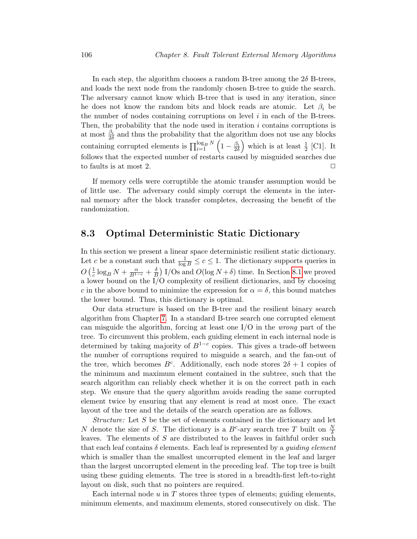In each step, the algorithm chooses a random B-tree among the  $2\delta$  B-trees, and loads the next node from the randomly chosen B-tree to guide the search. The adversary cannot know which B-tree that is used in any iteration, since he does not know the random bits and block reads are atomic. Let  $\beta_i$  be the number of nodes containing corruptions on level  $i$  in each of the B-trees. Then, the probability that the node used in iteration  $i$  contains corruptions is at most  $\frac{\beta_i}{2\delta}$  and thus the probability that the algorithm does not use any blocks containing corrupted elements is  $\prod_{i=1}^{\log_B N} \left(1 - \frac{\beta_i}{2\delta}\right)$  which is at least  $\frac{1}{2}$  [C1]. It follows that the expected number of restarts caused by misguided searches due to faults is at most 2.  $\Box$ 

If memory cells were corruptible the atomic transfer assumption would be of little use. The adversary could simply corrupt the elements in the internal memory after the block transfer completes, decreasing the benefit of the randomization.

## <span id="page-117-0"></span>8.3 Optimal Deterministic Static Dictionary

In this section we present a linear space deterministic resilient static dictionary. Let c be a constant such that  $\frac{1}{\log B} \le c \le 1$ . The dictionary supports queries in  $O\left(\frac{1}{c}\right)$  $\frac{1}{c} \log_B N + \frac{\alpha}{B^{1-c}} + \frac{\delta}{B}$  $\frac{\delta}{B}$  I/Os and  $O(\log N + \delta)$  time. In Section [8.1](#page-114-0) we proved a lower bound on the I/O complexity of resilient dictionaries, and by choosing c in the above bound to minimize the expression for  $\alpha = \delta$ , this bound matches the lower bound. Thus, this dictionary is optimal.

Our data structure is based on the B-tree and the resilient binary search algorithm from Chapter [7.](#page-100-0) In a standard B-tree search one corrupted element can misguide the algorithm, forcing at least one  $I/O$  in the *wrong* part of the tree. To circumvent this problem, each guiding element in each internal node is determined by taking majority of  $B^{1-c}$  copies. This gives a trade-off between the number of corruptions required to misguide a search, and the fan-out of the tree, which becomes  $B^c$ . Additionally, each node stores  $2\delta + 1$  copies of the minimum and maximum element contained in the subtree, such that the search algorithm can reliably check whether it is on the correct path in each step. We ensure that the query algorithm avoids reading the same corrupted element twice by ensuring that any element is read at most once. The exact layout of the tree and the details of the search operation are as follows.

Structure: Let S be the set of elements contained in the dictionary and let N denote the size of S. The dictionary is a  $B^c$ -ary search tree T built on  $\frac{N}{\delta}$ leaves. The elements of S are distributed to the leaves in faithful order such that each leaf contains  $\delta$  elements. Each leaf is represented by a *guiding element* which is smaller than the smallest uncorrupted element in the leaf and larger than the largest uncorrupted element in the preceding leaf. The top tree is built using these guiding elements. The tree is stored in a breadth-first left-to-right layout on disk, such that no pointers are required.

Each internal node  $u$  in  $T$  stores three types of elements; guiding elements, minimum elements, and maximum elements, stored consecutively on disk. The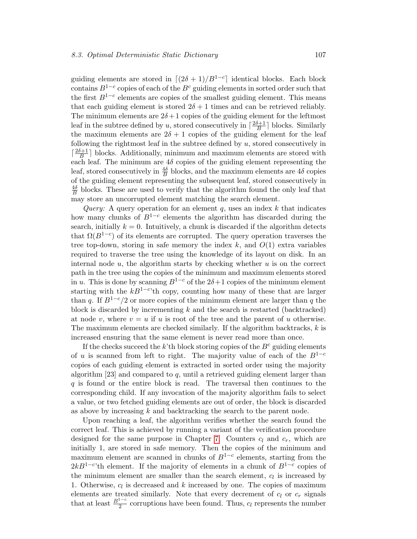guiding elements are stored in  $\left[ (2\delta + 1)/B^{1-c} \right]$  identical blocks. Each block contains  $B^{1-c}$  copies of each of the  $B^c$  guiding elements in sorted order such that the first  $B^{1-c}$  elements are copies of the smallest guiding element. This means that each guiding element is stored  $2\delta + 1$  times and can be retrieved reliably. The minimum elements are  $2\delta + 1$  copies of the guiding element for the leftmost leaf in the subtree defined by u, stored consecutively in  $\lceil \frac{2\delta+1}{B} \rceil$  $\frac{B}{B}$  blocks. Similarly the maximum elements are  $2\delta + 1$  copies of the guiding element for the leaf following the rightmost leaf in the subtree defined by  $u$ , stored consecutively in  $\lceil \frac{2\delta+1}{B} \rceil$  $\frac{B+1}{B}$  blocks. Additionally, minimum and maximum elements are stored with each leaf. The minimum are  $4\delta$  copies of the guiding element representing the leaf, stored consecutively in  $\frac{4\delta}{B}$  blocks, and the maximum elements are  $4\delta$  copies of the guiding element representing the subsequent leaf, stored consecutively in  $4\delta$  $\frac{4\delta}{B}$  blocks. These are used to verify that the algorithm found the only leaf that may store an uncorrupted element matching the search element.

Query: A query operation for an element q, uses an index k that indicates how many chunks of  $B^{1-c}$  elements the algorithm has discarded during the search, initially  $k = 0$ . Intuitively, a chunk is discarded if the algorithm detects that  $\Omega(B^{1-c})$  of its elements are corrupted. The query operation traverses the tree top-down, storing in safe memory the index k, and  $O(1)$  extra variables required to traverse the tree using the knowledge of its layout on disk. In an internal node  $u$ , the algorithm starts by checking whether  $u$  is on the correct path in the tree using the copies of the minimum and maximum elements stored in u. This is done by scanning  $B^{1-c}$  of the  $2\delta+1$  copies of the minimum element starting with the  $kB^{1-c}$ <sup>th</sup> copy, counting how many of these that are larger than q. If  $B^{1-c}/2$  or more copies of the minimum element are larger than q the block is discarded by incrementing  $k$  and the search is restarted (backtracked) at node v, where  $v = u$  if u is root of the tree and the parent of u otherwise. The maximum elements are checked similarly. If the algorithm backtracks, k is increased ensuring that the same element is never read more than once.

If the checks succeed the k'th block storing copies of the  $B<sup>c</sup>$  guiding elements of u is scanned from left to right. The majority value of each of the  $B^{1-c}$ copies of each guiding element is extracted in sorted order using the majority algorithm  $[23]$  and compared to q, until a retrieved guiding element larger than  $q$  is found or the entire block is read. The traversal then continues to the corresponding child. If any invocation of the majority algorithm fails to select a value, or two fetched guiding elements are out of order, the block is discarded as above by increasing k and backtracking the search to the parent node.

Upon reaching a leaf, the algorithm verifies whether the search found the correct leaf. This is achieved by running a variant of the verification procedure designed for the same purpose in Chapter [7.](#page-100-0) Counters  $c_l$  and  $c_r$ , which are initially 1, are stored in safe memory. Then the copies of the minimum and maximum element are scanned in chunks of  $B^{1-c}$  elements, starting from the  $2kB^{1-c}$ <sup>th</sup> element. If the majority of elements in a chunk of  $B^{1-c}$  copies of the minimum element are smaller than the search element,  $c_l$  is increased by 1. Otherwise,  $c_l$  is decreased and k increased by one. The copies of maximum elements are treated similarly. Note that every decrement of  $c_l$  or  $c_r$  signals that at least  $\frac{B^{1-c}}{2}$  corruptions have been found. Thus,  $c_l$  represents the number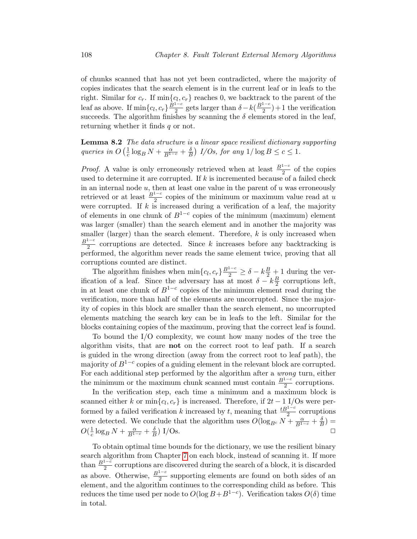of chunks scanned that has not yet been contradicted, where the majority of copies indicates that the search element is in the current leaf or in leafs to the right. Similar for  $c_r$ . If  $\min\{c_l, c_r\}$  reaches 0, we backtrack to the parent of the leaf as above. If  $\min\{c_l, c_r\} \frac{B^{1-c}}{2}$  gets larger than  $\delta - k(\frac{B^{1-c}}{2}) + 1$  the verification succeeds. The algorithm finishes by scanning the  $\delta$  elements stored in the leaf, returning whether it finds q or not.

<span id="page-119-0"></span>Lemma 8.2 The data structure is a linear space resilient dictionary supporting queries in  $O\left(\frac{1}{c}\right)$  $\frac{1}{c} \log_B N + \frac{\alpha}{B^{1-c}} + \frac{\delta}{B}$  $\frac{\delta}{B}$  I/Os, for any 1/ $\log B \leq c \leq 1$ .

*Proof.* A value is only erroneously retrieved when at least  $\frac{B^{1-c}}{2}$  of the copies used to determine it are corrupted. If  $k$  is incremented because of a failed check in an internal node  $u$ , then at least one value in the parent of  $u$  was erroneously retrieved or at least  $\frac{B^{1-c}}{2}$  copies of the minimum or maximum value read at u were corrupted. If  $k$  is increased during a verification of a leaf, the majority of elements in one chunk of  $B^{1-c}$  copies of the minimum (maximum) element was larger (smaller) than the search element and in another the majority was smaller (larger) than the search element. Therefore,  $k$  is only increased when  $\frac{B^{1-c}}{2}$  corruptions are detected. Since k increases before any backtracking is performed, the algorithm never reads the same element twice, proving that all corruptions counted are distinct.

The algorithm finishes when  $\min\{c_l, c_r\} \frac{B^{1-c}}{2} \ge \delta - k \frac{B}{2} + 1$  during the verification of a leaf. Since the adversary has at most  $\delta - k \frac{B}{2}$  corruptions left, in at least one chunk of  $B^{1-c}$  copies of the minimum element read during the verification, more than half of the elements are uncorrupted. Since the majority of copies in this block are smaller than the search element, no uncorrupted elements matching the search key can be in leafs to the left. Similar for the blocks containing copies of the maximum, proving that the correct leaf is found.

To bound the I/O complexity, we count how many nodes of the tree the algorithm visits, that are not on the correct root to leaf path. If a search is guided in the wrong direction (away from the correct root to leaf path), the majority of  $B^{1-c}$  copies of a guiding element in the relevant block are corrupted. For each additional step performed by the algorithm after a wrong turn, either the minimum or the maximum chunk scanned must contain  $\frac{B^{1-c}}{2}$  corruptions.

In the verification step, each time a minimum and a maximum block is scanned either k or  $\min\{c_l, c_r\}$  is increased. Therefore, if  $2t - 1$  I/Os were performed by a failed verification k increased by t, meaning that  $\frac{tB^{1-c}}{2}$  corruptions were detected. We conclude that the algorithm uses  $O(\log_{B_c} N + \frac{\alpha}{B^{1-c}} + \frac{\delta}{E})$  $\frac{\delta}{B}$ ) =  $O(\frac{1}{c})$  $\frac{1}{c} \log_B N + \frac{\alpha}{B^{1-c}} + \frac{\delta}{B}$  $\frac{\delta}{B}$ ) I/Os.

<span id="page-119-1"></span>To obtain optimal time bounds for the dictionary, we use the resilient binary search algorithm from Chapter [7](#page-100-0) on each block, instead of scanning it. If more than  $\frac{B^{1-\epsilon}}{2}$  corruptions are discovered during the search of a block, it is discarded as above. Otherwise,  $\frac{B^{1-c}}{2}$  supporting elements are found on both sides of an element, and the algorithm continues to the corresponding child as before. This reduces the time used per node to  $O(\log B + B^{1-c})$ . Verification takes  $O(\delta)$  time in total.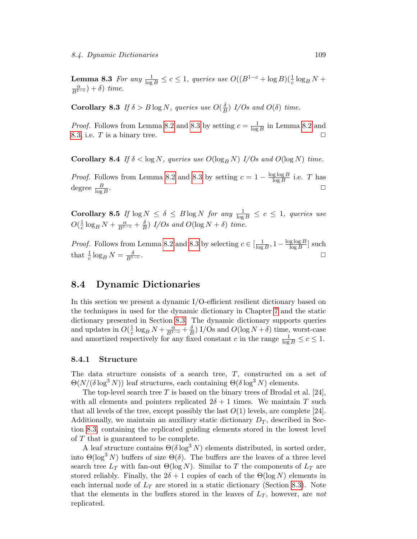**Lemma 8.3** For any  $\frac{1}{\log B} \le c \le 1$ , queries use  $O((B^{1-c} + \log B)(\frac{1}{c} \log_B N +$  $\frac{\alpha}{B^{1-c}}$  $)+ \delta$  $time.$ 

**Corollary 8.3** If  $\delta > B \log N$ , queries use  $O(\frac{\delta}{R})$  $\frac{\delta}{B}$ ) I/Os and O( $\delta$ ) time.

*Proof.* Follows from Lemma [8.2](#page-119-0) and [8.3](#page-119-1) by setting  $c = \frac{1}{\log a}$  $\frac{1}{\log B}$  in Lemma [8.2](#page-119-0) and [8.3,](#page-119-1) i.e.  $T$  is a binary tree.

Corollary 8.4 If  $\delta < \log N$ , queries use  $O(\log_B N)$  I/Os and  $O(\log N)$  time.

*Proof.* Follows from Lemma [8.2](#page-119-0) and [8.3](#page-119-1) by setting  $c = 1 - \frac{\log \log B}{\log B}$  $\frac{\text{g log } B}{\log B}$  i.e. T has degree  $\frac{B}{\log B}$ . ✷

**Corollary 8.5** If  $\log N \le \delta \le B \log N$  for any  $\frac{1}{\log B} \le c \le 1$ , queries use  $O(\frac{1}{c})$  $\frac{1}{c} \log_B N + \frac{\alpha}{B^{1-c}} + \frac{\delta}{B}$  $\frac{\delta}{B}$ ) I/Os and  $O(\log N + \delta)$  time.

*Proof.* Follows from Lemma [8.2](#page-119-0) and [8.3](#page-119-1) by selecting  $c \in \left[\frac{1}{\log n}\right]$  $\frac{1}{\log B}$ ,  $1-\frac{\log \log B}{\log B}$  $\frac{\lg\log B}{\log B}]$  such that  $\frac{1}{c} \log_B N = \frac{\delta}{B^{1-c}}$ . ✷

## 8.4 Dynamic Dictionaries

In this section we present a dynamic I/O-efficient resilient dictionary based on the techniques in used for the dynamic dictionary in Chapter [7](#page-100-0) and the static dictionary presented in Section [8.3.](#page-117-0) The dynamic dictionary supports queries and updates in  $O(\frac{1}{c})$  $\frac{1}{c} \log_B N + \frac{\alpha}{B^{1-c}} + \frac{\delta}{B}$  $\frac{\delta}{B}$ ) I/Os and  $O(\log N + \delta)$  time, worst-case and amortized respectively for any fixed constant c in the range  $\frac{1}{\log B} \le c \le 1$ .

### 8.4.1 Structure

The data structure consists of a search tree,  $T$ , constructed on a set of  $\Theta(N/(\delta \log^3 N))$  leaf structures, each containing  $\Theta(\delta \log^3 N)$  elements.

The top-level search tree  $T$  is based on the binary trees of Brodal et al. [24], with all elements and pointers replicated  $2\delta + 1$  times. We maintain T such that all levels of the tree, except possibly the last  $O(1)$  levels, are complete [24]. Additionally, we maintain an auxiliary static dictionary  $D_T$ , described in Section [8.3,](#page-117-0) containing the replicated guiding elements stored in the lowest level of T that is guaranteed to be complete.

A leaf structure contains  $\Theta(\delta \log^3 N)$  elements distributed, in sorted order, into  $\Theta(\log^3 N)$  buffers of size  $\Theta(\delta)$ . The buffers are the leaves of a three level search tree  $L_T$  with fan-out  $\Theta(\log N)$ . Similar to T the components of  $L_T$  are stored reliably. Finally, the  $2\delta + 1$  copies of each of the  $\Theta(\log N)$  elements in each internal node of  $L_T$  are stored in a static dictionary (Section [8.3\)](#page-117-0). Note that the elements in the buffers stored in the leaves of  $L_T$ , however, are not replicated.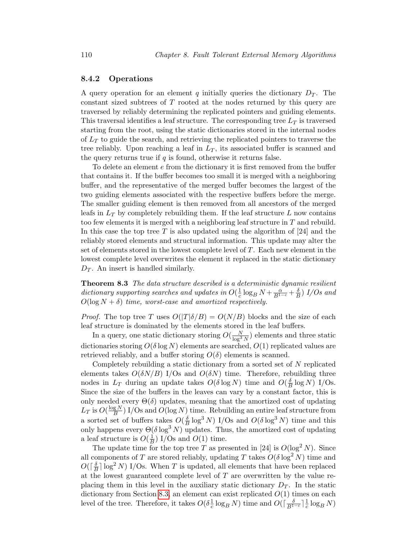#### 8.4.2 Operations

A query operation for an element q initially queries the dictionary  $D_T$ . The constant sized subtrees of T rooted at the nodes returned by this query are traversed by reliably determining the replicated pointers and guiding elements. This traversal identifies a leaf structure. The corresponding tree  $L_T$  is traversed starting from the root, using the static dictionaries stored in the internal nodes of  $L<sub>T</sub>$  to guide the search, and retrieving the replicated pointers to traverse the tree reliably. Upon reaching a leaf in  $L_T$ , its associated buffer is scanned and the query returns true if  $q$  is found, otherwise it returns false.

To delete an element e from the dictionary it is first removed from the buffer that contains it. If the buffer becomes too small it is merged with a neighboring buffer, and the representative of the merged buffer becomes the largest of the two guiding elements associated with the respective buffers before the merge. The smaller guiding element is then removed from all ancestors of the merged leafs in  $L_T$  by completely rebuilding them. If the leaf structure  $L$  now contains too few elements it is merged with a neighboring leaf structure in T and rebuild. In this case the top tree T is also updated using the algorithm of  $[24]$  and the reliably stored elements and structural information. This update may alter the set of elements stored in the lowest complete level of T. Each new element in the lowest complete level overwrites the element it replaced in the static dictionary  $D_T$ . An insert is handled similarly.

Theorem 8.3 The data structure described is a deterministic dynamic resilient dictionary supporting searches and updates in  $O(\frac{1}{c})$  $\frac{1}{c} \log_B N + \frac{\alpha}{B^{1-c}} + \frac{\delta}{E}$  $\frac{\delta}{B}$ ) I/Os and  $O(\log N + \delta)$  time, worst-case and amortized respectively.

*Proof.* The top tree T uses  $O(|T|\delta/B) = O(N/B)$  blocks and the size of each leaf structure is dominated by the elements stored in the leaf buffers.

In a query, one static dictionary storing  $O(\frac{N}{\log^3 N})$  elements and three static dictionaries storing  $O(\delta \log N)$  elements are searched,  $O(1)$  replicated values are retrieved reliably, and a buffer storing  $O(\delta)$  elements is scanned.

Completely rebuilding a static dictionary from a sorted set of N replicated elements takes  $O(\delta N/B)$  I/Os and  $O(\delta N)$  time. Therefore, rebuilding three nodes in  $L_T$  during an update takes  $O(\delta \log N)$  time and  $O(\frac{\delta}{E})$  $\frac{\delta}{B} \log N$  I/Os. Since the size of the buffers in the leaves can vary by a constant factor, this is only needed every  $\Theta(\delta)$  updates, meaning that the amortized cost of updating  $L_T$  is  $O(\frac{\log N}{B})$  $\frac{g N}{B}$ ) I/Os and  $O(\log N)$  time. Rebuilding an entire leaf structure from a sorted set of buffers takes  $O(\frac{\delta}{R})$  $\frac{\delta}{B} \log^3 N$  I/Os and  $O(\delta \log^3 N)$  time and this only happens every  $\Theta(\delta \log^3 N)$  updates. Thus, the amortized cost of updating a leaf structure is  $O(\frac{1}{R})$  $\frac{1}{B}$ ) I/Os and  $O(1)$  time.

The update time for the top tree T as presented in [24] is  $O(\log^2 N)$ . Since all components of T are stored reliably, updating T takes  $O(\delta \log^2 N)$  time and  $O(\lceil \frac{\delta}{\overline{E}}\rceil$  $\frac{\delta}{B}$ log<sup>2</sup> N) I/Os. When T is updated, all elements that have been replaced at the lowest guaranteed complete level of  $T$  are overwritten by the value replacing them in this level in the auxiliary static dictionary  $D_T$ . In the static dictionary from Section [8.3,](#page-117-0) an element can exist replicated  $O(1)$  times on each level of the tree. Therefore, it takes  $O(\delta \frac{1}{c})$  $\frac{1}{c} \log_B N$ ) time and  $O(\lceil \frac{\delta}{B^{1-c}} \rceil \frac{1}{c})$  $\frac{1}{c} \log_B N$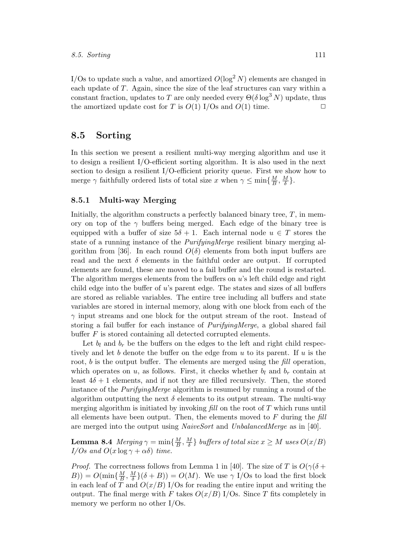I/Os to update such a value, and amortized  $O(\log^2 N)$  elements are changed in each update of  $T$ . Again, since the size of the leaf structures can vary within a constant fraction, updates to T are only needed every  $\Theta(\delta \log^3 N)$  update, thus the amortized update cost for T is  $O(1)$  I/Os and  $O(1)$  time.  $\Box$ 

## <span id="page-122-0"></span>8.5 Sorting

In this section we present a resilient multi-way merging algorithm and use it to design a resilient I/O-efficient sorting algorithm. It is also used in the next section to design a resilient I/O-efficient priority queue. First we show how to merge  $\gamma$  faithfully ordered lists of total size x when  $\gamma \le \min\{\frac{M}{B}\}$  $\frac{M}{B}, \frac{M}{\delta}$  $\frac{M}{\delta}\}$ .

### 8.5.1 Multi-way Merging

Initially, the algorithm constructs a perfectly balanced binary tree, T, in memory on top of the  $\gamma$  buffers being merged. Each edge of the binary tree is equipped with a buffer of size  $5\delta + 1$ . Each internal node  $u \in T$  stores the state of a running instance of the *PurifyingMerge* resilient binary merging algorithm from [36]. In each round  $O(\delta)$  elements from both input buffers are read and the next  $\delta$  elements in the faithful order are output. If corrupted elements are found, these are moved to a fail buffer and the round is restarted. The algorithm merges elements from the buffers on u's left child edge and right child edge into the buffer of  $u$ 's parent edge. The states and sizes of all buffers are stored as reliable variables. The entire tree including all buffers and state variables are stored in internal memory, along with one block from each of the  $\gamma$  input streams and one block for the output stream of the root. Instead of storing a fail buffer for each instance of *PurifyingMerge*, a global shared fail buffer  $F$  is stored containing all detected corrupted elements.

Let  $b_l$  and  $b_r$  be the buffers on the edges to the left and right child respectively and let b denote the buffer on the edge from u to its parent. If u is the root, b is the output buffer. The elements are merged using the fill operation, which operates on u, as follows. First, it checks whether  $b_l$  and  $b_r$  contain at least  $4\delta + 1$  elements, and if not they are filled recursively. Then, the stored instance of the *PurifyingMerge* algorithm is resumed by running a round of the algorithm outputting the next  $\delta$  elements to its output stream. The multi-way merging algorithm is initiated by invoking  $\text{fill}$  on the root of T which runs until all elements have been output. Then, the elements moved to  $F$  during the fill are merged into the output using NaiveSort and UnbalancedMerge as in [40].

<span id="page-122-1"></span>**Lemma 8.4** Merging  $\gamma = \min\{\frac{M}{B}\}$  $\frac{M}{B}, \frac{M}{\delta}$  $\frac{M}{\delta}$ } buffers of total size  $x \geq M$  uses  $O(x/B)$ I/Os and  $O(x \log \gamma + \alpha \delta)$  time.

*Proof.* The correctness follows from Lemma 1 in [40]. The size of T is  $O(\gamma(\delta +$  $B$ )) =  $O(\min\{\frac{M}{B}\})$  $\frac{M}{B}, \frac{M}{\delta}$  $\left(\frac{M}{\delta}\right)(\delta + B)$  =  $O(M)$ . We use  $\gamma$  I/Os to load the first block in each leaf of T and  $O(x/B)$  I/Os for reading the entire input and writing the output. The final merge with F takes  $O(x/B)$  I/Os. Since T fits completely in memory we perform no other I/Os.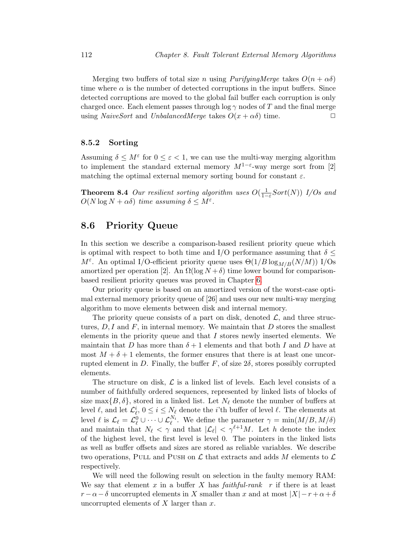Merging two buffers of total size n using *PurifyingMerge* takes  $O(n + \alpha \delta)$ time where  $\alpha$  is the number of detected corruptions in the input buffers. Since detected corruptions are moved to the global fail buffer each corruption is only charged once. Each element passes through  $\log \gamma$  nodes of T and the final merge using *NaiveSort* and *UnbalancedMerge* takes  $O(x + \alpha \delta)$  time.

### 8.5.2 Sorting

Assuming  $\delta \leq M^{\varepsilon}$  for  $0 \leq \varepsilon < 1$ , we can use the multi-way merging algorithm to implement the standard external memory  $M^{1-\varepsilon}$ -way merge sort from [2] matching the optimal external memory sorting bound for constant  $\varepsilon$ .

**Theorem 8.4** Our resilient sorting algorithm uses  $O(\frac{1}{1-\varepsilon}Sort(N))$  I/Os and  $O(N \log N + \alpha \delta)$  time assuming  $\delta \leq M^{\varepsilon}$ .

## 8.6 Priority Queue

In this section we describe a comparison-based resilient priority queue which is optimal with respect to both time and I/O performance assuming that  $\delta \leq$  $M^{\varepsilon}$ . An optimal I/O-efficient priority queue uses  $\Theta(1/B \log_{M/B}(N/M))$  I/Os amortized per operation [2]. An  $\Omega(\log N + \delta)$  time lower bound for comparisonbased resilient priority queues was proved in Chapter [6.](#page-90-0)

Our priority queue is based on an amortized version of the worst-case optimal external memory priority queue of [26] and uses our new multi-way merging algorithm to move elements between disk and internal memory.

The priority queue consists of a part on disk, denoted  $\mathcal{L}$ , and three structures,  $D, I$  and  $F$ , in internal memory. We maintain that  $D$  stores the smallest elements in the priority queue and that I stores newly inserted elements. We maintain that D has more than  $\delta + 1$  elements and that both I and D have at most  $M + \delta + 1$  elements, the former ensures that there is at least one uncorrupted element in D. Finally, the buffer  $F$ , of size  $2\delta$ , stores possibly corrupted elements.

The structure on disk,  $\mathcal L$  is a linked list of levels. Each level consists of a number of faithfully ordered sequences, represented by linked lists of blocks of size max $\{B,\delta\}$ , stored in a linked list. Let  $N_\ell$  denote the number of buffers at level  $\ell$ , and let  $\mathcal{L}_{\ell}^{i}$ ,  $0 \leq i \leq N_{\ell}$  denote the *i*'th buffer of level  $\ell$ . The elements at level  $\ell$  is  $\mathcal{L}_{\ell} = \mathcal{L}_{\ell}^0 \cup \cdots \cup \mathcal{L}_{\ell}^{N_i}$ . We define the parameter  $\gamma = \min(M/B, M/\delta)$ and maintain that  $N_{\ell} < \gamma$  and that  $|\mathcal{L}_{\ell}| < \gamma^{\ell+1}M$ . Let h denote the index of the highest level, the first level is level 0. The pointers in the linked lists as well as buffer offsets and sizes are stored as reliable variables. We describe two operations, PULL and PUSH on  $\mathcal L$  that extracts and adds M elements to  $\mathcal L$ respectively.

<span id="page-123-0"></span>We will need the following result on selection in the faulty memory RAM: We say that element x in a buffer X has faithful-rank r if there is at least  $r - \alpha - \delta$  uncorrupted elements in X smaller than x and at most  $|X| - r + \alpha + \delta$ uncorrupted elements of  $X$  larger than  $x$ .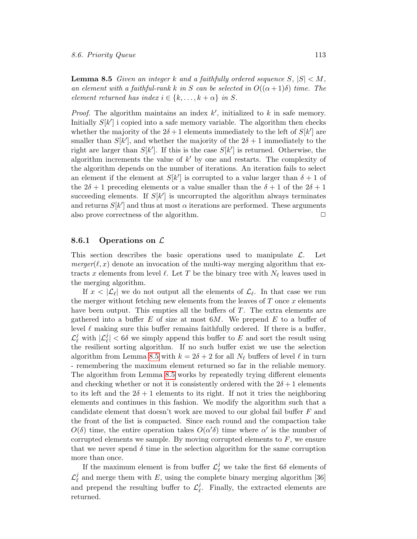**Lemma 8.5** Given an integer k and a faithfully ordered sequence  $S, |S| < M$ , an element with a faithful-rank k in S can be selected in  $O((\alpha+1)\delta)$  time. The element returned has index  $i \in \{k, \ldots, k + \alpha\}$  in S.

*Proof.* The algorithm maintains an index  $k'$ , initialized to  $k$  in safe memory. Initially  $S[k']$  i copied into a safe memory variable. The algorithm then checks whether the majority of the  $2\delta + 1$  elements immediately to the left of  $S[k']$  are smaller than  $S[k']$ , and whether the majority of the  $2\delta + 1$  immediately to the right are larger than  $S[k']$ . If this is the case  $S[k']$  is returned. Otherwise, the algorithm increments the value of  $k'$  by one and restarts. The complexity of the algorithm depends on the number of iterations. An iteration fails to select an element if the element at  $S[k']$  is corrupted to a value larger than  $\delta + 1$  of the  $2\delta + 1$  preceding elements or a value smaller than the  $\delta + 1$  of the  $2\delta + 1$ succeeding elements. If  $S[k']$  is uncorrupted the algorithm always terminates and returns  $S[k']$  and thus at most  $\alpha$  iterations are performed. These arguments also prove correctness of the algorithm.  $\Box$ 

#### 8.6.1 Operations on  $\mathcal{L}$

This section describes the basic operations used to manipulate  $\mathcal{L}$ . Let  $merger(\ell, x)$  denote an invocation of the multi-way merging algorithm that extracts x elements from level  $\ell$ . Let T be the binary tree with  $N_{\ell}$  leaves used in the merging algorithm.

If  $x < |\mathcal{L}_\ell|$  we do not output all the elements of  $\mathcal{L}_\ell$ . In that case we run the merger without fetching new elements from the leaves of  $T$  once  $x$  elements have been output. This empties all the buffers of T. The extra elements are gathered into a buffer E of size at most  $6M$ . We prepend E to a buffer of level  $\ell$  making sure this buffer remains faithfully ordered. If there is a buffer,  $\mathcal{L}_{\ell}^{j}$  with  $|\mathcal{L}_{\ell}^{j}| < 6\delta$  we simply append this buffer to E and sort the result using the resilient sorting algorithm. If no such buffer exist we use the selection algorithm from Lemma [8.5](#page-123-0) with  $k = 2\delta + 2$  for all  $N_\ell$  buffers of level  $\ell$  in turn - remembering the maximum element returned so far in the reliable memory. The algorithm from Lemma [8.5](#page-123-0) works by repeatedly trying different elements and checking whether or not it is consistently ordered with the  $2\delta + 1$  elements to its left and the  $2\delta + 1$  elements to its right. If not it tries the neighboring elements and continues in this fashion. We modify the algorithm such that a candidate element that doesn't work are moved to our global fail buffer  $F$  and the front of the list is compacted. Since each round and the compaction take  $O(\delta)$  time, the entire operation takes  $O(\alpha' \delta)$  time where  $\alpha'$  is the number of corrupted elements we sample. By moving corrupted elements to  $F$ , we ensure that we never spend  $\delta$  time in the selection algorithm for the same corruption more than once.

<span id="page-124-0"></span>If the maximum element is from buffer  $\mathcal{L}^j_\ell$  we take the first 6 $\delta$  elements of  $\mathcal{L}_\ell^j$  $\ell$  and merge them with E, using the complete binary merging algorithm [36] and prepend the resulting buffer to  $\mathcal{L}^j_\ell$  $\ell$ . Finally, the extracted elements are returned.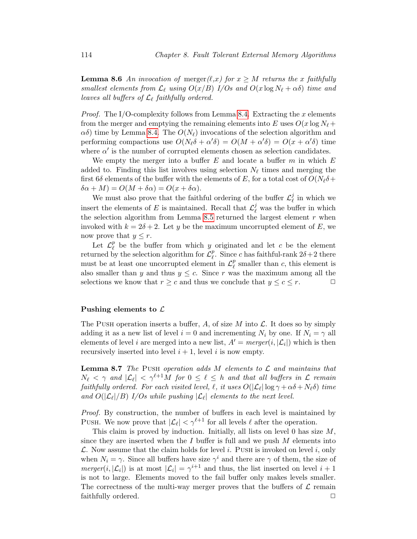**Lemma 8.6** An invocation of merger( $\ell, x$ ) for  $x \geq M$  returns the x faithfully smallest elements from  $\mathcal{L}_{\ell}$  using  $O(x/B)$  I/Os and  $O(x \log N_{\ell} + \alpha \delta)$  time and leaves all buffers of  $\mathcal{L}_{\ell}$  faithfully ordered.

*Proof.* The I/O-complexity follows from Lemma [8.4.](#page-122-1) Extracting the x elements from the merger and emptying the remaining elements into E uses  $O(x \log N_f +$  $\alpha\delta$ ) time by Lemma [8.4.](#page-122-1) The  $O(N_\ell)$  invocations of the selection algorithm and performing compactions use  $O(N_{\ell}\delta + \alpha'\delta) = O(M + \alpha'\delta) = O(x + \alpha'\delta)$  time where  $\alpha'$  is the number of corrupted elements chosen as selection candidates.

We empty the merger into a buffer  $E$  and locate a buffer  $m$  in which  $E$ added to. Finding this list involves using selection  $N_\ell$  times and merging the first 6δ elements of the buffer with the elements of E, for a total cost of  $O(N_{\ell} \delta +$  $\delta \alpha + M = O(M + \delta \alpha) = O(x + \delta \alpha).$ 

We must also prove that the faithful ordering of the buffer  $\mathcal{L}_{\ell}^{j}$  $\ell$  in which we insert the elements of E is maintained. Recall that  $\mathcal{L}^j_{\ell}$  was the buffer in which the selection algorithm from Lemma [8.5](#page-123-0) returned the largest element  $r$  when invoked with  $k = 2\delta + 2$ . Let y be the maximum uncorrupted element of E, we now prove that  $y \leq r$ .

Let  $\mathcal{L}_{\ell}^p$  $\ell$  be the buffer from which y originated and let c be the element returned by the selection algorithm for  $\mathcal{L}_{\ell}^p$ <sup>*p*</sup>. Since *c* has faithful-rank  $2\delta + 2$  there must be at least one uncorrupted element in  $\mathcal{L}_{\ell}^{p}$  $_{\ell}^{p}$  smaller than c, this element is also smaller than y and thus  $y \leq c$ . Since r was the maximum among all the selections we know that  $r \geq c$  and thus we conclude that  $y \leq c \leq r$ .

#### Pushing elements to  $\mathcal L$

The PUSH operation inserts a buffer, A, of size M into  $\mathcal{L}$ . It does so by simply adding it as a new list of level  $i = 0$  and incrementing  $N_i$  by one. If  $N_i = \gamma$  all elements of level *i* are merged into a new list,  $A' = merger(i, |\mathcal{L}_i|)$  which is then recursively inserted into level  $i + 1$ , level i is now empty.

**Lemma 8.7** The PUSH operation adds M elements to  $\mathcal{L}$  and maintains that  $N_{\ell} < \gamma$  and  $|\mathcal{L}_{\ell}| < \gamma^{\ell+1}M$  for  $0 \leq \ell \leq h$  and that all buffers in  $\mathcal L$  remain faithfully ordered. For each visited level,  $\ell$ , it uses  $O(|\mathcal{L}_\ell| \log \gamma + \alpha \delta + N_\ell \delta)$  time and  $O(|\mathcal{L}_{\ell}|/B)$  I/Os while pushing  $|\mathcal{L}_{\ell}|$  elements to the next level.

Proof. By construction, the number of buffers in each level is maintained by PUSH. We now prove that  $|\mathcal{L}_{\ell}| < \gamma^{\ell+1}$  for all levels  $\ell$  after the operation.

This claim is proved by induction. Initially, all lists on level 0 has size  $M$ , since they are inserted when the I buffer is full and we push  $M$  elements into  $\mathcal{L}$ . Now assume that the claim holds for level i. PUSH is invoked on level i, only when  $N_i = \gamma$ . Since all buffers have size  $\gamma^i$  and there are  $\gamma$  of them, the size of merger(i,  $|\mathcal{L}_i|$ ) is at most  $|\mathcal{L}_i| = \gamma^{i+1}$  and thus, the list inserted on level  $i+1$ is not to large. Elements moved to the fail buffer only makes levels smaller. The correctness of the multi-way merger proves that the buffers of  $\mathcal L$  remain faithfully ordered.  $\Box$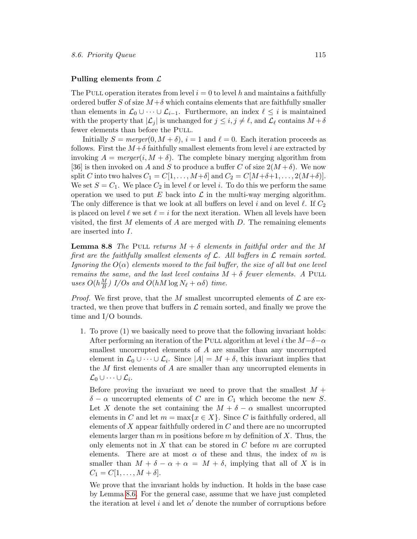#### Pulling elements from  $\mathcal L$

The PULL operation iterates from level  $i = 0$  to level h and maintains a faithfully ordered buffer S of size  $M+\delta$  which contains elements that are faithfully smaller than elements in  $\mathcal{L}_0 \cup \cdots \cup \mathcal{L}_{i-1}$ . Furthermore, an index  $\ell \leq i$  is maintained with the property that  $|\mathcal{L}_j|$  is unchanged for  $j \leq i, j \neq \ell$ , and  $\mathcal{L}_\ell$  contains  $M + \delta$ fewer elements than before the PULL.

Initially  $S = merger(0, M + \delta), i = 1$  and  $\ell = 0$ . Each iteration proceeds as follows. First the  $M+\delta$  faithfully smallest elements from level i are extracted by invoking  $A = \text{merger}(i, M + \delta)$ . The complete binary merging algorithm from [36] is then invoked on A and S to produce a buffer C of size  $2(M+\delta)$ . We now split C into two halves  $C_1 = C[1, \ldots, M+\delta]$  and  $C_2 = C[M+\delta+1, \ldots, 2(M+\delta)].$ We set  $S = C_1$ . We place  $C_2$  in level  $\ell$  or level i. To do this we perform the same operation we used to put E back into  $\mathcal L$  in the multi-way merging algorithm. The only difference is that we look at all buffers on level i and on level  $\ell$ . If  $C_2$ is placed on level  $\ell$  we set  $\ell = i$  for the next iteration. When all levels have been visited, the first  $M$  elements of  $A$  are merged with  $D$ . The remaining elements are inserted into I.

**Lemma 8.8** The PULL returns  $M + \delta$  elements in faithful order and the M first are the faithfully smallest elements of  $\mathcal{L}$ . All buffers in  $\mathcal{L}$  remain sorted. Ignoring the  $O(\alpha)$  elements moved to the fail buffer, the size of all but one level remains the same, and the last level contains  $M + \delta$  fewer elements. A PULL uses  $O(h\frac{M}{B})$  $\frac{M}{B}$ ) I/Os and  $O(hM \log N_{\ell} + \alpha \delta)$  time.

*Proof.* We first prove, that the M smallest uncorrupted elements of  $\mathcal{L}$  are extracted, we then prove that buffers in  $\mathcal L$  remain sorted, and finally we prove the time and I/O bounds.

1. To prove (1) we basically need to prove that the following invariant holds: After performing an iteration of the PuLL algorithm at level i the  $M-\delta-\alpha$ smallest uncorrupted elements of A are smaller than any uncorrupted element in  $\mathcal{L}_0 \cup \cdots \cup \mathcal{L}_i$ . Since  $|A| = M + \delta$ , this invariant implies that the  $M$  first elements of  $A$  are smaller than any uncorrupted elements in  $\mathcal{L}_0 \cup \cdots \cup \mathcal{L}_i.$ 

Before proving the invariant we need to prove that the smallest  $M +$  $\delta - \alpha$  uncorrupted elements of C are in  $C_1$  which become the new S. Let X denote the set containing the  $M + \delta - \alpha$  smallest uncorrupted elements in C and let  $m = \max\{x \in X\}$ . Since C is faithfully ordered, all elements of  $X$  appear faithfully ordered in  $C$  and there are no uncorrupted elements larger than m in positions before m by definition of X. Thus, the only elements not in  $X$  that can be stored in  $C$  before  $m$  are corrupted elements. There are at most  $\alpha$  of these and thus, the index of m is smaller than  $M + \delta - \alpha + \alpha = M + \delta$ , implying that all of X is in  $C_1 = C[1, \ldots, M + \delta].$ 

We prove that the invariant holds by induction. It holds in the base case by Lemma [8.6.](#page-124-0) For the general case, assume that we have just completed the iteration at level i and let  $\alpha'$  denote the number of corruptions before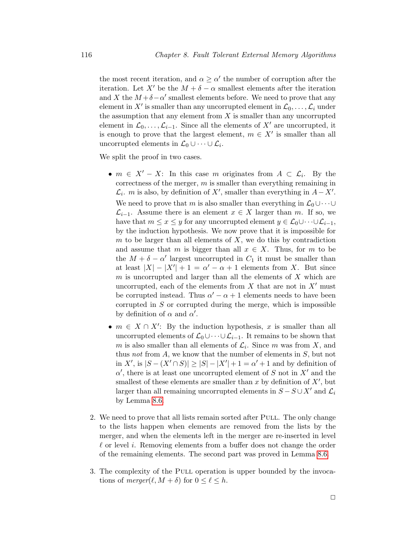the most recent iteration, and  $\alpha \geq \alpha'$  the number of corruption after the iteration. Let X' be the  $M + \delta - \alpha$  smallest elements after the iteration and X the  $M + \delta - \alpha'$  smallest elements before. We need to prove that any element in  $X'$  is smaller than any uncorrupted element in  $\mathcal{L}_0, \ldots, \mathcal{L}_i$  under the assumption that any element from  $X$  is smaller than any uncorrupted element in  $\mathcal{L}_0, \ldots, \mathcal{L}_{i-1}$ . Since all the elements of X' are uncorrupted, it is enough to prove that the largest element,  $m \in X'$  is smaller than all uncorrupted elements in  $\mathcal{L}_0 \cup \cdots \cup \mathcal{L}_i$ .

We split the proof in two cases.

- $m \in X' X$ : In this case m originates from  $A \subset \mathcal{L}_i$ . By the correctness of the merger,  $m$  is smaller than everything remaining in  $\mathcal{L}_i$ . *m* is also, by definition of X', smaller than everything in  $A - X'$ . We need to prove that m is also smaller than everything in  $\mathcal{L}_0 \cup \cdots \cup$  $\mathcal{L}_{i-1}$ . Assume there is an element  $x \in X$  larger than m. If so, we have that  $m \leq x \leq y$  for any uncorrupted element  $y \in \mathcal{L}_0 \cup \cdots \cup \mathcal{L}_{i-1}$ , by the induction hypothesis. We now prove that it is impossible for m to be larger than all elements of  $X$ , we do this by contradiction and assume that m is bigger than all  $x \in X$ . Thus, for m to be the  $M + \delta - \alpha'$  largest uncorrupted in  $C_1$  it must be smaller than at least  $|X| - |X'| + 1 = \alpha' - \alpha + 1$  elements from X. But since  $m$  is uncorrupted and larger than all the elements of  $X$  which are uncorrupted, each of the elements from  $X$  that are not in  $X'$  must be corrupted instead. Thus  $\alpha' - \alpha + 1$  elements needs to have been corrupted in  $S$  or corrupted during the merge, which is impossible by definition of  $\alpha$  and  $\alpha'$ .
- $m \in X \cap X'$ : By the induction hypothesis, x is smaller than all uncorrupted elements of  $\mathcal{L}_0 \cup \cdots \cup \mathcal{L}_{i-1}$ . It remains to be shown that m is also smaller than all elements of  $\mathcal{L}_i$ . Since m was from X, and thus *not* from  $A$ , we know that the number of elements in  $S$ , but not in X', is  $|S - (X' \cap S)| \ge |S| - |X'| + 1 = \alpha' + 1$  and by definition of  $\alpha'$ , there is at least one uncorrupted element of S not in X' and the smallest of these elements are smaller than  $x$  by definition of  $X'$ , but larger than all remaining uncorrupted elements in  $S - S \cup X'$  and  $\mathcal{L}_i$ by Lemma [8.6.](#page-124-0)
- 2. We need to prove that all lists remain sorted after Pull. The only change to the lists happen when elements are removed from the lists by the merger, and when the elements left in the merger are re-inserted in level  $\ell$  or level i. Removing elements from a buffer does not change the order of the remaining elements. The second part was proved in Lemma [8.6.](#page-124-0)
- 3. The complexity of the Pull operation is upper bounded by the invocations of  $\text{merger}(\ell, M + \delta)$  for  $0 \leq \ell \leq h$ .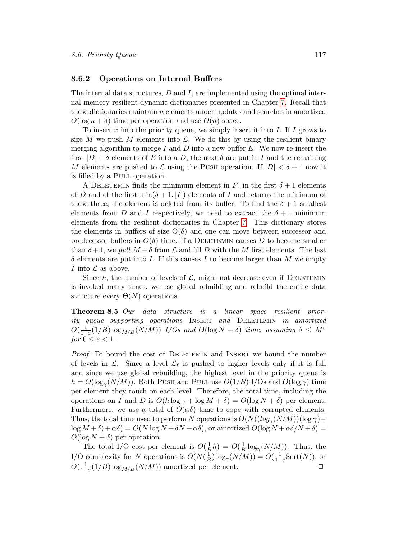#### 8.6.2 Operations on Internal Buffers

The internal data structures,  $D$  and  $I$ , are implemented using the optimal internal memory resilient dynamic dictionaries presented in Chapter [7.](#page-100-0) Recall that these dictionaries maintain  $n$  elements under updates and searches in amortized  $O(\log n + \delta)$  time per operation and use  $O(n)$  space.

To insert x into the priority queue, we simply insert it into  $I$ . If  $I$  grows to size M we push M elements into  $\mathcal{L}$ . We do this by using the resilient binary merging algorithm to merge I and D into a new buffer E. We now re-insert the first  $|D| - \delta$  elements of E into a D, the next  $\delta$  are put in I and the remaining M elements are pushed to  $\mathcal L$  using the PUSH operation. If  $|D| < \delta + 1$  now it is filled by a PULL operation.

A DELETEMIN finds the minimum element in F, in the first  $\delta + 1$  elements of D and of the first  $\min(\delta + 1, |I|)$  elements of I and returns the minimum of these three, the element is deleted from its buffer. To find the  $\delta + 1$  smallest elements from D and I respectively, we need to extract the  $\delta + 1$  minimum elements from the resilient dictionaries in Chapter [7.](#page-100-0) This dictionary stores the elements in buffers of size  $\Theta(\delta)$  and one can move between successor and predecessor buffers in  $O(\delta)$  time. If a DELETEMIN causes D to become smaller than  $\delta + 1$ , we pull  $M + \delta$  from  $\mathcal L$  and fill D with the M first elements. The last  $\delta$  elements are put into I. If this causes I to become larger than M we empty I into  $\mathcal L$  as above.

Since h, the number of levels of  $\mathcal{L}$ , might not decrease even if DELETEMIN is invoked many times, we use global rebuilding and rebuild the entire data structure every  $\Theta(N)$  operations.

**Theorem 8.5** Our data structure is a linear space resilient priority queue supporting operations INSERT and DELETEMIN in amortized  $O(\frac{1}{1-\varepsilon}(1/B)\log_{M/B}(N/M))$  I/Os and  $O(\log N + \delta)$  time, assuming  $\delta \leq M^{\varepsilon}$ for  $0 \leq \varepsilon < 1$ .

Proof. To bound the cost of DELETEMIN and INSERT we bound the number of levels in  $\mathcal{L}$ . Since a level  $\mathcal{L}_{\ell}$  is pushed to higher levels only if it is full and since we use global rebuilding, the highest level in the priority queue is  $h = O(\log_{\gamma}(N/M))$ . Both Push and Pull use  $O(1/B)$  I/Os and  $O(\log \gamma)$  time per element they touch on each level. Therefore, the total time, including the operations on I and D is  $O(h \log \gamma + \log M + \delta) = O(\log N + \delta)$  per element. Furthermore, we use a total of  $O(\alpha \delta)$  time to cope with corrupted elements. Thus, the total time used to perform N operations is  $O(N((log<sub>\gamma</sub>(N/M))(\log \gamma)+$  $\log M + \delta + \alpha \delta = O(N \log N + \delta N + \alpha \delta)$ , or amortized  $O(\log N + \alpha \delta / N + \delta) =$  $O(\log N + \delta)$  per operation.

The total I/O cost per element is  $O(\frac{1}{R})$  $\frac{1}{B}h$ ) =  $O(\frac{1}{B})$  $\frac{1}{B} \log_{\gamma}(N/M)$ ). Thus, the I/O complexity for N operations is  $O(N(\frac{1}{R}))$  $\frac{1}{B}$ )  $\log_{\gamma}(N/M)) = O(\frac{1}{1-\varepsilon}\text{Sort}(N)),$  or  $O(\frac{1}{1-\varepsilon}(1/B)\log_{M/B}(N/M))$  amortized per element.  $\Box$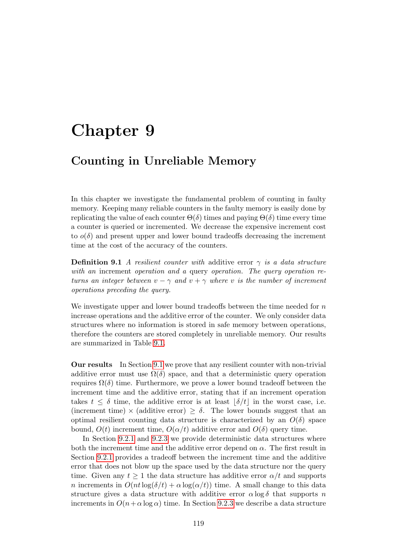# Chapter 9

## Counting in Unreliable Memory

In this chapter we investigate the fundamental problem of counting in faulty memory. Keeping many reliable counters in the faulty memory is easily done by replicating the value of each counter  $\Theta(\delta)$  times and paying  $\Theta(\delta)$  time every time a counter is queried or incremented. We decrease the expensive increment cost to  $o(\delta)$  and present upper and lower bound tradeoffs decreasing the increment time at the cost of the accuracy of the counters.

**Definition 9.1** A resilient counter with additive error  $\gamma$  is a data structure with an increment *operation* and a query *operation*. The *guery operation re*turns an integer between  $v - \gamma$  and  $v + \gamma$  where v is the number of increment operations preceding the query.

We investigate upper and lower bound tradeoffs between the time needed for  $n$ increase operations and the additive error of the counter. We only consider data structures where no information is stored in safe memory between operations, therefore the counters are stored completely in unreliable memory. Our results are summarized in Table [9.1.](#page-131-0)

Our results In Section [9.1](#page-131-1) we prove that any resilient counter with non-trivial additive error must use  $\Omega(\delta)$  space, and that a deterministic query operation requires  $\Omega(\delta)$  time. Furthermore, we prove a lower bound tradeoff between the increment time and the additive error, stating that if an increment operation takes  $t \leq \delta$  time, the additive error is at least  $|\delta/t|$  in the worst case, i.e. (increment time)  $\times$  (additive error)  $\geq \delta$ . The lower bounds suggest that an optimal resilient counting data structure is characterized by an  $O(\delta)$  space bound,  $O(t)$  increment time,  $O(\alpha/t)$  additive error and  $O(\delta)$  query time.

In Section [9.2.1](#page-132-0) and [9.2.3](#page-134-0) we provide deterministic data structures where both the increment time and the additive error depend on  $\alpha$ . The first result in Section [9.2.1](#page-132-0) provides a tradeoff between the increment time and the additive error that does not blow up the space used by the data structure nor the query time. Given any  $t \geq 1$  the data structure has additive error  $\alpha/t$  and supports n increments in  $O(nt \log(\delta/t) + \alpha \log(\alpha/t))$  time. A small change to this data structure gives a data structure with additive error  $\alpha \log \delta$  that supports n increments in  $O(n+\alpha \log \alpha)$  time. In Section [9.2.3](#page-134-0) we describe a data structure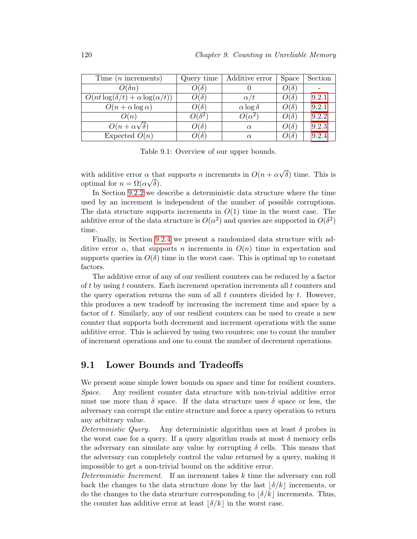| Time $(n$ increments)                          | Query time  | Additive error       | Space       | Section |
|------------------------------------------------|-------------|----------------------|-------------|---------|
| $O(\delta n)$                                  | $O(\delta)$ |                      | $O(\delta)$ |         |
| $O(nt \log(\delta/t) + \alpha \log(\alpha/t))$ | $O(\delta)$ | $\alpha/t$           | $O(\delta)$ | 9.2.1   |
| $O(n + \alpha \log \alpha)$                    | OΘ          | $\alpha \log \delta$ | $O(\delta)$ | 9.2.1   |
| O(n)                                           |             | $O(\alpha^2)$        | $O(\delta)$ | 9.2.2   |
| $O(n + \alpha \sqrt{\delta})$                  | $O(\delta)$ | $\alpha$             | $O(\delta)$ | 9.2.3   |
| Expected $O(n)$                                |             | $\alpha$             | $O(\delta)$ | 9.2.4   |

<span id="page-131-0"></span>Table 9.1: Overview of our upper bounds.

with additive error  $\alpha$  that supports n increments in  $O(n + \alpha)$ √  $\alpha$  that supports *n* increments in  $O(n + \alpha\sqrt{\delta})$  time. This is optimal for  $n = \Omega(\alpha \sqrt{\delta}).$ 

In Section [9.2.2](#page-133-0) we describe a deterministic data structure where the time used by an increment is independent of the number of possible corruptions. The data structure supports increments in  $O(1)$  time in the worst case. The additive error of the data structure is  $O(\alpha^2)$  and queries are supported in  $O(\delta^2)$ time.

Finally, in Section [9.2.4](#page-136-0) we present a randomized data structure with additive error  $\alpha$ , that supports n increments in  $O(n)$  time in expectation and supports queries in  $O(\delta)$  time in the worst case. This is optimal up to constant factors.

The additive error of any of our resilient counters can be reduced by a factor of t by using t counters. Each increment operation increments all t counters and the query operation returns the sum of all  $t$  counters divided by  $t$ . However, this produces a new tradeoff by increasing the increment time and space by a factor of t. Similarly, any of our resilient counters can be used to create a new counter that supports both decrement and increment operations with the same additive error. This is achieved by using two counters; one to count the number of increment operations and one to count the number of decrement operations.

## <span id="page-131-1"></span>9.1 Lower Bounds and Tradeoffs

We present some simple lower bounds on space and time for resilient counters. Space. Any resilient counter data structure with non-trivial additive error must use more than  $\delta$  space. If the data structure uses  $\delta$  space or less, the adversary can corrupt the entire structure and force a query operation to return any arbitrary value.

Deterministic Query. Any deterministic algorithm uses at least  $\delta$  probes in the worst case for a query. If a query algorithm reads at most  $\delta$  memory cells the adversary can simulate any value by corrupting  $\delta$  cells. This means that the adversary can completely control the value returned by a query, making it impossible to get a non-trivial bound on the additive error.

Deterministic Increment. If an increment takes k time the adversary can roll back the changes to the data structure done by the last  $\delta/k$  increments, or do the changes to the data structure corresponding to  $\delta/k$  increments. Thus, the counter has additive error at least  $\left|\delta/k\right|$  in the worst case.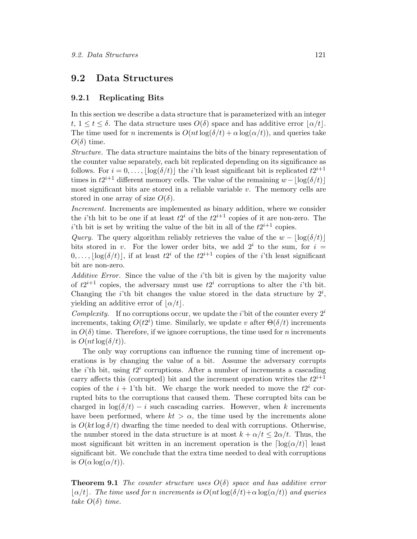## 9.2 Data Structures

#### <span id="page-132-0"></span>9.2.1 Replicating Bits

In this section we describe a data structure that is parameterized with an integer  $t, 1 \leq t \leq \delta$ . The data structure uses  $O(\delta)$  space and has additive error  $\lceil \alpha / t \rceil$ . The time used for n increments is  $O(nt \log(\delta/t) + \alpha \log(\alpha/t))$ , and queries take  $O(\delta)$  time.

Structure. The data structure maintains the bits of the binary representation of the counter value separately, each bit replicated depending on its significance as follows. For  $i = 0, \ldots, \lfloor \log(\delta/t) \rfloor$  the *i*'th least significant bit is replicated  $t2^{i+1}$ times in  $t2^{i+1}$  different memory cells. The value of the remaining  $w-\lfloor \log(\delta/t)\rfloor$ most significant bits are stored in a reliable variable  $v$ . The memory cells are stored in one array of size  $O(\delta)$ .

Increment. Increments are implemented as binary addition, where we consider the *i*'th bit to be one if at least  $t2^i$  of the  $t2^{i+1}$  copies of it are non-zero. The i'th bit is set by writing the value of the bit in all of the  $t2^{i+1}$  copies.

Query. The query algorithm reliably retrieves the value of the  $w - |\log(\delta/t)|$ bits stored in v. For the lower order bits, we add  $2^i$  to the sum, for  $i =$  $[0, \ldots, \lfloor \log(\delta/t) \rfloor]$ , if at least  $t2^i$  of the  $t2^{i+1}$  copies of the *i*'th least significant bit are non-zero.

Additive Error. Since the value of the i'th bit is given by the majority value of  $t2^{i+1}$  copies, the adversary must use  $t2^i$  corruptions to alter the *i*'th bit. Changing the *i*'th bit changes the value stored in the data structure by  $2^i$ , yielding an additive error of  $\lfloor \alpha/t \rfloor$ .

Complexity. If no corruptions occur, we update the *i*'bit of the counter every  $2^i$ increments, taking  $O(t2<sup>i</sup>)$  time. Similarly, we update v after  $\Theta(\delta/t)$  increments in  $O(\delta)$  time. Therefore, if we ignore corruptions, the time used for *n* increments is  $O(nt \log(\delta/t)).$ 

The only way corruptions can influence the running time of increment operations is by changing the value of a bit. Assume the adversary corrupts the *i*'th bit, using  $t2^i$  corruptions. After a number of increments a cascading carry affects this (corrupted) bit and the increment operation writes the  $t2^{i+1}$ copies of the  $i + 1$ 'th bit. We charge the work needed to move the  $t2^i$  corrupted bits to the corruptions that caused them. These corrupted bits can be charged in  $\log(\delta/t) - i$  such cascading carries. However, when k increments have been performed, where  $kt > \alpha$ , the time used by the increments alone is  $O(kt \log \delta / t)$  dwarfing the time needed to deal with corruptions. Otherwise, the number stored in the data structure is at most  $k + \alpha/t \leq 2\alpha/t$ . Thus, the most significant bit written in an increment operation is the  $\lceil \log(\alpha/t) \rceil$  least significant bit. We conclude that the extra time needed to deal with corruptions is  $O(\alpha \log(\alpha/t)).$ 

**Theorem 9.1** The counter structure uses  $O(\delta)$  space and has additive error  $\alpha/t$ . The time used for n increments is  $O(nt \log(\delta/t)+\alpha \log(\alpha/t))$  and queries take  $O(\delta)$  time.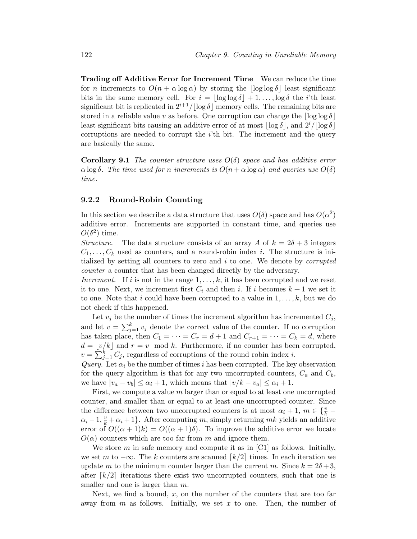Trading off Additive Error for Increment Time We can reduce the time for n increments to  $O(n + \alpha \log \alpha)$  by storing the  $\log \log \delta$  least significant bits in the same memory cell. For  $i = |\log \log \delta| + 1, \ldots, \log \delta$  the *i*'th least significant bit is replicated in  $2^{i+1}/\lfloor \log \delta \rfloor$  memory cells. The remaining bits are stored in a reliable value v as before. One corruption can change the  $\log \log \delta$ least significant bits causing an additive error of at most  $|\log \delta|$ , and  $2^{i}/|\log \delta|$ corruptions are needed to corrupt the i'th bit. The increment and the query are basically the same.

**Corollary 9.1** The counter structure uses  $O(\delta)$  space and has additive error  $\alpha \log \delta$ . The time used for n increments is  $O(n + \alpha \log \alpha)$  and queries use  $O(\delta)$ time.

### <span id="page-133-0"></span>9.2.2 Round-Robin Counting

In this section we describe a data structure that uses  $O(\delta)$  space and has  $O(\alpha^2)$ additive error. Increments are supported in constant time, and queries use  $O(\delta^2)$  time.

Structure. The data structure consists of an array A of  $k = 2\delta + 3$  integers  $C_1, \ldots, C_k$  used as counters, and a round-robin index *i*. The structure is initialized by setting all counters to zero and  $i$  to one. We denote by *corrupted* counter a counter that has been changed directly by the adversary.

Increment. If i is not in the range  $1, \ldots, k$ , it has been corrupted and we reset it to one. Next, we increment first  $C_i$  and then i. If i becomes  $k+1$  we set it to one. Note that i could have been corrupted to a value in  $1, \ldots, k$ , but we do not check if this happened.

Let  $v_j$  be the number of times the increment algorithm has incremented  $C_j$ , and let  $v = \sum_{j=1}^{k} v_j$  denote the correct value of the counter. If no corruption has taken place, then  $C_1 = \cdots = C_r = d+1$  and  $C_{r+1} = \cdots = C_k = d$ , where  $d = \lfloor v/k \rfloor$  and  $r = v \mod k$ . Furthermore, if no counter has been corrupted,  $v = \sum_{j=1}^{k} C_j$ , regardless of corruptions of the round robin index *i*.

Query. Let  $\alpha_i$  be the number of times i has been corrupted. The key observation for the query algorithm is that for any two uncorrupted counters,  $C_a$  and  $C_b$ , we have  $|v_a - v_b| \leq \alpha_i + 1$ , which means that  $|v/k - v_a| \leq \alpha_i + 1$ .

First, we compute a value  $m$  larger than or equal to at least one uncorrupted counter, and smaller than or equal to at least one uncorrupted counter. Since the difference between two uncorrupted counters is at most  $\alpha_i + 1, m \in \{\frac{v}{k} - \frac{1}{k}\}$  $\alpha_i - 1, \frac{v}{k} + \alpha_i + 1$ . After computing m, simply returning mk yields an additive error of  $O((\alpha+1)k) = O((\alpha+1)\delta)$ . To improve the additive error we locate  $O(\alpha)$  counters which are too far from m and ignore them.

We store m in safe memory and compute it as in  $\lbrack C1 \rbrack$  as follows. Initially, we set m to  $-\infty$ . The k counters are scanned [k/2] times. In each iteration we update m to the minimum counter larger than the current m. Since  $k = 2\delta + 3$ , after  $\lfloor k/2 \rfloor$  iterations there exist two uncorrupted counters, such that one is smaller and one is larger than  $m$ .

Next, we find a bound,  $x$ , on the number of the counters that are too far away from  $m$  as follows. Initially, we set  $x$  to one. Then, the number of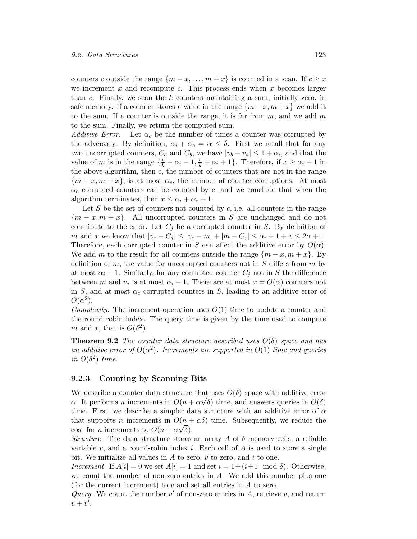counters c outside the range  $\{m - x, \ldots, m + x\}$  is counted in a scan. If  $c \geq x$ we increment  $x$  and recompute  $c$ . This process ends when  $x$  becomes larger than  $c$ . Finally, we scan the  $k$  counters maintaining a sum, initially zero, in safe memory. If a counter stores a value in the range  ${m-x, m+x}$  we add it to the sum. If a counter is outside the range, it is far from  $m$ , and we add  $m$ to the sum. Finally, we return the computed sum.

Additive Error. Let  $\alpha_c$  be the number of times a counter was corrupted by the adversary. By definition,  $\alpha_i + \alpha_c = \alpha \leq \delta$ . First we recall that for any two uncorrupted counters,  $C_a$  and  $C_b$ , we have  $|v_b - v_a| \leq 1 + \alpha_i$ , and that the value of m is in the range  $\{\frac{v}{k} - \alpha_i - 1, \frac{v}{k} + \alpha_i + 1\}$ . Therefore, if  $x \ge \alpha_i + 1$  in the above algorithm, then  $c$ , the number of counters that are not in the range  ${m-x, m+x}$ , is at most  $\alpha_c$ , the number of counter corruptions. At most  $\alpha_c$  corrupted counters can be counted by c, and we conclude that when the algorithm terminates, then  $x \leq \alpha_i + \alpha_c + 1$ .

Let S be the set of counters not counted by  $c$ , i.e. all counters in the range  ${m-x, m+x}$ . All uncorrupted counters in S are unchanged and do not contribute to the error. Let  $C_j$  be a corrupted counter in S. By definition of m and x we know that  $|v_j - C_j| \le |v_j - m| + |m - C_j| \le \alpha_i + 1 + x \le 2\alpha + 1$ . Therefore, each corrupted counter in S can affect the additive error by  $O(\alpha)$ . We add m to the result for all counters outside the range  $\{m-x, m+x\}$ . By definition of m, the value for uncorrupted counters not in  $S$  differs from m by at most  $\alpha_i + 1$ . Similarly, for any corrupted counter  $C_i$  not in S the difference between m and  $v_i$  is at most  $\alpha_i + 1$ . There are at most  $x = O(\alpha)$  counters not in S, and at most  $\alpha_c$  corrupted counters in S, leading to an additive error of  $O(\alpha^2)$ .

Complexity. The increment operation uses  $O(1)$  time to update a counter and the round robin index. The query time is given by the time used to compute m and x, that is  $O(\delta^2)$ .

**Theorem 9.2** The counter data structure described uses  $O(\delta)$  space and has an additive error of  $O(\alpha^2)$ . Increments are supported in  $O(1)$  time and queries in  $O(\delta^2)$  time.

#### <span id="page-134-0"></span>9.2.3 Counting by Scanning Bits

We describe a counter data structure that uses  $O(\delta)$  space with additive error  $\alpha$ . It performs *n* increments in  $O(n + \alpha \sqrt{\delta})$  time, and answers queries in  $O(\delta)$ time. First, we describe a simpler data structure with an additive error of  $\alpha$ that supports *n* increments in  $O(n + \alpha\delta)$  time. Subsequently, we reduce the cost for *n* increments to  $O(n + \alpha\sqrt{\delta}).$ 

Structure. The data structure stores an array A of  $\delta$  memory cells, a reliable variable v, and a round-robin index i. Each cell of  $A$  is used to store a single bit. We initialize all values in  $A$  to zero,  $v$  to zero, and  $i$  to one.

Increment. If  $A[i] = 0$  we set  $A[i] = 1$  and set  $i = 1 + (i+1 \mod \delta)$ . Otherwise, we count the number of non-zero entries in A. We add this number plus one (for the current increment) to  $v$  and set all entries in  $A$  to zero.

Query. We count the number  $v'$  of non-zero entries in A, retrieve v, and return  $v + v'$ .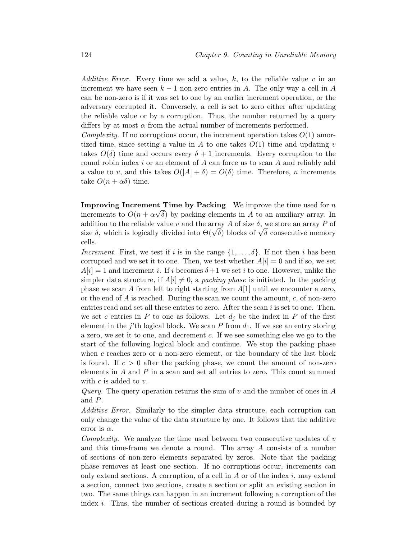Additive Error. Every time we add a value, k, to the reliable value v in an increment we have seen  $k-1$  non-zero entries in A. The only way a cell in A can be non-zero is if it was set to one by an earlier increment operation, or the adversary corrupted it. Conversely, a cell is set to zero either after updating the reliable value or by a corruption. Thus, the number returned by a query differs by at most  $\alpha$  from the actual number of increments performed.

Complexity. If no corruptions occur, the increment operation takes  $O(1)$  amortized time, since setting a value in A to one takes  $O(1)$  time and updating v takes  $O(\delta)$  time and occurs every  $\delta + 1$  increments. Every corruption to the round robin index i or an element of A can force us to scan A and reliably add a value to v, and this takes  $O(|A| + \delta) = O(\delta)$  time. Therefore, n increments take  $O(n + \alpha \delta)$  time.

**Improving Increment Time by Packing** We improve the time used for  $n<sub>o</sub>$ increments to  $O(n + \alpha \sqrt{\delta})$  by packing elements in A to an auxiliary array. In addition to the reliable value v and the array A of size  $\delta$ , we store an array P of size δ, which is logically divided into  $\Theta(\sqrt{\delta})$  blocks of  $\sqrt{\delta}$  consecutive memory cells.

Increment. First, we test if i is in the range  $\{1,\ldots,\delta\}$ . If not then i has been corrupted and we set it to one. Then, we test whether  $A[i] = 0$  and if so, we set  $A[i] = 1$  and increment i. If i becomes  $\delta + 1$  we set i to one. However, unlike the simpler data structure, if  $A[i] \neq 0$ , a packing phase is initiated. In the packing phase we scan A from left to right starting from  $A[1]$  until we encounter a zero, or the end of  $A$  is reached. During the scan we count the amount,  $c$ , of non-zero entries read and set all these entries to zero. After the scan  $i$  is set to one. Then, we set c entries in P to one as follows. Let  $d_i$  be the index in P of the first element in the j'th logical block. We scan P from  $d_1$ . If we see an entry storing a zero, we set it to one, and decrement c. If we see something else we go to the start of the following logical block and continue. We stop the packing phase when c reaches zero or a non-zero element, or the boundary of the last block is found. If  $c > 0$  after the packing phase, we count the amount of non-zero elements in  $A$  and  $P$  in a scan and set all entries to zero. This count summed with  $c$  is added to  $v$ .

*Query.* The query operation returns the sum of v and the number of ones in A and P.

Additive Error. Similarly to the simpler data structure, each corruption can only change the value of the data structure by one. It follows that the additive error is  $\alpha$ .

Complexity. We analyze the time used between two consecutive updates of  $v$ and this time-frame we denote a round. The array A consists of a number of sections of non-zero elements separated by zeros. Note that the packing phase removes at least one section. If no corruptions occur, increments can only extend sections. A corruption, of a cell in  $A$  or of the index  $i$ , may extend a section, connect two sections, create a section or split an existing section in two. The same things can happen in an increment following a corruption of the index i. Thus, the number of sections created during a round is bounded by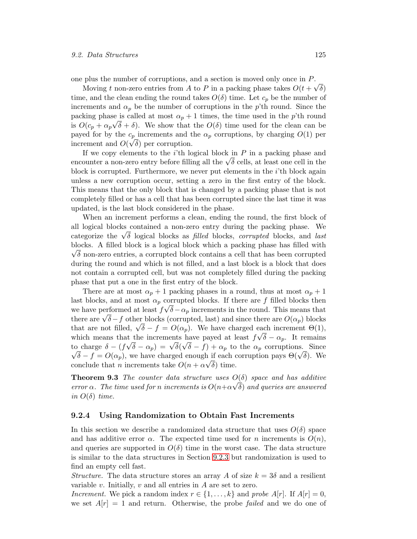one plus the number of corruptions, and a section is moved only once in  $P$ .

Moving t non-zero entries from A to P in a packing phase takes  $O(t + \sqrt{\delta})$ time, and the clean ending the round takes  $O(\delta)$  time. Let  $c_p$  be the number of increments and  $\alpha_p$  be the number of corruptions in the p'th round. Since the packing phase is called at most  $\alpha_p + 1$  times, the time used in the p'th round is  $O(c_p + \alpha_p \sqrt{\delta} + \delta)$ . We show that the  $O(\delta)$  time used for the clean can be payed for by the  $c_p$  increments and the  $\alpha_p$  corruptions, by charging  $O(1)$  per increment and  $O(\sqrt{\delta})$  per corruption.

If we copy elements to the  $i$ <sup>th</sup> logical block in  $P$  in a packing phase and If we copy elements to the *t* th logical block in  $P$  in a packing phase and encounter a non-zero entry before filling all the  $\sqrt{\delta}$  cells, at least one cell in the block is corrupted. Furthermore, we never put elements in the  $i$ <sup>th</sup> block again unless a new corruption occur, setting a zero in the first entry of the block. This means that the only block that is changed by a packing phase that is not completely filled or has a cell that has been corrupted since the last time it was updated, is the last block considered in the phase.

When an increment performs a clean, ending the round, the first block of all logical blocks contained a non-zero entry during the packing phase. We an identical blocks contained a non-zero entry during the packing phase. We<br>categorize the  $\sqrt{\delta}$  logical blocks as *filled* blocks, *corrupted* blocks, and *last* blocks. A filled block is a logical block which a packing phase has filled with  $\bar{\mathcal{L}}$  $\sqrt{\delta}$  non-zero entries, a corrupted block contains a cell that has been corrupted during the round and which is not filled, and a last block is a block that does not contain a corrupted cell, but was not completely filled during the packing phase that put a one in the first entry of the block.

There are at most  $\alpha_p + 1$  packing phases in a round, thus at most  $\alpha_p + 1$ last blocks, and at most  $\alpha_p$  corrupted blocks. If there are f filled blocks then we have performed at least  $f\sqrt{\delta-\alpha_p}$  increments in the round. This means that we nave performed at least  $f \vee \sigma - \alpha_p$  increments in the round. This means that there are  $\sqrt{\delta} - f$  other blocks (corrupted, last) and since there are  $O(\alpha_p)$  blocks there are  $\sqrt{v} - f$  other blocks (corrupted, last) and since there are  $O(\alpha_p)$  blocks that are not filled,  $\sqrt{\delta} - f = O(\alpha_p)$ . We have charged each increment  $\Theta(1)$ , which means that the increments have payed at least  $f\sqrt{\delta} - \alpha_p$ . It remains which means that the increments have payed at least  $f \vee \theta - \alpha_p$ . It remains<br>to charge  $\delta - (f \sqrt{\delta} - \alpha_p) = \sqrt{\delta} (\sqrt{\delta} - f) + \alpha_p$  to the  $\alpha_p$  corruptions. Since charge  $\delta - (J\sqrt{\delta} - \alpha_p) = \sqrt{\delta(\sqrt{\delta} - J)} + \alpha_p$  to the  $\alpha_p$  corruptions. Since  $\delta - f = O(\alpha_p)$ , we have charged enough if each corruption pays  $\Theta(\sqrt{\delta})$ . We conclude that *n* increments take  $O(n + \alpha\sqrt{\delta})$  time.

**Theorem 9.3** The counter data structure uses  $O(\delta)$  space and has additive error  $\alpha$ . The time used for n increments is  $O(n+\alpha\sqrt{\delta})$  and queries are answered in  $O(\delta)$  time.

#### <span id="page-136-0"></span>9.2.4 Using Randomization to Obtain Fast Increments

In this section we describe a randomized data structure that uses  $O(\delta)$  space and has additive error  $\alpha$ . The expected time used for n increments is  $O(n)$ , and queries are supported in  $O(\delta)$  time in the worst case. The data structure is similar to the data structures in Section [9.2.3](#page-134-0) but randomization is used to find an empty cell fast.

Structure. The data structure stores an array A of size  $k = 3\delta$  and a resilient variable  $v$ . Initially,  $v$  and all entries in  $A$  are set to zero.

Increment. We pick a random index  $r \in \{1, \ldots, k\}$  and probe  $A[r]$ . If  $A[r] = 0$ , we set  $A[r] = 1$  and return. Otherwise, the probe *failed* and we do one of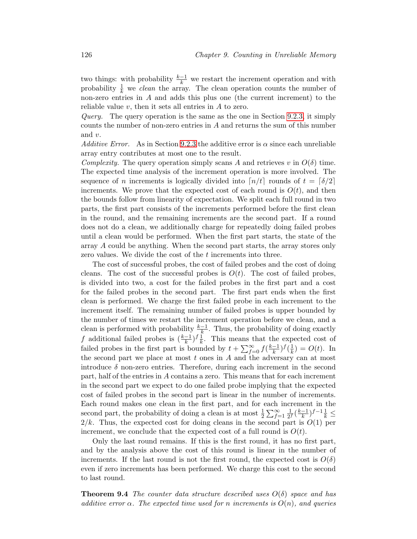two things: with probability  $\frac{k-1}{k}$  we restart the increment operation and with probability  $\frac{1}{k}$  we clean the array. The clean operation counts the number of non-zero entries in A and adds this plus one (the current increment) to the reliable value  $v$ , then it sets all entries in  $A$  to zero.

Query. The query operation is the same as the one in Section [9.2.3,](#page-134-0) it simply counts the number of non-zero entries in A and returns the sum of this number and v.

Additive Error. As in Section [9.2.3](#page-134-0) the additive error is  $\alpha$  since each unreliable array entry contributes at most one to the result.

Complexity. The query operation simply scans A and retrieves v in  $O(\delta)$  time. The expected time analysis of the increment operation is more involved. The sequence of n increments is logically divided into  $n/t$  rounds of  $t = \lfloor \delta/2 \rfloor$ increments. We prove that the expected cost of each round is  $O(t)$ , and then the bounds follow from linearity of expectation. We split each full round in two parts, the first part consists of the increments performed before the first clean in the round, and the remaining increments are the second part. If a round does not do a clean, we additionally charge for repeatedly doing failed probes until a clean would be performed. When the first part starts, the state of the array A could be anything. When the second part starts, the array stores only zero values. We divide the cost of the t increments into three.

The cost of successful probes, the cost of failed probes and the cost of doing cleans. The cost of the successful probes is  $O(t)$ . The cost of failed probes, is divided into two, a cost for the failed probes in the first part and a cost for the failed probes in the second part. The first part ends when the first clean is performed. We charge the first failed probe in each increment to the increment itself. The remaining number of failed probes is upper bounded by the number of times we restart the increment operation before we clean, and a clean is performed with probability  $\frac{k-1}{k}$ . Thus, the probability of doing exactly f additional failed probes is  $(\frac{k-1}{k})^f \frac{1}{k}$ . This means that the expected cost of failed probes in the first part is bounded by  $t + \sum_{f=0}^{\infty} f(\frac{k-1}{k})$  $\frac{-1}{k}$ ) $f(\frac{1}{k})$  $\frac{1}{k}$ ) =  $O(t)$ . In the second part we place at most  $t$  ones in  $A$  and the adversary can at most introduce  $\delta$  non-zero entries. Therefore, during each increment in the second part, half of the entries in A contains a zero. This means that for each increment in the second part we expect to do one failed probe implying that the expected cost of failed probes in the second part is linear in the number of increments. Each round makes one clean in the first part, and for each increment in the second part, the probability of doing a clean is at most  $\frac{1}{2} \sum_{f=1}^{\infty} \frac{1}{2^j}$  $\frac{1}{2^f}$  $\left(\frac{k-1}{k}\right)$  $(\frac{-1}{k})^{f-1} \frac{1}{k} \leq$  $2/k$ . Thus, the expected cost for doing cleans in the second part is  $O(1)$  per increment, we conclude that the expected cost of a full round is  $O(t)$ .

Only the last round remains. If this is the first round, it has no first part, and by the analysis above the cost of this round is linear in the number of increments. If the last round is not the first round, the expected cost is  $O(\delta)$ even if zero increments has been performed. We charge this cost to the second to last round.

**Theorem 9.4** The counter data structure described uses  $O(\delta)$  space and has additive error  $\alpha$ . The expected time used for n increments is  $O(n)$ , and queries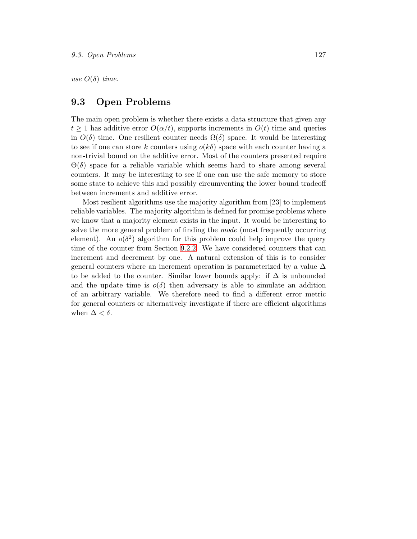use  $O(\delta)$  time.

## 9.3 Open Problems

The main open problem is whether there exists a data structure that given any  $t \geq 1$  has additive error  $O(\alpha/t)$ , supports increments in  $O(t)$  time and queries in  $O(\delta)$  time. One resilient counter needs  $\Omega(\delta)$  space. It would be interesting to see if one can store k counters using  $o(k\delta)$  space with each counter having a non-trivial bound on the additive error. Most of the counters presented require  $\Theta(\delta)$  space for a reliable variable which seems hard to share among several counters. It may be interesting to see if one can use the safe memory to store some state to achieve this and possibly circumventing the lower bound tradeoff between increments and additive error.

Most resilient algorithms use the majority algorithm from [23] to implement reliable variables. The majority algorithm is defined for promise problems where we know that a majority element exists in the input. It would be interesting to solve the more general problem of finding the mode (most frequently occurring element). An  $o(\delta^2)$  algorithm for this problem could help improve the query time of the counter from Section [9.2.2.](#page-133-0) We have considered counters that can increment and decrement by one. A natural extension of this is to consider general counters where an increment operation is parameterized by a value  $\Delta$ to be added to the counter. Similar lower bounds apply: if  $\Delta$  is unbounded and the update time is  $o(\delta)$  then adversary is able to simulate an addition of an arbitrary variable. We therefore need to find a different error metric for general counters or alternatively investigate if there are efficient algorithms when  $\Delta < \delta$ .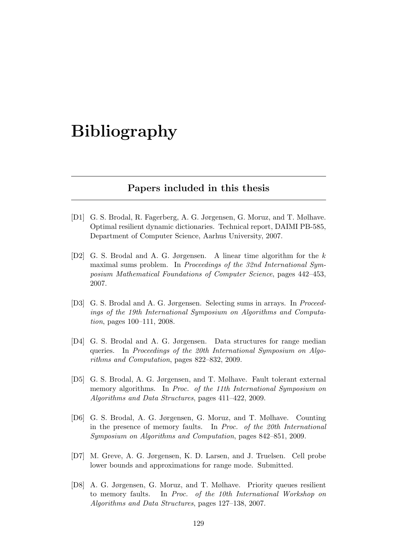# Bibliography

## Papers included in this thesis

- [D1] G. S. Brodal, R. Fagerberg, A. G. Jørgensen, G. Moruz, and T. Mølhave. Optimal resilient dynamic dictionaries. Technical report, DAIMI PB-585, Department of Computer Science, Aarhus University, 2007.
- [D2] G. S. Brodal and A. G. Jørgensen. A linear time algorithm for the k maximal sums problem. In Proceedings of the 32nd International Symposium Mathematical Foundations of Computer Science, pages 442–453, 2007.
- [D3] G. S. Brodal and A. G. Jørgensen. Selecting sums in arrays. In Proceedings of the 19th International Symposium on Algorithms and Computation, pages 100–111, 2008.
- [D4] G. S. Brodal and A. G. Jørgensen. Data structures for range median queries. In Proceedings of the 20th International Symposium on Algorithms and Computation, pages 822–832, 2009.
- [D5] G. S. Brodal, A. G. Jørgensen, and T. Mølhave. Fault tolerant external memory algorithms. In Proc. of the 11th International Symposium on Algorithms and Data Structures, pages 411–422, 2009.
- [D6] G. S. Brodal, A. G. Jørgensen, G. Moruz, and T. Mølhave. Counting in the presence of memory faults. In Proc. of the 20th International Symposium on Algorithms and Computation, pages 842–851, 2009.
- [D7] M. Greve, A. G. Jørgensen, K. D. Larsen, and J. Truelsen. Cell probe lower bounds and approximations for range mode. Submitted.
- [D8] A. G. Jørgensen, G. Moruz, and T. Mølhave. Priority queues resilient to memory faults. In Proc. of the 10th International Workshop on Algorithms and Data Structures, pages 127–138, 2007.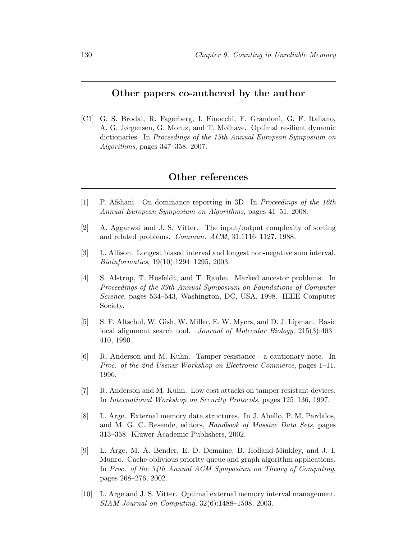## Other papers co-authered by the author

[C1] G. S. Brodal, R. Fagerberg, I. Finocchi, F. Grandoni, G. F. Italiano, A. G. Jørgensen, G. Moruz, and T. Mølhave. Optimal resilient dynamic dictionaries. In Proceedings of the 15th Annual European Symposium on Algorithms, pages 347–358, 2007.

## Other references

- [1] P. Afshani. On dominance reporting in 3D. In Proceedings of the 16th Annual European Symposium on Algorithms, pages 41–51, 2008.
- [2] A. Aggarwal and J. S. Vitter. The input/output complexity of sorting and related problems. Commun. ACM, 31:1116–1127, 1988.
- [3] L. Allison. Longest biased interval and longest non-negative sum interval. Bioinformatics, 19(10):1294–1295, 2003.
- [4] S. Alstrup, T. Husfeldt, and T. Rauhe. Marked ancestor problems. In Proceedings of the 39th Annual Symposium on Foundations of Computer Science, pages 534–543, Washington, DC, USA, 1998. IEEE Computer Society.
- [5] S. F. Altschul, W. Gish, W. Miller, E. W. Myers, and D. J. Lipman. Basic local alignment search tool. Journal of Molecular Biology, 215(3):403– 410, 1990.
- [6] R. Anderson and M. Kuhn. Tamper resistance a cautionary note. In Proc. of the 2nd Usenix Workshop on Electronic Commerce, pages 1–11, 1996.
- [7] R. Anderson and M. Kuhn. Low cost attacks on tamper resistant devices. In International Workshop on Security Protocols, pages 125–136, 1997.
- [8] L. Arge. External memory data structures. In J. Abello, P. M. Pardalos, and M. G. C. Resende, editors, Handbook of Massive Data Sets, pages 313–358. Kluwer Academic Publishers, 2002.
- [9] L. Arge, M. A. Bender, E. D. Demaine, B. Holland-Minkley, and J. I. Munro. Cache-oblivious priority queue and graph algorithm applications. In Proc. of the 34th Annual ACM Symposium on Theory of Computing, pages 268–276, 2002.
- [10] L. Arge and J. S. Vitter. Optimal external memory interval management. SIAM Journal on Computing, 32(6):1488–1508, 2003.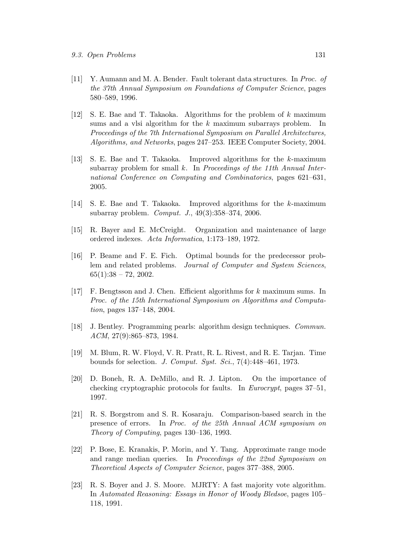- [11] Y. Aumann and M. A. Bender. Fault tolerant data structures. In Proc. of the 37th Annual Symposium on Foundations of Computer Science, pages 580–589, 1996.
- [12] S. E. Bae and T. Takaoka. Algorithms for the problem of k maximum sums and a vlsi algorithm for the k maximum subarrays problem. In Proceedings of the 7th International Symposium on Parallel Architectures, Algorithms, and Networks, pages 247–253. IEEE Computer Society, 2004.
- [13] S. E. Bae and T. Takaoka. Improved algorithms for the k-maximum subarray problem for small  $k$ . In Proceedings of the 11th Annual International Conference on Computing and Combinatorics, pages 621–631, 2005.
- [14] S. E. Bae and T. Takaoka. Improved algorithms for the k-maximum subarray problem. Comput. J., 49(3):358–374, 2006.
- [15] R. Bayer and E. McCreight. Organization and maintenance of large ordered indexes. Acta Informatica, 1:173–189, 1972.
- [16] P. Beame and F. E. Fich. Optimal bounds for the predecessor problem and related problems. Journal of Computer and System Sciences,  $65(1):38 - 72, 2002.$
- [17] F. Bengtsson and J. Chen. Efficient algorithms for k maximum sums. In Proc. of the 15th International Symposium on Algorithms and Computation, pages 137–148, 2004.
- [18] J. Bentley. Programming pearls: algorithm design techniques. Commun. ACM, 27(9):865–873, 1984.
- [19] M. Blum, R. W. Floyd, V. R. Pratt, R. L. Rivest, and R. E. Tarjan. Time bounds for selection. J. Comput. Syst. Sci., 7(4):448–461, 1973.
- [20] D. Boneh, R. A. DeMillo, and R. J. Lipton. On the importance of checking cryptographic protocols for faults. In Eurocrypt, pages 37–51, 1997.
- [21] R. S. Borgstrom and S. R. Kosaraju. Comparison-based search in the presence of errors. In Proc. of the 25th Annual ACM symposium on Theory of Computing, pages 130–136, 1993.
- [22] P. Bose, E. Kranakis, P. Morin, and Y. Tang. Approximate range mode and range median queries. In Proceedings of the 22nd Symposium on Theoretical Aspects of Computer Science, pages 377–388, 2005.
- [23] R. S. Boyer and J. S. Moore. MJRTY: A fast majority vote algorithm. In Automated Reasoning: Essays in Honor of Woody Bledsoe, pages 105– 118, 1991.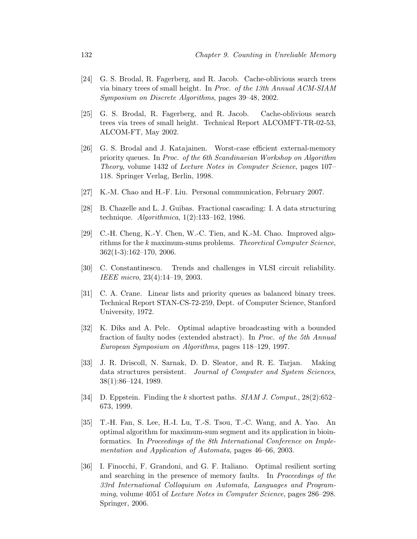- [24] G. S. Brodal, R. Fagerberg, and R. Jacob. Cache-oblivious search trees via binary trees of small height. In Proc. of the 13th Annual ACM-SIAM Symposium on Discrete Algorithms, pages 39–48, 2002.
- [25] G. S. Brodal, R. Fagerberg, and R. Jacob. Cache-oblivious search trees via trees of small height. Technical Report ALCOMFT-TR-02-53, ALCOM-FT, May 2002.
- [26] G. S. Brodal and J. Katajainen. Worst-case efficient external-memory priority queues. In Proc. of the 6th Scandinavian Workshop on Algorithm Theory, volume 1432 of Lecture Notes in Computer Science, pages 107– 118. Springer Verlag, Berlin, 1998.
- [27] K.-M. Chao and H.-F. Liu. Personal communication, February 2007.
- [28] B. Chazelle and L. J. Guibas. Fractional cascading: I. A data structuring technique.  $Algorithmica$ ,  $1(2):133-162$ , 1986.
- [29] C.-H. Cheng, K.-Y. Chen, W.-C. Tien, and K.-M. Chao. Improved algorithms for the k maximum-sums problems. Theoretical Computer Science, 362(1-3):162–170, 2006.
- [30] C. Constantinescu. Trends and challenges in VLSI circuit reliability. IEEE micro, 23(4):14–19, 2003.
- [31] C. A. Crane. Linear lists and priority queues as balanced binary trees. Technical Report STAN-CS-72-259, Dept. of Computer Science, Stanford University, 1972.
- [32] K. Diks and A. Pelc. Optimal adaptive broadcasting with a bounded fraction of faulty nodes (extended abstract). In Proc. of the 5th Annual European Symposium on Algorithms, pages 118–129, 1997.
- [33] J. R. Driscoll, N. Sarnak, D. D. Sleator, and R. E. Tarjan. Making data structures persistent. Journal of Computer and System Sciences, 38(1):86–124, 1989.
- [34] D. Eppstein. Finding the k shortest paths. SIAM J. Comput., 28(2):652– 673, 1999.
- [35] T.-H. Fan, S. Lee, H.-I. Lu, T.-S. Tsou, T.-C. Wang, and A. Yao. An optimal algorithm for maximum-sum segment and its application in bioinformatics. In Proceedings of the 8th International Conference on Implementation and Application of Automata, pages 46–66, 2003.
- [36] I. Finocchi, F. Grandoni, and G. F. Italiano. Optimal resilient sorting and searching in the presence of memory faults. In Proceedings of the 33rd International Colloquium on Automata, Languages and Programming, volume 4051 of *Lecture Notes in Computer Science*, pages 286–298. Springer, 2006.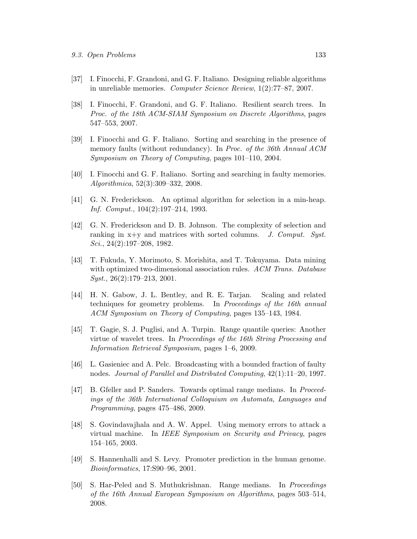- [37] I. Finocchi, F. Grandoni, and G. F. Italiano. Designing reliable algorithms in unreliable memories. Computer Science Review, 1(2):77–87, 2007.
- [38] I. Finocchi, F. Grandoni, and G. F. Italiano. Resilient search trees. In Proc. of the 18th ACM-SIAM Symposium on Discrete Algorithms, pages 547–553, 2007.
- [39] I. Finocchi and G. F. Italiano. Sorting and searching in the presence of memory faults (without redundancy). In Proc. of the 36th Annual ACM Symposium on Theory of Computing, pages 101–110, 2004.
- [40] I. Finocchi and G. F. Italiano. Sorting and searching in faulty memories. Algorithmica, 52(3):309–332, 2008.
- [41] G. N. Frederickson. An optimal algorithm for selection in a min-heap. Inf. Comput., 104(2):197–214, 1993.
- [42] G. N. Frederickson and D. B. Johnson. The complexity of selection and ranking in  $x+y$  and matrices with sorted columns. J. Comput. Syst.  $Sci., 24(2):197-208, 1982.$
- [43] T. Fukuda, Y. Morimoto, S. Morishita, and T. Tokuyama. Data mining with optimized two-dimensional association rules. ACM Trans. Database  $Syst., 26(2):179-213, 2001.$
- [44] H. N. Gabow, J. L. Bentley, and R. E. Tarjan. Scaling and related techniques for geometry problems. In Proceedings of the 16th annual ACM Symposium on Theory of Computing, pages 135–143, 1984.
- [45] T. Gagie, S. J. Puglisi, and A. Turpin. Range quantile queries: Another virtue of wavelet trees. In Proceedings of the 16th String Processing and Information Retrieval Symposium, pages 1–6, 2009.
- [46] L. Gasieniec and A. Pelc. Broadcasting with a bounded fraction of faulty nodes. Journal of Parallel and Distributed Computing, 42(1):11–20, 1997.
- [47] B. Gfeller and P. Sanders. Towards optimal range medians. In Proceedings of the 36th International Colloquium on Automata, Languages and Programming, pages 475–486, 2009.
- [48] S. Govindavajhala and A. W. Appel. Using memory errors to attack a virtual machine. In IEEE Symposium on Security and Privacy, pages 154–165, 2003.
- [49] S. Hannenhalli and S. Levy. Promoter prediction in the human genome. Bioinformatics, 17:S90–96, 2001.
- [50] S. Har-Peled and S. Muthukrishnan. Range medians. In Proceedings of the 16th Annual European Symposium on Algorithms, pages 503–514, 2008.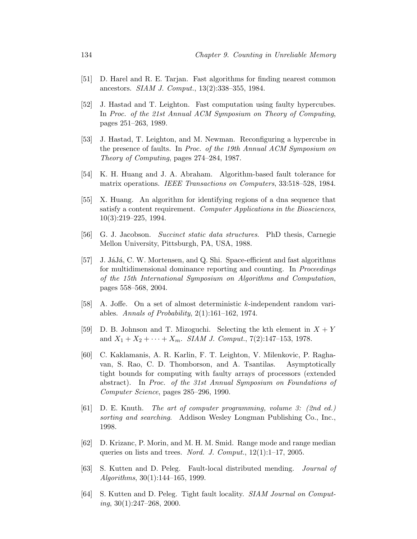- [51] D. Harel and R. E. Tarjan. Fast algorithms for finding nearest common ancestors. SIAM J. Comput., 13(2):338–355, 1984.
- [52] J. Hastad and T. Leighton. Fast computation using faulty hypercubes. In Proc. of the 21st Annual ACM Symposium on Theory of Computing, pages 251–263, 1989.
- [53] J. Hastad, T. Leighton, and M. Newman. Reconfiguring a hypercube in the presence of faults. In Proc. of the 19th Annual ACM Symposium on Theory of Computing, pages 274–284, 1987.
- [54] K. H. Huang and J. A. Abraham. Algorithm-based fault tolerance for matrix operations. IEEE Transactions on Computers, 33:518–528, 1984.
- [55] X. Huang. An algorithm for identifying regions of a dna sequence that satisfy a content requirement. Computer Applications in the Biosciences, 10(3):219–225, 1994.
- [56] G. J. Jacobson. Succinct static data structures. PhD thesis, Carnegie Mellon University, Pittsburgh, PA, USA, 1988.
- [57] J. JáJá, C. W. Mortensen, and Q. Shi. Space-efficient and fast algorithms for multidimensional dominance reporting and counting. In Proceedings of the 15th International Symposium on Algorithms and Computation, pages 558–568, 2004.
- [58] A. Joffe. On a set of almost deterministic k-independent random variables. Annals of Probability,  $2(1):161-162$ , 1974.
- [59] D. B. Johnson and T. Mizoguchi. Selecting the kth element in  $X + Y$ and  $X_1 + X_2 + \cdots + X_m$ . SIAM J. Comput., 7(2):147-153, 1978.
- [60] C. Kaklamanis, A. R. Karlin, F. T. Leighton, V. Milenkovic, P. Raghavan, S. Rao, C. D. Thomborson, and A. Tsantilas. Asymptotically tight bounds for computing with faulty arrays of processors (extended abstract). In Proc. of the 31st Annual Symposium on Foundations of Computer Science, pages 285–296, 1990.
- [61] D. E. Knuth. The art of computer programming, volume 3: (2nd ed.) sorting and searching. Addison Wesley Longman Publishing Co., Inc., 1998.
- [62] D. Krizanc, P. Morin, and M. H. M. Smid. Range mode and range median queries on lists and trees. *Nord. J. Comput.*,  $12(1):1-17$ ,  $2005$ .
- [63] S. Kutten and D. Peleg. Fault-local distributed mending. Journal of Algorithms, 30(1):144–165, 1999.
- [64] S. Kutten and D. Peleg. Tight fault locality. SIAM Journal on Comput $ing, 30(1):247-268, 2000.$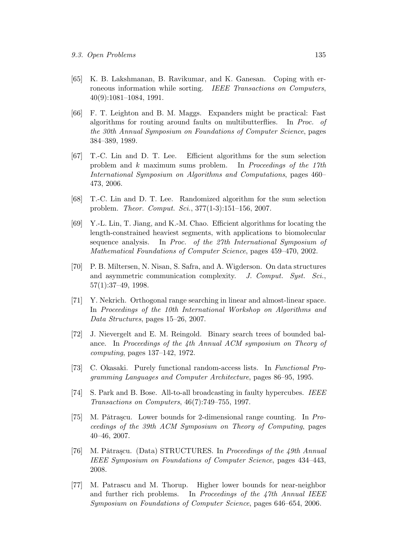## 9.3. Open Problems 135

- [65] K. B. Lakshmanan, B. Ravikumar, and K. Ganesan. Coping with erroneous information while sorting. IEEE Transactions on Computers, 40(9):1081–1084, 1991.
- [66] F. T. Leighton and B. M. Maggs. Expanders might be practical: Fast algorithms for routing around faults on multibutterflies. In Proc. of the 30th Annual Symposium on Foundations of Computer Science, pages 384–389, 1989.
- [67] T.-C. Lin and D. T. Lee. Efficient algorithms for the sum selection problem and k maximum sums problem. In Proceedings of the 17th International Symposium on Algorithms and Computations, pages 460– 473, 2006.
- [68] T.-C. Lin and D. T. Lee. Randomized algorithm for the sum selection problem. Theor. Comput. Sci., 377(1-3):151–156, 2007.
- [69] Y.-L. Lin, T. Jiang, and K.-M. Chao. Efficient algorithms for locating the length-constrained heaviest segments, with applications to biomolecular sequence analysis. In Proc. of the 27th International Symposium of Mathematical Foundations of Computer Science, pages 459–470, 2002.
- [70] P. B. Miltersen, N. Nisan, S. Safra, and A. Wigderson. On data structures and asymmetric communication complexity. J. Comput. Syst. Sci., 57(1):37–49, 1998.
- [71] Y. Nekrich. Orthogonal range searching in linear and almost-linear space. In Proceedings of the 10th International Workshop on Algorithms and Data Structures, pages 15–26, 2007.
- [72] J. Nievergelt and E. M. Reingold. Binary search trees of bounded balance. In Proceedings of the 4th Annual ACM symposium on Theory of computing, pages 137–142, 1972.
- [73] C. Okasaki. Purely functional random-access lists. In Functional Programming Languages and Computer Architecture, pages 86–95, 1995.
- [74] S. Park and B. Bose. All-to-all broadcasting in faulty hypercubes. IEEE Transactions on Computers, 46(7):749–755, 1997.
- [75] M. Pǎtraṣcu. Lower bounds for 2-dimensional range counting. In Proceedings of the 39th ACM Symposium on Theory of Computing, pages 40–46, 2007.
- [76] M. Pǎtrascu. (Data) STRUCTURES. In Proceedings of the 49th Annual IEEE Symposium on Foundations of Computer Science, pages 434–443, 2008.
- [77] M. Patrascu and M. Thorup. Higher lower bounds for near-neighbor and further rich problems. In Proceedings of the 47th Annual IEEE Symposium on Foundations of Computer Science, pages 646–654, 2006.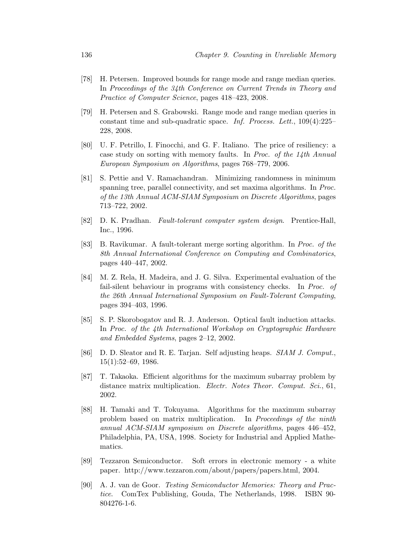- [78] H. Petersen. Improved bounds for range mode and range median queries. In Proceedings of the 34th Conference on Current Trends in Theory and Practice of Computer Science, pages 418–423, 2008.
- [79] H. Petersen and S. Grabowski. Range mode and range median queries in constant time and sub-quadratic space. Inf. Process. Lett., 109(4):225– 228, 2008.
- [80] U. F. Petrillo, I. Finocchi, and G. F. Italiano. The price of resiliency: a case study on sorting with memory faults. In Proc. of the 14th Annual European Symposium on Algorithms, pages 768–779, 2006.
- [81] S. Pettie and V. Ramachandran. Minimizing randomness in minimum spanning tree, parallel connectivity, and set maxima algorithms. In Proc. of the 13th Annual ACM-SIAM Symposium on Discrete Algorithms, pages 713–722, 2002.
- [82] D. K. Pradhan. Fault-tolerant computer system design. Prentice-Hall, Inc., 1996.
- [83] B. Ravikumar. A fault-tolerant merge sorting algorithm. In Proc. of the 8th Annual International Conference on Computing and Combinatorics, pages 440–447, 2002.
- [84] M. Z. Rela, H. Madeira, and J. G. Silva. Experimental evaluation of the fail-silent behaviour in programs with consistency checks. In Proc. of the 26th Annual International Symposium on Fault-Tolerant Computing, pages 394–403, 1996.
- [85] S. P. Skorobogatov and R. J. Anderson. Optical fault induction attacks. In Proc. of the 4th International Workshop on Cryptographic Hardware and Embedded Systems, pages 2–12, 2002.
- [86] D. D. Sleator and R. E. Tarjan. Self adjusting heaps. SIAM J. Comput.,  $15(1):52-69, 1986.$
- [87] T. Takaoka. Efficient algorithms for the maximum subarray problem by distance matrix multiplication. Electr. Notes Theor. Comput. Sci., 61, 2002.
- [88] H. Tamaki and T. Tokuyama. Algorithms for the maximum subarray problem based on matrix multiplication. In Proceedings of the ninth annual ACM-SIAM symposium on Discrete algorithms, pages 446–452, Philadelphia, PA, USA, 1998. Society for Industrial and Applied Mathematics.
- [89] Tezzaron Semiconductor. Soft errors in electronic memory a white paper. http://www.tezzaron.com/about/papers/papers.html, 2004.
- [90] A. J. van de Goor. Testing Semiconductor Memories: Theory and Practice. ComTex Publishing, Gouda, The Netherlands, 1998. ISBN 90- 804276-1-6.